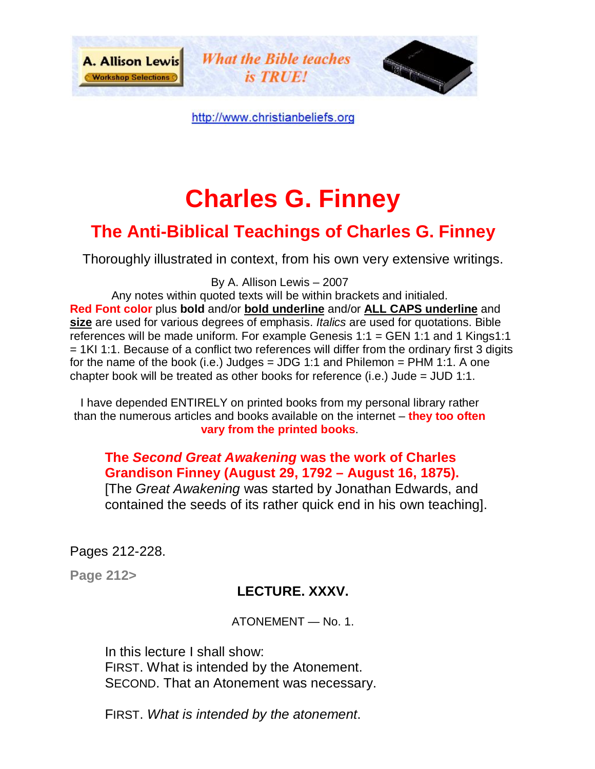A. Allison Lewis **Workshop Selections** 

**What the Bible teaches** is TRUE!



http://www.christianbeliefs.org

# **Charles G. Finney**

## **The Anti-Biblical Teachings of Charles G. Finney**

Thoroughly illustrated in context, from his own very extensive writings.

By A. Allison Lewis – 2007

Any notes within quoted texts will be within brackets and initialed. **Red Font color** plus **bold** and/or **bold underline** and/or **ALL CAPS underline** and **size** are used for various degrees of emphasis. *Italics* are used for quotations. Bible references will be made uniform. For example Genesis 1:1 = GEN 1:1 and 1 Kings1:1 = 1KI 1:1. Because of a conflict two references will differ from the ordinary first 3 digits for the name of the book (i.e.) Judges = JDG 1:1 and Philemon = PHM 1:1. A one chapter book will be treated as other books for reference (i.e.) Jude = JUD 1:1.

I have depended ENTIRELY on printed books from my personal library rather than the numerous articles and books available on the internet – **they too often vary from the printed books**.

#### **The** *Second Great Awakening* **was the work of Charles Grandison Finney (August 29, 1792 – August 16, 1875).**

[The *Great Awakening* was started by Jonathan Edwards, and contained the seeds of its rather quick end in his own teaching].

Pages 212-228.

**Page 212>**

## **LECTURE. XXXV.**

ATONEMENT — No. 1.

In this lecture I shall show: FIRST. What is intended by the Atonement. SECOND. That an Atonement was necessary.

FIRST. *What is intended by the atonement*.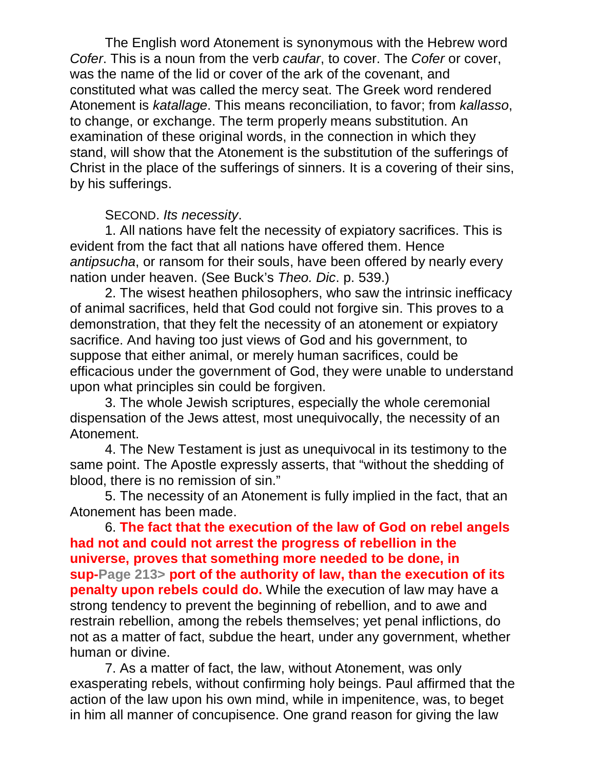The English word Atonement is synonymous with the Hebrew word *Cofer*. This is a noun from the verb *caufar*, to cover. The *Cofer* or cover, was the name of the lid or cover of the ark of the covenant, and constituted what was called the mercy seat. The Greek word rendered Atonement is *katallage*. This means reconciliation, to favor; from *kallasso*, to change, or exchange. The term properly means substitution. An examination of these original words, in the connection in which they stand, will show that the Atonement is the substitution of the sufferings of Christ in the place of the sufferings of sinners. It is a covering of their sins, by his sufferings.

#### SECOND. *Its necessity*.

1. All nations have felt the necessity of expiatory sacrifices. This is evident from the fact that all nations have offered them. Hence *antipsucha*, or ransom for their souls, have been offered by nearly every nation under heaven. (See Buck's *Theo. Dic*. p. 539.)

2. The wisest heathen philosophers, who saw the intrinsic inefficacy of animal sacrifices, held that God could not forgive sin. This proves to a demonstration, that they felt the necessity of an atonement or expiatory sacrifice. And having too just views of God and his government, to suppose that either animal, or merely human sacrifices, could be efficacious under the government of God, they were unable to understand upon what principles sin could be forgiven.

3. The whole Jewish scriptures, especially the whole ceremonial dispensation of the Jews attest, most unequivocally, the necessity of an Atonement.

4. The New Testament is just as unequivocal in its testimony to the same point. The Apostle expressly asserts, that "without the shedding of blood, there is no remission of sin."

5. The necessity of an Atonement is fully implied in the fact, that an Atonement has been made.

6. **The fact that the execution of the law of God on rebel angels had not and could not arrest the progress of rebellion in the universe, proves that something more needed to be done, in sup-Page 213> port of the authority of law, than the execution of its penalty upon rebels could do.** While the execution of law may have a strong tendency to prevent the beginning of rebellion, and to awe and restrain rebellion, among the rebels themselves; yet penal inflictions, do not as a matter of fact, subdue the heart, under any government, whether human or divine.

7. As a matter of fact, the law, without Atonement, was only exasperating rebels, without confirming holy beings. Paul affirmed that the action of the law upon his own mind, while in impenitence, was, to beget in him all manner of concupisence. One grand reason for giving the law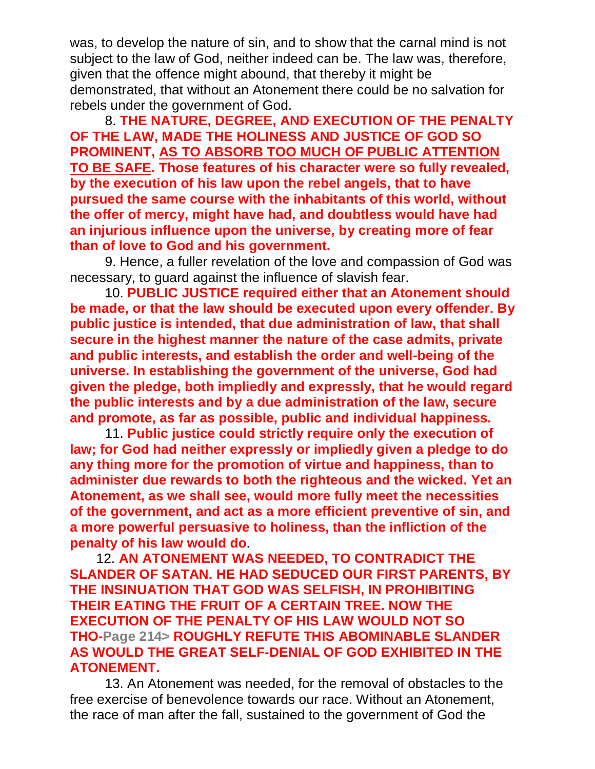was, to develop the nature of sin, and to show that the carnal mind is not subject to the law of God, neither indeed can be. The law was, therefore, given that the offence might abound, that thereby it might be demonstrated, that without an Atonement there could be no salvation for rebels under the government of God.

8. **THE NATURE, DEGREE, AND EXECUTION OF THE PENALTY OF THE LAW, MADE THE HOLINESS AND JUSTICE OF GOD SO PROMINENT, AS TO ABSORB TOO MUCH OF PUBLIC ATTENTION TO BE SAFE. Those features of his character were so fully revealed, by the execution of his law upon the rebel angels, that to have pursued the same course with the inhabitants of this world, without the offer of mercy, might have had, and doubtless would have had an injurious influence upon the universe, by creating more of fear than of love to God and his government.**

9. Hence, a fuller revelation of the love and compassion of God was necessary, to guard against the influence of slavish fear.

10. **PUBLIC JUSTICE required either that an Atonement should be made, or that the law should be executed upon every offender. By public justice is intended, that due administration of law, that shall secure in the highest manner the nature of the case admits, private and public interests, and establish the order and well-being of the universe. In establishing the government of the universe, God had given the pledge, both impliedly and expressly, that he would regard the public interests and by a due administration of the law, secure and promote, as far as possible, public and individual happiness.**

11. **Public justice could strictly require only the execution of law; for God had neither expressly or impliedly given a pledge to do any thing more for the promotion of virtue and happiness, than to administer due rewards to both the righteous and the wicked. Yet an Atonement, as we shall see, would more fully meet the necessities of the government, and act as a more efficient preventive of sin, and a more powerful persuasive to holiness, than the infliction of the penalty of his law would do**.

12. **AN ATONEMENT WAS NEEDED, TO CONTRADICT THE SLANDER OF SATAN. HE HAD SEDUCED OUR FIRST PARENTS, BY THE INSINUATION THAT GOD WAS SELFISH, IN PROHIBITING THEIR EATING THE FRUIT OF A CERTAIN TREE. NOW THE EXECUTION OF THE PENALTY OF HIS LAW WOULD NOT SO THO-Page 214> ROUGHLY REFUTE THIS ABOMINABLE SLANDER AS WOULD THE GREAT SELF-DENIAL OF GOD EXHIBITED IN THE ATONEMENT.**

13. An Atonement was needed, for the removal of obstacles to the free exercise of benevolence towards our race. Without an Atonement, the race of man after the fall, sustained to the government of God the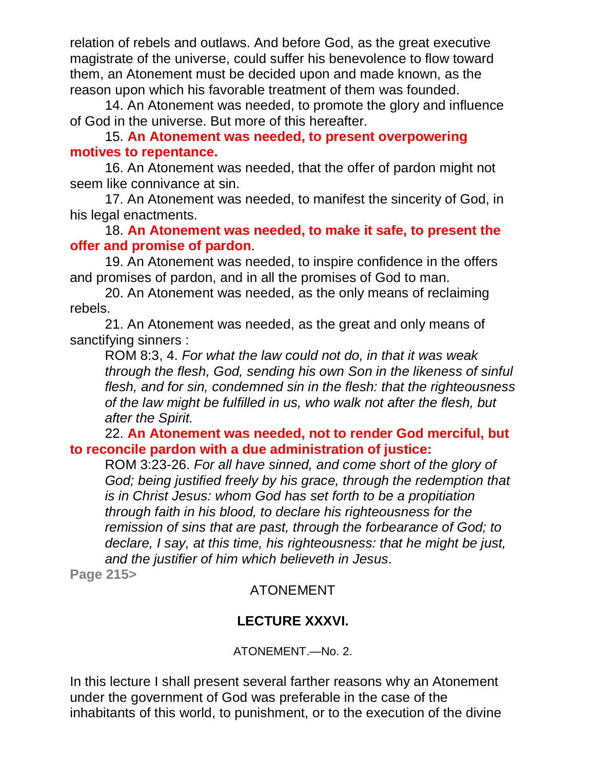relation of rebels and outlaws. And before God, as the great executive magistrate of the universe, could suffer his benevolence to flow toward them, an Atonement must be decided upon and made known, as the reason upon which his favorable treatment of them was founded.

14. An Atonement was needed, to promote the glory and influence of God in the universe. But more of this hereafter.

15. **An Atonement was needed, to present overpowering motives to repentance.**

16. An Atonement was needed, that the offer of pardon might not seem like connivance at sin.

17. An Atonement was needed, to manifest the sincerity of God, in his legal enactments.

18. **An Atonement was needed, to make it safe, to present the offer and promise of pardon**.

19. An Atonement was needed, to inspire confidence in the offers and promises of pardon, and in all the promises of God to man.

20. An Atonement was needed, as the only means of reclaiming rebels.

21. An Atonement was needed, as the great and only means of sanctifying sinners :

ROM 8:3, 4. *For what the law could not do, in that it was weak through the flesh, God, sending his own Son in the likeness of sinful flesh, and for sin, condemned sin in the flesh: that the righteousness of the law might be fulfilled in us, who walk not after the flesh, but after the Spirit.*

22. **An Atonement was needed, not to render God merciful, but to reconcile pardon with a due administration of justice:**

ROM 3:23-26. *For all have sinned, and come short of the glory of God; being justified freely by his grace, through the redemption that is in Christ Jesus: whom God has set forth to be a propitiation through faith in his blood, to declare his righteousness for the remission of sins that are past, through the forbearance of God; to declare, I say, at this time, his righteousness: that he might be just, and the justifier of him which believeth in Jesus*.

**Page 215>**

#### ATONEMENT

## **LECTURE XXXVI.**

ATONEMENT.—No. 2.

In this lecture I shall present several farther reasons why an Atonement under the government of God was preferable in the case of the inhabitants of this world, to punishment, or to the execution of the divine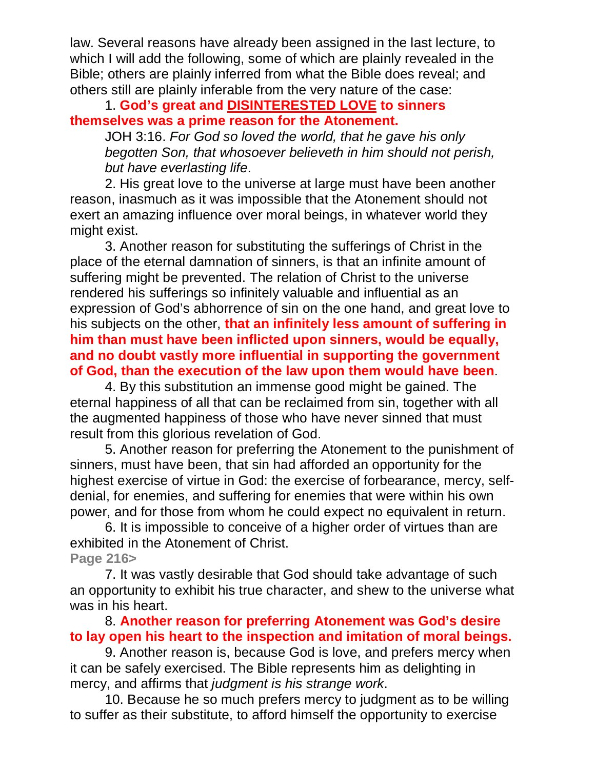law. Several reasons have already been assigned in the last lecture, to which I will add the following, some of which are plainly revealed in the Bible; others are plainly inferred from what the Bible does reveal; and others still are plainly inferable from the very nature of the case:

#### 1. **God's great and DISINTERESTED LOVE to sinners themselves was a prime reason for the Atonement.**

JOH 3:16. *For God so loved the world, that he gave his only begotten Son, that whosoever believeth in him should not perish, but have everlasting life*.

2. His great love to the universe at large must have been another reason, inasmuch as it was impossible that the Atonement should not exert an amazing influence over moral beings, in whatever world they might exist.

3. Another reason for substituting the sufferings of Christ in the place of the eternal damnation of sinners, is that an infinite amount of suffering might be prevented. The relation of Christ to the universe rendered his sufferings so infinitely valuable and influential as an expression of God's abhorrence of sin on the one hand, and great love to his subjects on the other, **that an infinitely less amount of suffering in him than must have been inflicted upon sinners, would be equally, and no doubt vastly more influential in supporting the government of God, than the execution of the law upon them would have been**.

4. By this substitution an immense good might be gained. The eternal happiness of all that can be reclaimed from sin, together with all the augmented happiness of those who have never sinned that must result from this glorious revelation of God.

5. Another reason for preferring the Atonement to the punishment of sinners, must have been, that sin had afforded an opportunity for the highest exercise of virtue in God: the exercise of forbearance, mercy, selfdenial, for enemies, and suffering for enemies that were within his own power, and for those from whom he could expect no equivalent in return.

6. It is impossible to conceive of a higher order of virtues than are exhibited in the Atonement of Christ.

**Page 216>**

7. It was vastly desirable that God should take advantage of such an opportunity to exhibit his true character, and shew to the universe what was in his heart.

#### 8. **Another reason for preferring Atonement was God's desire to lay open his heart to the inspection and imitation of moral beings.**

9. Another reason is, because God is love, and prefers mercy when it can be safely exercised. The Bible represents him as delighting in mercy, and affirms that *judgment is his strange work*.

10. Because he so much prefers mercy to judgment as to be willing to suffer as their substitute, to afford himself the opportunity to exercise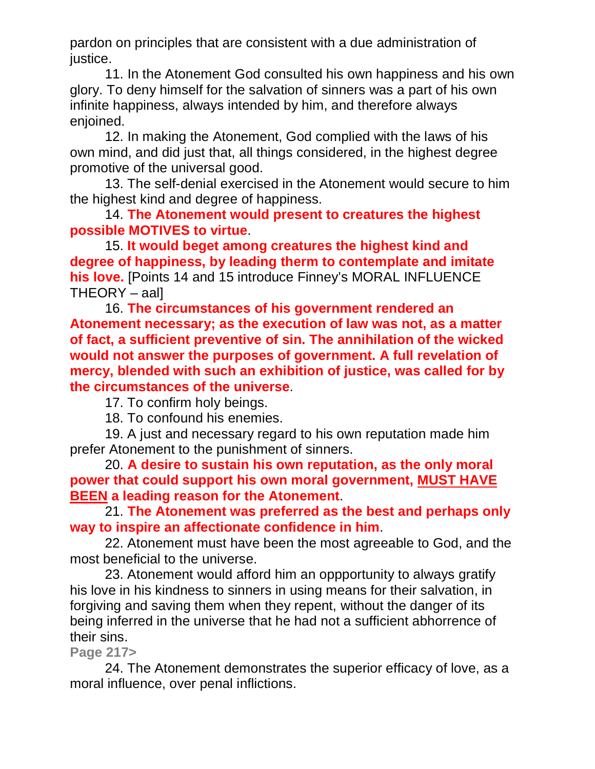pardon on principles that are consistent with a due administration of justice.

11. In the Atonement God consulted his own happiness and his own glory. To deny himself for the salvation of sinners was a part of his own infinite happiness, always intended by him, and therefore always enjoined.

12. In making the Atonement, God complied with the laws of his own mind, and did just that, all things considered, in the highest degree promotive of the universal good.

13. The self-denial exercised in the Atonement would secure to him the highest kind and degree of happiness.

14. **The Atonement would present to creatures the highest possible MOTIVES to virtue**.

15. **It would beget among creatures the highest kind and degree of happiness, by leading therm to contemplate and imitate his love.** [Points 14 and 15 introduce Finney's MORAL INFLUENCE THEORY – aal]

16. **The circumstances of his government rendered an Atonement necessary; as the execution of law was not, as a matter of fact, a sufficient preventive of sin. The annihilation of the wicked would not answer the purposes of government. A full revelation of mercy, blended with such an exhibition of justice, was called for by the circumstances of the universe**.

17. To confirm holy beings.

18. To confound his enemies.

19. A just and necessary regard to his own reputation made him prefer Atonement to the punishment of sinners.

20. **A desire to sustain his own reputation, as the only moral power that could support his own moral government, MUST HAVE BEEN a leading reason for the Atonement**.

21. **The Atonement was preferred as the best and perhaps only way to inspire an affectionate confidence in him**.

22. Atonement must have been the most agreeable to God, and the most beneficial to the universe.

23. Atonement would afford him an oppportunity to always gratify his love in his kindness to sinners in using means for their salvation, in forgiving and saving them when they repent, without the danger of its being inferred in the universe that he had not a sufficient abhorrence of their sins.

**Page 217>**

24. The Atonement demonstrates the superior efficacy of love, as a moral influence, over penal inflictions.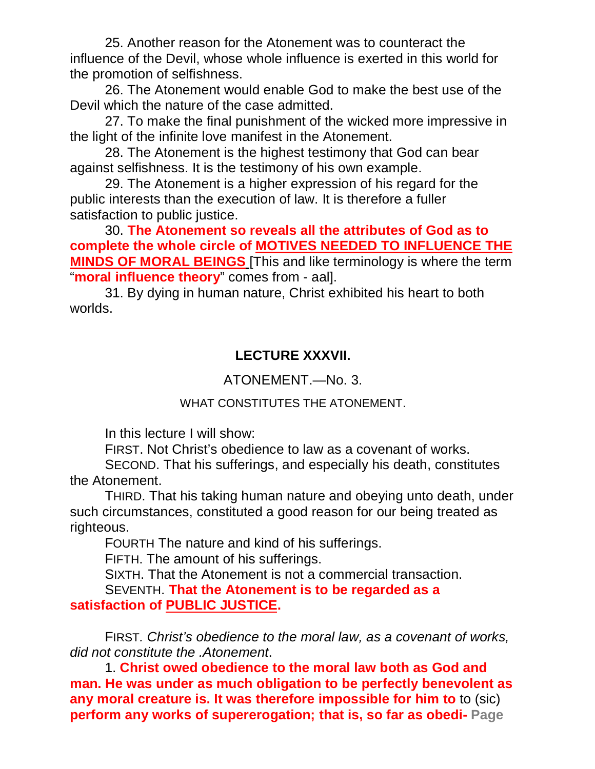25. Another reason for the Atonement was to counteract the influence of the Devil, whose whole influence is exerted in this world for the promotion of selfishness.

26. The Atonement would enable God to make the best use of the Devil which the nature of the case admitted.

27. To make the final punishment of the wicked more impressive in the light of the infinite love manifest in the Atonement.

28. The Atonement is the highest testimony that God can bear against selfishness. It is the testimony of his own example.

29. The Atonement is a higher expression of his regard for the public interests than the execution of law. It is therefore a fuller satisfaction to public justice.

30. **The Atonement so reveals all the attributes of God as to complete the whole circle of MOTIVES NEEDED TO INFLUENCE THE MINDS OF MORAL BEINGS** [This and like terminology is where the term "**moral influence theory**" comes from - aal].

31. By dying in human nature, Christ exhibited his heart to both worlds.

#### **LECTURE XXXVII.**

#### ATONEMENT.—No. 3.

#### WHAT CONSTITUTES THE ATONEMENT.

In this lecture I will show:

FIRST. Not Christ's obedience to law as a covenant of works.

SECOND. That his sufferings, and especially his death, constitutes the Atonement.

THIRD. That his taking human nature and obeying unto death, under such circumstances, constituted a good reason for our being treated as righteous.

FOURTH The nature and kind of his sufferings.

FIFTH. The amount of his sufferings.

SIXTH. That the Atonement is not a commercial transaction. SEVENTH. **That the Atonement is to be regarded as a**

**satisfaction of PUBLIC JUSTICE.**

FIRST*. Christ's obedience to the moral law, as a covenant of works, did not constitute the .Atonement*.

1. **Christ owed obedience to the moral law both as God and man. He was under as much obligation to be perfectly benevolent as any moral creature is. It was therefore impossible for him to** to (sic) **perform any works of supererogation; that is, so far as obedi- Page**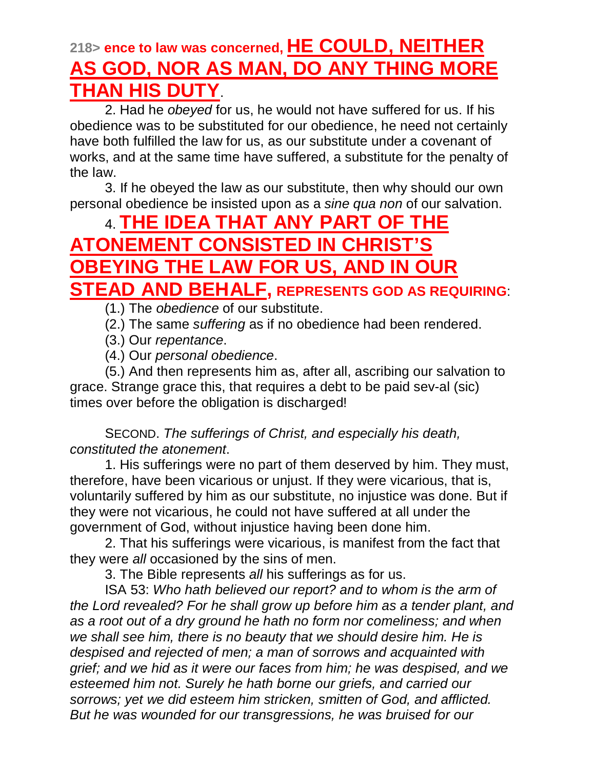## **218> ence to law was concerned, HE COULD, NEITHER AS GOD, NOR AS MAN, DO ANY THING MORE THAN HIS DUTY**.

2. Had he *obeyed* for us, he would not have suffered for us. If his obedience was to be substituted for our obedience, he need not certainly have both fulfilled the law for us, as our substitute under a covenant of works, and at the same time have suffered, a substitute for the penalty of the law.

3. If he obeyed the law as our substitute, then why should our own personal obedience be insisted upon as a *sine qua non* of our salvation.

# 4. **THE IDEA THAT ANY PART OF THE ATONEMENT CONSISTED IN CHRIST'S OBEYING THE LAW FOR US, AND IN OUR STEAD AND BEHALF, REPRESENTS GOD AS REQUIRING**:

(1.) The *obedience* of our substitute.

(2.) The same *suffering* as if no obedience had been rendered.

(3.) Our *repentance*.

(4.) Our *personal obedience*.

(5.) And then represents him as, after all, ascribing our salvation to grace. Strange grace this, that requires a debt to be paid sev-al (sic) times over before the obligation is discharged!

SECOND. *The sufferings of Christ, and especially his death, constituted the atonement*.

1. His sufferings were no part of them deserved by him. They must, therefore, have been vicarious or unjust. If they were vicarious, that is, voluntarily suffered by him as our substitute, no injustice was done. But if they were not vicarious, he could not have suffered at all under the government of God, without injustice having been done him.

2. That his sufferings were vicarious, is manifest from the fact that they were *all* occasioned by the sins of men.

3. The Bible represents *all* his sufferings as for us.

ISA 53: *Who hath believed our report? and to whom is the arm of the Lord revealed? For he shall grow up before him as a tender plant, and as a root out of a dry ground he hath no form nor comeliness; and when we shall see him, there is no beauty that we should desire him. He is despised and rejected of men; a man of sorrows and acquainted with grief; and we hid as it were our faces from him; he was despised, and we esteemed him not. Surely he hath borne our griefs, and carried our sorrows; yet we did esteem him stricken, smitten of God, and afflicted. But he was wounded for our transgressions, he was bruised for our*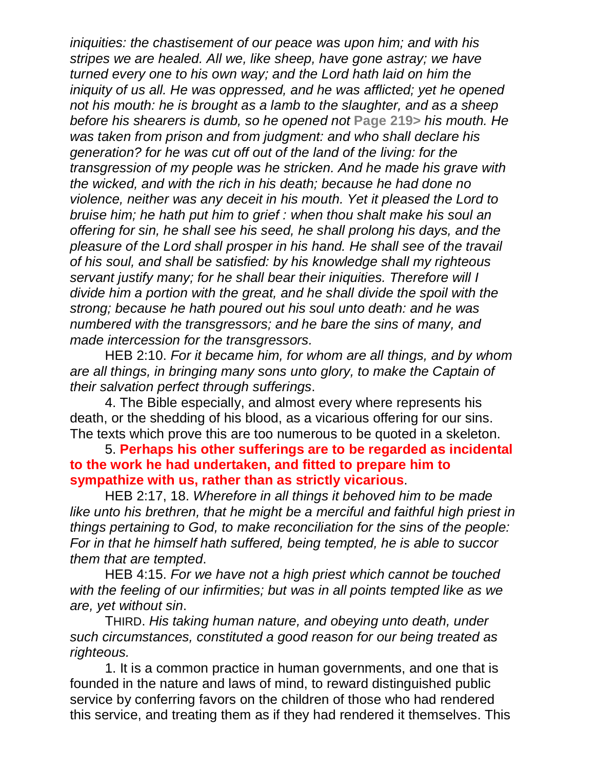*iniquities: the chastisement of our peace was upon him; and with his stripes we are healed. All we, like sheep, have gone astray; we have turned every one to his own way; and the Lord hath laid on him the iniquity of us all. He was oppressed, and he was afflicted; yet he opened not his mouth: he is brought as a lamb to the slaughter, and as a sheep before his shearers is dumb, so he opened not* **Page 219>** *his mouth. He was taken from prison and from judgment: and who shall declare his generation? for he was cut off out of the land of the living: for the transgression of my people was he stricken. And he made his grave with the wicked, and with the rich in his death; because he had done no violence, neither was any deceit in his mouth. Yet it pleased the Lord to bruise him; he hath put him to grief : when thou shalt make his soul an offering for sin, he shall see his seed, he shall prolong his days, and the pleasure of the Lord shall prosper in his hand. He shall see of the travail of his soul, and shall be satisfied: by his knowledge shall my righteous servant justify many; for he shall bear their iniquities. Therefore will I divide him a portion with the great, and he shall divide the spoil with the strong; because he hath poured out his soul unto death: and he was numbered with the transgressors; and he bare the sins of many, and made intercession for the transgressors.*

HEB 2:10. *For it became him, for whom are all things, and by whom are all things, in bringing many sons unto glory, to make the Captain of their salvation perfect through sufferings*.

4. The Bible especially, and almost every where represents his death, or the shedding of his blood, as a vicarious offering for our sins. The texts which prove this are too numerous to be quoted in a skeleton.

5. **Perhaps his other sufferings are to be regarded as incidental to the work he had undertaken, and fitted to prepare him to sympathize with us, rather than as strictly vicarious**.

HEB 2:17, 18. *Wherefore in all things it behoved him to be made like unto his brethren, that he might be a merciful and faithful high priest in things pertaining to God, to make reconciliation for the sins of the people: For in that he himself hath suffered, being tempted, he is able to succor them that are tempted*.

HEB 4:15. *For we have not a high priest which cannot be touched with the feeling of our infirmities; but was in all points tempted like as we are, yet without sin*.

THIRD. *His taking human nature, and obeying unto death, under such circumstances, constituted a good reason for our being treated as righteous.*

1. It is a common practice in human governments, and one that is founded in the nature and laws of mind, to reward distinguished public service by conferring favors on the children of those who had rendered this service, and treating them as if they had rendered it themselves. This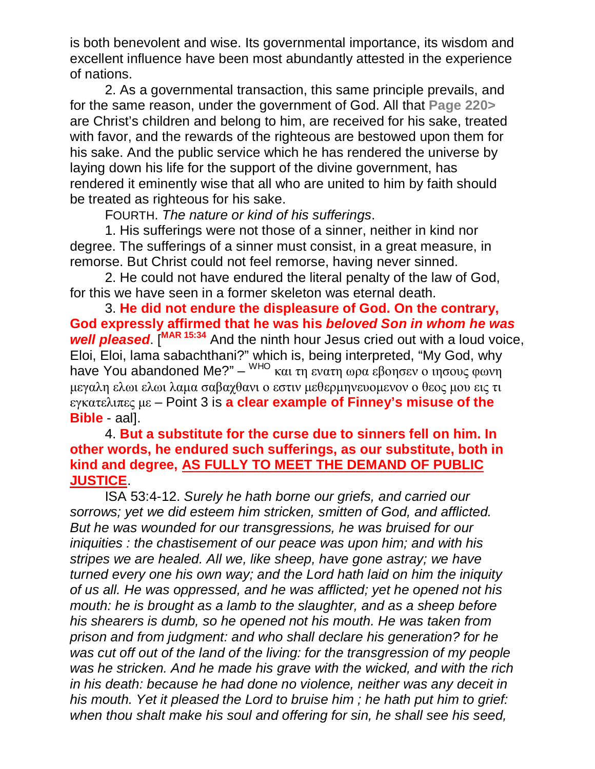is both benevolent and wise. Its governmental importance, its wisdom and excellent influence have been most abundantly attested in the experience of nations.

2. As a governmental transaction, this same principle prevails, and for the same reason, under the government of God. All that **Page 220>** are Christ's children and belong to him, are received for his sake, treated with favor, and the rewards of the righteous are bestowed upon them for his sake. And the public service which he has rendered the universe by laying down his life for the support of the divine government, has rendered it eminently wise that all who are united to him by faith should be treated as righteous for his sake.

FOURTH. *The nature or kind of his sufferings*.

1. His sufferings were not those of a sinner, neither in kind nor degree. The sufferings of a sinner must consist, in a great measure, in remorse. But Christ could not feel remorse, having never sinned.

2. He could not have endured the literal penalty of the law of God, for this we have seen in a former skeleton was eternal death.

3. **He did not endure the displeasure of God. On the contrary, God expressly affirmed that he was his** *beloved Son in whom he was well pleased*. [**MAR 15:34** And the ninth hour Jesus cried out with a loud voice, Eloi, Eloi, lama sabachthani?" which is, being interpreted, "My God, why have You abandoned Me?" – <sup>WHO</sup> και τη ενατη ωρα εβοησεν ο ιησους φωνη μεγαλη ελωι ελωι λαμα σαβαχθανι ο εστιν μεθερμηνευομενον ο θεος μου εις τι εγκατελιπες με – Point 3 is **a clear example of Finney's misuse of the Bible** - aal].

#### 4. **But a substitute for the curse due to sinners fell on him. In other words, he endured such sufferings, as our substitute, both in kind and degree, AS FULLY TO MEET THE DEMAND OF PUBLIC JUSTICE**.

ISA 53:4-12. *Surely he hath borne our griefs, and carried our sorrows; yet we did esteem him stricken, smitten of God, and afflicted. But he was wounded for our transgressions, he was bruised for our iniquities : the chastisement of our peace was upon him; and with his stripes we are healed. All we, like sheep, have gone astray; we have turned every one his own way; and the Lord hath laid on him the iniquity of us all. He was oppressed, and he was afflicted; yet he opened not his mouth: he is brought as a lamb to the slaughter, and as a sheep before his shearers is dumb, so he opened not his mouth. He was taken from prison and from judgment: and who shall declare his generation? for he was cut off out of the land of the living: for the transgression of my people was he stricken. And he made his grave with the wicked, and with the rich in his death: because he had done no violence, neither was any deceit in his mouth. Yet it pleased the Lord to bruise him ; he hath put him to grief: when thou shalt make his soul and offering for sin, he shall see his seed,*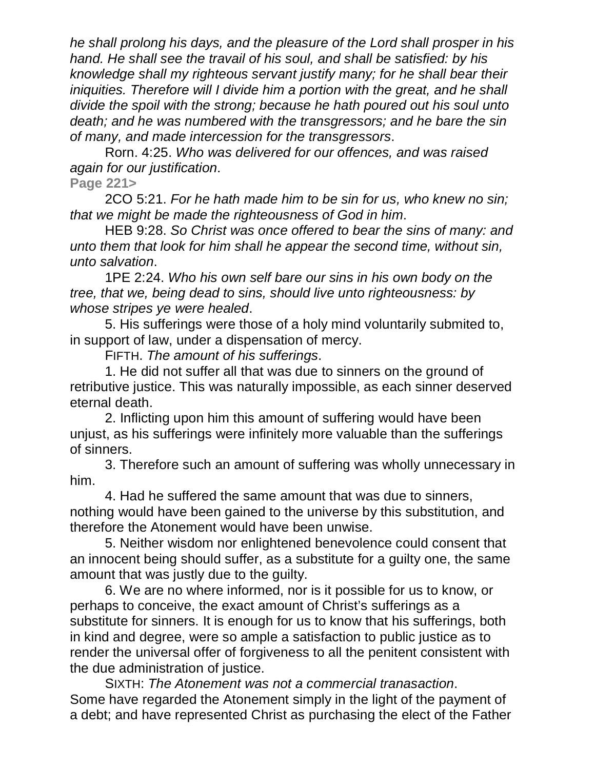*he shall prolong his days, and the pleasure of the Lord shall prosper in his hand. He shall see the travail of his soul, and shall be satisfied: by his knowledge shall my righteous servant justify many; for he shall bear their iniquities. Therefore will I divide him a portion with the great, and he shall divide the spoil with the strong; because he hath poured out his soul unto death; and he was numbered with the transgressors; and he bare the sin of many, and made intercession for the transgressors*.

Rorn. 4:25. *Who was delivered for our offences, and was raised again for our justification*.

**Page 221>**

2CO 5:21. *For he hath made him to be sin for us, who knew no sin; that we might be made the righteousness of God in him*.

HEB 9:28. *So Christ was once offered to bear the sins of many: and unto them that look for him shall he appear the second time, without sin, unto salvation*.

1PE 2:24. *Who his own self bare our sins in his own body on the tree, that we, being dead to sins, should live unto righteousness: by whose stripes ye were healed*.

5. His sufferings were those of a holy mind voluntarily submited to, in support of law, under a dispensation of mercy.

FIFTH. *The amount of his sufferings*.

1. He did not suffer all that was due to sinners on the ground of retributive justice. This was naturally impossible, as each sinner deserved eternal death.

2. Inflicting upon him this amount of suffering would have been unjust, as his sufferings were infinitely more valuable than the sufferings of sinners.

3. Therefore such an amount of suffering was wholly unnecessary in him.

4. Had he suffered the same amount that was due to sinners, nothing would have been gained to the universe by this substitution, and therefore the Atonement would have been unwise.

5. Neither wisdom nor enlightened benevolence could consent that an innocent being should suffer, as a substitute for a guilty one, the same amount that was justly due to the guilty.

6. We are no where informed, nor is it possible for us to know, or perhaps to conceive, the exact amount of Christ's sufferings as a substitute for sinners. It is enough for us to know that his sufferings, both in kind and degree, were so ample a satisfaction to public justice as to render the universal offer of forgiveness to all the penitent consistent with the due administration of justice.

SIXTH: *The Atonement was not a commercial tranasaction*. Some have regarded the Atonement simply in the light of the payment of a debt; and have represented Christ as purchasing the elect of the Father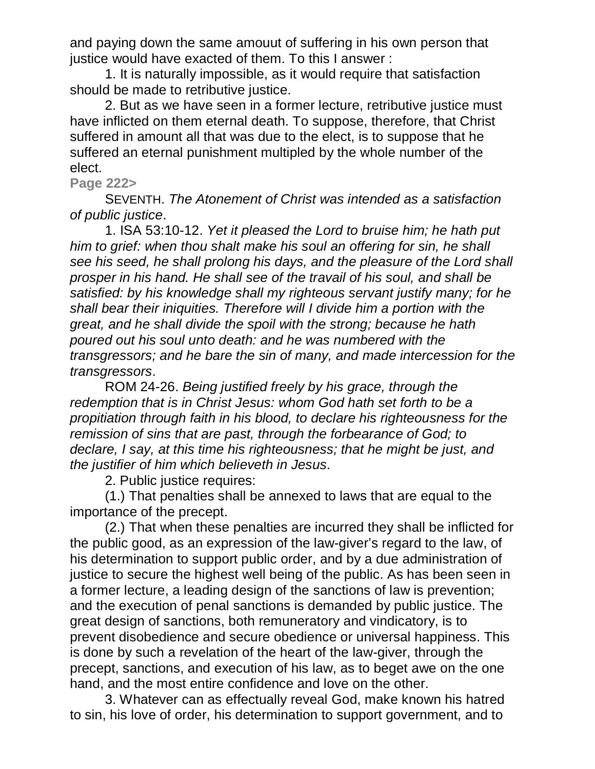and paying down the same amouut of suffering in his own person that justice would have exacted of them. To this I answer :

1. It is naturally impossible, as it would require that satisfaction should be made to retributive justice.

2. But as we have seen in a former lecture, retributive justice must have inflicted on them eternal death. To suppose, therefore, that Christ suffered in amount all that was due to the elect, is to suppose that he suffered an eternal punishment multipled by the whole number of the elect.

#### **Page 222>**

SEVENTH. *The Atonement of Christ was intended as a satisfaction of public justice*.

1. ISA 53:10-12. *Yet it pleased the Lord to bruise him; he hath put him to grief: when thou shalt make his soul an offering for sin, he shall see his seed, he shall prolong his days, and the pleasure of the Lord shall prosper in his hand. He shall see of the travail of his soul, and shall be satisfied: by his knowledge shall my righteous servant justify many; for he shall bear their iniquities. Therefore will I divide him a portion with the great, and he shall divide the spoil with the strong; because he hath poured out his soul unto death: and he was numbered with the transgressors; and he bare the sin of many, and made intercession for the transgressors*.

ROM 24-26. *Being justified freely by his grace, through the redemption that is in Christ Jesus: whom God hath set forth to be a propitiation through faith in his blood, to declare his righteousness for the remission of sins that are past, through the forbearance of God; to declare, I say, at this time his righteousness; that he might be just, and the justifier of him which believeth in Jesus*.

2. Public justice requires:

(1.) That penalties shall be annexed to laws that are equal to the importance of the precept.

(2.) That when these penalties are incurred they shall be inflicted for the public good, as an expression of the law-giver's regard to the law, of his determination to support public order, and by a due administration of justice to secure the highest well being of the public. As has been seen in a former lecture, a leading design of the sanctions of law is prevention; and the execution of penal sanctions is demanded by public justice. The great design of sanctions, both remuneratory and vindicatory, is to prevent disobedience and secure obedience or universal happiness. This is done by such a revelation of the heart of the law-giver, through the precept, sanctions, and execution of his law, as to beget awe on the one hand, and the most entire confidence and love on the other.

3. Whatever can as effectually reveal God, make known his hatred to sin, his love of order, his determination to support government, and to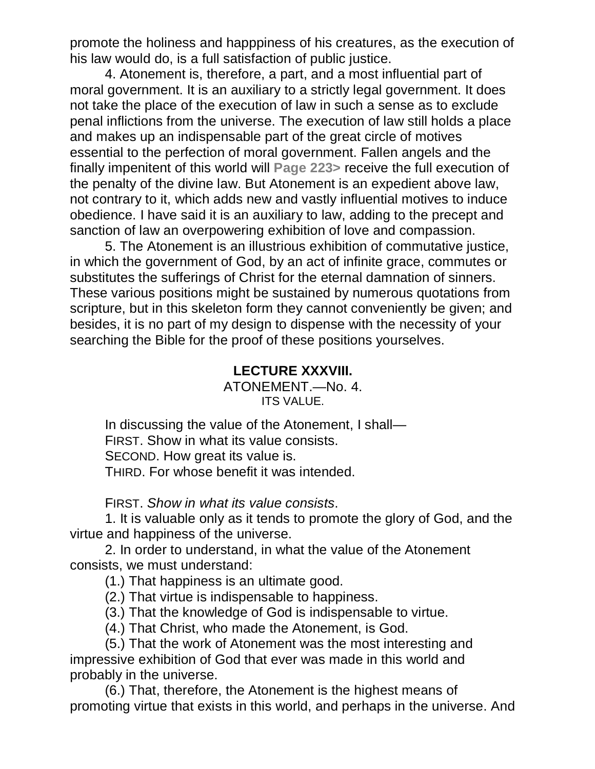promote the holiness and happpiness of his creatures, as the execution of his law would do, is a full satisfaction of public justice.

4. Atonement is, therefore, a part, and a most influential part of moral government. It is an auxiliary to a strictly legal government. It does not take the place of the execution of law in such a sense as to exclude penal inflictions from the universe. The execution of law still holds a place and makes up an indispensable part of the great circle of motives essential to the perfection of moral government. Fallen angels and the finally impenitent of this world will **Page 223>** receive the full execution of the penalty of the divine law. But Atonement is an expedient above law, not contrary to it, which adds new and vastly influential motives to induce obedience. I have said it is an auxiliary to law, adding to the precept and sanction of law an overpowering exhibition of love and compassion.

5. The Atonement is an illustrious exhibition of commutative justice, in which the government of God, by an act of infinite grace, commutes or substitutes the sufferings of Christ for the eternal damnation of sinners. These various positions might be sustained by numerous quotations from scripture, but in this skeleton form they cannot conveniently be given; and besides, it is no part of my design to dispense with the necessity of your searching the Bible for the proof of these positions yourselves.

#### **LECTURE XXXVIII.**

ATONEMENT.—No. 4. ITS VALUE.

In discussing the value of the Atonement, I shall— FIRST. Show in what its value consists. SECOND. How great its value is. THIRD. For whose benefit it was intended.

FIRST. *Show in what its value consists*.

1. It is valuable only as it tends to promote the glory of God, and the virtue and happiness of the universe.

2. In order to understand, in what the value of the Atonement consists, we must understand:

(1.) That happiness is an ultimate good.

(2.) That virtue is indispensable to happiness.

(3.) That the knowledge of God is indispensable to virtue.

(4.) That Christ, who made the Atonement, is God.

(5.) That the work of Atonement was the most interesting and impressive exhibition of God that ever was made in this world and probably in the universe.

(6.) That, therefore, the Atonement is the highest means of promoting virtue that exists in this world, and perhaps in the universe. And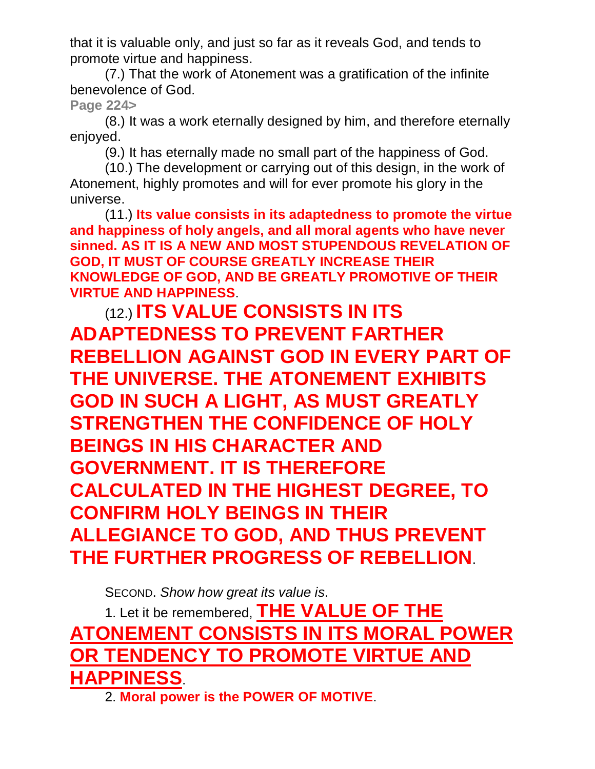that it is valuable only, and just so far as it reveals God, and tends to promote virtue and happiness.

(7.) That the work of Atonement was a gratification of the infinite benevolence of God.

**Page 224>**

(8.) It was a work eternally designed by him, and therefore eternally enjoyed.

(9.) It has eternally made no small part of the happiness of God.

(10.) The development or carrying out of this design, in the work of Atonement, highly promotes and will for ever promote his glory in the universe.

(11.) **Its value consists in its adaptedness to promote the virtue and happiness of holy angels, and all moral agents who have never sinned. AS IT IS A NEW AND MOST STUPENDOUS REVELATION OF GOD, IT MUST OF COURSE GREATLY INCREASE THEIR KNOWLEDGE OF GOD, AND BE GREATLY PROMOTIVE OF THEIR VIRTUE AND HAPPINESS**.

(12.) **ITS VALUE CONSISTS IN ITS ADAPTEDNESS TO PREVENT FARTHER REBELLION AGAINST GOD IN EVERY PART OF THE UNIVERSE. THE ATONEMENT EXHIBITS GOD IN SUCH A LIGHT, AS MUST GREATLY STRENGTHEN THE CONFIDENCE OF HOLY BEINGS IN HIS CHARACTER AND GOVERNMENT. IT IS THEREFORE CALCULATED IN THE HIGHEST DEGREE, TO CONFIRM HOLY BEINGS IN THEIR ALLEGIANCE TO GOD, AND THUS PREVENT THE FURTHER PROGRESS OF REBELLION**.

SECOND. *Show how great its value is*.

1. Let it be remembered, **THE VALUE OF THE ATONEMENT CONSISTS IN ITS MORAL POWER OR TENDENCY TO PROMOTE VIRTUE AND HAPPINESS**.

2. **Moral power is the POWER OF MOTIVE**.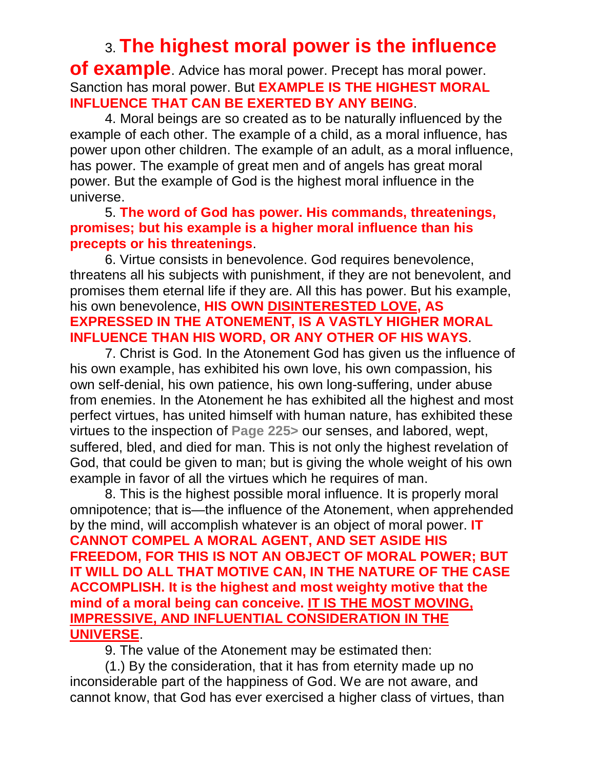## 3. **The highest moral power is the influence**

**of example**. Advice has moral power. Precept has moral power. Sanction has moral power. But **EXAMPLE IS THE HIGHEST MORAL INFLUENCE THAT CAN BE EXERTED BY ANY BEING**.

4. Moral beings are so created as to be naturally influenced by the example of each other. The example of a child, as a moral influence, has power upon other children. The example of an adult, as a moral influence, has power. The example of great men and of angels has great moral power. But the example of God is the highest moral influence in the universe.

#### 5. **The word of God has power. His commands, threatenings, promises; but his example is a higher moral influence than his precepts or his threatenings**.

6. Virtue consists in benevolence. God requires benevolence, threatens all his subjects with punishment, if they are not benevolent, and promises them eternal life if they are. All this has power. But his example, his own benevolence, **HIS OWN DISINTERESTED LOVE, AS EXPRESSED IN THE ATONEMENT, IS A VASTLY HIGHER MORAL INFLUENCE THAN HIS WORD, OR ANY OTHER OF HIS WAYS**.

7. Christ is God. In the Atonement God has given us the influence of his own example, has exhibited his own love, his own compassion, his own self-denial, his own patience, his own long-suffering, under abuse from enemies. In the Atonement he has exhibited all the highest and most perfect virtues, has united himself with human nature, has exhibited these virtues to the inspection of **Page 225>** our senses, and labored, wept, suffered, bled, and died for man. This is not only the highest revelation of God, that could be given to man; but is giving the whole weight of his own example in favor of all the virtues which he requires of man.

8. This is the highest possible moral influence. It is properly moral omnipotence; that is—the influence of the Atonement, when apprehended by the mind, will accomplish whatever is an object of moral power. **IT CANNOT COMPEL A MORAL AGENT, AND SET ASIDE HIS FREEDOM, FOR THIS IS NOT AN OBJECT OF MORAL POWER; BUT IT WILL DO ALL THAT MOTIVE CAN, IN THE NATURE OF THE CASE ACCOMPLISH. It is the highest and most weighty motive that the mind of a moral being can conceive. IT IS THE MOST MOVING, IMPRESSIVE, AND INFLUENTIAL CONSIDERATION IN THE UNIVERSE**.

9. The value of the Atonement may be estimated then:

(1.) By the consideration, that it has from eternity made up no inconsiderable part of the happiness of God. We are not aware, and cannot know, that God has ever exercised a higher class of virtues, than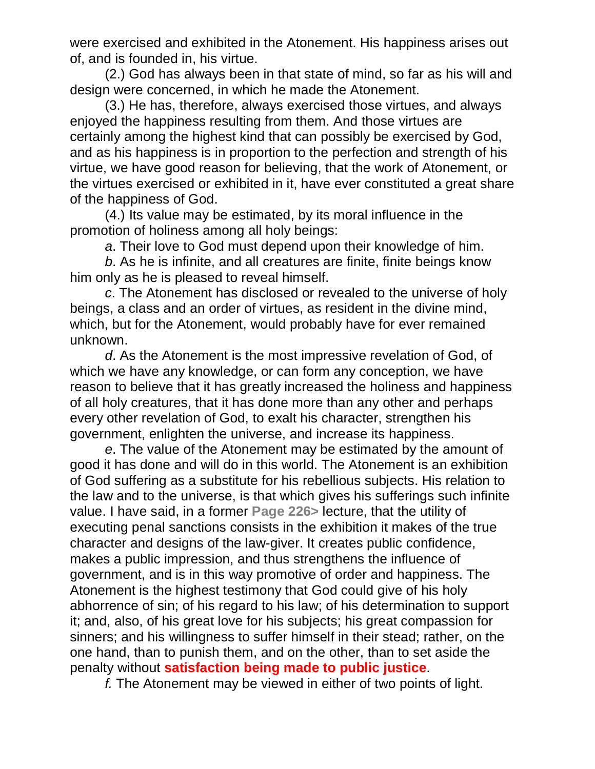were exercised and exhibited in the Atonement. His happiness arises out of, and is founded in, his virtue.

(2.) God has always been in that state of mind, so far as his will and design were concerned, in which he made the Atonement.

(3.) He has, therefore, always exercised those virtues, and always enjoyed the happiness resulting from them. And those virtues are certainly among the highest kind that can possibly be exercised by God, and as his happiness is in proportion to the perfection and strength of his virtue, we have good reason for believing, that the work of Atonement, or the virtues exercised or exhibited in it, have ever constituted a great share of the happiness of God.

(4.) Its value may be estimated, by its moral influence in the promotion of holiness among all holy beings:

*a*. Their love to God must depend upon their knowledge of him.

*b*. As he is infinite, and all creatures are finite, finite beings know him only as he is pleased to reveal himself.

*c*. The Atonement has disclosed or revealed to the universe of holy beings, a class and an order of virtues, as resident in the divine mind, which, but for the Atonement, would probably have for ever remained unknown.

*d*. As the Atonement is the most impressive revelation of God, of which we have any knowledge, or can form any conception, we have reason to believe that it has greatly increased the holiness and happiness of all holy creatures, that it has done more than any other and perhaps every other revelation of God, to exalt his character, strengthen his government, enlighten the universe, and increase its happiness.

*e*. The value of the Atonement may be estimated by the amount of good it has done and will do in this world. The Atonement is an exhibition of God suffering as a substitute for his rebellious subjects. His relation to the law and to the universe, is that which gives his sufferings such infinite value. I have said, in a former **Page 226>** lecture, that the utility of executing penal sanctions consists in the exhibition it makes of the true character and designs of the law-giver. It creates public confidence, makes a public impression, and thus strengthens the influence of government, and is in this way promotive of order and happiness. The Atonement is the highest testimony that God could give of his holy abhorrence of sin; of his regard to his law; of his determination to support it; and, also, of his great love for his subjects; his great compassion for sinners; and his willingness to suffer himself in their stead; rather, on the one hand, than to punish them, and on the other, than to set aside the penalty without **satisfaction being made to public justice**.

*f.* The Atonement may be viewed in either of two points of light.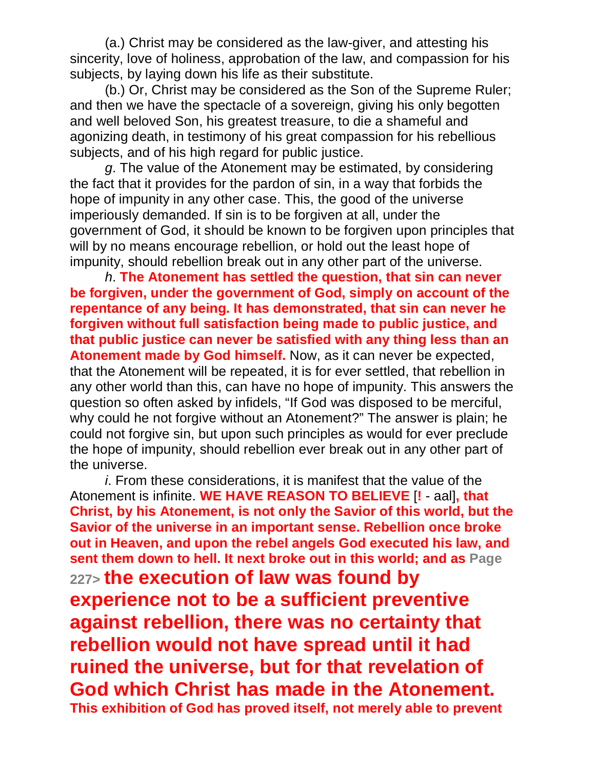(a.) Christ may be considered as the law-giver, and attesting his sincerity, love of holiness, approbation of the law, and compassion for his subjects, by laying down his life as their substitute.

(b.) Or, Christ may be considered as the Son of the Supreme Ruler; and then we have the spectacle of a sovereign, giving his only begotten and well beloved Son, his greatest treasure, to die a shameful and agonizing death, in testimony of his great compassion for his rebellious subjects, and of his high regard for public justice.

*g*. The value of the Atonement may be estimated, by considering the fact that it provides for the pardon of sin, in a way that forbids the hope of impunity in any other case. This, the good of the universe imperiously demanded. If sin is to be forgiven at all, under the government of God, it should be known to be forgiven upon principles that will by no means encourage rebellion, or hold out the least hope of impunity, should rebellion break out in any other part of the universe.

*h*. **The Atonement has settled the question, that sin can never be forgiven, under the government of God, simply on account of the repentance of any being. It has demonstrated, that sin can never he forgiven without full satisfaction being made to public justice, and that public justice can never be satisfied with any thing less than an Atonement made by God himself.** Now, as it can never be expected, that the Atonement will be repeated, it is for ever settled, that rebellion in any other world than this, can have no hope of impunity. This answers the question so often asked by infidels, "If God was disposed to be merciful, why could he not forgive without an Atonement?" The answer is plain; he could not forgive sin, but upon such principles as would for ever preclude the hope of impunity, should rebellion ever break out in any other part of the universe.

*i*. From these considerations, it is manifest that the value of the Atonement is infinite. **WE HAVE REASON TO BELIEVE** [**!** - aal]**, that Christ, by his Atonement, is not only the Savior of this world, but the Savior of the universe in an important sense. Rebellion once broke out in Heaven, and upon the rebel angels God executed his law, and sent them down to hell. It next broke out in this world; and as Page 227> the execution of law was found by experience not to be a sufficient preventive against rebellion, there was no certainty that rebellion would not have spread until it had ruined the universe, but for that revelation of God which Christ has made in the Atonement. This exhibition of God has proved itself, not merely able to prevent**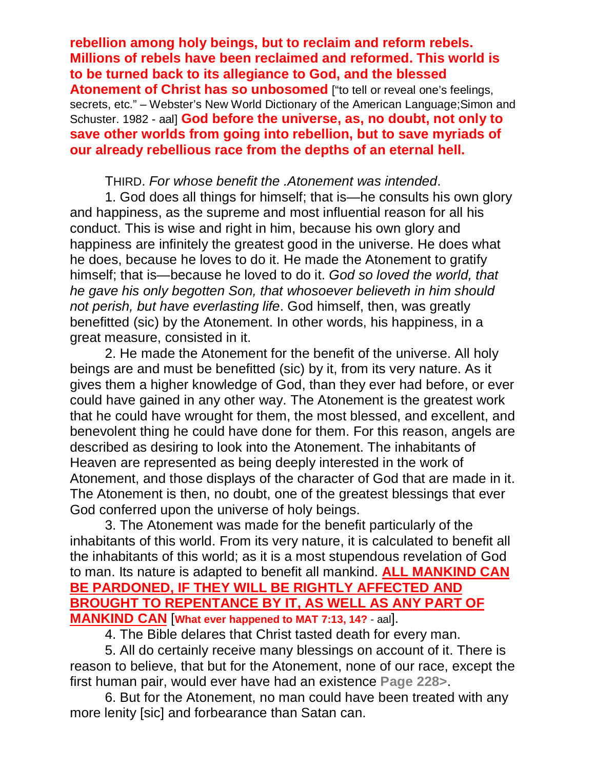**rebellion among holy beings, but to reclaim and reform rebels. Millions of rebels have been reclaimed and reformed. This world is to be turned back to its allegiance to God, and the blessed Atonement of Christ has so unbosomed** ["to tell or reveal one's feelings, secrets, etc." – Webster's New World Dictionary of the American Language;Simon and Schuster. 1982 - aal] **God before the universe, as, no doubt, not only to save other worlds from going into rebellion, but to save myriads of our already rebellious race from the depths of an eternal hell.**

#### THIRD. *For whose benefit the .Atonement was intended*.

1. God does all things for himself; that is—he consults his own glory and happiness, as the supreme and most influential reason for all his conduct. This is wise and right in him, because his own glory and happiness are infinitely the greatest good in the universe. He does what he does, because he loves to do it. He made the Atonement to gratify himself; that is—because he loved to do it. *God so loved the world, that he gave his only begotten Son, that whosoever believeth in him should not perish, but have everlasting life*. God himself, then, was greatly benefitted (sic) by the Atonement. In other words, his happiness, in a great measure, consisted in it.

2. He made the Atonement for the benefit of the universe. All holy beings are and must be benefitted (sic) by it, from its very nature. As it gives them a higher knowledge of God, than they ever had before, or ever could have gained in any other way. The Atonement is the greatest work that he could have wrought for them, the most blessed, and excellent, and benevolent thing he could have done for them. For this reason, angels are described as desiring to look into the Atonement. The inhabitants of Heaven are represented as being deeply interested in the work of Atonement, and those displays of the character of God that are made in it. The Atonement is then, no doubt, one of the greatest blessings that ever God conferred upon the universe of holy beings.

3. The Atonement was made for the benefit particularly of the inhabitants of this world. From its very nature, it is calculated to benefit all the inhabitants of this world; as it is a most stupendous revelation of God to man. Its nature is adapted to benefit all mankind. **ALL MANKIND CAN BE PARDONED, IF THEY WILL BE RIGHTLY AFFECTED AND BROUGHT TO REPENTANCE BY IT, AS WELL AS ANY PART OF MANKIND CAN** [**What ever happened to MAT 7:13, 14?** - aal].

4. The Bible delares that Christ tasted death for every man.

5. All do certainly receive many blessings on account of it. There is reason to believe, that but for the Atonement, none of our race, except the first human pair, would ever have had an existence **Page 228>**.

6. But for the Atonement, no man could have been treated with any more lenity [sic] and forbearance than Satan can.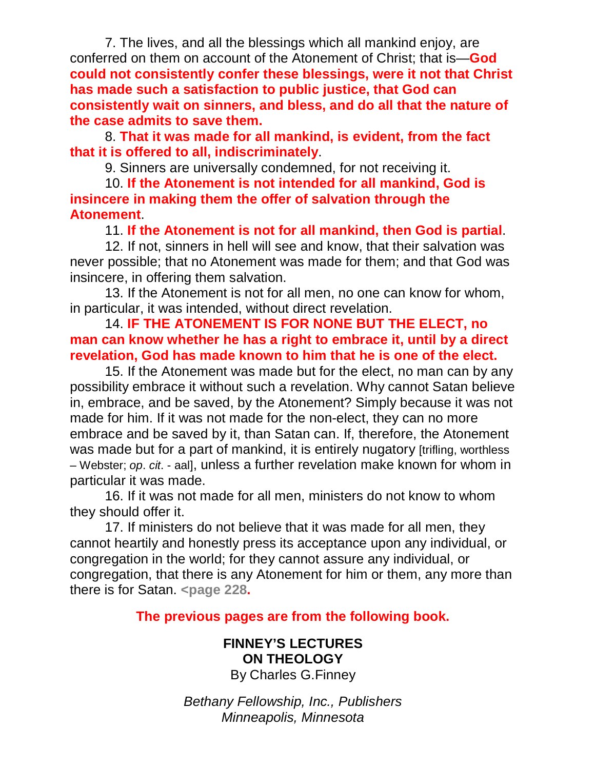7. The lives, and all the blessings which all mankind enjoy, are conferred on them on account of the Atonement of Christ; that is—**God could not consistently confer these blessings, were it not that Christ has made such a satisfaction to public justice, that God can consistently wait on sinners, and bless, and do all that the nature of the case admits to save them.**

8. **That it was made for all mankind, is evident, from the fact that it is offered to all, indiscriminately**.

9. Sinners are universally condemned, for not receiving it.

10. **If the Atonement is not intended for all mankind, God is insincere in making them the offer of salvation through the Atonement**.

11. **If the Atonement is not for all mankind, then God is partial**.

12. If not, sinners in hell will see and know, that their salvation was never possible; that no Atonement was made for them; and that God was insincere, in offering them salvation.

13. If the Atonement is not for all men, no one can know for whom, in particular, it was intended, without direct revelation.

#### 14. **IF THE ATONEMENT IS FOR NONE BUT THE ELECT, no man can know whether he has a right to embrace it, until by a direct revelation, God has made known to him that he is one of the elect.**

15. If the Atonement was made but for the elect, no man can by any possibility embrace it without such a revelation. Why cannot Satan believe in, embrace, and be saved, by the Atonement? Simply because it was not made for him. If it was not made for the non-elect, they can no more embrace and be saved by it, than Satan can. If, therefore, the Atonement was made but for a part of mankind, it is entirely nugatory [trifling, worthless – Webster; *op*. *cit*. - aal], unless a further revelation make known for whom in particular it was made.

16. If it was not made for all men, ministers do not know to whom they should offer it.

17. If ministers do not believe that it was made for all men, they cannot heartily and honestly press its acceptance upon any individual, or congregation in the world; for they cannot assure any individual, or congregation, that there is any Atonement for him or them, any more than there is for Satan. **<page 228.**

**The previous pages are from the following book.**

#### **FINNEY'S LECTURES ON THEOLOGY** By Charles G.Finney

*Bethany Fellowship, Inc., Publishers Minneapolis, Minnesota*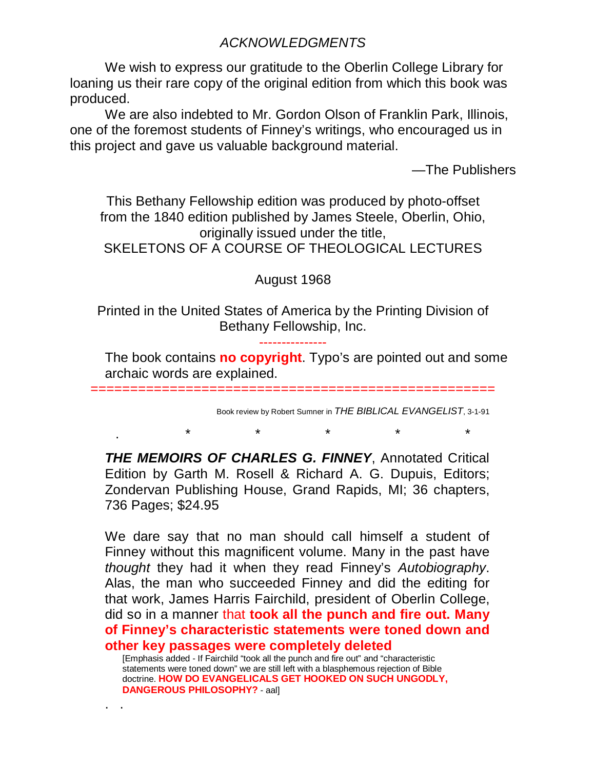We wish to express our gratitude to the Oberlin College Library for loaning us their rare copy of the original edition from which this book was produced.

We are also indebted to Mr. Gordon Olson of Franklin Park, Illinois, one of the foremost students of Finney's writings, who encouraged us in this project and gave us valuable background material.

—The Publishers

This Bethany Fellowship edition was produced by photo-offset from the 1840 edition published by James Steele, Oberlin, Ohio, originally issued under the title, SKELETONS OF A COURSE OF THEOLOGICAL LECTURES

August 1968

Printed in the United States of America by the Printing Division of Bethany Fellowship, Inc.

---------------

The book contains **no copyright**. Typo's are pointed out and some archaic words are explained.

===================================================

Book review by Robert Sumner in *THE BIBLICAL EVANGELIST*, 3-1-91

. \* \* \* \* \* *THE MEMOIRS OF CHARLES G. FINNEY*, Annotated Critical Edition by Garth M. Rosell & Richard A. G. Dupuis, Editors;

Zondervan Publishing House, Grand Rapids, MI; 36 chapters, 736 Pages; \$24.95

We dare say that no man should call himself a student of Finney without this magnificent volume. Many in the past have *thought* they had it when they read Finney's *Autobiography*. Alas, the man who succeeded Finney and did the editing for that work, James Harris Fairchild, president of Oberlin College, did so in a manner that **took all the punch and fire out. Many of Finney's characteristic statements were toned down and other key passages were completely deleted**

[Emphasis added - If Fairchild "took all the punch and fire out" and "characteristic statements were toned down" we are still left with a blasphemous rejection of Bible doctrine. **HOW DO EVANGELICALS GET HOOKED ON SUCH UNGODLY, DANGEROUS PHILOSOPHY?** - aal]

. .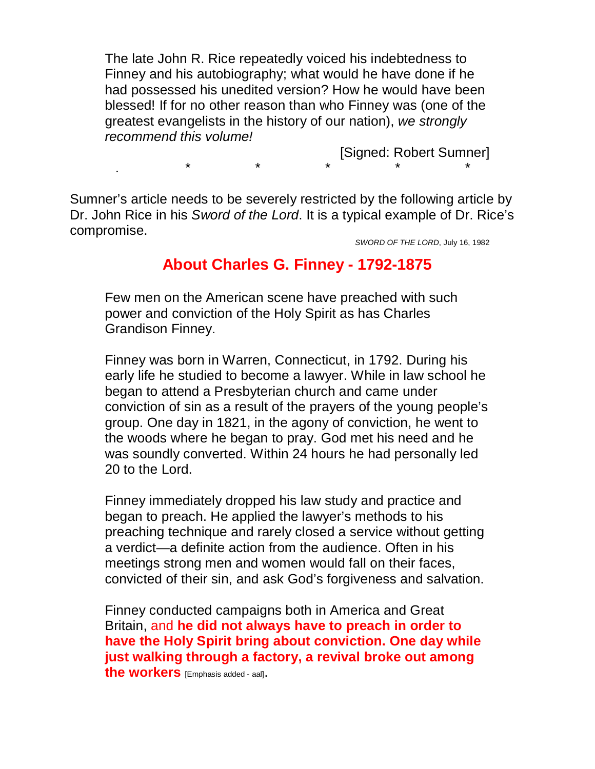The late John R. Rice repeatedly voiced his indebtedness to Finney and his autobiography; what would he have done if he had possessed his unedited version? How he would have been blessed! If for no other reason than who Finney was (one of the greatest evangelists in the history of our nation), *we strongly recommend this volume!*

[Signed: Robert Sumner]

Sumner's article needs to be severely restricted by the following article by Dr. John Rice in his *Sword of the Lord*. It is a typical example of Dr. Rice's compromise.

. \* \* \* \* \*

*SWORD OF THE LORD*, July 16, 1982

## **About Charles G. Finney - 1792-1875**

Few men on the American scene have preached with such power and conviction of the Holy Spirit as has Charles Grandison Finney.

Finney was born in Warren, Connecticut, in 1792. During his early life he studied to become a lawyer. While in law school he began to attend a Presbyterian church and came under conviction of sin as a result of the prayers of the young people's group. One day in 1821, in the agony of conviction, he went to the woods where he began to pray. God met his need and he was soundly converted. Within 24 hours he had personally led 20 to the Lord.

Finney immediately dropped his law study and practice and began to preach. He applied the lawyer's methods to his preaching technique and rarely closed a service without getting a verdict—a definite action from the audience. Often in his meetings strong men and women would fall on their faces, convicted of their sin, and ask God's forgiveness and salvation.

Finney conducted campaigns both in America and Great Britain, and **he did not always have to preach in order to have the Holy Spirit bring about conviction. One day while just walking through a factory, a revival broke out among**

**the workers** [Emphasis added - aal].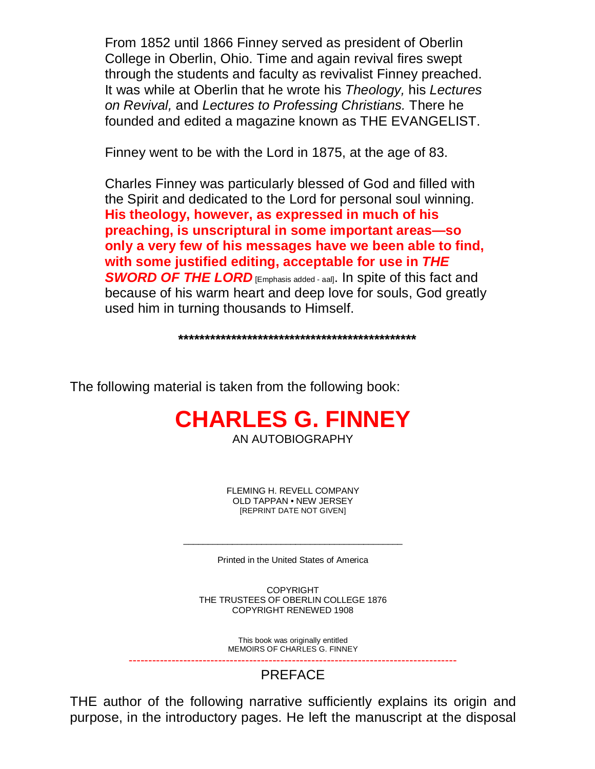From 1852 until 1866 Finney served as president of Oberlin College in Oberlin, Ohio. Time and again revival fires swept through the students and faculty as revivalist Finney preached. It was while at Oberlin that he wrote his *Theology,* his *Lectures on Revival,* and *Lectures to Professing Christians.* There he founded and edited a magazine known as THE EVANGELIST.

Finney went to be with the Lord in 1875, at the age of 83.

Charles Finney was particularly blessed of God and filled with the Spirit and dedicated to the Lord for personal soul winning. **His theology, however, as expressed in much of his preaching, is unscriptural in some important areas—so only a very few of his messages have we been able to find, with some justified editing, acceptable for use in** *THE* **SWORD OF THE LORD** [Emphasis added - aal]. In spite of this fact and because of his warm heart and deep love for souls, God greatly used him in turning thousands to Himself.

**\*\*\*\*\*\*\*\*\*\*\*\*\*\*\*\*\*\*\*\*\*\*\*\*\*\*\*\*\*\*\*\*\*\*\*\*\*\*\*\*\*\*\*\*\***

The following material is taken from the following book:

# **CHARLES G. FINNEY**

AN AUTOBIOGRAPHY

FLEMING H. REVELL COMPANY OLD TAPPAN • NEW JERSEY [REPRINT DATE NOT GIVEN]

\_\_\_\_\_\_\_\_\_\_\_\_\_\_\_\_\_\_\_\_\_\_\_\_\_\_\_\_\_\_\_\_\_\_\_\_\_\_\_\_\_\_\_\_\_ Printed in the United States of America

COPYRIGHT THE TRUSTEES OF OBERLIN COLLEGE 1876 COPYRIGHT RENEWED 1908

> This book was originally entitled MEMOIRS OF CHARLES G. FINNEY

------------------------------------------------------------------------------------

#### PREFACE

THE author of the following narrative sufficiently explains its origin and purpose, in the introductory pages. He left the manuscript at the disposal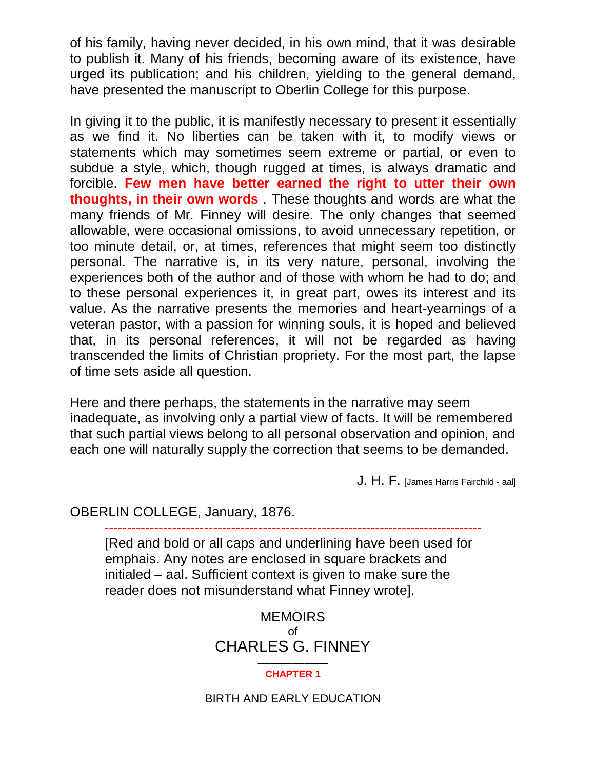of his family, having never decided, in his own mind, that it was desirable to publish it. Many of his friends, becoming aware of its existence, have urged its publication; and his children, yielding to the general demand, have presented the manuscript to Oberlin College for this purpose.

In giving it to the public, it is manifestly necessary to present it essentially as we find it. No liberties can be taken with it, to modify views or statements which may sometimes seem extreme or partial, or even to subdue a style, which, though rugged at times, is always dramatic and forcible. **Few men have better earned the right to utter their own thoughts, in their own words** . These thoughts and words are what the many friends of Mr. Finney will desire. The only changes that seemed allowable, were occasional omissions, to avoid unnecessary repetition, or too minute detail, or, at times, references that might seem too distinctly personal. The narrative is, in its very nature, personal, involving the experiences both of the author and of those with whom he had to do; and to these personal experiences it, in great part, owes its interest and its value. As the narrative presents the memories and heart-yearnings of a veteran pastor, with a passion for winning souls, it is hoped and believed that, in its personal references, it will not be regarded as having transcended the limits of Christian propriety. For the most part, the lapse of time sets aside all question.

Here and there perhaps, the statements in the narrative may seem inadequate, as involving only a partial view of facts. It will be remembered that such partial views belong to all personal observation and opinion, and each one will naturally supply the correction that seems to be demanded.

J. H. F. [James Harris Fairchild - aal]

OBERLIN COLLEGE, January, 1876.

------------------------------------------------------------------------------------

[Red and bold or all caps and underlining have been used for emphais. Any notes are enclosed in square brackets and initialed – aal. Sufficient context is given to make sure the reader does not misunderstand what Finney wrote].

> **MEMOIRS** of CHARLES G. FINNEY ——————

#### **CHAPTER 1**

#### BIRTH AND EARLY EDUCATION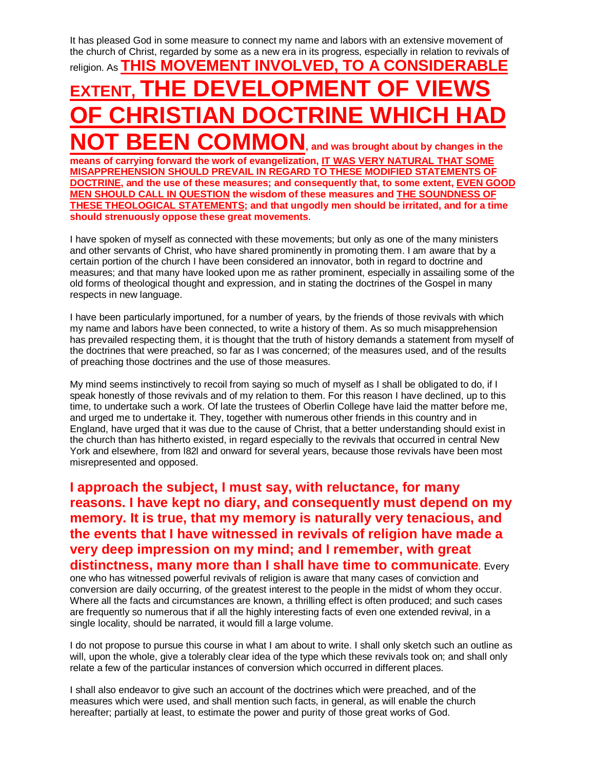It has pleased God in some measure to connect my name and labors with an extensive movement of the church of Christ, regarded by some as a new era in its progress, especially in relation to revivals of

# religion. As **THIS MOVEMENT INVOLVED, TO A CONSIDERABLE EXTENT, THE DEVELOPMENT OF VIEWS OF CHRISTIAN DOCTRINE WHICH HAD NOT BEEN COMMON, and was brought about by changes in the**

**means of carrying forward the work of evangelization, IT WAS VERY NATURAL THAT SOME MISAPPREHENSION SHOULD PREVAIL IN REGARD TO THESE MODIFIED STATEMENTS OF DOCTRINE, and the use of these measures; and consequently that, to some extent, EVEN GOOD MEN SHOULD CALL IN QUESTION the wisdom of these measures and THE SOUNDNESS OF THESE THEOLOGICAL STATEMENTS; and that ungodly men should be irritated, and for a time should strenuously oppose these great movements**.

I have spoken of myself as connected with these movements; but only as one of the many ministers and other servants of Christ, who have shared prominently in promoting them. I am aware that by a certain portion of the church I have been considered an innovator, both in regard to doctrine and measures; and that many have looked upon me as rather prominent, especially in assailing some of the old forms of theological thought and expression, and in stating the doctrines of the Gospel in many respects in new language.

I have been particularly importuned, for a number of years, by the friends of those revivals with which my name and labors have been connected, to write a history of them. As so much misapprehension has prevailed respecting them, it is thought that the truth of history demands a statement from myself of the doctrines that were preached, so far as I was concerned; of the measures used, and of the results of preaching those doctrines and the use of those measures.

My mind seems instinctively to recoil from saying so much of myself as I shall be obligated to do, if I speak honestly of those revivals and of my relation to them. For this reason I have declined, up to this time, to undertake such a work. Of late the trustees of Oberlin College have laid the matter before me, and urged me to undertake it. They, together with numerous other friends in this country and in England, have urged that it was due to the cause of Christ, that a better understanding should exist in the church than has hitherto existed, in regard especially to the revivals that occurred in central New York and elsewhere, from l82l and onward for several years, because those revivals have been most misrepresented and opposed.

**I approach the subject, I must say, with reluctance, for many reasons. I have kept no diary, and consequently must depend on my memory. It is true, that my memory is naturally very tenacious, and the events that I have witnessed in revivals of religion have made a very deep impression on my mind; and I remember, with great distinctness, many more than I shall have time to communicate**. Every

one who has witnessed powerful revivals of religion is aware that many cases of conviction and conversion are daily occurring, of the greatest interest to the people in the midst of whom they occur. Where all the facts and circumstances are known, a thrilling effect is often produced; and such cases are frequently so numerous that if all the highly interesting facts of even one extended revival, in a single locality, should be narrated, it would fill a large volume.

I do not propose to pursue this course in what I am about to write. I shall only sketch such an outline as will, upon the whole, give a tolerably clear idea of the type which these revivals took on; and shall only relate a few of the particular instances of conversion which occurred in different places.

I shall also endeavor to give such an account of the doctrines which were preached, and of the measures which were used, and shall mention such facts, in general, as will enable the church hereafter; partially at least, to estimate the power and purity of those great works of God.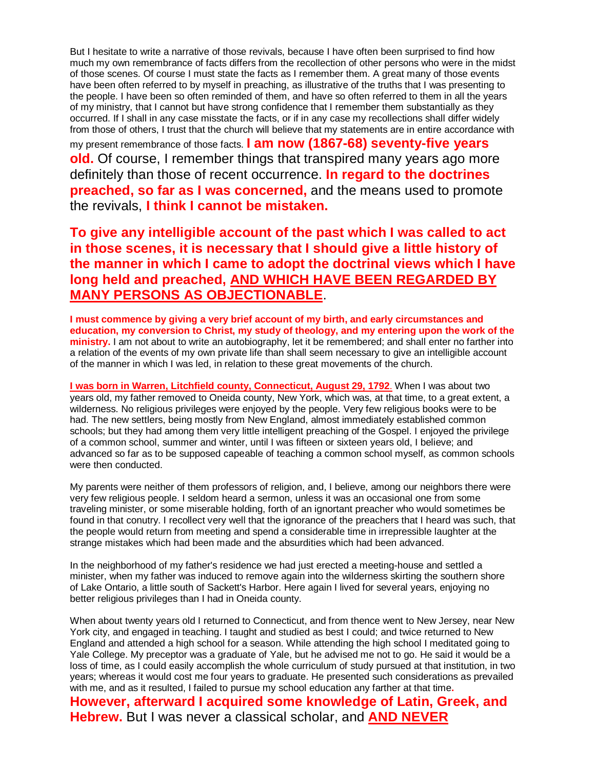But I hesitate to write a narrative of those revivals, because I have often been surprised to find how much my own remembrance of facts differs from the recollection of other persons who were in the midst of those scenes. Of course I must state the facts as I remember them. A great many of those events have been often referred to by myself in preaching, as illustrative of the truths that I was presenting to the people. I have been so often reminded of them, and have so often referred to them in all the years of my ministry, that I cannot but have strong confidence that I remember them substantially as they occurred. If I shall in any case misstate the facts, or if in any case my recollections shall differ widely from those of others, I trust that the church will believe that my statements are in entire accordance with my present remembrance of those facts. **I am now (1867-68) seventy-five years old.** Of course, I remember things that transpired many years ago more definitely than those of recent occurrence. **In regard to the doctrines preached, so far as I was concerned,** and the means used to promote the revivals, **I think I cannot be mistaken.**

**To give any intelligible account of the past which I was called to act in those scenes, it is necessary that I should give a little history of the manner in which I came to adopt the doctrinal views which I have long held and preached, AND WHICH HAVE BEEN REGARDED BY MANY PERSONS AS OBJECTIONABLE**.

**I must commence by giving a very brief account of my birth, and early circumstances and education, my conversion to Christ, my study of theology, and my entering upon the work of the ministry.** I am not about to write an autobiography, let it be remembered; and shall enter no farther into a relation of the events of my own private life than shall seem necessary to give an intelligible account of the manner in which I was led, in relation to these great movements of the church.

**I was born in Warren, Litchfield county, Connecticut, August 29, 1792**. When I was about two years old, my father removed to Oneida county, New York, which was, at that time, to a great extent, a wilderness. No religious privileges were enjoyed by the people. Very few religious books were to be had. The new settlers, being mostly from New England, almost immediately established common schools; but they had among them very little intelligent preaching of the Gospel. I enjoyed the privilege of a common school, summer and winter, until I was fifteen or sixteen years old, I believe; and advanced so far as to be supposed capeable of teaching a common school myself, as common schools were then conducted.

My parents were neither of them professors of religion, and, I believe, among our neighbors there were very few religious people. I seldom heard a sermon, unless it was an occasional one from some traveling minister, or some miserable holding, forth of an ignortant preacher who would sometimes be found in that conutry. I recollect very well that the ignorance of the preachers that I heard was such, that the people would return from meeting and spend a considerable time in irrepressible laughter at the strange mistakes which had been made and the absurdities which had been advanced.

In the neighborhood of my father's residence we had just erected a meeting-house and settled a minister, when my father was induced to remove again into the wilderness skirting the southern shore of Lake Ontario, a little south of Sackett's Harbor. Here again I lived for several years, enjoying no better religious privileges than I had in Oneida county.

When about twenty years old I returned to Connecticut, and from thence went to New Jersey, near New York city, and engaged in teaching. I taught and studied as best I could; and twice returned to New England and attended a high school for a season. While attending the high school I meditated going to Yale College. My preceptor was a graduate of Yale, but he advised me not to go. He said it would be a loss of time, as I could easily accomplish the whole curriculum of study pursued at that institution, in two years; whereas it would cost me four years to graduate. He presented such considerations as prevailed with me, and as it resulted, I failed to pursue my school education any farther at that time**.**

**However, afterward I acquired some knowledge of Latin, Greek, and Hebrew.** But I was never a classical scholar, and **AND NEVER**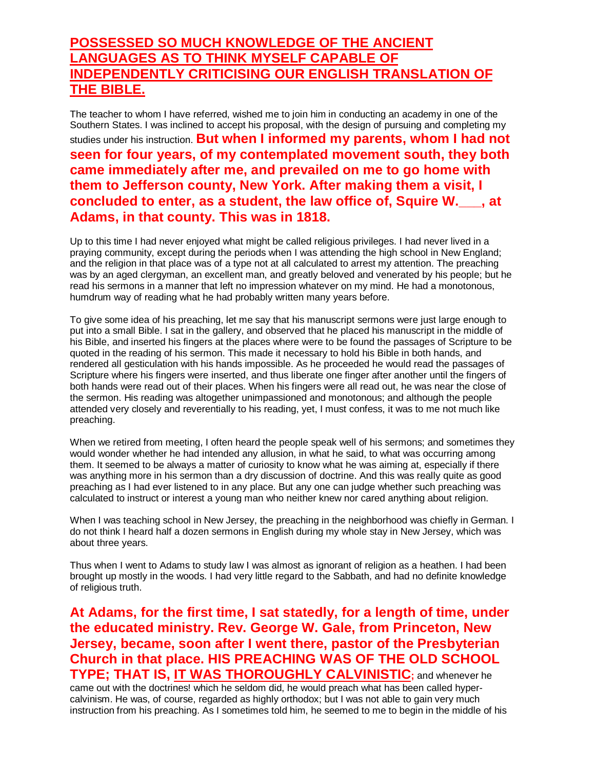#### **POSSESSED SO MUCH KNOWLEDGE OF THE ANCIENT LANGUAGES AS TO THINK MYSELF CAPABLE OF INDEPENDENTLY CRITICISING OUR ENGLISH TRANSLATION OF THE BIBLE.**

The teacher to whom I have referred, wished me to join him in conducting an academy in one of the Southern States. I was inclined to accept his proposal, with the design of pursuing and completing my studies under his instruction. **But when I informed my parents, whom I had not seen for four years, of my contemplated movement south, they both came immediately after me, and prevailed on me to go home with them to Jefferson county, New York. After making them a visit, I concluded to enter, as a student, the law office of, Squire W.\_\_\_, at Adams, in that county. This was in 1818.**

Up to this time I had never enjoyed what might be called religious privileges. I had never lived in a praying community, except during the periods when I was attending the high school in New England; and the religion in that place was of a type not at all calculated to arrest my attention. The preaching was by an aged clergyman, an excellent man, and greatly beloved and venerated by his people; but he read his sermons in a manner that left no impression whatever on my mind. He had a monotonous, humdrum way of reading what he had probably written many years before.

To give some idea of his preaching, let me say that his manuscript sermons were just large enough to put into a small Bible. I sat in the gallery, and observed that he placed his manuscript in the middle of his Bible, and inserted his fingers at the places where were to be found the passages of Scripture to be quoted in the reading of his sermon. This made it necessary to hold his Bible in both hands, and rendered all gesticulation with his hands impossible. As he proceeded he would read the passages of Scripture where his fingers were inserted, and thus liberate one finger after another until the fingers of both hands were read out of their places. When his fingers were all read out, he was near the close of the sermon. His reading was altogether unimpassioned and monotonous; and although the people attended very closely and reverentially to his reading, yet, I must confess, it was to me not much like preaching.

When we retired from meeting, I often heard the people speak well of his sermons; and sometimes they would wonder whether he had intended any allusion, in what he said, to what was occurring among them. It seemed to be always a matter of curiosity to know what he was aiming at, especially if there was anything more in his sermon than a dry discussion of doctrine. And this was really quite as good preaching as I had ever listened to in any place. But any one can judge whether such preaching was calculated to instruct or interest a young man who neither knew nor cared anything about religion.

When I was teaching school in New Jersey, the preaching in the neighborhood was chiefly in German. I do not think I heard half a dozen sermons in English during my whole stay in New Jersey, which was about three years.

Thus when I went to Adams to study law I was almost as ignorant of religion as a heathen. I had been brought up mostly in the woods. I had very little regard to the Sabbath, and had no definite knowledge of religious truth.

**At Adams, for the first time, I sat statedly, for a length of time, under the educated ministry. Rev. George W. Gale, from Princeton, New Jersey, became, soon after I went there, pastor of the Presbyterian Church in that place. HIS PREACHING WAS OF THE OLD SCHOOL TYPE; THAT IS, IT WAS THOROUGHLY CALVINISTIC;** and whenever he

came out with the doctrines! which he seldom did, he would preach what has been called hypercalvinism. He was, of course, regarded as highly orthodox; but I was not able to gain very much instruction from his preaching. As I sometimes told him, he seemed to me to begin in the middle of his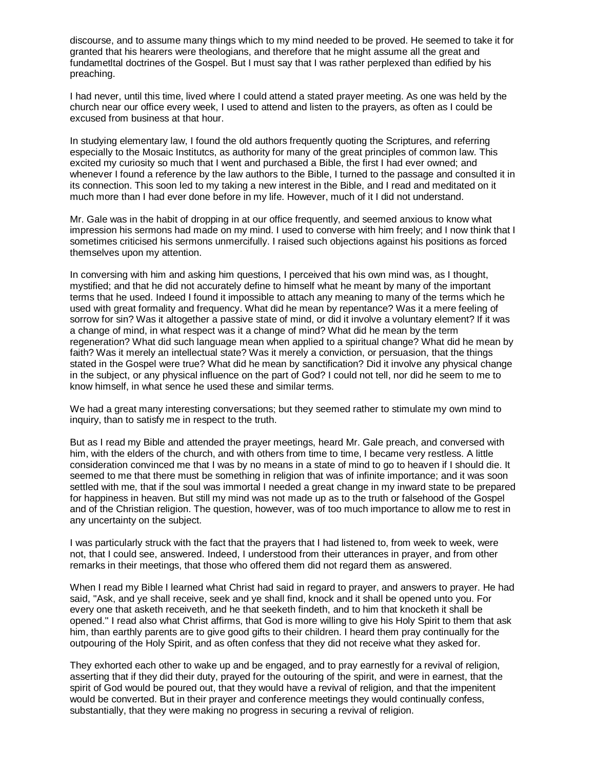discourse, and to assume many things which to my mind needed to be proved. He seemed to take it for granted that his hearers were theologians, and therefore that he might assume all the great and fundametltal doctrines of the Gospel. But I must say that I was rather perplexed than edified by his preaching.

I had never, until this time, lived where I could attend a stated prayer meeting. As one was held by the church near our office every week, I used to attend and listen to the prayers, as often as I could be excused from business at that hour.

In studying elementary law, I found the old authors frequently quoting the Scriptures, and referring especially to the Mosaic Institutcs, as authority for many of the great principles of common law. This excited my curiosity so much that I went and purchased a Bible, the first I had ever owned; and whenever I found a reference by the law authors to the Bible, I turned to the passage and consulted it in its connection. This soon led to my taking a new interest in the Bible, and I read and meditated on it much more than I had ever done before in my life. However, much of it I did not understand.

Mr. Gale was in the habit of dropping in at our office frequently, and seemed anxious to know what impression his sermons had made on my mind. I used to converse with him freely; and I now think that I sometimes criticised his sermons unmercifully. I raised such objections against his positions as forced themselves upon my attention.

In conversing with him and asking him questions, I perceived that his own mind was, as I thought, mystified; and that he did not accurately define to himself what he meant by many of the important terms that he used. Indeed I found it impossible to attach any meaning to many of the terms which he used with great formality and frequency. What did he mean by repentance? Was it a mere feeling of sorrow for sin? Was it altogether a passive state of mind, or did it involve a voluntary element? If it was a change of mind, in what respect was it a change of mind? What did he mean by the term regeneration? What did such language mean when applied to a spiritual change? What did he mean by faith? Was it merely an intellectual state? Was it merely a conviction, or persuasion, that the things stated in the Gospel were true? What did he mean by sanctification? Did it involve any physical change in the subject, or any physical influence on the part of God? I could not tell, nor did he seem to me to know himself, in what sence he used these and similar terms.

We had a great many interesting conversations; but they seemed rather to stimulate my own mind to inquiry, than to satisfy me in respect to the truth.

But as I read my Bible and attended the prayer meetings, heard Mr. Gale preach, and conversed with him, with the elders of the church, and with others from time to time, I became very restless. A little consideration convinced me that I was by no means in a state of mind to go to heaven if I should die. It seemed to me that there must be something in religion that was of infinite importance; and it was soon settled with me, that if the soul was immortal I needed a great change in my inward state to be prepared for happiness in heaven. But still my mind was not made up as to the truth or falsehood of the Gospel and of the Christian religion. The question, however, was of too much importance to allow me to rest in any uncertainty on the subject.

I was particularly struck with the fact that the prayers that I had listened to, from week to week, were not, that I could see, answered. Indeed, I understood from their utterances in prayer, and from other remarks in their meetings, that those who offered them did not regard them as answered.

When I read my Bible I learned what Christ had said in regard to prayer, and answers to prayer. He had said, "Ask, and ye shall receive, seek and ye shall find, knock and it shall be opened unto you. For every one that asketh receiveth, and he that seeketh findeth, and to him that knocketh it shall be opened.'' I read also what Christ affirms, that God is more willing to give his Holy Spirit to them that ask him, than earthly parents are to give good gifts to their children. I heard them pray continually for the outpouring of the Holy Spirit, and as often confess that they did not receive what they asked for.

They exhorted each other to wake up and be engaged, and to pray earnestly for a revival of religion, asserting that if they did their duty, prayed for the outouring of the spirit, and were in earnest, that the spirit of God would be poured out, that they would have a revival of religion, and that the impenitent would be converted. But in their prayer and conference meetings they would continually confess, substantially, that they were making no progress in securing a revival of religion.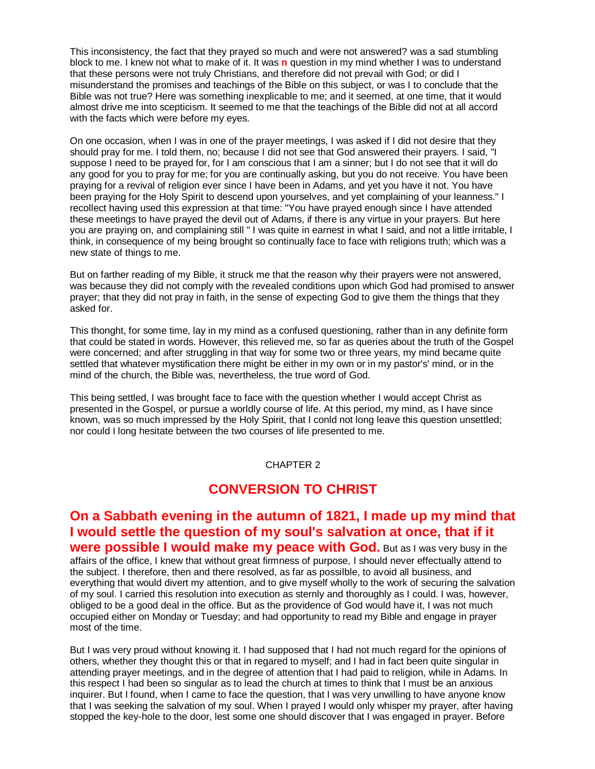This inconsistency, the fact that they prayed so much and were not answered? was a sad stumbling block to me. I knew not what to make of it. It was **n** question in my mind whether I was to understand that these persons were not truly Christians, and therefore did not prevail with God; or did I misunderstand the promises and teachings of the Bible on this subject, or was I to conclude that the Bible was not true? Here was something inexplicable to me; and it seemed, at one time, that it would almost drive me into scepticism. It seemed to me that the teachings of the Bible did not at all accord with the facts which were before my eyes.

On one occasion, when I was in one of the prayer meetings, I was asked if I did not desire that they should pray for me. I told them, no; because I did not see that God answered their prayers. I said, "I suppose I need to be prayed for, for I am conscious that I am a sinner; but I do not see that it will do any good for you to pray for me; for you are continually asking, but you do not receive. You have been praying for a revival of religion ever since I have been in Adams, and yet you have it not. You have been praying for the Holy Spirit to descend upon yourselves, and yet complaining of your leanness." I recollect having used this expression at that time: "You have prayed enough since I have attended these meetings to have prayed the devil out of Adams, if there is any virtue in your prayers. But here you are praying on, and complaining still " I was quite in earnest in what I said, and not a little irritable, I think, in consequence of my being brought so continually face to face with religions truth; which was a new state of things to me.

But on farther reading of my Bible, it struck me that the reason why their prayers were not answered, was because they did not comply with the revealed conditions upon which God had promised to answer prayer; that they did not pray in faith, in the sense of expecting God to give them the things that they asked for.

This thonght, for some time, lay in my mind as a confused questioning, rather than in any definite form that could be stated in words. However, this relieved me, so far as queries about the truth of the Gospel were concerned; and after struggling in that way for some two or three years, my mind became quite settled that whatever mystification there might be either in my own or in my pastor's' mind, or in the mind of the church, the Bible was, nevertheless, the true word of God.

This being settled, I was brought face to face with the question whether I would accept Christ as presented in the Gospel, or pursue a worldly course of life. At this period, my mind, as I have since known, was so much impressed by the Holy Spirit, that I conld not long leave this question unsettled; nor could I long hesitate between the two courses of life presented to me.

#### CHAPTER 2

#### **CONVERSION TO CHRIST**

**On a Sabbath evening in the autumn of 1821, I made up my mind that I would settle the question of my soul's salvation at once, that if it were possible I would make my peace with God.** But as I was very busy in the affairs of the office, I knew that without great firmness of purpose, I should never effectually attend to the subject. I therefore, then and there resolved, as far as possilble, to avoid all business, and everything that would divert my attention, and to give myself wholly to the work of securing the salvation of my soul. I carried this resolution into execution as sternly and thoroughly as I could. I was, however, obliged to be a good deal in the office. But as the providence of God would have it, I was not much occupied either on Monday or Tuesday; and had opportunity to read my Bible and engage in prayer most of the time.

But I was very proud without knowing it. I had supposed that I had not much regard for the opinions of others, whether they thought this or that in regared to myself; and I had in fact been quite singular in attending prayer meetings, and in the degree of attention that I had paid to religion, while in Adams. In this respect I had been so singular as to lead the church at times to think that I must be an anxious inquirer. But I found, when I came to face the question, that I was very unwilling to have anyone know that I was seeking the salvation of my soul. When I prayed I would only whisper my prayer, after having stopped the key-hole to the door, lest some one should discover that I was engaged in prayer. Before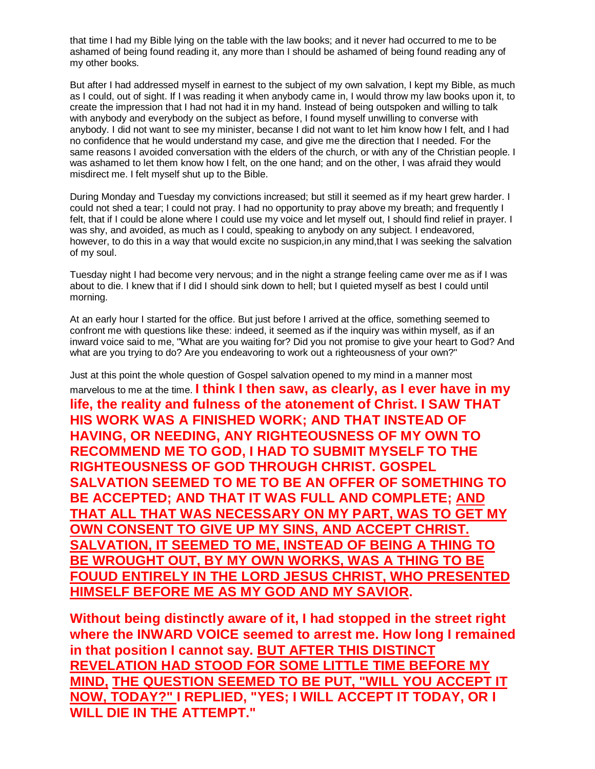that time I had my Bible lying on the table with the law books; and it never had occurred to me to be ashamed of being found reading it, any more than I should be ashamed of being found reading any of my other books.

But after I had addressed myself in earnest to the subject of my own salvation, I kept my Bible, as much as I could, out of sight. If I was reading it when anybody came in, I would throw my law books upon it, to create the impression that I had not had it in my hand. Instead of being outspoken and willing to talk with anybody and everybody on the subject as before, I found myself unwilling to converse with anybody. I did not want to see my minister, becanse I did not want to let him know how I felt, and I had no confidence that he would understand my case, and give me the direction that I needed. For the same reasons I avoided conversation with the elders of the church, or with any of the Christian people. I was ashamed to let them know how I felt, on the one hand; and on the other, I was afraid they would misdirect me. I felt myself shut up to the Bible.

During Monday and Tuesday my convictions increased; but still it seemed as if my heart grew harder. I could not shed a tear; I could not pray. I had no opportunity to pray above my breath; and frequently I felt, that if I could be alone where I could use my voice and let myself out, I should find relief in prayer. I was shy, and avoided, as much as I could, speaking to anybody on any subject. I endeavored, however, to do this in a way that would excite no suspicion,in any mind,that I was seeking the salvation of my soul.

Tuesday night I had become very nervous; and in the night a strange feeling came over me as if I was about to die. I knew that if I did I should sink down to hell; but I quieted myself as best I could until morning.

At an early hour I started for the office. But just before I arrived at the office, something seemed to confront me with questions like these: indeed, it seemed as if the inquiry was within myself, as if an inward voice said to me, "What are you waiting for? Did you not promise to give your heart to God? And what are you trying to do? Are you endeavoring to work out a righteousness of your own?"

Just at this point the whole question of Gospel salvation opened to my mind in a manner most marvelous to me at the time. **I think I then saw, as clearly, as I ever have in my life, the reality and fulness of the atonement of Christ. I SAW THAT HIS WORK WAS A FINISHED WORK; AND THAT INSTEAD OF HAVING, OR NEEDING, ANY RIGHTEOUSNESS OF MY OWN TO RECOMMEND ME TO GOD, I HAD TO SUBMIT MYSELF TO THE RIGHTEOUSNESS OF GOD THROUGH CHRIST. GOSPEL SALVATION SEEMED TO ME TO BE AN OFFER OF SOMETHING TO BE ACCEPTED; AND THAT IT WAS FULL AND COMPLETE; AND THAT ALL THAT WAS NECESSARY ON MY PART, WAS TO GET MY OWN CONSENT TO GIVE UP MY SINS, AND ACCEPT CHRIST. SALVATION, IT SEEMED TO ME, INSTEAD OF BEING A THING TO BE WROUGHT OUT, BY MY OWN WORKS, WAS A THING TO BE FOUUD ENTIRELY IN THE LORD JESUS CHRIST, WHO PRESENTED HIMSELF BEFORE ME AS MY GOD AND MY SAVIOR.**

**Without being distinctly aware of it, I had stopped in the street right where the INWARD VOICE seemed to arrest me. How long I remained in that position I cannot say. BUT AFTER THIS DISTINCT REVELATION HAD STOOD FOR SOME LITTLE TIME BEFORE MY MIND, THE QUESTION SEEMED TO BE PUT, "WILL YOU ACCEPT IT NOW, TODAY?" I REPLIED, "YES; I WILL ACCEPT IT TODAY, OR I WILL DIE IN THE ATTEMPT."**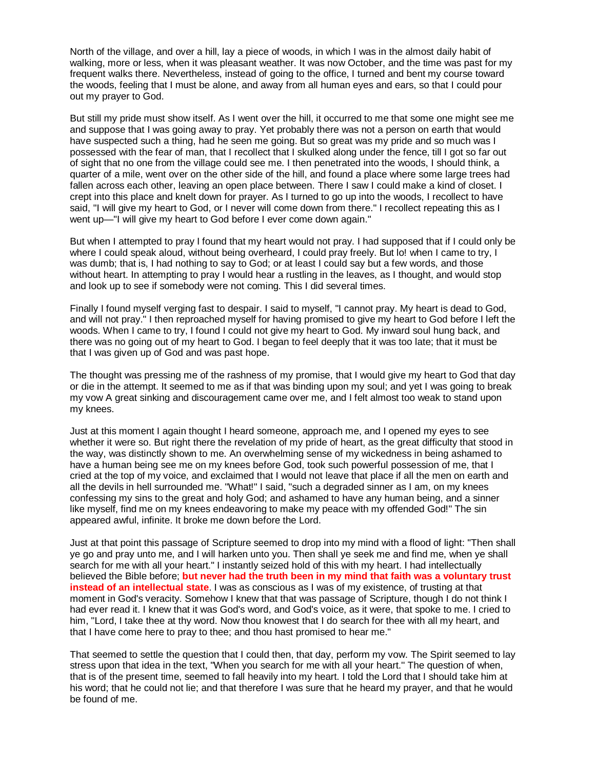North of the village, and over a hill, lay a piece of woods, in which I was in the almost daily habit of walking, more or less, when it was pleasant weather. It was now October, and the time was past for my frequent walks there. Nevertheless, instead of going to the office, I turned and bent my course toward the woods, feeling that I must be alone, and away from all human eyes and ears, so that I could pour out my prayer to God.

But still my pride must show itself. As I went over the hill, it occurred to me that some one might see me and suppose that I was going away to pray. Yet probably there was not a person on earth that would have suspected such a thing, had he seen me going. But so great was my pride and so much was I possessed with the fear of man, that I recollect that I skulked along under the fence, till I got so far out of sight that no one from the village could see me. I then penetrated into the woods, I should think, a quarter of a mile, went over on the other side of the hill, and found a place where some large trees had fallen across each other, leaving an open place between. There I saw I could make a kind of closet. I crept into this place and knelt down for prayer. As I turned to go up into the woods, I recollect to have said, "I will give my heart to God, or I never will come down from there." I recollect repeating this as I went up—"I will give my heart to God before I ever come down again."

But when I attempted to pray I found that my heart would not pray. I had supposed that if I could only be where I could speak aloud, without being overheard, I could pray freely. But lo! when I came to try, I was dumb; that is, I had nothing to say to God; or at least I could say but a few words, and those without heart. In attempting to pray I would hear a rustling in the leaves, as I thought, and would stop and look up to see if somebody were not coming. This I did several times.

Finally I found myself verging fast to despair. I said to myself, "I cannot pray. My heart is dead to God, and will not pray." I then reproached myself for having promised to give my heart to God before I left the woods. When I came to try, I found I could not give my heart to God. My inward soul hung back, and there was no going out of my heart to God. I began to feel deeply that it was too late; that it must be that I was given up of God and was past hope.

The thought was pressing me of the rashness of my promise, that I would give my heart to God that day or die in the attempt. It seemed to me as if that was binding upon my soul; and yet I was going to break my vow A great sinking and discouragement came over me, and I felt almost too weak to stand upon my knees.

Just at this moment I again thought I heard someone, approach me, and I opened my eyes to see whether it were so. But right there the revelation of my pride of heart, as the great difficulty that stood in the way, was distinctly shown to me. An overwhelming sense of my wickedness in being ashamed to have a human being see me on my knees before God, took such powerful possession of me, that I cried at the top of my voice, and exclaimed that I would not leave that place if all the men on earth and all the devils in hell surrounded me. "What!" I said, "such a degraded sinner as I am, on my knees confessing my sins to the great and holy God; and ashamed to have any human being, and a sinner like myself, find me on my knees endeavoring to make my peace with my offended God!" The sin appeared awful, infinite. It broke me down before the Lord.

Just at that point this passage of Scripture seemed to drop into my mind with a flood of light: "Then shall ye go and pray unto me, and I will harken unto you. Then shall ye seek me and find me, when ye shall search for me with all your heart." I instantly seized hold of this with my heart. I had intellectually believed the Bible before; **but never had the truth been in my mind that faith was a voluntary trust instead of an intellectual state**. I was as conscious as I was of my existence, of trusting at that moment in God's veracity. Somehow I knew that that was passage of Scripture, though I do not think I had ever read it. I knew that it was God's word, and God's voice, as it were, that spoke to me. I cried to him, "Lord, I take thee at thy word. Now thou knowest that I do search for thee with all my heart, and that I have come here to pray to thee; and thou hast promised to hear me."

That seemed to settle the question that I could then, that day, perform my vow. The Spirit seemed to lay stress upon that idea in the text, "When you search for me with all your heart.'' The question of when, that is of the present time, seemed to fall heavily into my heart. I told the Lord that I should take him at his word; that he could not lie; and that therefore I was sure that he heard my prayer, and that he would be found of me.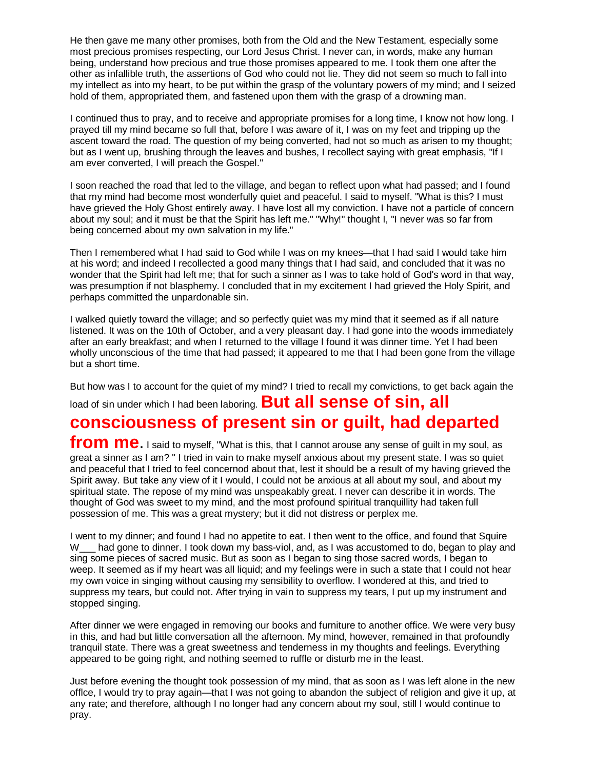He then gave me many other promises, both from the Old and the New Testament, especially some most precious promises respecting, our Lord Jesus Christ. I never can, in words, make any human being, understand how precious and true those promises appeared to me. I took them one after the other as infallible truth, the assertions of God who could not lie. They did not seem so much to fall into my intellect as into my heart, to be put within the grasp of the voluntary powers of my mind; and I seized hold of them, appropriated them, and fastened upon them with the grasp of a drowning man.

I continued thus to pray, and to receive and appropriate promises for a long time, I know not how long. I prayed till my mind became so full that, before I was aware of it, I was on my feet and tripping up the ascent toward the road. The question of my being converted, had not so much as arisen to my thought; but as I went up, brushing through the leaves and bushes, I recollect saying with great emphasis, "If I am ever converted, I will preach the Gospel."

I soon reached the road that led to the village, and began to reflect upon what had passed; and I found that my mind had become most wonderfully quiet and peaceful. I said to myself. "What is this? I must have grieved the Holy Ghost entirely away. I have lost all my conviction. I have not a particle of concern about my soul; and it must be that the Spirit has left me." "Why!" thought I, "I never was so far from being concerned about my own salvation in my life."

Then I remembered what I had said to God while I was on my knees—that I had said I would take him at his word; and indeed I recollected a good many things that I had said, and concluded that it was no wonder that the Spirit had left me; that for such a sinner as I was to take hold of God's word in that way, was presumption if not blasphemy. I concluded that in my excitement I had grieved the Holy Spirit, and perhaps committed the unpardonable sin.

I walked quietly toward the village; and so perfectly quiet was my mind that it seemed as if all nature listened. It was on the 10th of October, and a very pleasant day. I had gone into the woods immediately after an early breakfast; and when I returned to the village I found it was dinner time. Yet I had been wholly unconscious of the time that had passed; it appeared to me that I had been gone from the village but a short time.

But how was I to account for the quiet of my mind? I tried to recall my convictions, to get back again the

load of sin under which I had been laboring. **But all sense of sin, all**

# **consciousness of present sin or guilt, had departed**

**from me**. I said to myself, "What is this, that I cannot arouse any sense of guilt in my soul, as great a sinner as I am? " I tried in vain to make myself anxious about my present state. I was so quiet and peaceful that I tried to feel concernod about that, lest it should be a result of my having grieved the Spirit away. But take any view of it I would, I could not be anxious at all about my soul, and about my spiritual state. The repose of my mind was unspeakably great. I never can describe it in words. The thought of God was sweet to my mind, and the most profound spiritual tranquillity had taken full possession of me. This was a great mystery; but it did not distress or perplex me.

I went to my dinner; and found I had no appetite to eat. I then went to the office, and found that Squire W had gone to dinner. I took down my bass-viol, and, as I was accustomed to do, began to play and sing some pieces of sacred music. But as soon as I began to sing those sacred words, I began to weep. It seemed as if my heart was all liquid; and my feelings were in such a state that I could not hear my own voice in singing without causing my sensibility to overflow. I wondered at this, and tried to suppress my tears, but could not. After trying in vain to suppress my tears, I put up my instrument and stopped singing.

After dinner we were engaged in removing our books and furniture to another office. We were very busy in this, and had but little conversation all the afternoon. My mind, however, remained in that profoundly tranquil state. There was a great sweetness and tenderness in my thoughts and feelings. Everything appeared to be going right, and nothing seemed to ruffle or disturb me in the least.

Just before evening the thought took possession of my mind, that as soon as I was left alone in the new offlce, I would try to pray again—that I was not going to abandon the subject of religion and give it up, at any rate; and therefore, although I no longer had any concern about my soul, still I would continue to pray.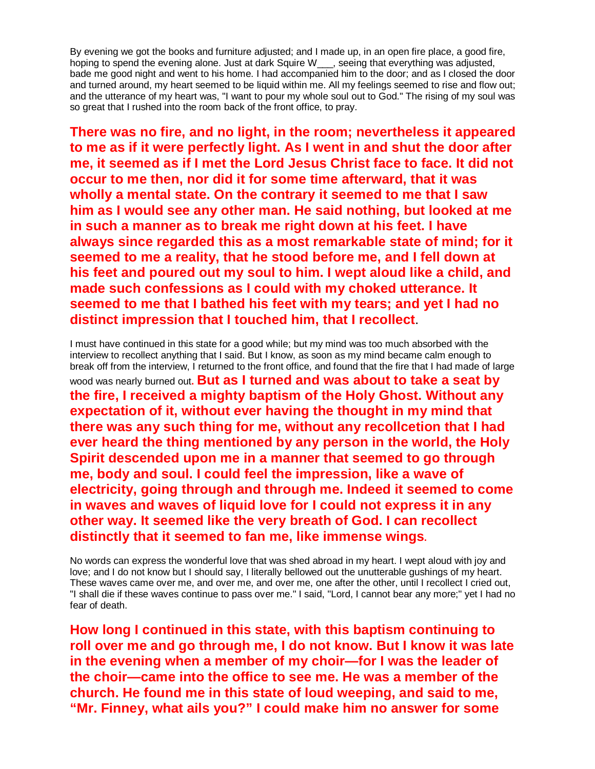By evening we got the books and furniture adjusted; and I made up, in an open fire place, a good fire, hoping to spend the evening alone. Just at dark Squire W<sub>\_\_\_</sub>, seeing that everything was adjusted, bade me good night and went to his home. I had accompanied him to the door; and as I closed the door and turned around, my heart seemed to be liquid within me. All my feelings seemed to rise and flow out; and the utterance of my heart was, "I want to pour my whole soul out to God." The rising of my soul was so great that I rushed into the room back of the front office, to pray.

**There was no fire, and no light, in the room; nevertheless it appeared to me as if it were perfectly light. As I went in and shut the door after me, it seemed as if I met the Lord Jesus Christ face to face. It did not occur to me then, nor did it for some time afterward, that it was wholly a mental state. On the contrary it seemed to me that I saw him as I would see any other man. He said nothing, but looked at me in such a manner as to break me right down at his feet. I have always since regarded this as a most remarkable state of mind; for it seemed to me a reality, that he stood before me, and I fell down at his feet and poured out my soul to him. I wept aloud like a child, and made such confessions as I could with my choked utterance. It seemed to me that I bathed his feet with my tears; and yet I had no distinct impression that I touched him, that I recollect**.

I must have continued in this state for a good while; but my mind was too much absorbed with the interview to recollect anything that I said. But I know, as soon as my mind became calm enough to break off from the interview, I returned to the front office, and found that the fire that I had made of large wood was nearly burned out**. But as I turned and was about to take a seat by the fire, I received a mighty baptism of the Holy Ghost. Without any expectation of it, without ever having the thought in my mind that there was any such thing for me, without any recollcetion that I had ever heard the thing mentioned by any person in the world, the Holy Spirit descended upon me in a manner that seemed to go through me, body and soul. I could feel the impression, like a wave of electricity, going through and through me. Indeed it seemed to come in waves and waves of liquid love for I could not express it in any other way. It seemed like the very breath of God. I can recollect distinctly that it seemed to fan me, like immense wings.**

No words can express the wonderful love that was shed abroad in my heart. I wept aloud with joy and love; and I do not know but I should say, I literally bellowed out the unutterable gushings of my heart. These waves came over me, and over me, and over me, one after the other, until I recollect I cried out, "I shall die if these waves continue to pass over me." I said, "Lord, I cannot bear any more;" yet I had no fear of death.

**How long I continued in this state, with this baptism continuing to roll over me and go through me, I do not know. But I know it was late in the evening when a member of my choir—for I was the leader of the choir—came into the office to see me. He was a member of the church. He found me in this state of loud weeping, and said to me, "Mr. Finney, what ails you?" I could make him no answer for some**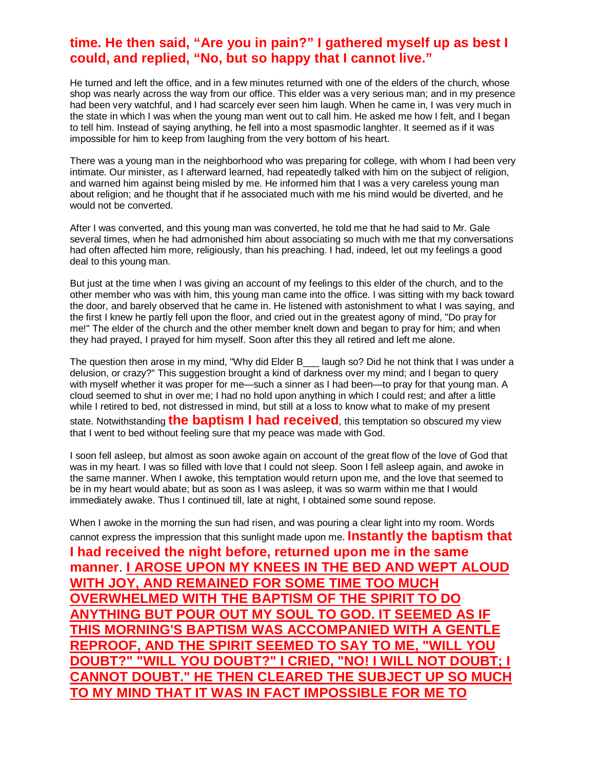#### **time. He then said, "Are you in pain?" I gathered myself up as best I could, and replied, "No, but so happy that I cannot live."**

He turned and left the office, and in a few minutes returned with one of the elders of the church, whose shop was nearly across the way from our office. This elder was a very serious man; and in my presence had been very watchful, and I had scarcely ever seen him laugh. When he came in, I was very much in the state in which I was when the young man went out to call him. He asked me how I felt, and I began to tell him. Instead of saying anything, he fell into a most spasmodic langhter. It seemed as if it was impossible for him to keep from laughing from the very bottom of his heart.

There was a young man in the neighborhood who was preparing for college, with whom I had been very intimate. Our minister, as I afterward learned, had repeatedly talked with him on the subject of religion, and warned him against being misled by me. He informed him that I was a very careless young man about religion; and he thought that if he associated much with me his mind would be diverted, and he would not be converted.

After I was converted, and this young man was converted, he told me that he had said to Mr. Gale several times, when he had admonished him about associating so much with me that my conversations had often affected him more, religiously, than his preaching. I had, indeed, let out my feelings a good deal to this young man.

But just at the time when I was giving an account of my feelings to this elder of the church, and to the other member who was with him, this young man came into the office. I was sitting with my back toward the door, and barely observed that he came in. He listened with astonishment to what I was saying, and the first I knew he partly fell upon the floor, and cried out in the greatest agony of mind, "Do pray for me!" The elder of the church and the other member knelt down and began to pray for him; and when they had prayed, I prayed for him myself. Soon after this they all retired and left me alone.

The question then arose in my mind, "Why did Elder B laugh so? Did he not think that I was under a delusion, or crazy?" This suggestion brought a kind of darkness over my mind; and I began to query with myself whether it was proper for me—such a sinner as I had been—to pray for that young man. A cloud seemed to shut in over me; I had no hold upon anything in which I could rest; and after a little while I retired to bed, not distressed in mind, but still at a loss to know what to make of my present state. Notwithstanding **the baptism I had received**, this temptation so obscured my view that I went to bed without feeling sure that my peace was made with God.

I soon fell asleep, but almost as soon awoke again on account of the great flow of the love of God that was in my heart. I was so filled with love that I could not sleep. Soon I fell asleep again, and awoke in the same manner. When I awoke, this temptation would return upon me, and the love that seemed to be in my heart would abate; but as soon as I was asleep, it was so warm within me that I would immediately awake. Thus I continued till, late at night, I obtained some sound repose.

When I awoke in the morning the sun had risen, and was pouring a clear light into my room. Words cannot express the impression that this sunlight made upon me**. Instantly the baptism that I had received the night before, returned upon me in the same manner**. **I AROSE UPON MY KNEES IN THE BED AND WEPT ALOUD WITH JOY, AND REMAINED FOR SOME TIME TOO MUCH OVERWHELMED WITH THE BAPTISM OF THE SPIRIT TO DO ANYTHING BUT POUR OUT MY SOUL TO GOD. IT SEEMED AS IF THIS MORNING'S BAPTISM WAS ACCOMPANIED WITH A GENTLE REPROOF, AND THE SPIRIT SEEMED TO SAY TO ME, "WILL YOU DOUBT?" "WILL YOU DOUBT?" I CRIED, "NO! I WILL NOT DOUBT; I CANNOT DOUBT." HE THEN CLEARED THE SUBJECT UP SO MUCH TO MY MIND THAT IT WAS IN FACT IMPOSSIBLE FOR ME TO**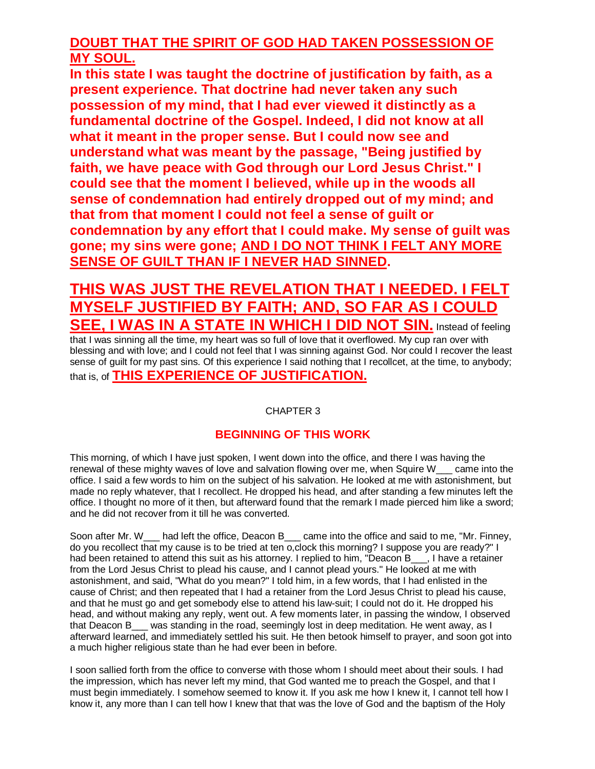#### **DOUBT THAT THE SPIRIT OF GOD HAD TAKEN POSSESSION OF MY SOUL.**

**In this state I was taught the doctrine of justification by faith, as a present experience. That doctrine had never taken any such possession of my mind, that I had ever viewed it distinctly as a fundamental doctrine of the Gospel. Indeed, I did not know at all what it meant in the proper sense. But I could now see and understand what was meant by the passage, "Being justified by faith, we have peace with God through our Lord Jesus Christ." I could see that the moment I believed, while up in the woods all sense of condemnation had entirely dropped out of my mind; and that from that moment I could not feel a sense of guilt or condemnation by any effort that I could make. My sense of guilt was gone; my sins were gone; AND I DO NOT THINK I FELT ANY MORE SENSE OF GUILT THAN IF I NEVER HAD SINNED.**

## **THIS WAS JUST THE REVELATION THAT I NEEDED. I FELT MYSELF JUSTIFIED BY FAITH; AND, SO FAR AS I COULD SEE, I WAS IN A STATE IN WHICH I DID NOT SIN.** Instead of feeling

that I was sinning all the time, my heart was so full of love that it overflowed. My cup ran over with blessing and with love; and I could not feel that I was sinning against God. Nor could I recover the least sense of guilt for my past sins. Of this experience I said nothing that I recollcet, at the time, to anybody; that is, of **THIS EXPERIENCE OF JUSTIFICATION.**

#### CHAPTER 3

#### **BEGINNING OF THIS WORK**

This morning, of which I have just spoken, I went down into the office, and there I was having the renewal of these mighty waves of love and salvation flowing over me, when Squire W\_\_\_ came into the office. I said a few words to him on the subject of his salvation. He looked at me with astonishment, but made no reply whatever, that I recollect. He dropped his head, and after standing a few minutes left the office. I thought no more of it then, but afterward found that the remark I made pierced him like a sword; and he did not recover from it till he was converted.

Soon after Mr. W\_\_\_ had left the office, Deacon B\_\_\_ came into the office and said to me, "Mr. Finney, do you recollect that my cause is to be tried at ten o,clock this morning? I suppose you are ready?" I had been retained to attend this suit as his attorney. I replied to him, "Deacon B\_\_\_, I have a retainer from the Lord Jesus Christ to plead his cause, and I cannot plead yours." He looked at me with astonishment, and said, "What do you mean?" I told him, in a few words, that I had enlisted in the cause of Christ; and then repeated that I had a retainer from the Lord Jesus Christ to plead his cause, and that he must go and get somebody else to attend his law-suit; I could not do it. He dropped his head, and without making any reply, went out. A few moments later, in passing the window, I observed that Deacon B\_\_\_ was standing in the road, seemingly lost in deep meditation. He went away, as I afterward learned, and immediately settled his suit. He then betook himself to prayer, and soon got into a much higher religious state than he had ever been in before.

I soon sallied forth from the office to converse with those whom I should meet about their souls. I had the impression, which has never left my mind, that God wanted me to preach the Gospel, and that I must begin immediately. I somehow seemed to know it. If you ask me how I knew it, I cannot tell how I know it, any more than I can tell how I knew that that was the love of God and the baptism of the Holy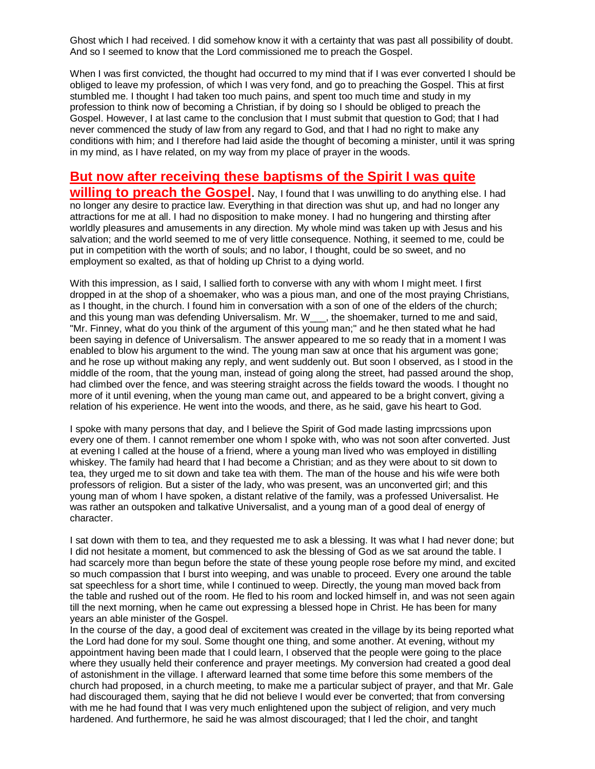Ghost which I had received. I did somehow know it with a certainty that was past all possibility of doubt. And so I seemed to know that the Lord commissioned me to preach the Gospel.

When I was first convicted, the thought had occurred to my mind that if I was ever converted I should be obliged to leave my profession, of which I was very fond, and go to preaching the Gospel. This at first stumbled me. I thought I had taken too much pains, and spent too much time and study in my profession to think now of becoming a Christian, if by doing so I should be obliged to preach the Gospel. However, I at last came to the conclusion that I must submit that question to God; that I had never commenced the study of law from any regard to God, and that I had no right to make any conditions with him; and I therefore had laid aside the thought of becoming a minister, until it was spring in my mind, as I have related, on my way from my place of prayer in the woods.

### **But now after receiving these baptisms of the Spirit I was quite**

**willing to preach the Gospel**. Nay, I found that I was unwilling to do anything else. I had no longer any desire to practice law. Everything in that direction was shut up, and had no longer any attractions for me at all. I had no disposition to make money. I had no hungering and thirsting after worldly pleasures and amusements in any direction. My whole mind was taken up with Jesus and his salvation; and the world seemed to me of very little consequence. Nothing, it seemed to me, could be put in competition with the worth of souls; and no labor, I thought, could be so sweet, and no employment so exalted, as that of holding up Christ to a dying world.

With this impression, as I said, I sallied forth to converse with any with whom I might meet. I first dropped in at the shop of a shoemaker, who was a pious man, and one of the most praying Christians, as I thought, in the church. I found him in conversation with a son of one of the elders of the church; and this young man was defending Universalism. Mr. W . the shoemaker, turned to me and said, "Mr. Finney, what do you think of the argument of this young man;" and he then stated what he had been saying in defence of Universalism. The answer appeared to me so ready that in a moment I was enabled to blow his argument to the wind. The young man saw at once that his argument was gone; and he rose up without making any reply, and went suddenly out. But soon I observed, as I stood in the middle of the room, that the young man, instead of going along the street, had passed around the shop, had climbed over the fence, and was steering straight across the fields toward the woods. I thought no more of it until evening, when the young man came out, and appeared to be a bright convert, giving a relation of his experience. He went into the woods, and there, as he said, gave his heart to God.

I spoke with many persons that day, and I believe the Spirit of God made lasting imprcssions upon every one of them. I cannot remember one whom I spoke with, who was not soon after converted. Just at evening I called at the house of a friend, where a young man lived who was employed in distilling whiskey. The family had heard that I had become a Christian; and as they were about to sit down to tea, they urged me to sit down and take tea with them. The man of the house and his wife were both professors of religion. But a sister of the lady, who was present, was an unconverted girl; and this young man of whom I have spoken, a distant relative of the family, was a professed Universalist. He was rather an outspoken and talkative Universalist, and a young man of a good deal of energy of character.

I sat down with them to tea, and they requested me to ask a blessing. It was what I had never done; but I did not hesitate a moment, but commenced to ask the blessing of God as we sat around the table. I had scarcely more than begun before the state of these young people rose before my mind, and excited so much compassion that I burst into weeping, and was unable to proceed. Every one around the table sat speechless for a short time, while I continued to weep. Directly, the young man moved back from the table and rushed out of the room. He fled to his room and locked himself in, and was not seen again till the next morning, when he came out expressing a blessed hope in Christ. He has been for many years an able minister of the Gospel.

In the course of the day, a good deal of excitement was created in the village by its being reported what the Lord had done for my soul. Some thought one thing, and some another. At evening, without my appointment having been made that I could learn, I observed that the people were going to the place where they usually held their conference and prayer meetings. My conversion had created a good deal of astonishment in the village. I afterward learned that some time before this some members of the church had proposed, in a church meeting, to make me a particular subject of prayer, and that Mr. Gale had discouraged them, saying that he did not believe I would ever be converted; that from conversing with me he had found that I was very much enlightened upon the subject of religion, and very much hardened. And furthermore, he said he was almost discouraged; that I led the choir, and tanght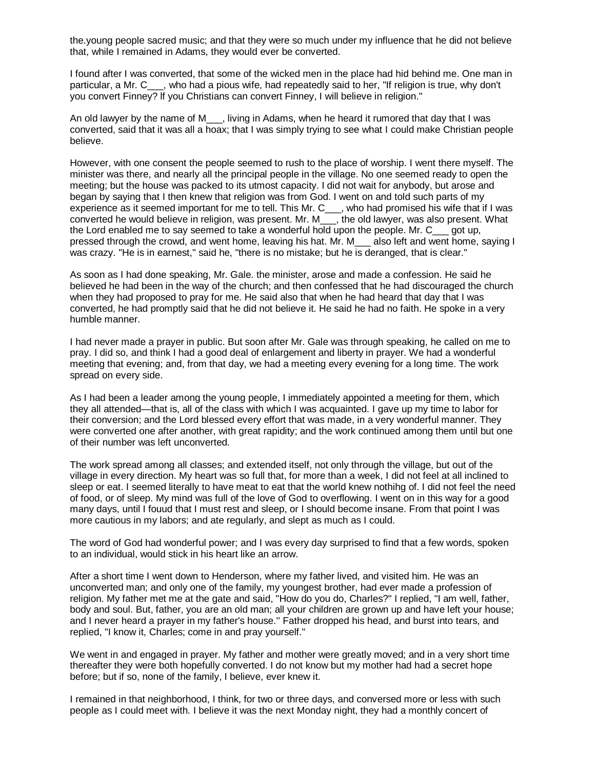the.young people sacred music; and that they were so much under my influence that he did not believe that, while I remained in Adams, they would ever be converted.

I found after I was converted, that some of the wicked men in the place had hid behind me. One man in particular, a Mr. C\_\_\_, who had a pious wife, had repeatedly said to her, "If religion is true, why don't you convert Finney? lf you Christians can convert Finney, I will believe in religion."

An old lawyer by the name of M\_\_\_, living in Adams, when he heard it rumored that day that I was converted, said that it was all a hoax; that I was simply trying to see what I could make Christian people believe.

However, with one consent the people seemed to rush to the place of worship. I went there myself. The minister was there, and nearly all the principal people in the village. No one seemed ready to open the meeting; but the house was packed to its utmost capacity. I did not wait for anybody, but arose and began by saying that I then knew that religion was from God. I went on and told such parts of my experience as it seemed important for me to tell. This Mr. C\_\_\_, who had promised his wife that if I was converted he would believe in religion, was present. Mr. M\_\_\_, the old lawyer, was also present. What the Lord enabled me to say seemed to take a wonderful hold upon the people. Mr. C\_\_\_ got up, pressed through the crowd, and went home, leaving his hat. Mr. M\_\_\_ also left and went home, saying I was crazy. "He is in earnest," said he, "there is no mistake; but he is deranged, that is clear.''

As soon as I had done speaking, Mr. Gale. the minister, arose and made a confession. He said he believed he had been in the way of the church; and then confessed that he had discouraged the church when they had proposed to pray for me. He said also that when he had heard that day that I was converted, he had promptly said that he did not believe it. He said he had no faith. He spoke in a very humble manner.

I had never made a prayer in public. But soon after Mr. Gale was through speaking, he called on me to pray. I did so, and think I had a good deal of enlargement and liberty in prayer. We had a wonderful meeting that evening; and, from that day, we had a meeting every evening for a long time. The work spread on every side.

As I had been a leader among the young people, I immediately appointed a meeting for them, which they all attended—that is, all of the class with which I was acquainted. I gave up my time to labor for their conversion; and the Lord blessed every effort that was made, in a very wonderful manner. They were converted one after another, with great rapidity; and the work continued among them until but one of their number was left unconverted.

The work spread among all classes; and extended itself, not only through the village, but out of the village in every direction. My heart was so full that, for more than a week, I did not feel at all inclined to sleep or eat. I seemed literally to have meat to eat that the world knew nothihg of. I did not feel the need of food, or of sleep. My mind was full of the love of God to overflowing. I went on in this way for a good many days, until I fouud that I must rest and sleep, or I should become insane. From that point I was more cautious in my labors; and ate regularly, and slept as much as I could.

The word of God had wonderful power; and I was every day surprised to find that a few words, spoken to an individual, would stick in his heart like an arrow.

After a short time I went down to Henderson, where my father lived, and visited him. He was an unconverted man; and only one of the family, my youngest brother, had ever made a profession of religion. My father met me at the gate and said, "How do you do, Charles?" I replied, "I am well, father, body and soul. But, father, you are an old man; all your children are grown up and have left your house; and I never heard a prayer in my father's house.'' Father dropped his head, and burst into tears, and replied, "I know it, Charles; come in and pray yourself."

We went in and engaged in prayer. My father and mother were greatly moved; and in a very short time thereafter they were both hopefully converted. I do not know but my mother had had a secret hope before; but if so, none of the family, I believe, ever knew it.

I remained in that neighborhood, I think, for two or three days, and conversed more or less with such people as I could meet with. I believe it was the next Monday night, they had a monthly concert of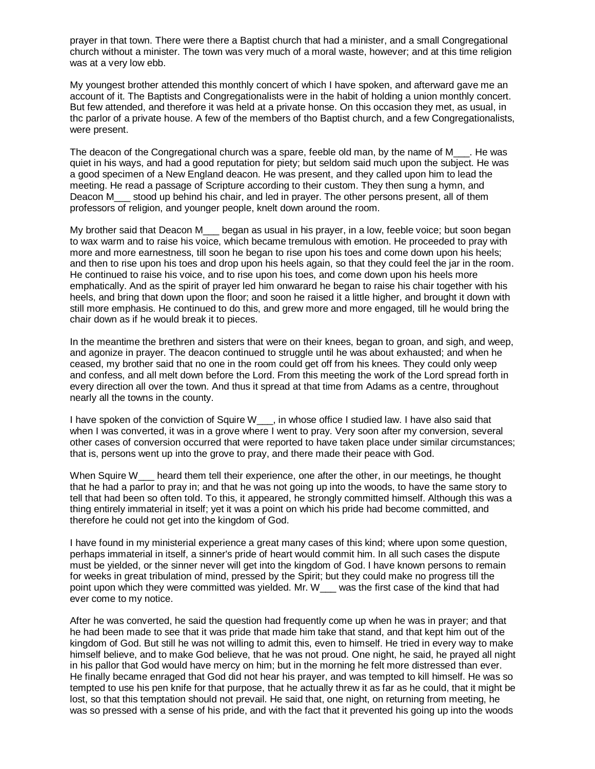prayer in that town. There were there a Baptist church that had a minister, and a small Congregational church without a minister. The town was very much of a moral waste, however; and at this time religion was at a very low ebb.

My youngest brother attended this monthly concert of which I have spoken, and afterward gave me an account of it. The Baptists and Congregationalists were in the habit of holding a union monthly concert. But few attended, and therefore it was held at a private honse. On this occasion they met, as usual, in thc parlor of a private house. A few of the members of tho Baptist church, and a few Congregationalists, were present.

The deacon of the Congregational church was a spare, feeble old man, by the name of  $M_{\odot}$ . He was quiet in his ways, and had a good reputation for piety; but seldom said much upon the subject. He was a good specimen of a New England deacon. He was present, and they called upon him to lead the meeting. He read a passage of Scripture according to their custom. They then sung a hymn, and Deacon M<sub>stood</sub> up behind his chair, and led in prayer. The other persons present, all of them professors of religion, and younger people, knelt down around the room.

My brother said that Deacon M\_\_\_ began as usual in his prayer, in a low, feeble voice; but soon began to wax warm and to raise his voice, which became tremulous with emotion. He proceeded to pray with more and more earnestness, till soon he began to rise upon his toes and come down upon his heels; and then to rise upon his toes and drop upon his heels again, so that they could feel the jar in the room. He continued to raise his voice, and to rise upon his toes, and come down upon his heels more emphatically. And as the spirit of prayer led him onwarard he began to raise his chair together with his heels, and bring that down upon the floor; and soon he raised it a little higher, and brought it down with still more emphasis. He continued to do this, and grew more and more engaged, till he would bring the chair down as if he would break it to pieces.

In the meantime the brethren and sisters that were on their knees, began to groan, and sigh, and weep, and agonize in prayer. The deacon continued to struggle until he was about exhausted; and when he ceased, my brother said that no one in the room could get off from his knees. They could only weep and confess, and all melt down before the Lord. From this meeting the work of the Lord spread forth in every direction all over the town. And thus it spread at that time from Adams as a centre, throughout nearly all the towns in the county.

I have spoken of the conviction of Squire W\_\_\_, in whose office I studied law. I have also said that when I was converted, it was in a grove where I went to pray. Very soon after my conversion, several other cases of conversion occurred that were reported to have taken place under similar circumstances; that is, persons went up into the grove to pray, and there made their peace with God.

When Squire W \_\_\_ heard them tell their experience, one after the other, in our meetings, he thought that he had a parlor to pray in; and that he was not going up into the woods, to have the same story to tell that had been so often told. To this, it appeared, he strongly committed himself. Although this was a thing entirely immaterial in itself; yet it was a point on which his pride had become committed, and therefore he could not get into the kingdom of God.

I have found in my ministerial experience a great many cases of this kind; where upon some question, perhaps immaterial in itself, a sinner's pride of heart would commit him. In all such cases the dispute must be yielded, or the sinner never will get into the kingdom of God. I have known persons to remain for weeks in great tribulation of mind, pressed by the Spirit; but they could make no progress till the point upon which they were committed was yielded. Mr. W\_\_\_ was the first case of the kind that had ever come to my notice.

After he was converted, he said the question had frequently come up when he was in prayer; and that he had been made to see that it was pride that made him take that stand, and that kept him out of the kingdom of God. But still he was not willing to admit this, even to himself. He tried in every way to make himself believe, and to make God believe, that he was not proud. One night, he said, he prayed all night in his pallor that God would have mercy on him; but in the morning he felt more distressed than ever. He finally became enraged that God did not hear his prayer, and was tempted to kill himself. He was so tempted to use his pen knife for that purpose, that he actually threw it as far as he could, that it might be lost, so that this temptation should not prevail. He said that, one night, on returning from meeting, he was so pressed with a sense of his pride, and with the fact that it prevented his going up into the woods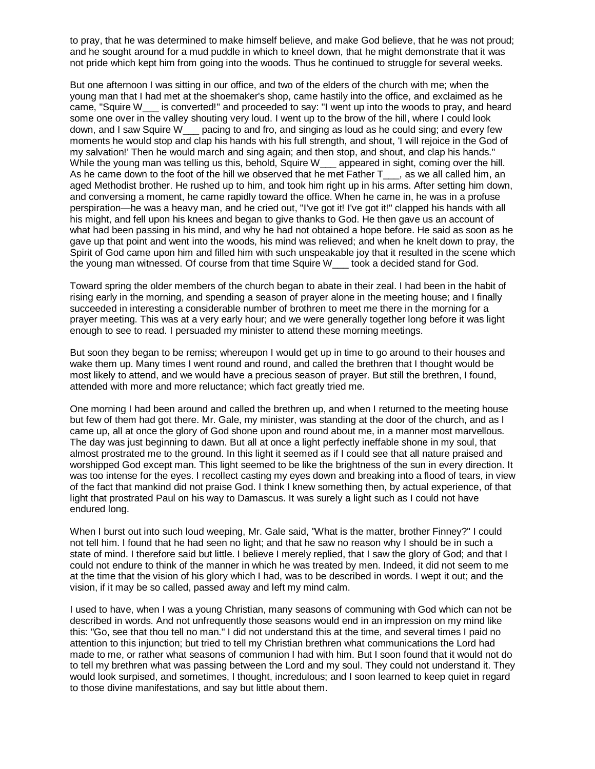to pray, that he was determined to make himself believe, and make God believe, that he was not proud; and he sought around for a mud puddle in which to kneel down, that he might demonstrate that it was not pride which kept him from going into the woods. Thus he continued to struggle for several weeks.

But one afternoon I was sitting in our office, and two of the elders of the church with me; when the young man that I had met at the shoemaker's shop, came hastily into the office, and exclaimed as he came, "Squire W\_\_\_ is converted!" and proceeded to say: "I went up into the woods to pray, and heard some one over in the valley shouting very loud. I went up to the brow of the hill, where I could look down, and I saw Squire W\_\_\_ pacing to and fro, and singing as loud as he could sing; and every few moments he would stop and clap his hands with his full strength, and shout, 'I will rejoice in the God of my salvation!' Then he would march and sing again; and then stop, and shout, and clap his hands." While the young man was telling us this, behold, Squire W appeared in sight, coming over the hill. As he came down to the foot of the hill we observed that he met Father  $T_{\dots}$ , as we all called him, an aged Methodist brother. He rushed up to him, and took him right up in his arms. After setting him down, and conversing a moment, he came rapidly toward the office. When he came in, he was in a profuse perspiration—he was a heavy man, and he cried out, "I've got it! I've got it!" clapped his hands with all his might, and fell upon his knees and began to give thanks to God. He then gave us an account of what had been passing in his mind, and why he had not obtained a hope before. He said as soon as he gave up that point and went into the woods, his mind was relieved; and when he knelt down to pray, the Spirit of God came upon him and filled him with such unspeakable joy that it resulted in the scene which the young man witnessed. Of course from that time Squire W\_\_\_ took a decided stand for God.

Toward spring the older members of the church began to abate in their zeal. I had been in the habit of rising early in the morning, and spending a season of prayer alone in the meeting house; and I finally succeeded in interesting a considerable number of brothren to meet me there in the morning for a prayer meeting. This was at a very early hour; and we were generally together long before it was light enough to see to read. I persuaded my minister to attend these morning meetings.

But soon they began to be remiss; whereupon I would get up in time to go around to their houses and wake them up. Many times I went round and round, and called the brethren that I thought would be most likely to attend, and we would have a precious season of prayer. But still the brethren, I found, attended with more and more reluctance; which fact greatly tried me.

One morning I had been around and called the brethren up, and when I returned to the meeting house but few of them had got there. Mr. Gale, my minister, was standing at the door of the church, and as I came up, all at once the glory of God shone upon and round about me, in a manner most marvellous. The day was just beginning to dawn. But all at once a light perfectly ineffable shone in my soul, that almost prostrated me to the ground. In this light it seemed as if I could see that all nature praised and worshipped God except man. This light seemed to be like the brightness of the sun in every direction. It was too intense for the eyes. I recollect casting my eyes down and breaking into a flood of tears, in view of the fact that mankind did not praise God. I think I knew something then, by actual experience, of that light that prostrated Paul on his way to Damascus. It was surely a light such as I could not have endured long.

When I burst out into such loud weeping, Mr. Gale said, "What is the matter, brother Finney?" I could not tell him. I found that he had seen no light; and that he saw no reason why I should be in such a state of mind. I therefore said but little. I believe I merely replied, that I saw the glory of God; and that I could not endure to think of the manner in which he was treated by men. Indeed, it did not seem to me at the time that the vision of his glory which I had, was to be described in words. I wept it out; and the vision, if it may be so called, passed away and left my mind calm.

I used to have, when I was a young Christian, many seasons of communing with God which can not be described in words. And not unfrequently those seasons would end in an impression on my mind like this: "Go, see that thou tell no man." I did not understand this at the time, and several times I paid no attention to this injunction; but tried to tell my Christian brethren what communications the Lord had made to me, or rather what seasons of communion I had with him. But I soon found that it would not do to tell my brethren what was passing between the Lord and my soul. They could not understand it. They would look surpised, and sometimes, I thought, incredulous; and I soon learned to keep quiet in regard to those divine manifestations, and say but little about them.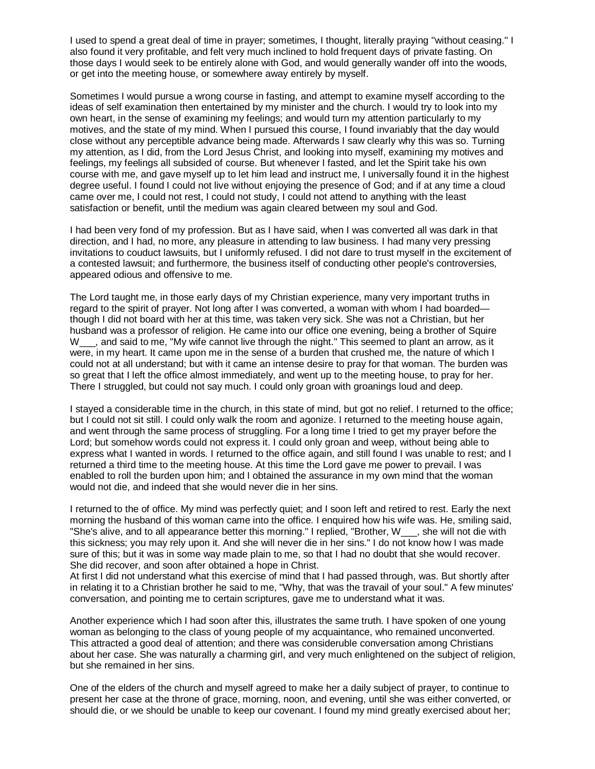I used to spend a great deal of time in prayer; sometimes, I thought, literally praying ''without ceasing." I also found it very profitable, and felt very much inclined to hold frequent days of private fasting. On those days I would seek to be entirely alone with God, and would generally wander off into the woods, or get into the meeting house, or somewhere away entirely by myself.

Sometimes I would pursue a wrong course in fasting, and attempt to examine myself according to the ideas of self examination then entertained by my minister and the church. I would try to look into my own heart, in the sense of examining my feelings; and would turn my attention particularly to my motives, and the state of my mind. When I pursued this course, I found invariably that the day would close without any perceptible advance being made. Afterwards I saw clearly why this was so. Turning my attention, as I did, from the Lord Jesus Christ, and looking into myself, examining my motives and feelings, my feelings all subsided of course. But whenever I fasted, and let the Spirit take his own course with me, and gave myself up to let him lead and instruct me, I universally found it in the highest degree useful. I found I could not live without enjoying the presence of God; and if at any time a cloud came over me, I could not rest, I could not study, I could not attend to anything with the least satisfaction or benefit, until the medium was again cleared between my soul and God.

I had been very fond of my profession. But as I have said, when I was converted all was dark in that direction, and I had, no more, any pleasure in attending to law business. I had many very pressing invitations to couduct lawsuits, but I uniformly refused. I did not dare to trust myself in the excitement of a contested lawsuit; and furthermore, the business itself of conducting other people's controversies, appeared odious and offensive to me.

The Lord taught me, in those early days of my Christian experience, many very important truths in regard to the spirit of prayer. Not long after I was converted, a woman with whom I had boarded though I did not board with her at this time, was taken very sick. She was not a Christian, but her husband was a professor of religion. He came into our office one evening, being a brother of Squire W\_\_\_, and said to me, "My wife cannot live through the night." This seemed to plant an arrow, as it were, in my heart. It came upon me in the sense of a burden that crushed me, the nature of which I could not at all understand; but with it came an intense desire to pray for that woman. The burden was so great that I left the office almost immediately, and went up to the meeting house, to pray for her. There I struggled, but could not say much. I could only groan with groanings loud and deep.

I stayed a considerable time in the church, in this state of mind, but got no relief. I returned to the office; but I could not sit still. I could only walk the room and agonize. I returned to the meeting house again, and went through the same process of struggling. For a long time I tried to get my prayer before the Lord; but somehow words could not express it. I could only groan and weep, without being able to express what I wanted in words. I returned to the office again, and still found I was unable to rest; and I returned a third time to the meeting house. At this time the Lord gave me power to prevail. I was enabled to roll the burden upon him; and I obtained the assurance in my own mind that the woman would not die, and indeed that she would never die in her sins.

I returned to the of office. My mind was perfectly quiet; and I soon left and retired to rest. Early the next morning the husband of this woman came into the office. I enquired how his wife was. He, smiling said, "She's alive, and to all appearance better this morning." I replied, "Brother, W\_\_\_, she will not die with this sickness; you may rely upon it. And she will never die in her sins." I do not know how I was made sure of this; but it was in some way made plain to me, so that I had no doubt that she would recover. She did recover, and soon after obtained a hope in Christ.

At first I did not understand what this exercise of mind that I had passed through, was. But shortly after in relating it to a Christian brother he said to me, "Why, that was the travail of your soul." A few minutes' conversation, and pointing me to certain scriptures, gave me to understand what it was.

Another experience which I had soon after this, illustrates the same truth. I have spoken of one young woman as belonging to the class of young people of my acquaintance, who remained unconverted. This attracted a good deal of attention; and there was consideruble conversation among Christians about her case. She was naturally a charming girl, and very much enlightened on the subject of religion, but she remained in her sins.

One of the elders of the church and myself agreed to make her a daily subject of prayer, to continue to present her case at the throne of grace, morning, noon, and evening, until she was either converted, or should die, or we should be unable to keep our covenant. I found my mind greatly exercised about her;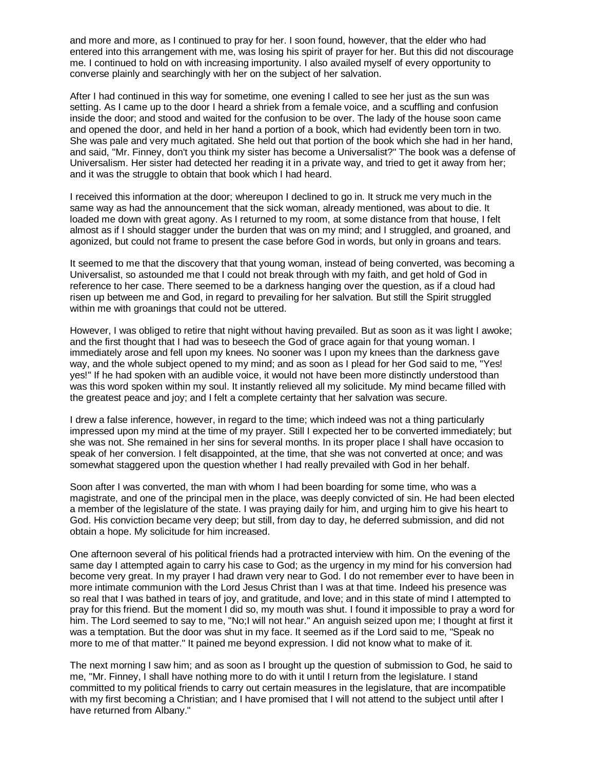and more and more, as I continued to pray for her. I soon found, however, that the elder who had entered into this arrangement with me, was losing his spirit of prayer for her. But this did not discourage me. I continued to hold on with increasing importunity. I also availed myself of every opportunity to converse plainly and searchingly with her on the subject of her salvation.

After I had continued in this way for sometime, one evening I called to see her just as the sun was setting. As I came up to the door I heard a shriek from a female voice, and a scuffling and confusion inside the door; and stood and waited for the confusion to be over. The lady of the house soon came and opened the door, and held in her hand a portion of a book, which had evidently been torn in two. She was pale and very much agitated. She held out that portion of the book which she had in her hand, and said, "Mr. Finney, don't you think my sister has become a Universalist?" The book was a defense of Universalism. Her sister had detected her reading it in a private way, and tried to get it away from her; and it was the struggle to obtain that book which I had heard.

I received this information at the door; whereupon I declined to go in. It struck me very much in the same way as had the announcement that the sick woman, already mentioned, was about to die. It loaded me down with great agony. As I returned to my room, at some distance from that house, I felt almost as if I should stagger under the burden that was on my mind; and I struggled, and groaned, and agonized, but could not frame to present the case before God in words, but only in groans and tears.

It seemed to me that the discovery that that young woman, instead of being converted, was becoming a Universalist, so astounded me that I could not break through with my faith, and get hold of God in reference to her case. There seemed to be a darkness hanging over the question, as if a cloud had risen up between me and God, in regard to prevailing for her salvation. But still the Spirit struggled within me with groanings that could not be uttered.

However, I was obliged to retire that night without having prevailed. But as soon as it was light I awoke; and the first thought that I had was to beseech the God of grace again for that young woman. I immediately arose and fell upon my knees. No sooner was I upon my knees than the darkness gave way, and the whole subject opened to my mind; and as soon as I plead for her God said to me, "Yes! yes!" If he had spoken with an audible voice, it would not have been more distinctly understood than was this word spoken within my soul. It instantly relieved all my solicitude. My mind became filled with the greatest peace and joy; and I felt a complete certainty that her salvation was secure.

I drew a false inference, however, in regard to the time; which indeed was not a thing particularly impressed upon my mind at the time of my prayer. Still I expected her to be converted immediately; but she was not. She remained in her sins for several months. In its proper place I shall have occasion to speak of her conversion. I felt disappointed, at the time, that she was not converted at once; and was somewhat staggered upon the question whether I had really prevailed with God in her behalf.

Soon after I was converted, the man with whom I had been boarding for some time, who was a magistrate, and one of the principal men in the place, was deeply convicted of sin. He had been elected a member of the legislature of the state. I was praying daily for him, and urging him to give his heart to God. His conviction became very deep; but still, from day to day, he deferred submission, and did not obtain a hope. My solicitude for him increased.

One afternoon several of his political friends had a protracted interview with him. On the evening of the same day I attempted again to carry his case to God; as the urgency in my mind for his conversion had become very great. In my prayer I had drawn very near to God. I do not remember ever to have been in more intimate communion with the Lord Jesus Christ than I was at that time. Indeed his presence was so real that I was bathed in tears of joy, and gratitude, and love; and in this state of mind I attempted to pray for this friend. But the moment I did so, my mouth was shut. I found it impossible to pray a word for him. The Lord seemed to say to me, "No;I will not hear." An anguish seized upon me; I thought at first it was a temptation. But the door was shut in my face. It seemed as if the Lord said to me, "Speak no more to me of that matter." It pained me beyond expression. I did not know what to make of it.

The next morning I saw him; and as soon as I brought up the question of submission to God, he said to me, "Mr. Finney, I shall have nothing more to do with it until I return from the legislature. I stand committed to my political friends to carry out certain measures in the legislature, that are incompatible with my first becoming a Christian; and I have promised that I will not attend to the subject until after I have returned from Albany."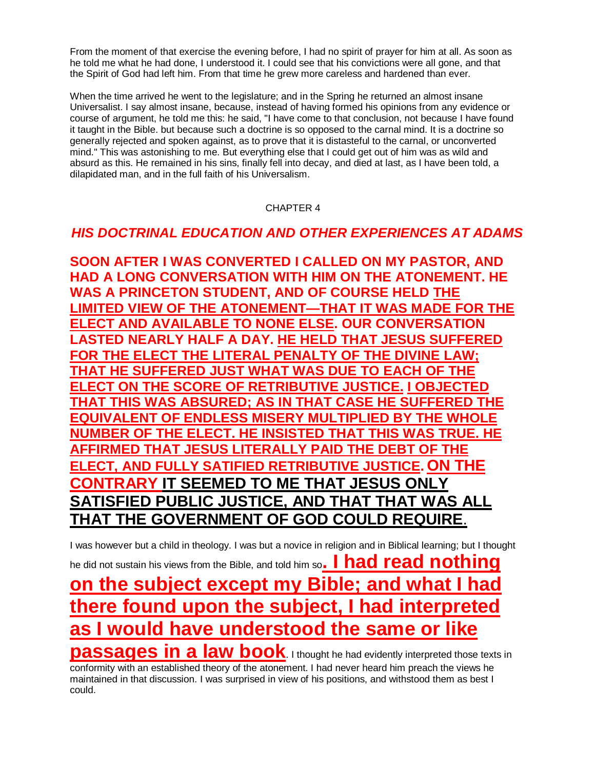From the moment of that exercise the evening before, I had no spirit of prayer for him at all. As soon as he told me what he had done, I understood it. I could see that his convictions were all gone, and that the Spirit of God had left him. From that time he grew more careless and hardened than ever.

When the time arrived he went to the legislature; and in the Spring he returned an almost insane Universalist. I say almost insane, because, instead of having formed his opinions from any evidence or course of argument, he told me this: he said, "I have come to that conclusion, not because I have found it taught in the Bible. but because such a doctrine is so opposed to the carnal mind. It is a doctrine so generally rejected and spoken against, as to prove that it is distasteful to the carnal, or unconverted mind." This was astonishing to me. But everything else that I could get out of him was as wild and absurd as this. He remained in his sins, finally fell into decay, and died at last, as I have been told, a dilapidated man, and in the full faith of his Universalism.

## CHAPTER 4

## *HIS DOCTRINAL EDUCATION AND OTHER EXPERIENCES AT ADAMS*

**SOON AFTER I WAS CONVERTED I CALLED ON MY PASTOR, AND HAD A LONG CONVERSATION WITH HIM ON THE ATONEMENT. HE WAS A PRINCETON STUDENT, AND OF COURSE HELD THE LIMITED VIEW OF THE ATONEMENT—THAT IT WAS MADE FOR THE ELECT AND AVAILABLE TO NONE ELSE. OUR CONVERSATION LASTED NEARLY HALF A DAY. HE HELD THAT JESUS SUFFERED FOR THE ELECT THE LITERAL PENALTY OF THE DIVINE LAW; HE SUFFERED JUST WHAT WAS DUE TO EACH ELECT ON THE SCORE OF RETRIBUTIVE JUSTICE. I OBJECTED THAT THIS WAS ABSURED; AS IN THAT CASE HE SUFFERED THE EQUIVALENT OF ENDLESS MISERY MULTIPLIED BY THE WHOLE NUMBER OF THE ELECT. HE INSISTED THAT THIS WAS TRUE. HE AFFIRMED THAT JESUS LITERALLY PAID THE DEBT OF THE ELECT, AND FULLY SATIFIED RETRIBUTIVE JUSTICE. ON THE CONTRARY IT SEEMED TO ME THAT JESUS ONLY SATISFIED PUBLIC JUSTICE, AND THAT THAT WAS ALL THAT THE GOVERNMENT OF GOD COULD REQUIRE**.

I was however but a child in theology. I was but a novice in religion and in Biblical learning; but I thought

he did not sustain his views from the Bible, and told him so**. I had read nothing**

## **on the subject except my Bible; and what I had there found upon the subject, I had interpreted as I would have understood the same or like**

**passages in a law book**. I thought he had evidently interpreted those texts in conformity with an established theory of the atonement. I had never heard him preach the views he maintained in that discussion. I was surprised in view of his positions, and withstood them as best I could.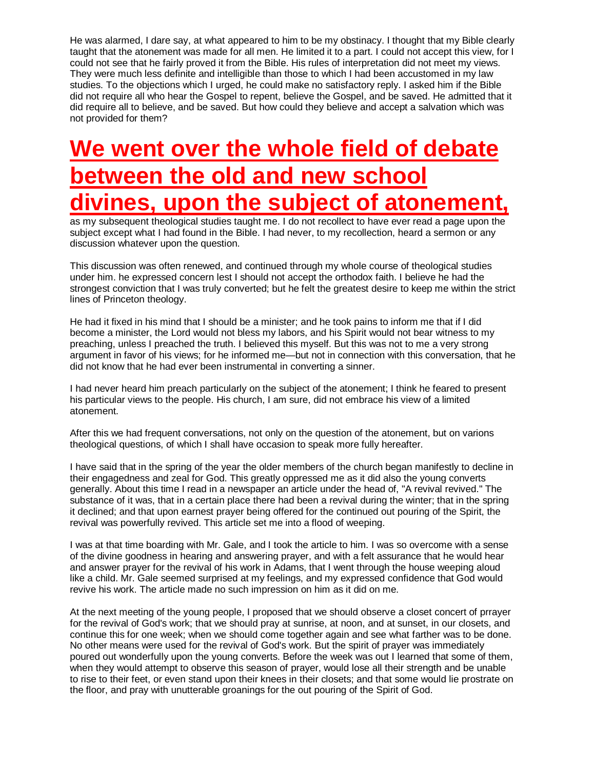He was alarmed, I dare say, at what appeared to him to be my obstinacy. I thought that my Bible clearly taught that the atonement was made for all men. He limited it to a part. I could not accept this view, for I could not see that he fairly proved it from the Bible. His rules of interpretation did not meet my views. They were much less definite and intelligible than those to which I had been accustomed in my law studies. To the objections which I urged, he could make no satisfactory reply. I asked him if the Bible did not require all who hear the Gospel to repent, believe the Gospel, and be saved. He admitted that it did require all to believe, and be saved. But how could they believe and accept a salvation which was not provided for them?

# **We went over the whole field of debate between the old and new school divines, upon the subject of atonement,**

as my subsequent theological studies taught me. I do not recollect to have ever read a page upon the subject except what I had found in the Bible. I had never, to my recollection, heard a sermon or any discussion whatever upon the question.

This discussion was often renewed, and continued through my whole course of theological studies under him. he expressed concern lest I should not accept the orthodox faith. I believe he had the strongest conviction that I was truly converted; but he felt the greatest desire to keep me within the strict lines of Princeton theology.

He had it fixed in his mind that I should be a minister; and he took pains to inform me that if I did become a minister, the Lord would not bless my labors, and his Spirit would not bear witness to my preaching, unless I preached the truth. I believed this myself. But this was not to me a very strong argument in favor of his views; for he informed me—but not in connection with this conversation, that he did not know that he had ever been instrumental in converting a sinner.

I had never heard him preach particularly on the subject of the atonement; I think he feared to present his particular views to the people. His church, I am sure, did not embrace his view of a limited atonement.

After this we had frequent conversations, not only on the question of the atonement, but on varions theological questions, of which I shall have occasion to speak more fully hereafter.

I have said that in the spring of the year the older members of the church began manifestly to decline in their engagedness and zeal for God. This greatly oppressed me as it did also the young converts generally. About this time I read in a newspaper an article under the head of, "A revival revived." The substance of it was, that in a certain place there had been a revival during the winter; that in the spring it declined; and that upon earnest prayer being offered for the continued out pouring of the Spirit, the revival was powerfully revived. This article set me into a flood of weeping.

I was at that time boarding with Mr. Gale, and I took the article to him. I was so overcome with a sense of the divine goodness in hearing and answering prayer, and with a felt assurance that he would hear and answer prayer for the revival of his work in Adams, that I went through the house weeping aloud like a child. Mr. Gale seemed surprised at my feelings, and my expressed confidence that God would revive his work. The article made no such impression on him as it did on me.

At the next meeting of the young people, I proposed that we should observe a closet concert of prrayer for the revival of God's work; that we should pray at sunrise, at noon, and at sunset, in our closets, and continue this for one week; when we should come together again and see what farther was to be done. No other means were used for the revival of God's work. But the spirit of prayer was immediately poured out wonderfully upon the young converts. Before the week was out I learned that some of them, when they would attempt to observe this season of prayer, would lose all their strength and be unable to rise to their feet, or even stand upon their knees in their closets; and that some would lie prostrate on the floor, and pray with unutterable groanings for the out pouring of the Spirit of God.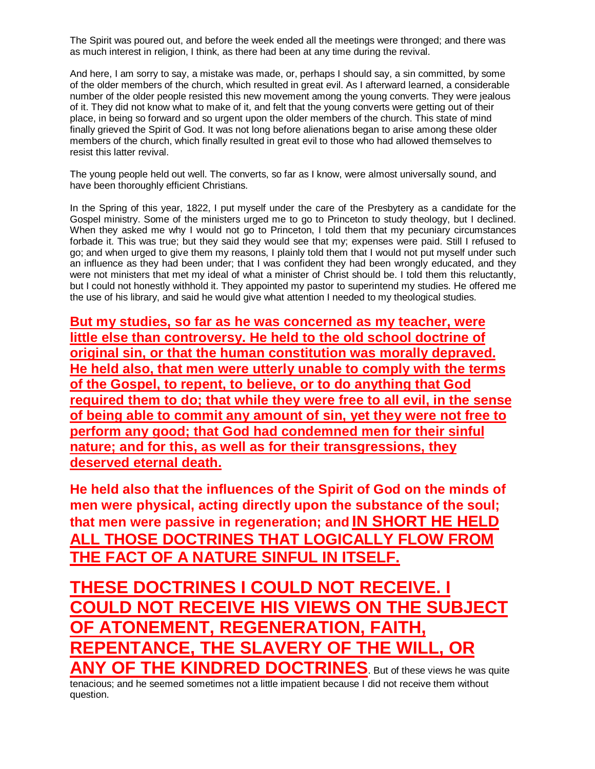The Spirit was poured out, and before the week ended all the meetings were thronged; and there was as much interest in religion, I think, as there had been at any time during the revival.

And here, I am sorry to say, a mistake was made, or, perhaps I should say, a sin committed, by some of the older members of the church, which resulted in great evil. As I afterward learned, a considerable number of the older people resisted this new movement among the young converts. They were jealous of it. They did not know what to make of it, and felt that the young converts were getting out of their place, in being so forward and so urgent upon the older members of the church. This state of mind finally grieved the Spirit of God. It was not long before alienations began to arise among these older members of the church, which finally resulted in great evil to those who had allowed themselves to resist this latter revival.

The young people held out well. The converts, so far as I know, were almost universally sound, and have been thoroughly efficient Christians.

In the Spring of this year, 1822, I put myself under the care of the Presbytery as a candidate for the Gospel ministry. Some of the ministers urged me to go to Princeton to study theology, but I declined. When they asked me why I would not go to Princeton, I told them that my pecuniary circumstances forbade it. This was true; but they said they would see that my; expenses were paid. Still I refused to go; and when urged to give them my reasons, I plainly told them that I would not put myself under such an influence as they had been under; that I was confident they had been wrongly educated, and they were not ministers that met my ideal of what a minister of Christ should be. I told them this reluctantly, but I could not honestly withhold it. They appointed my pastor to superintend my studies. He offered me the use of his library, and said he would give what attention I needed to my theological studies.

**But my studies, so far as he was concerned as my teacher, were little else than controversy. He held to the old school doctrine of original sin, or that the human constitution was morally depraved. He held also, that men were utterly unable to comply with the terms of the Gospel, to repent, to believe, or to do anything that God required them to do; that while they were free to all evil, in the sense of being able to commit any amount of sin, yet they were not free to perform any good; that God had condemned men for their sinful nature; and for this, as well as for their transgressions, they deserved eternal death.**

**He held also that the influences of the Spirit of God on the minds of men were physical, acting directly upon the substance of the soul; that men were passive in regeneration; and IN SHORT HE HELD ALL THOSE DOCTRINES THAT LOGICALLY FLOW FROM THE FACT OF A NATURE SINFUL IN ITSELF.**

**THESE DOCTRINES I COULD NOT RECEIVE. I COULD NOT RECEIVE HIS VIEWS ON THE SUBJECT REGENER REPENTANCE, THE SLAVERY OF THE WILL, OR ANY OF THE KINDRED DOCTRINES**. But of these views he was quite

tenacious; and he seemed sometimes not a little impatient because I did not receive them without question.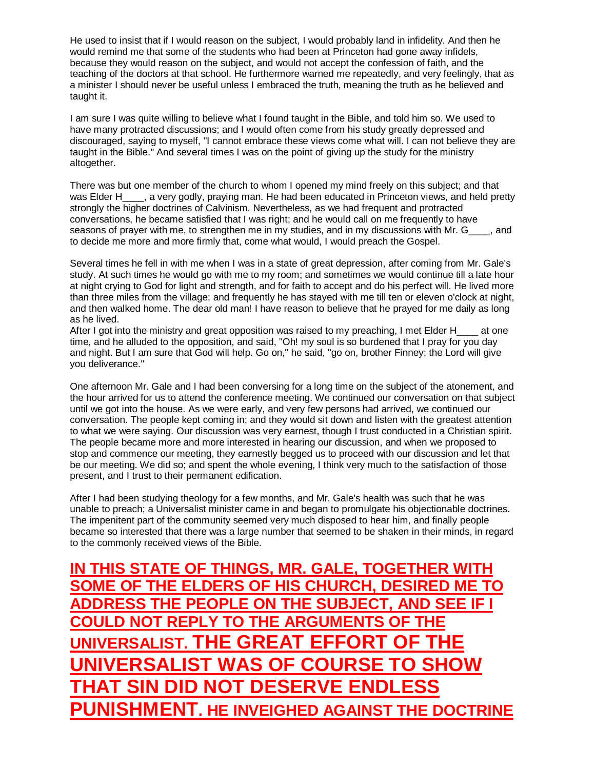He used to insist that if I would reason on the subject, I would probably land in infidelity. And then he would remind me that some of the students who had been at Princeton had gone away infidels, because they would reason on the subject, and would not accept the confession of faith, and the teaching of the doctors at that school. He furthermore warned me repeatedly, and very feelingly, that as a minister I should never be useful unless I embraced the truth, meaning the truth as he believed and taught it.

I am sure I was quite willing to believe what I found taught in the Bible, and told him so. We used to have many protracted discussions; and I would often come from his study greatly depressed and discouraged, saying to myself, "I cannot embrace these views come what will. I can not believe they are taught in the Bible." And several times I was on the point of giving up the study for the ministry altogether.

There was but one member of the church to whom I opened my mind freely on this subject; and that was Elder H\_\_\_\_, a very godly, praying man. He had been educated in Princeton views, and held pretty strongly the higher doctrines of Calvinism. Nevertheless, as we had frequent and protracted conversations, he became satisfied that I was right; and he would call on me frequently to have seasons of prayer with me, to strengthen me in my studies, and in my discussions with Mr. G<sub>\_\_\_\_</sub>, and to decide me more and more firmly that, come what would, I would preach the Gospel.

Several times he fell in with me when I was in a state of great depression, after coming from Mr. Gale's study. At such times he would go with me to my room; and sometimes we would continue till a late hour at night crying to God for light and strength, and for faith to accept and do his perfect will. He lived more than three miles from the village; and frequently he has stayed with me till ten or eleven o'clock at night, and then walked home. The dear old man! I have reason to believe that he prayed for me daily as long as he lived.

After I got into the ministry and great opposition was raised to my preaching, I met Elder H at one time, and he alluded to the opposition, and said, "Oh! my soul is so burdened that I pray for you day and night. But I am sure that God will help. Go on," he said, "go on, brother Finney; the Lord will give you deliverance."

One afternoon Mr. Gale and I had been conversing for a long time on the subject of the atonement, and the hour arrived for us to attend the conference meeting. We continued our conversation on that subject until we got into the house. As we were early, and very few persons had arrived, we continued our conversation. The people kept coming in; and they would sit down and listen with the greatest attention to what we were saying. Our discussion was very earnest, though I trust conducted in a Christian spirit. The people became more and more interested in hearing our discussion, and when we proposed to stop and commence our meeting, they earnestly begged us to proceed with our discussion and let that be our meeting. We did so; and spent the whole evening, I think very much to the satisfaction of those present, and I trust to their permanent edification.

After I had been studying theology for a few months, and Mr. Gale's health was such that he was unable to preach; a Universalist minister came in and began to promulgate his objectionable doctrines. The impenitent part of the community seemed very much disposed to hear him, and finally people became so interested that there was a large number that seemed to be shaken in their minds, in regard to the commonly received views of the Bible.

**IN THIS STATE OF THINGS, MR. GALE, TOGETHER WITH SOME OF THE ELDERS OF HIS CHURCH, DESIRED ME TO ADDRESS THE PEOPLE ON THE SUBJECT, AND SEE IF I COULD NOT REPLY TO THE ARGUMENTS OF THE UNIVERSALIST. THE GREAT EFFORT OF THE UNIVERSALIST WAS OF COURSE TO SHOW AT SIN DID NOT DESERVE EN PUNISHMENT. HE INVEIGHED AGAINST THE DOCTRINE**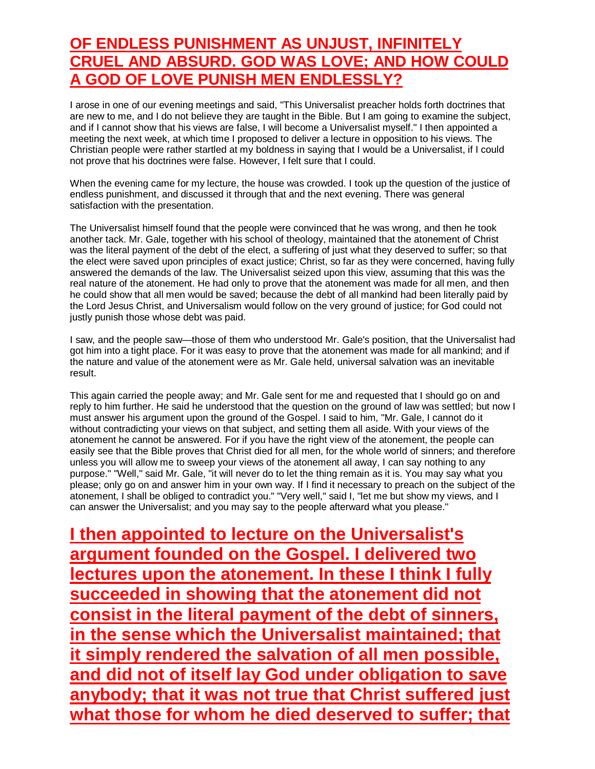## **OF ENDLESS PUNISHMENT AS UNJUST, INFINITELY CRUEL AND ABSURD. GOD WAS LOVE; AND HOW COULD A GOD OF LOVE PUNISH MEN ENDLESSLY?**

I arose in one of our evening meetings and said, "This Universalist preacher holds forth doctrines that are new to me, and I do not believe they are taught in the Bible. But I am going to examine the subject, and if I cannot show that his views are false, I will become a Universalist myself." I then appointed a meeting the next week, at which time I proposed to deliver a lecture in opposition to his views. The Christian people were rather startled at my boldness in saying that I would be a Universalist, if I could not prove that his doctrines were false. However, I felt sure that I could.

When the evening came for my lecture, the house was crowded. I took up the question of the justice of endless punishment, and discussed it through that and the next evening. There was general satisfaction with the presentation.

The Universalist himself found that the people were convinced that he was wrong, and then he took another tack. Mr. Gale, together with his school of theology, maintained that the atonement of Christ was the literal payment of the debt of the elect, a suffering of just what they deserved to suffer; so that the elect were saved upon principles of exact justice; Christ, so far as they were concerned, having fully answered the demands of the law. The Universalist seized upon this view, assuming that this was the real nature of the atonement. He had only to prove that the atonement was made for all men, and then he could show that all men would be saved; because the debt of all mankind had been literally paid by the Lord Jesus Christ, and Universalism would follow on the very ground of justice; for God could not justly punish those whose debt was paid.

I saw, and the people saw—those of them who understood Mr. Gale's position, that the Universalist had got him into a tight place. For it was easy to prove that the atonement was made for all mankind; and if the nature and value of the atonement were as Mr. Gale held, universal salvation was an inevitable result.

This again carried the people away; and Mr. Gale sent for me and requested that I should go on and reply to him further. He said he understood that the question on the ground of law was settled; but now I must answer his argument upon the ground of the Gospel. I said to him, "Mr. Gale, I cannot do it without contradicting your views on that subject, and setting them all aside. With your views of the atonement he cannot be answered. For if you have the right view of the atonement, the people can easily see that the Bible proves that Christ died for all men, for the whole world of sinners; and therefore unless you will allow me to sweep your views of the atonement all away, I can say nothing to any purpose." "Well," said Mr. Gale, "it will never do to let the thing remain as it is. You may say what you please; only go on and answer him in your own way. If I find it necessary to preach on the subject of the atonement, I shall be obliged to contradict you." "Very well," said I, "let me but show my views, and I can answer the Universalist; and you may say to the people afterward what you please."

**I then appointed to lecture on the Universalist's argument founded on the Gospel. I delivered two lectures upon the atonement. In these I think I fully succeeded in showing that the atonement did not consist in the literal payment of the debt of sinners, in the sense which the Universalist maintained; that it simply rendered the salvation of all men possible, and did not of itself lay God under obligation to save anybody; that it was not true that Christ suffered just what those for whom he died deserved to suffer; that**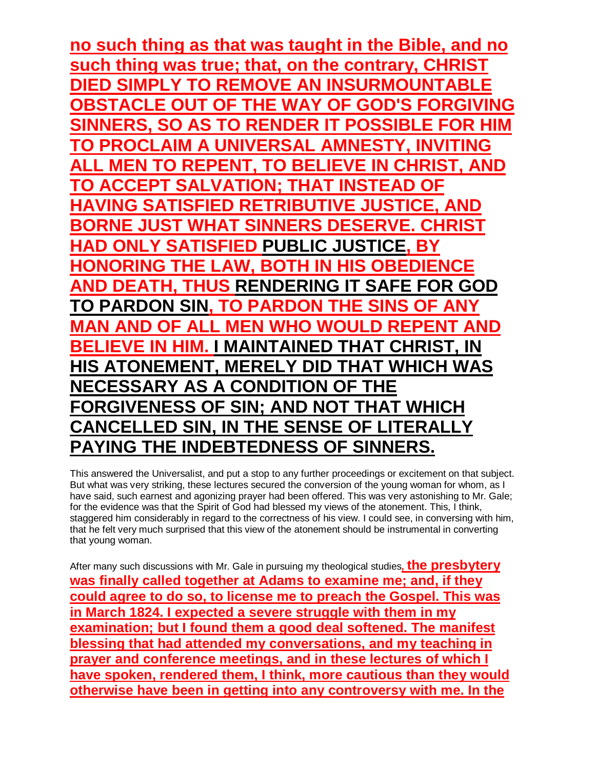**no such thing as that was taught in the Bible, and no such thing was true; that, on the contrary, CHRIST DIED SIMPLY TO REMOVE AN INSURMOU** L**E OUT OF THE WAY OF GOD'S FORGIVING SINNERS, SO AS TO RENDER IT POSSIBLE FOR HIM TO PROCLAIM A UNIVERSAL AMNESTY, INVITING ALL MEN TO REPENT, TO BELIEVE IN CHRIST, AND TO ACCEPT SALVATION; THAT INSTEAD OF HAVING SATISFIED RETRIBUTIVE JUSTICE, AND BORNE JUST WHAT SINNERS DESERVE. CHRIST HAD ONLY SATISFIED PUBLIC JUSTICE, BY HONORING THE LAW, BOTH IN HIS OBEDIENCE AND DEATH, THUS RENDERING IT SAFE FOR GOD TO PARDON SIN, TO PARDON THE SINS OF ANY MAN AND OF ALL MEN WHO WOULD REPENT AND BELIEVE IN HIM. I MAINTAINED THAT CHRIST, IN HIS ATONEMENT, MERELY DID THAT WHICH WAS NECESSARY AS A CONDITION OF THE FORGIVENESS OF SIN; AND NOT THAT WHICH CANCELLED SIN, IN THE SENSE OF LITERALLY PAYING THE INDEBTEDNESS OF SINNERS.**

This answered the Universalist, and put a stop to any further proceedings or excitement on that subject. But what was very striking, these lectures secured the conversion of the young woman for whom, as I have said, such earnest and agonizing prayer had been offered. This was very astonishing to Mr. Gale; for the evidence was that the Spirit of God had blessed my views of the atonement. This, I think, staggered him considerably in regard to the correctness of his view. I could see, in conversing with him, that he felt very much surprised that this view of the atonement should be instrumental in converting that young woman.

After many such discussions with Mr. Gale in pursuing my theological studies**, the presbytery was finally called together at Adams to examine me; and, if they could agree to do so, to license me to preach the Gospel. This was in March 1824. I expected a severe struggle with them in my examination; but I found them a good deal softened. The manifest blessing that had attended my conversations, and my teaching in prayer and conference meetings, and in these lectures of which I have spoken, rendered them, I think, more cautious than they would otherwise have been in getting into any controversy with me. In the**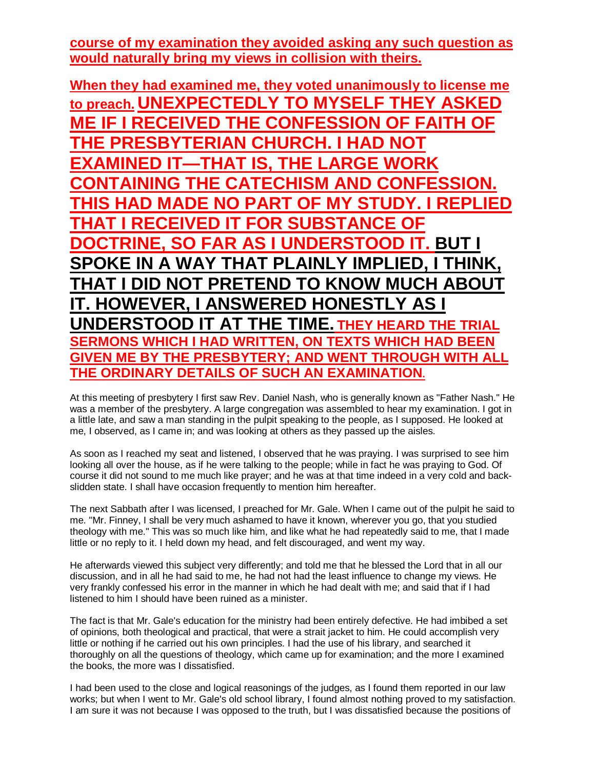**course of my examination they avoided asking any such question as would naturally bring my views in collision with theirs.**

**When they had examined me, they voted unanimously to license me to preach. UNEXPECTEDLY TO MYSELF THEY ASKED ME IF I RECEIVED THE CONFESSION OF FAITH OF THE PRESBYTERIAN CHURCH. I HAD NOT EXAMINED IT—THAT IS, THE LARGE WORK CONTAINING THE CATECHISM AND CONFESSION. THIS HAD MADE NO PART OF MY STUDY. I REPLIED THAT I RECEIVED IT FOR SUBSTANCE OF D** IT. BUT I **SPOKE IN A WAY THAT PLAINLY IMPLIED, I THINK, THAT I DID NOT PRETEND TO KNOW MUCH ABOUT IT. HOWEVER, I ANSWERED HONESTLY AS I UNDERSTOOD IT AT THE TIME. THEY HEARD THE TRIAL SERMONS WHICH I HAD WRITTEN, ON TEXTS WHICH HAD BEEN GIVEN ME BY THE PRESBYTERY; AND WENT THROUGH WITH ALL THE ORDINARY DETAILS OF SUCH AN EXAMINATION.**

At this meeting of presbytery I first saw Rev. Daniel Nash, who is generally known as "Father Nash." He was a member of the presbytery. A large congregation was assembled to hear my examination. I got in a little late, and saw a man standing in the pulpit speaking to the people, as I supposed. He looked at me, I observed, as I came in; and was looking at others as they passed up the aisles.

As soon as I reached my seat and listened, I observed that he was praying. I was surprised to see him looking all over the house, as if he were talking to the people; while in fact he was praying to God. Of course it did not sound to me much like prayer; and he was at that time indeed in a very cold and backslidden state. I shall have occasion frequently to mention him hereafter.

The next Sabbath after I was licensed, I preached for Mr. Gale. When I came out of the pulpit he said to me. "Mr. Finney, I shall be very much ashamed to have it known, wherever you go, that you studied theology with me." This was so much like him, and like what he had repeatedly said to me, that I made little or no reply to it. I held down my head, and felt discouraged, and went my way.

He afterwards viewed this subject very differently; and told me that he blessed the Lord that in all our discussion, and in all he had said to me, he had not had the least influence to change my views. He very frankly confessed his error in the manner in which he had dealt with me; and said that if I had listened to him I should have been ruined as a minister.

The fact is that Mr. Gale's education for the ministry had been entirely defective. He had imbibed a set of opinions, both theological and practical, that were a strait jacket to him. He could accomplish very little or nothing if he carried out his own principles. I had the use of his library, and searched it thoroughly on all the questions of theology, which came up for examination; and the more I examined the books, the more was I dissatisfied.

I had been used to the close and logical reasonings of the judges, as I found them reported in our law works; but when I went to Mr. Gale's old school library, I found almost nothing proved to my satisfaction. I am sure it was not because I was opposed to the truth, but I was dissatisfied because the positions of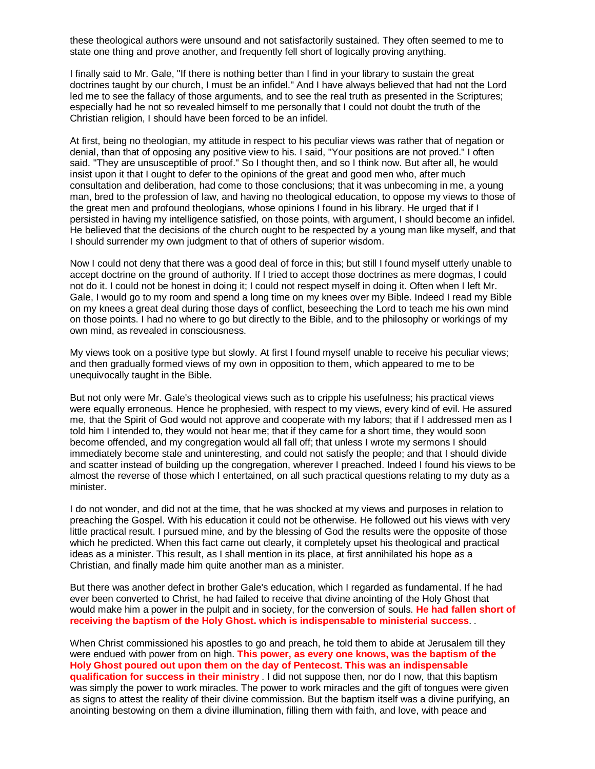these theological authors were unsound and not satisfactorily sustained. They often seemed to me to state one thing and prove another, and frequently fell short of logically proving anything.

I finally said to Mr. Gale, "If there is nothing better than I find in your library to sustain the great doctrines taught by our church, I must be an infidel." And I have always believed that had not the Lord led me to see the fallacy of those arguments, and to see the real truth as presented in the Scriptures; especially had he not so revealed himself to me personally that I could not doubt the truth of the Christian religion, I should have been forced to be an infidel.

At first, being no theologian, my attitude in respect to his peculiar views was rather that of negation or denial, than that of opposing any positive view to his. I said, "Your positions are not proved." I often said. "They are unsusceptible of proof." So I thought then, and so I think now. But after all, he would insist upon it that I ought to defer to the opinions of the great and good men who, after much consultation and deliberation, had come to those conclusions; that it was unbecoming in me, a young man, bred to the profession of law, and having no theological education, to oppose my views to those of the great men and profound theologians, whose opinions I found in his library. He urged that if I persisted in having my intelligence satisfied, on those points, with argument, I should become an infidel. He believed that the decisions of the church ought to be respected by a young man like myself, and that I should surrender my own judgment to that of others of superior wisdom.

Now I could not deny that there was a good deal of force in this; but still I found myself utterly unable to accept doctrine on the ground of authority. If I tried to accept those doctrines as mere dogmas, I could not do it. I could not be honest in doing it; I could not respect myself in doing it. Often when I left Mr. Gale, I would go to my room and spend a long time on my knees over my Bible. Indeed I read my Bible on my knees a great deal during those days of conflict, beseeching the Lord to teach me his own mind on those points. I had no where to go but directly to the Bible, and to the philosophy or workings of my own mind, as revealed in consciousness.

My views took on a positive type but slowly. At first I found myself unable to receive his peculiar views; and then gradually formed views of my own in opposition to them, which appeared to me to be unequivocally taught in the Bible.

But not only were Mr. Gale's theological views such as to cripple his usefulness; his practical views were equally erroneous. Hence he prophesied, with respect to my views, every kind of evil. He assured me, that the Spirit of God would not approve and cooperate with my labors; that if I addressed men as I told him I intended to, they would not hear me; that if they came for a short time, they would soon become offended, and my congregation would all fall off; that unless I wrote my sermons I should immediately become stale and uninteresting, and could not satisfy the people; and that I should divide and scatter instead of building up the congregation, wherever I preached. Indeed I found his views to be almost the reverse of those which I entertained, on all such practical questions relating to my duty as a minister.

I do not wonder, and did not at the time, that he was shocked at my views and purposes in relation to preaching the Gospel. With his education it could not be otherwise. He followed out his views with very little practical result. I pursued mine, and by the blessing of God the results were the opposite of those which he predicted. When this fact came out clearly, it completely upset his theological and practical ideas as a minister. This result, as I shall mention in its place, at first annihilated his hope as a Christian, and finally made him quite another man as a minister.

But there was another defect in brother Gale's education, which I regarded as fundamental. If he had ever been converted to Christ, he had failed to receive that divine anointing of the Holy Ghost that would make him a power in the pulpit and in society, for the conversion of souls. **He had fallen short of receiving the baptism of the Holy Ghost. which is indispensable to ministerial success**. .

When Christ commissioned his apostles to go and preach, he told them to abide at Jerusalem till they were endued with power from on high. **This power, as every one knows, was the baptism of the Holy Ghost poured out upon them on the day of Pentecost. This was an indispensable qualification for success in their ministry** . I did not suppose then, nor do I now, that this baptism was simply the power to work miracles. The power to work miracles and the gift of tongues were given as signs to attest the reality of their divine commission. But the baptism itself was a divine purifying, an anointing bestowing on them a divine illumination, filling them with faith, and love, with peace and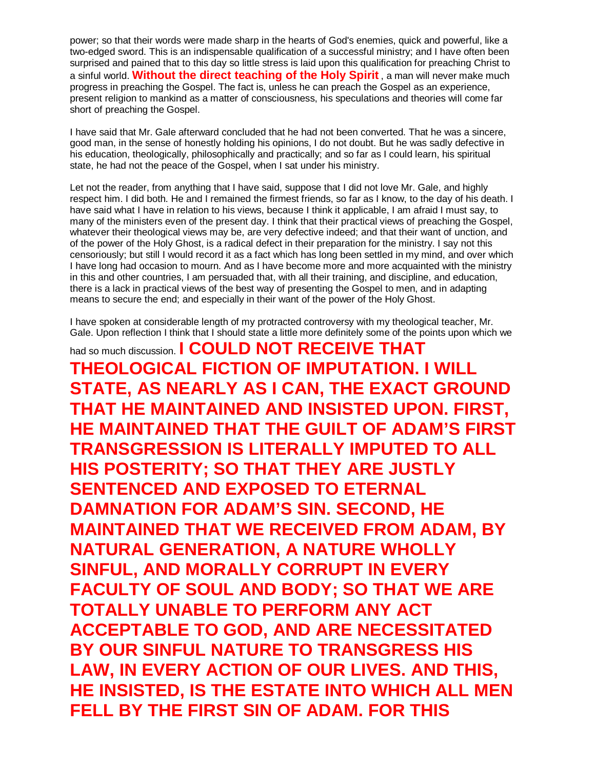power; so that their words were made sharp in the hearts of God's enemies, quick and powerful, like a two-edged sword. This is an indispensable qualification of a successful ministry; and I have often been surprised and pained that to this day so little stress is laid upon this qualification for preaching Christ to a sinful world. **Without the direct teaching of the Holy Spirit** , a man will never make much progress in preaching the Gospel. The fact is, unless he can preach the Gospel as an experience, present religion to mankind as a matter of consciousness, his speculations and theories will come far short of preaching the Gospel.

I have said that Mr. Gale afterward concluded that he had not been converted. That he was a sincere, good man, in the sense of honestly holding his opinions, I do not doubt. But he was sadly defective in his education, theologically, philosophically and practically; and so far as I could learn, his spiritual state, he had not the peace of the Gospel, when I sat under his ministry.

Let not the reader, from anything that I have said, suppose that I did not love Mr. Gale, and highly respect him. I did both. He and I remained the firmest friends, so far as I know, to the day of his death. I have said what I have in relation to his views, because I think it applicable, I am afraid I must say, to many of the ministers even of the present day. I think that their practical views of preaching the Gospel, whatever their theological views may be, are very defective indeed; and that their want of unction, and of the power of the Holy Ghost, is a radical defect in their preparation for the ministry. I say not this censoriously; but still I would record it as a fact which has long been settled in my mind, and over which I have long had occasion to mourn. And as I have become more and more acquainted with the ministry in this and other countries, I am persuaded that, with all their training, and discipline, and education, there is a lack in practical views of the best way of presenting the Gospel to men, and in adapting means to secure the end; and especially in their want of the power of the Holy Ghost.

I have spoken at considerable length of my protracted controversy with my theological teacher, Mr. Gale. Upon reflection I think that I should state a little more definitely some of the points upon which we

had so much discussion. **I COULD NOT RECEIVE THAT THEOLOGICAL FICTION OF IMPUTATION. I WILL STATE, AS NEARLY AS I CAN, THE EXACT GROUND THAT HE MAINTAINED AND INSISTED UPON. FIRST, HE MAINTAINED THAT THE GUILT OF ADAM'S FIRST TRANSGRESSION IS LITERALLY IMPUTED TO ALL HIS POSTERITY; SO THAT THEY ARE JUSTLY SENTENCED AND EXPOSED TO ETERNAL DAMNATION FOR ADAM'S SIN. SECOND, HE MAINTAINED THAT WE RECEIVED FROM ADAM, BY NATURAL GENERATION, A NATURE WHOLLY SINFUL, AND MORALLY CORRUPT IN EVERY FACULTY OF SOUL AND BODY; SO THAT WE ARE TOTALLY UNABLE TO PERFORM ANY ACT ACCEPTABLE TO GOD, AND ARE NECESSITATED BY OUR SINFUL NATURE TO TRANSGRESS HIS LAW, IN EVERY ACTION OF OUR LIVES. AND THIS, HE INSISTED, IS THE ESTATE INTO WHICH ALL MEN FELL BY THE FIRST SIN OF ADAM. FOR THIS**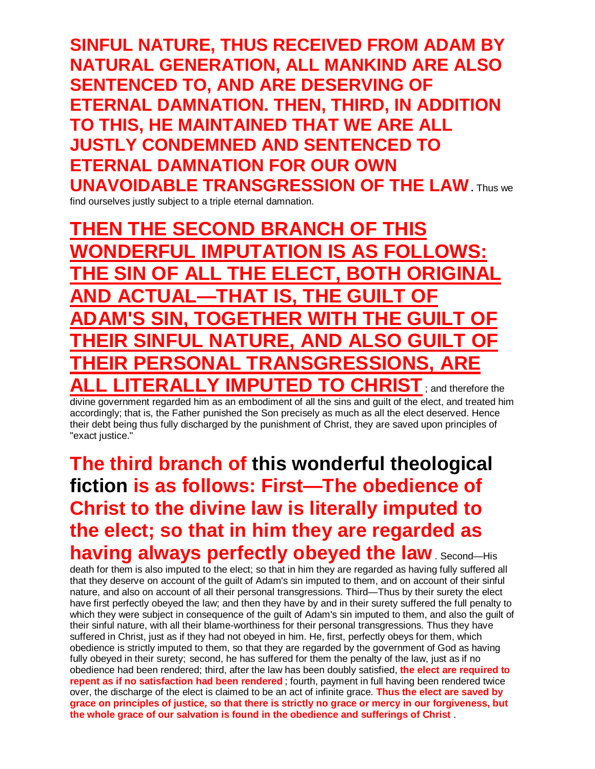**SINFUL NATURE, THUS RECEIVED FROM ADAM BY NATURAL GENERATION, ALL MANKIND ARE ALSO SENTENCED TO, AND ARE DESERVING OF ETERNAL DAMNATION. THEN, THIRD, IN ADDITION TO THIS, HE MAINTAINED THAT WE ARE ALL JUSTLY CONDEMNED AND SENTENCED TO ETERNAL DAMNATION FOR OUR OWN UNAVOIDABLE TRANSGRESSION OF THE LAW.** Thus we

find ourselves justly subject to a triple eternal damnation.

**THEN THE SECOND BRANCH OF THIS WONDERFUL IMPUTATION IS AS FOLLOWS: THE SIN OF ALL THE ELECT, BOTH ORIGINAL AND ACTUAL—THAT IS, THE GUILT OF ADAM'S SIN, TOGETHER WITH THE GUILT OF THEIR SINFUL NATURE, AND ALSO GUILT OF THEIR PERSONAL TRANSGRESSIONS, ARE PUTED TO CHRIST**; and therefore the

divine government regarded him as an embodiment of all the sins and guilt of the elect, and treated him accordingly; that is, the Father punished the Son precisely as much as all the elect deserved. Hence their debt being thus fully discharged by the punishment of Christ, they are saved upon principles of "exact justice."

## **The third branch of this wonderful theological fiction is as follows: First—The obedience of Christ to the divine law is literally imputed to the elect; so that in him they are regarded as having always perfectly obeyed the law**. Second—His

death for them is also imputed to the elect; so that in him they are regarded as having fully suffered all that they deserve on account of the guilt of Adam's sin imputed to them, and on account of their sinful nature, and also on account of all their personal transgressions. Third—Thus by their surety the elect have first perfectly obeyed the law; and then they have by and in their surety suffered the full penalty to which they were subject in consequence of the guilt of Adam's sin imputed to them, and also the guilt of their sinful nature, with all their blame-worthiness for their personal transgressions. Thus they have suffered in Christ, just as if they had not obeyed in him. He, first, perfectly obeys for them, which obedience is strictly imputed to them, so that they are regarded by the government of God as having fully obeyed in their surety; second, he has suffered for them the penalty of the law, just as if no obedience had been rendered; third, after the law has been doubly satisfied, **the elect are required to repent as if no satisfaction had been rendered** ; fourth, payment in full having been rendered twice over, the discharge of the elect is claimed to be an act of infinite grace. **Thus the elect are saved by grace on principles of justice, so that there is strictly no grace or mercy in our forgiveness, but the whole grace of our salvation is found in the obedience and sufferings of Christ** .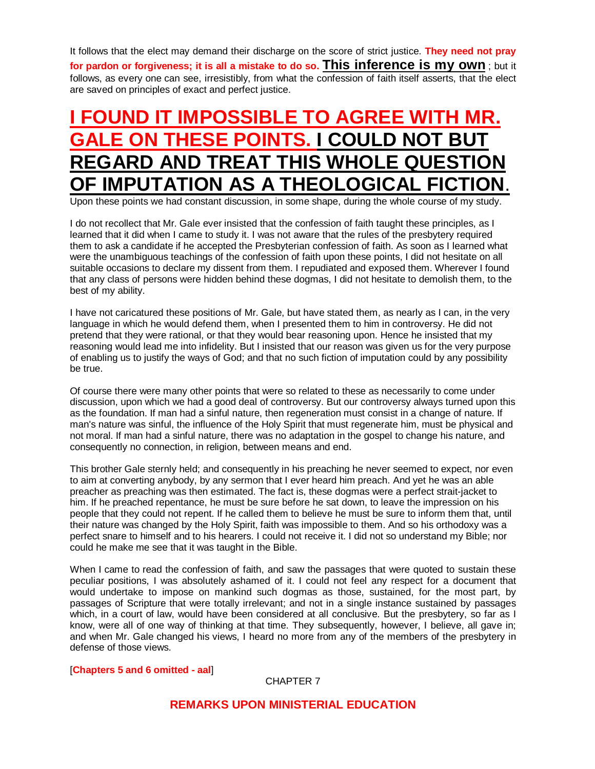It follows that the elect may demand their discharge on the score of strict justice. **They need not pray for pardon or forgiveness; it is all a mistake to do so. This inference is my own** ; but it follows, as every one can see, irresistibly, from what the confession of faith itself asserts, that the elect are saved on principles of exact and perfect justice.

## **I FOUND IT IMPOSSIBLE TO AGREE WITH MR. GALE ON THESE POINTS. I COULD NOT BUT REGARD AND TREAT THIS WHOLE QUESTION OF IMPUTATION AS A THEOLOGICAL FICTION**.

Upon these points we had constant discussion, in some shape, during the whole course of my study.

I do not recollect that Mr. Gale ever insisted that the confession of faith taught these principles, as I learned that it did when I came to study it. I was not aware that the rules of the presbytery required them to ask a candidate if he accepted the Presbyterian confession of faith. As soon as I learned what were the unambiguous teachings of the confession of faith upon these points, I did not hesitate on all suitable occasions to declare my dissent from them. I repudiated and exposed them. Wherever I found that any class of persons were hidden behind these dogmas, I did not hesitate to demolish them, to the best of my ability.

I have not caricatured these positions of Mr. Gale, but have stated them, as nearly as I can, in the very language in which he would defend them, when I presented them to him in controversy. He did not pretend that they were rational, or that they would bear reasoning upon. Hence he insisted that my reasoning would lead me into infidelity. But I insisted that our reason was given us for the very purpose of enabling us to justify the ways of God; and that no such fiction of imputation could by any possibility be true.

Of course there were many other points that were so related to these as necessarily to come under discussion, upon which we had a good deal of controversy. But our controversy always turned upon this as the foundation. If man had a sinful nature, then regeneration must consist in a change of nature. If man's nature was sinful, the influence of the Holy Spirit that must regenerate him, must be physical and not moral. If man had a sinful nature, there was no adaptation in the gospel to change his nature, and consequently no connection, in religion, between means and end.

This brother Gale sternly held; and consequently in his preaching he never seemed to expect, nor even to aim at converting anybody, by any sermon that I ever heard him preach. And yet he was an able preacher as preaching was then estimated. The fact is, these dogmas were a perfect strait-jacket to him. If he preached repentance, he must be sure before he sat down, to leave the impression on his people that they could not repent. If he called them to believe he must be sure to inform them that, until their nature was changed by the Holy Spirit, faith was impossible to them. And so his orthodoxy was a perfect snare to himself and to his hearers. I could not receive it. I did not so understand my Bible; nor could he make me see that it was taught in the Bible.

When I came to read the confession of faith, and saw the passages that were quoted to sustain these peculiar positions, I was absolutely ashamed of it. I could not feel any respect for a document that would undertake to impose on mankind such dogmas as those, sustained, for the most part, by passages of Scripture that were totally irrelevant; and not in a single instance sustained by passages which, in a court of law, would have been considered at all conclusive. But the presbytery, so far as I know, were all of one way of thinking at that time. They subsequently, however, I believe, all gave in; and when Mr. Gale changed his views, I heard no more from any of the members of the presbytery in defense of those views.

[**Chapters 5 and 6 omitted - aal**]

CHAPTER 7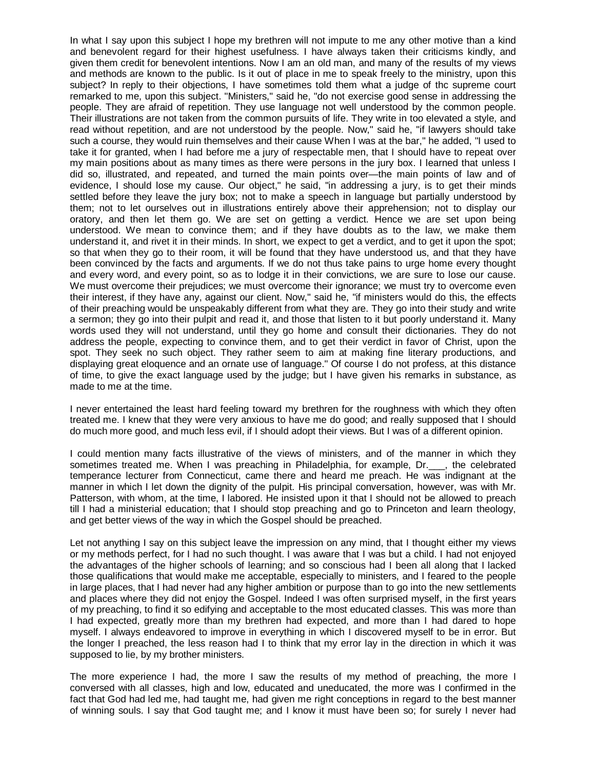In what I say upon this subject I hope my brethren will not impute to me any other motive than a kind and benevolent regard for their highest usefulness. I have always taken their criticisms kindly, and given them credit for benevolent intentions. Now I am an old man, and many of the results of my views and methods are known to the public. Is it out of place in me to speak freely to the ministry, upon this subject? In reply to their objections, I have sometimes told them what a judge of thc supreme court remarked to me, upon this subject. "Ministers," said he, "do not exercise good sense in addressing the people. They are afraid of repetition. They use language not well understood by the common people. Their illustrations are not taken from the common pursuits of life. They write in too elevated a style, and read without repetition, and are not understood by the people. Now," said he, "if lawyers should take such a course, they would ruin themselves and their cause When I was at the bar," he added, "I used to take it for granted, when I had before me a jury of respectable men, that I should have to repeat over my main positions about as many times as there were persons in the jury box. I learned that unless I did so, illustrated, and repeated, and turned the main points over—the main points of law and of evidence, I should lose my cause. Our object," he said, "in addressing a jury, is to get their minds settled before they leave the jury box; not to make a speech in language but partially understood by them; not to let ourselves out in illustrations entirely above their apprehension; not to display our oratory, and then let them go. We are set on getting a verdict. Hence we are set upon being understood. We mean to convince them; and if they have doubts as to the law, we make them understand it, and rivet it in their minds. In short, we expect to get a verdict, and to get it upon the spot; so that when they go to their room, it will be found that they have understood us, and that they have been convinced by the facts and arguments. If we do not thus take pains to urge home every thought and every word, and every point, so as to lodge it in their convictions, we are sure to lose our cause. We must overcome their prejudices; we must overcome their ignorance; we must try to overcome even their interest, if they have any, against our client. Now," said he, "if ministers would do this, the effects of their preaching would be unspeakably different from what they are. They go into their study and write a sermon; they go into their pulpit and read it, and those that listen to it but poorly understand it. Many words used they will not understand, until they go home and consult their dictionaries. They do not address the people, expecting to convince them, and to get their verdict in favor of Christ, upon the spot. They seek no such object. They rather seem to aim at making fine literary productions, and displaying great eloquence and an ornate use of language." Of course I do not profess, at this distance of time, to give the exact language used by the judge; but I have given his remarks in substance, as made to me at the time.

I never entertained the least hard feeling toward my brethren for the roughness with which they often treated me. I knew that they were very anxious to have me do good; and really supposed that I should do much more good, and much less evil, if I should adopt their views. But I was of a different opinion.

I could mention many facts illustrative of the views of ministers, and of the manner in which they sometimes treated me. When I was preaching in Philadelphia, for example, Dr.\_\_\_, the celebrated temperance lecturer from Connecticut, came there and heard me preach. He was indignant at the manner in which I let down the dignity of the pulpit. His principal conversation, however, was with Mr. Patterson, with whom, at the time, I labored. He insisted upon it that I should not be allowed to preach till I had a ministerial education; that I should stop preaching and go to Princeton and learn theology, and get better views of the way in which the Gospel should be preached.

Let not anything I say on this subject leave the impression on any mind, that I thought either my views or my methods perfect, for I had no such thought. I was aware that I was but a child. I had not enjoyed the advantages of the higher schools of learning; and so conscious had I been all along that I lacked those qualifications that would make me acceptable, especially to ministers, and I feared to the people in large places, that I had never had any higher ambition or purpose than to go into the new settlements and places where they did not enjoy the Gospel. Indeed I was often surprised myself, in the first years of my preaching, to find it so edifying and acceptable to the most educated classes. This was more than I had expected, greatly more than my brethren had expected, and more than I had dared to hope myself. I always endeavored to improve in everything in which I discovered myself to be in error. But the longer I preached, the less reason had I to think that my error lay in the direction in which it was supposed to lie, by my brother ministers.

The more experience I had, the more I saw the results of my method of preaching, the more I conversed with all classes, high and low, educated and uneducated, the more was I confirmed in the fact that God had led me, had taught me, had given me right conceptions in regard to the best manner of winning souls. I say that God taught me; and I know it must have been so; for surely I never had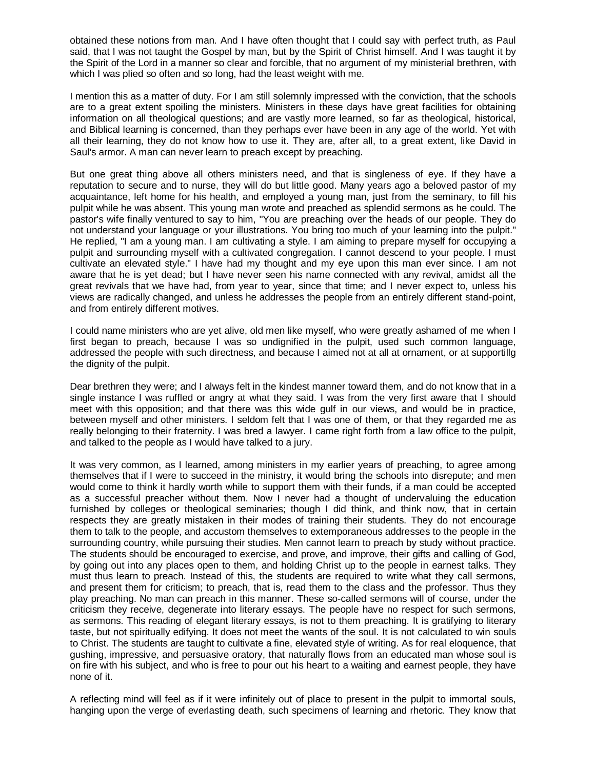obtained these notions from man. And I have often thought that I could say with perfect truth, as Paul said, that I was not taught the Gospel by man, but by the Spirit of Christ himself. And I was taught it by the Spirit of the Lord in a manner so clear and forcible, that no argument of my ministerial brethren, with which I was plied so often and so long, had the least weight with me.

I mention this as a matter of duty. For I am still solemnly impressed with the conviction, that the schools are to a great extent spoiling the ministers. Ministers in these days have great facilities for obtaining information on all theological questions; and are vastly more learned, so far as theological, historical, and Biblical learning is concerned, than they perhaps ever have been in any age of the world. Yet with all their learning, they do not know how to use it. They are, after all, to a great extent, like David in Saul's armor. A man can never learn to preach except by preaching.

But one great thing above all others ministers need, and that is singleness of eye. If they have a reputation to secure and to nurse, they will do but little good. Many years ago a beloved pastor of my acquaintance, left home for his health, and employed a young man, just from the seminary, to fill his pulpit while he was absent. This young man wrote and preached as splendid sermons as he could. The pastor's wife finally ventured to say to him, "You are preaching over the heads of our people. They do not understand your language or your illustrations. You bring too much of your learning into the pulpit." He replied, "I am a young man. I am cultivating a style. I am aiming to prepare myself for occupying a pulpit and surrounding myself with a cultivated congregation. I cannot descend to your people. I must cultivate an elevated style." I have had my thought and my eye upon this man ever since. I am not aware that he is yet dead; but I have never seen his name connected with any revival, amidst all the great revivals that we have had, from year to year, since that time; and I never expect to, unless his views are radically changed, and unless he addresses the people from an entirely different stand-point, and from entirely different motives.

I could name ministers who are yet alive, old men like myself, who were greatly ashamed of me when I first began to preach, because I was so undignified in the pulpit, used such common language, addressed the people with such directness, and because I aimed not at all at ornament, or at supportillg the dignity of the pulpit.

Dear brethren they were; and I always felt in the kindest manner toward them, and do not know that in a single instance I was ruffled or angry at what they said. I was from the very first aware that I should meet with this opposition; and that there was this wide gulf in our views, and would be in practice, between myself and other ministers. I seldom felt that I was one of them, or that they regarded me as really belonging to their fraternity. I was bred a lawyer. I came right forth from a law office to the pulpit, and talked to the people as I would have talked to a jury.

It was very common, as I learned, among ministers in my earlier years of preaching, to agree among themselves that if I were to succeed in the ministry, it would bring the schools into disrepute; and men would come to think it hardly worth while to support them with their funds, if a man could be accepted as a successful preacher without them. Now I never had a thought of undervaluing the education furnished by colleges or theological seminaries; though I did think, and think now, that in certain respects they are greatly mistaken in their modes of training their students. They do not encourage them to talk to the people, and accustom themselves to extemporaneous addresses to the people in the surrounding country, while pursuing their studies. Men cannot learn to preach by study without practice. The students should be encouraged to exercise, and prove, and improve, their gifts and calling of God, by going out into any places open to them, and holding Christ up to the people in earnest talks. They must thus learn to preach. Instead of this, the students are required to write what they call sermons, and present them for criticism; to preach, that is, read them to the class and the professor. Thus they play preaching. No man can preach in this manner. These so-called sermons will of course, under the criticism they receive, degenerate into literary essays. The people have no respect for such sermons, as sermons. This reading of elegant literary essays, is not to them preaching. It is gratifying to literary taste, but not spiritually edifying. It does not meet the wants of the soul. It is not calculated to win souls to Christ. The students are taught to cultivate a fine, elevated style of writing. As for real eloquence, that gushing, impressive, and persuasive oratory, that naturally flows from an educated man whose soul is on fire with his subject, and who is free to pour out his heart to a waiting and earnest people, they have none of it.

A reflecting mind will feel as if it were infinitely out of place to present in the pulpit to immortal souls, hanging upon the verge of everlasting death, such specimens of learning and rhetoric. They know that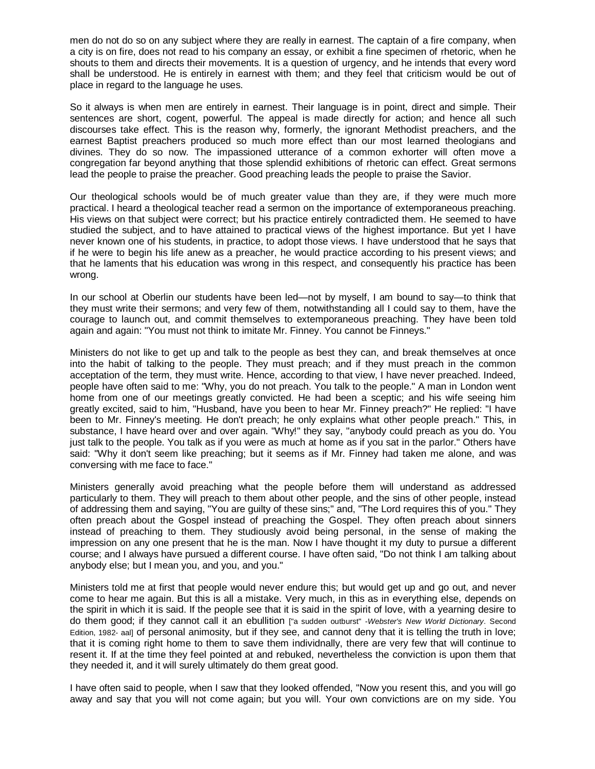men do not do so on any subject where they are really in earnest. The captain of a fire company, when a city is on fire, does not read to his company an essay, or exhibit a fine specimen of rhetoric, when he shouts to them and directs their movements. It is a question of urgency, and he intends that every word shall be understood. He is entirely in earnest with them; and they feel that criticism would be out of place in regard to the language he uses.

So it always is when men are entirely in earnest. Their language is in point, direct and simple. Their sentences are short, cogent, powerful. The appeal is made directly for action; and hence all such discourses take effect. This is the reason why, formerly, the ignorant Methodist preachers, and the earnest Baptist preachers produced so much more effect than our most learned theologians and divines. They do so now. The impassioned utterance of a common exhorter will often move a congregation far beyond anything that those splendid exhibitions of rhetoric can effect. Great sermons lead the people to praise the preacher. Good preaching leads the people to praise the Savior.

Our theological schools would be of much greater value than they are, if they were much more practical. I heard a theological teacher read a sermon on the importance of extemporaneous preaching. His views on that subject were correct; but his practice entirely contradicted them. He seemed to have studied the subject, and to have attained to practical views of the highest importance. But yet I have never known one of his students, in practice, to adopt those views. I have understood that he says that if he were to begin his life anew as a preacher, he would practice according to his present views; and that he laments that his education was wrong in this respect, and consequently his practice has been wrong.

In our school at Oberlin our students have been led—not by myself, I am bound to say—to think that they must write their sermons; and very few of them, notwithstanding all I could say to them, have the courage to launch out, and commit themselves to extemporaneous preaching. They have been told again and again: "You must not think to imitate Mr. Finney. You cannot be Finneys."

Ministers do not like to get up and talk to the people as best they can, and break themselves at once into the habit of talking to the people. They must preach; and if they must preach in the common acceptation of the term, they must write. Hence, according to that view, I have never preached. Indeed, people have often said to me: "Why, you do not preach. You talk to the people." A man in London went home from one of our meetings greatly convicted. He had been a sceptic; and his wife seeing him greatly excited, said to him, "Husband, have you been to hear Mr. Finney preach?" He replied: "I have been to Mr. Finney's meeting. He don't preach; he only explains what other people preach." This, in substance, I have heard over and over again. "Why!" they say, "anybody could preach as you do. You just talk to the people. You talk as if you were as much at home as if you sat in the parlor." Others have said: "Why it don't seem like preaching; but it seems as if Mr. Finney had taken me alone, and was conversing with me face to face."

Ministers generally avoid preaching what the people before them will understand as addressed particularly to them. They will preach to them about other people, and the sins of other people, instead of addressing them and saying, "You are guilty of these sins;" and, "The Lord requires this of you." They often preach about the Gospel instead of preaching the Gospel. They often preach about sinners instead of preaching to them. They studiously avoid being personal, in the sense of making the impression on any one present that he is the man. Now I have thought it my duty to pursue a different course; and I always have pursued a different course. I have often said, "Do not think I am talking about anybody else; but I mean you, and you, and you."

Ministers told me at first that people would never endure this; but would get up and go out, and never come to hear me again. But this is all a mistake. Very much, in this as in everything else, depends on the spirit in which it is said. If the people see that it is said in the spirit of love, with a yearning desire to do them good; if they cannot call it an ebullition ["a sudden outburst" -*Webster's New World Dictionary*. Second Edition, 1982- aal] of personal animosity, but if they see, and cannot deny that it is telling the truth in love; that it is coming right home to them to save them individnally, there are very few that will continue to resent it. If at the time they feel pointed at and rebuked, nevertheless the conviction is upon them that they needed it, and it will surely ultimately do them great good.

I have often said to people, when I saw that they looked offended, "Now you resent this, and you will go away and say that you will not come again; but you will. Your own convictions are on my side. You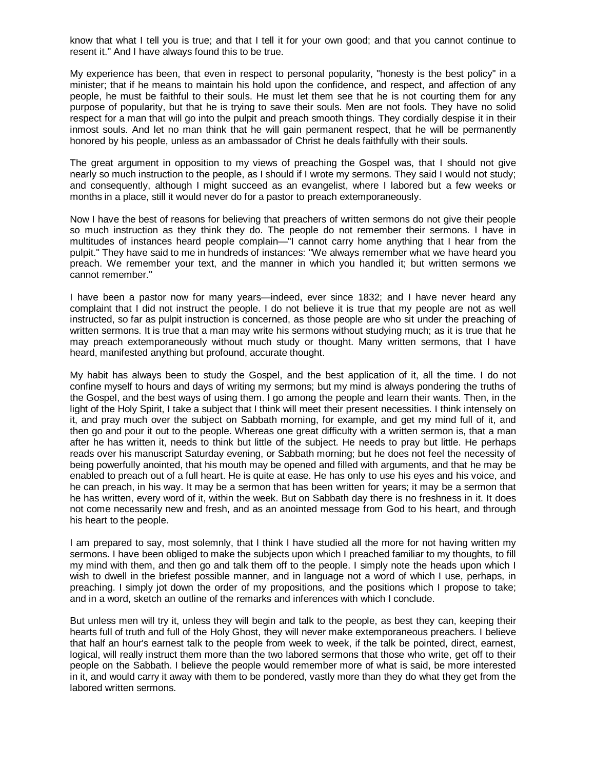know that what I tell you is true; and that I tell it for your own good; and that you cannot continue to resent it." And I have always found this to be true.

My experience has been, that even in respect to personal popularity, "honesty is the best policy" in a minister; that if he means to maintain his hold upon the confidence, and respect, and affection of any people, he must be faithful to their souls. He must let them see that he is not courting them for any purpose of popularity, but that he is trying to save their souls. Men are not fools. They have no solid respect for a man that will go into the pulpit and preach smooth things. They cordially despise it in their inmost souls. And let no man think that he will gain permanent respect, that he will be permanently honored by his people, unless as an ambassador of Christ he deals faithfully with their souls.

The great argument in opposition to my views of preaching the Gospel was, that I should not give nearly so much instruction to the people, as I should if I wrote my sermons. They said I would not study; and consequently, although I might succeed as an evangelist, where I labored but a few weeks or months in a place, still it would never do for a pastor to preach extemporaneously.

Now I have the best of reasons for believing that preachers of written sermons do not give their people so much instruction as they think they do. The people do not remember their sermons. I have in multitudes of instances heard people complain—"I cannot carry home anything that I hear from the pulpit." They have said to me in hundreds of instances: "We always remember what we have heard you preach. We remember your text, and the manner in which you handled it; but written sermons we cannot remember."

I have been a pastor now for many years—indeed, ever since 1832; and I have never heard any complaint that I did not instruct the people. I do not believe it is true that my people are not as well instructed, so far as pulpit instruction is concerned, as those people are who sit under the preaching of written sermons. It is true that a man may write his sermons without studying much; as it is true that he may preach extemporaneously without much study or thought. Many written sermons, that I have heard, manifested anything but profound, accurate thought.

My habit has always been to study the Gospel, and the best application of it, all the time. I do not confine myself to hours and days of writing my sermons; but my mind is always pondering the truths of the Gospel, and the best ways of using them. I go among the people and learn their wants. Then, in the light of the Holy Spirit, I take a subject that I think will meet their present necessities. I think intensely on it, and pray much over the subject on Sabbath morning, for example, and get my mind full of it, and then go and pour it out to the people. Whereas one great difficulty with a written sermon is, that a man after he has written it, needs to think but little of the subject. He needs to pray but little. He perhaps reads over his manuscript Saturday evening, or Sabbath morning; but he does not feel the necessity of being powerfully anointed, that his mouth may be opened and filled with arguments, and that he may be enabled to preach out of a full heart. He is quite at ease. He has only to use his eyes and his voice, and he can preach, in his way. It may be a sermon that has been written for years; it may be a sermon that he has written, every word of it, within the week. But on Sabbath day there is no freshness in it. It does not come necessarily new and fresh, and as an anointed message from God to his heart, and through his heart to the people.

I am prepared to say, most solemnly, that I think I have studied all the more for not having written my sermons. I have been obliged to make the subjects upon which I preached familiar to my thoughts, to fill my mind with them, and then go and talk them off to the people. I simply note the heads upon which I wish to dwell in the briefest possible manner, and in language not a word of which I use, perhaps, in preaching. I simply jot down the order of my propositions, and the positions which I propose to take; and in a word, sketch an outline of the remarks and inferences with which I conclude.

But unless men will try it, unless they will begin and talk to the people, as best they can, keeping their hearts full of truth and full of the Holy Ghost, they will never make extemporaneous preachers. I believe that half an hour's earnest talk to the people from week to week, if the talk be pointed, direct, earnest, logical, will really instruct them more than the two labored sermons that those who write, get off to their people on the Sabbath. I believe the people would remember more of what is said, be more interested in it, and would carry it away with them to be pondered, vastly more than they do what they get from the labored written sermons.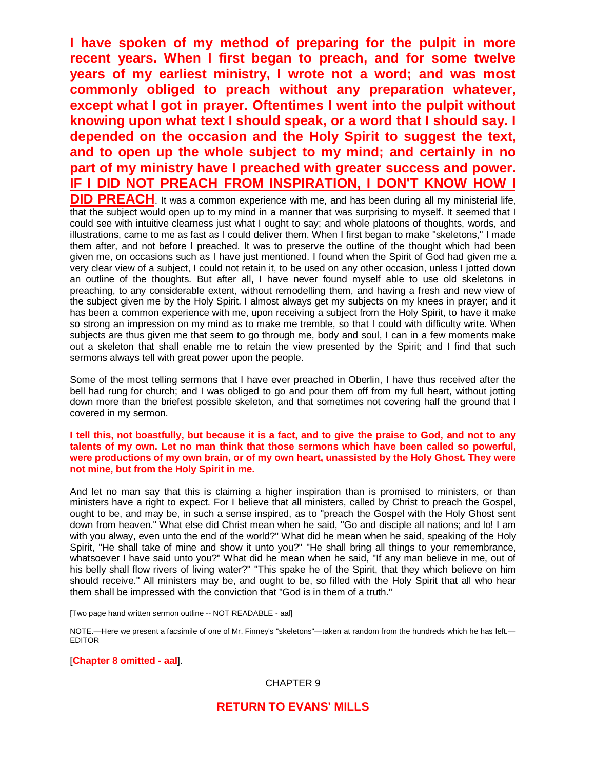**I have spoken of my method of preparing for the pulpit in more recent years. When I first began to preach, and for some twelve years of my earliest ministry, I wrote not a word; and was most commonly obliged to preach without any preparation whatever, except what I got in prayer. Oftentimes I went into the pulpit without knowing upon what text I should speak, or a word that I should say. I depended on the occasion and the Holy Spirit to suggest the text, and to open up the whole subject to my mind; and certainly in no part of my ministry have I preached with greater success and power. IF I DID NOT PREACH FROM INSPIRATION, I DON'T KNOW HOW I**

**DID PREACH**. It was a common experience with me, and has been during all my ministerial life, that the subject would open up to my mind in a manner that was surprising to myself. It seemed that I could see with intuitive clearness just what I ought to say; and whole platoons of thoughts, words, and illustrations, came to me as fast as I could deliver them. When I first began to make "skeletons," I made them after, and not before I preached. It was to preserve the outline of the thought which had been given me, on occasions such as I have just mentioned. I found when the Spirit of God had given me a very clear view of a subject, I could not retain it, to be used on any other occasion, unless I jotted down an outline of the thoughts. But after all, I have never found myself able to use old skeletons in preaching, to any considerable extent, without remodelling them, and having a fresh and new view of the subject given me by the Holy Spirit. I almost always get my subjects on my knees in prayer; and it has been a common experience with me, upon receiving a subject from the Holy Spirit, to have it make so strong an impression on my mind as to make me tremble, so that I could with difficulty write. When subjects are thus given me that seem to go through me, body and soul, I can in a few moments make out a skeleton that shall enable me to retain the view presented by the Spirit; and I find that such sermons always tell with great power upon the people.

Some of the most telling sermons that I have ever preached in Oberlin, I have thus received after the bell had rung for church; and I was obliged to go and pour them off from my full heart, without jotting down more than the briefest possible skeleton, and that sometimes not covering half the ground that I covered in my sermon.

#### I tell this, not boastfully, but because it is a fact, and to give the praise to God, and not to any **talents of my own. Let no man think that those sermons which have been called so powerful, were productions of my own brain, or of my own heart, unassisted by the Holy Ghost. They were not mine, but from the Holy Spirit in me.**

And let no man say that this is claiming a higher inspiration than is promised to ministers, or than ministers have a right to expect. For I believe that all ministers, called by Christ to preach the Gospel, ought to be, and may be, in such a sense inspired, as to "preach the Gospel with the Holy Ghost sent down from heaven." What else did Christ mean when he said, "Go and disciple all nations; and lo! I am with you alway, even unto the end of the world?" What did he mean when he said, speaking of the Holy Spirit, "He shall take of mine and show it unto you?" "He shall bring all things to your remembrance, whatsoever I have said unto you?" What did he mean when he said, "If any man believe in me, out of his belly shall flow rivers of living water?" "This spake he of the Spirit, that they which believe on him should receive." All ministers may be, and ought to be, so filled with the Holy Spirit that all who hear them shall be impressed with the conviction that "God is in them of a truth."

[Two page hand written sermon outline -- NOT READABLE - aal]

NOTE.—Here we present a facsimile of one of Mr. Finney's "skeletons"—taken at random from the hundreds which he has left.— EDITOR

#### [**Chapter 8 omitted - aal**].

CHAPTER 9

## **RETURN TO EVANS' MILLS**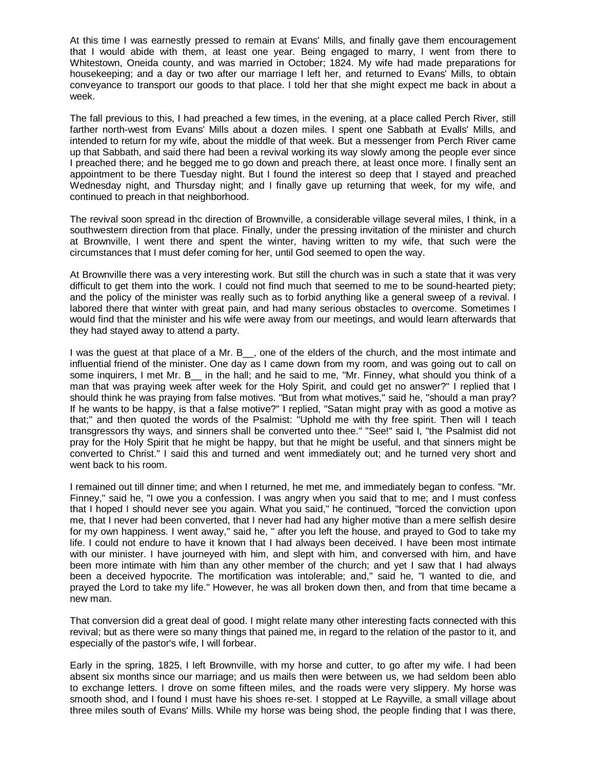At this time I was earnestly pressed to remain at Evans' Mills, and finally gave them encouragement that I would abide with them, at least one year. Being engaged to marry, I went from there to Whitestown, Oneida county, and was married in October; 1824. My wife had made preparations for housekeeping; and a day or two after our marriage I left her, and returned to Evans' Mills, to obtain conveyance to transport our goods to that place. I told her that she might expect me back in about a week.

The fall previous to this, I had preached a few times, in the evening, at a place called Perch River, still farther north-west from Evans' Mills about a dozen miles. I spent one Sabbath at Evalls' Mills, and intended to return for my wife, about the middle of that week. But a messenger from Perch River came up that Sabbath, and said there had been a revival working its way slowly among the people ever since I preached there; and he begged me to go down and preach there, at least once more. I finally sent an appointment to be there Tuesday night. But I found the interest so deep that I stayed and preached Wednesday night, and Thursday night; and I finally gave up returning that week, for my wife, and continued to preach in that neighborhood.

The revival soon spread in thc direction of Brownville, a considerable village several miles, I think, in a southwestern direction from that place. Finally, under the pressing invitation of the minister and church at Brownville, I went there and spent the winter, having written to my wife, that such were the circumstances that I must defer coming for her, until God seemed to open the way.

At Brownville there was a very interesting work. But still the church was in such a state that it was very difficult to get them into the work. I could not find much that seemed to me to be sound-hearted piety; and the policy of the minister was really such as to forbid anything like a general sweep of a revival. I labored there that winter with great pain, and had many serious obstacles to overcome. Sometimes I would find that the minister and his wife were away from our meetings, and would learn afterwards that they had stayed away to attend a party.

I was the guest at that place of a Mr. B\_\_, one of the elders of the church, and the most intimate and influential friend of the minister. One day as I came down from my room, and was going out to call on some inquirers, I met Mr. B in the hall; and he said to me, "Mr. Finney, what should you think of a man that was praying week after week for the Holy Spirit, and could get no answer?" I replied that I should think he was praying from false motives. "But from what motives," said he, "should a man pray? If he wants to be happy, is that a false motive?" I replied, "Satan might pray with as good a motive as that;" and then quoted the words of the Psalmist: "Uphold me with thy free spirit. Then will I teach transgressors thy ways, and sinners shall be converted unto thee." "See!" said I, "the Psalmist did not pray for the Holy Spirit that he might be happy, but that he might be useful, and that sinners might be converted to Christ." I said this and turned and went immediately out; and he turned very short and went back to his room.

I remained out till dinner time; and when I returned, he met me, and immediately began to confess. "Mr. Finney," said he, "I owe you a confession. I was angry when you said that to me; and I must confess that I hoped I should never see you again. What you said," he continued, "forced the conviction upon me, that I never had been converted, that I never had had any higher motive than a mere selfish desire for my own happiness. I went away," said he, " after you left the house, and prayed to God to take my life. I could not endure to have it known that I had always been deceived. I have been most intimate with our minister. I have journeyed with him, and slept with him, and conversed with him, and have been more intimate with him than any other member of the church; and yet I saw that I had always been a deceived hypocrite. The mortification was intolerable; and," said he, "I wanted to die, and prayed the Lord to take my life." However, he was all broken down then, and from that time became a new man.

That conversion did a great deal of good. I might relate many other interesting facts connected with this revival; but as there were so many things that pained me, in regard to the relation of the pastor to it, and especially of the pastor's wife, I will forbear.

Early in the spring, 1825, I left Brownville, with my horse and cutter, to go after my wife. I had been absent six months since our marriage; and us mails then were between us, we had seldom been ablo to exchange letters. I drove on some fifteen miles, and the roads were very slippery. My horse was smooth shod, and I found I must have his shoes re-set. I stopped at Le Rayville, a small village about three miles south of Evans' Mills. While my horse was being shod, the people finding that I was there,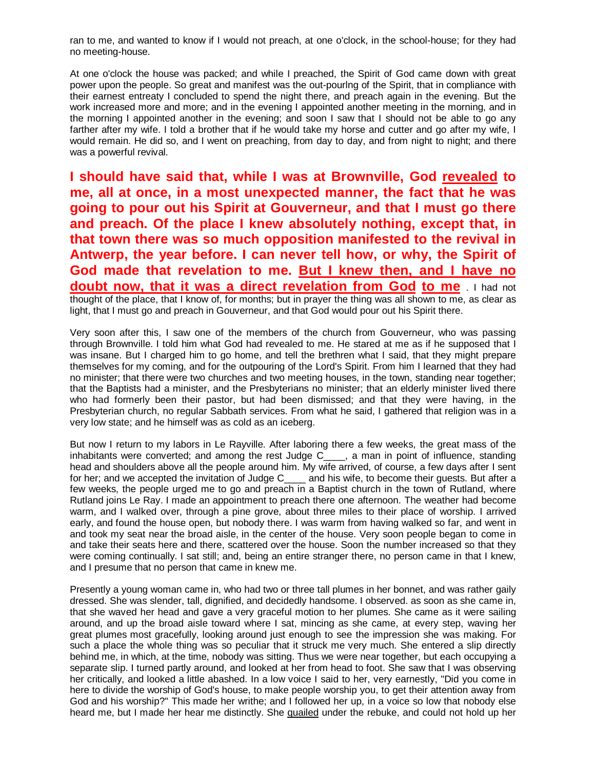ran to me, and wanted to know if I would not preach, at one o'clock, in the school-house; for they had no meeting-house.

At one o'clock the house was packed; and while I preached, the Spirit of God came down with great power upon the people. So great and manifest was the out-pourlng of the Spirit, that in compliance with their earnest entreaty I concluded to spend the night there, and preach again in the evening. But the work increased more and more; and in the evening I appointed another meeting in the morning, and in the morning I appointed another in the evening; and soon I saw that I should not be able to go any farther after my wife. I told a brother that if he would take my horse and cutter and go after my wife, I would remain. He did so, and I went on preaching, from day to day, and from night to night; and there was a powerful revival.

**I should have said that, while I was at Brownville, God revealed to me, all at once, in a most unexpected manner, the fact that he was going to pour out his Spirit at Gouverneur, and that I must go there and preach. Of the place I knew absolutely nothing, except that, in that town there was so much opposition manifested to the revival in Antwerp, the year before. I can never tell how, or why, the Spirit of God made that revelation to me. But I knew then, and I have no doubt now, that it was a direct revelation from God to me** . I had not thought of the place, that I know of, for months; but in prayer the thing was all shown to me, as clear as light, that I must go and preach in Gouverneur, and that God would pour out his Spirit there.

Very soon after this, I saw one of the members of the church from Gouverneur, who was passing through Brownville. I told him what God had revealed to me. He stared at me as if he supposed that I was insane. But I charged him to go home, and tell the brethren what I said, that they might prepare themselves for my coming, and for the outpouring of the Lord's Spirit. From him I learned that they had no minister; that there were two churches and two meeting houses, in the town, standing near together; that the Baptists had a minister, and the Presbyterians no minister; that an elderly minister lived there who had formerly been their pastor, but had been dismissed; and that they were having, in the Presbyterian church, no regular Sabbath services. From what he said, I gathered that religion was in a very low state; and he himself was as cold as an iceberg.

But now I return to my labors in Le Rayville. After laboring there a few weeks, the great mass of the inhabitants were converted; and among the rest Judge  $C_{\underline{\hspace{1cm}}}$ , a man in point of influence, standing head and shoulders above all the people around him. My wife arrived, of course, a few days after I sent for her; and we accepted the invitation of Judge C\_\_\_\_ and his wife, to become their guests. But after a few weeks, the people urged me to go and preach in a Baptist church in the town of Rutland, where Rutland joins Le Ray. I made an appointment to preach there one afternoon. The weather had become warm, and I walked over, through a pine grove, about three miles to their place of worship. I arrived early, and found the house open, but nobody there. I was warm from having walked so far, and went in and took my seat near the broad aisle, in the center of the house. Very soon people began to come in and take their seats here and there, scattered over the house. Soon the number increased so that they were coming continually. I sat still; and, being an entire stranger there, no person came in that I knew, and I presume that no person that came in knew me.

Presently a young woman came in, who had two or three tall plumes in her bonnet, and was rather gaily dressed. She was slender, tall, dignified, and decidedly handsome. I observed. as soon as she came in, that she waved her head and gave a very graceful motion to her plumes. She came as it were sailing around, and up the broad aisle toward where I sat, mincing as she came, at every step, waving her great plumes most gracefully, looking around just enough to see the impression she was making. For such a place the whole thing was so peculiar that it struck me very much. She entered a slip directly behind me, in which, at the time, nobody was sitting. Thus we were near together, but each occupying a separate slip. I turned partly around, and looked at her from head to foot. She saw that I was observing her critically, and looked a little abashed. In a low voice I said to her, very earnestly, "Did you come in here to divide the worship of God's house, to make people worship you, to get their attention away from God and his worship?" This made her writhe; and I followed her up, in a voice so low that nobody else heard me, but I made her hear me distinctly. She quailed under the rebuke, and could not hold up her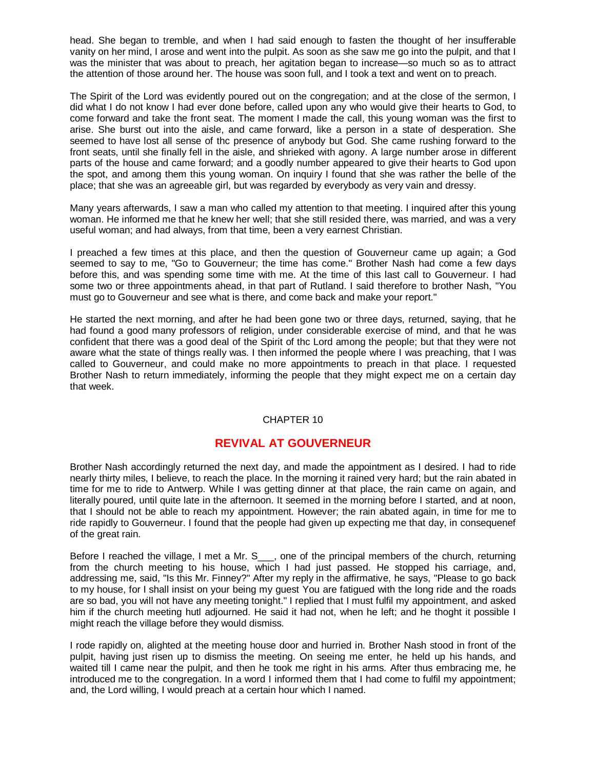head. She began to tremble, and when I had said enough to fasten the thought of her insufferable vanity on her mind, I arose and went into the pulpit. As soon as she saw me go into the pulpit, and that I was the minister that was about to preach, her agitation began to increase—so much so as to attract the attention of those around her. The house was soon full, and I took a text and went on to preach.

The Spirit of the Lord was evidently poured out on the congregation; and at the close of the sermon, I did what I do not know I had ever done before, called upon any who would give their hearts to God, to come forward and take the front seat. The moment I made the call, this young woman was the first to arise. She burst out into the aisle, and came forward, like a person in a state of desperation. She seemed to have lost all sense of thc presence of anybody but God. She came rushing forward to the front seats, until she finally fell in the aisle, and shrieked with agony. A large number arose in different parts of the house and came forward; and a goodly number appeared to give their hearts to God upon the spot, and among them this young woman. On inquiry I found that she was rather the belle of the place; that she was an agreeable girl, but was regarded by everybody as very vain and dressy.

Many years afterwards, I saw a man who called my attention to that meeting. I inquired after this young woman. He informed me that he knew her well; that she still resided there, was married, and was a very useful woman; and had always, from that time, been a very earnest Christian.

I preached a few times at this place, and then the question of Gouverneur came up again; a God seemed to say to me, "Go to Gouverneur; the time has come." Brother Nash had come a few days before this, and was spending some time with me. At the time of this last call to Gouverneur. I had some two or three appointments ahead, in that part of Rutland. I said therefore to brother Nash, "You must go to Gouverneur and see what is there, and come back and make your report."

He started the next morning, and after he had been gone two or three days, returned, saying, that he had found a good many professors of religion, under considerable exercise of mind, and that he was confident that there was a good deal of the Spirit of thc Lord among the people; but that they were not aware what the state of things really was. I then informed the people where I was preaching, that I was called to Gouverneur, and could make no more appointments to preach in that place. I requested Brother Nash to return immediately, informing the people that they might expect me on a certain day that week.

#### CHAPTER 10

## **REVIVAL AT GOUVERNEUR**

Brother Nash accordingly returned the next day, and made the appointment as I desired. I had to ride nearly thirty miles, I believe, to reach the place. In the morning it rained very hard; but the rain abated in time for me to ride to Antwerp. While I was getting dinner at that place, the rain came on again, and literally poured, until quite late in the afternoon. It seemed in the morning before I started, and at noon, that I should not be able to reach my appointment. However; the rain abated again, in time for me to ride rapidly to Gouverneur. I found that the people had given up expecting me that day, in consequenef of the great rain.

Before I reached the village, I met a Mr. S<sub>\_\_\_</sub>, one of the principal members of the church, returning from the church meeting to his house, which I had just passed. He stopped his carriage, and, addressing me, said, "Is this Mr. Finney?" After my reply in the affirmative, he says, "Please to go back to my house, for I shall insist on your being my guest You are fatigued with the long ride and the roads are so bad, you will not have any meeting tonight." I replied that I must fulfil my appointment, and asked him if the church meeting hutl adjourned. He said it had not, when he left; and he thoght it possible I might reach the village before they would dismiss.

I rode rapidly on, alighted at the meeting house door and hurried in. Brother Nash stood in front of the pulpit, having just risen up to dismiss the meeting. On seeing me enter, he held up his hands, and waited till I came near the pulpit, and then he took me right in his arms. After thus embracing me, he introduced me to the congregation. In a word I informed them that I had come to fulfil my appointment; and, the Lord willing, I would preach at a certain hour which I named.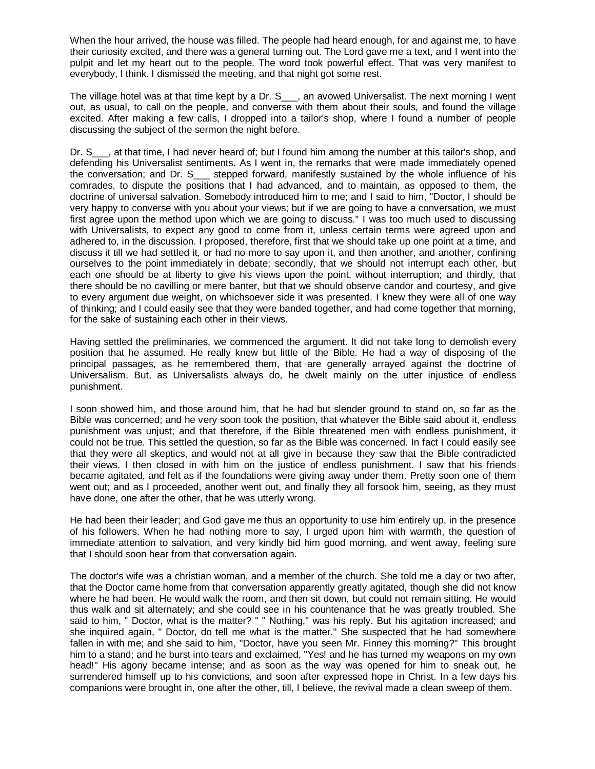When the hour arrived, the house was filled. The people had heard enough, for and against me, to have their curiosity excited, and there was a general turning out. The Lord gave me a text, and I went into the pulpit and let my heart out to the people. The word took powerful effect. That was very manifest to everybody, I think. I dismissed the meeting, and that night got some rest.

The village hotel was at that time kept by a Dr. S\_\_\_, an avowed Universalist. The next morning I went out, as usual, to call on the people, and converse with them about their souls, and found the village excited. After making a few calls, I dropped into a tailor's shop, where I found a number of people discussing the subject of the sermon the night before.

Dr. S<sub>u</sub>, at that time, I had never heard of; but I found him among the number at this tailor's shop, and defending his Universalist sentiments. As I went in, the remarks that were made immediately opened the conversation; and Dr. S\_\_\_ stepped forward, manifestly sustained by the whole influence of his comrades, to dispute the positions that I had advanced, and to maintain, as opposed to them, the doctrine of universal salvation. Somebody introduced him to me; and I said to him, "Doctor, I should be very happy to converse with you about your views; but if we are going to have a conversation, we must first agree upon the method upon which we are going to discuss." I was too much used to discussing with Universalists, to expect any good to come from it, unless certain terms were agreed upon and adhered to, in the discussion. I proposed, therefore, first that we should take up one point at a time, and discuss it till we had settled it, or had no more to say upon it, and then another, and another, confining ourselves to the point immediately in debate; secondly, that we should not interrupt each other, but each one should be at liberty to give his views upon the point, without interruption; and thirdly, that there should be no cavilling or mere banter, but that we should observe candor and courtesy, and give to every argument due weight, on whichsoever side it was presented. I knew they were all of one way of thinking; and I could easily see that they were banded together, and had come together that morning, for the sake of sustaining each other in their views.

Having settled the preliminaries, we commenced the argument. It did not take long to demolish every position that he assumed. He really knew but little of the Bible. He had a way of disposing of the principal passages, as he remembered them, that are generally arrayed against the doctrine of Universalism. But, as Universalists always do, he dwelt mainly on the utter injustice of endless punishment.

I soon showed him, and those around him, that he had but slender ground to stand on, so far as the Bible was concerned; and he very soon took the position, that whatever the Bible said about it, endless punishment was unjust; and that therefore, if the Bible threatened men with endless punishment, it could not be true. This settled the question, so far as the Bible was concerned. In fact I could easily see that they were all skeptics, and would not at all give in because they saw that the Bible contradicted their views. I then closed in with him on the justice of endless punishment. I saw that his friends became agitated, and felt as if the foundations were giving away under them. Pretty soon one of them went out; and as I proceeded, another went out, and finally they all forsook him, seeing, as they must have done, one after the other, that he was utterly wrong.

He had been their leader; and God gave me thus an opportunity to use him entirely up, in the presence of his followers. When he had nothing more to say, I urged upon him with warmth, the question of immediate attention to salvation, and very kindly bid him good morning, and went away, feeling sure that I should soon hear from that conversation again.

The doctor's wife was a christian woman, and a member of the church. She told me a day or two after, that the Doctor came home from that conversation apparently greatly agitated, though she did not know where he had been. He would walk the room, and then sit down, but could not remain sitting. He would thus walk and sit alternately; and she could see in his countenance that he was greatly troubled. She said to him, " Doctor, what is the matter? " " Nothing," was his reply. But his agitation increased; and she inquired again, " Doctor, do tell me what is the matter." She suspected that he had somewhere fallen in with me; and she said to him, "Doctor, have you seen Mr. Finney this morning?" This brought him to a stand; and he burst into tears and exclaimed, "Yes! and he has turned my weapons on my own head!" His agony became intense; and as soon as the way was opened for him to sneak out, he surrendered himself up to his convictions, and soon after expressed hope in Christ. In a few days his companions were brought in, one after the other, till, I believe, the revival made a clean sweep of them.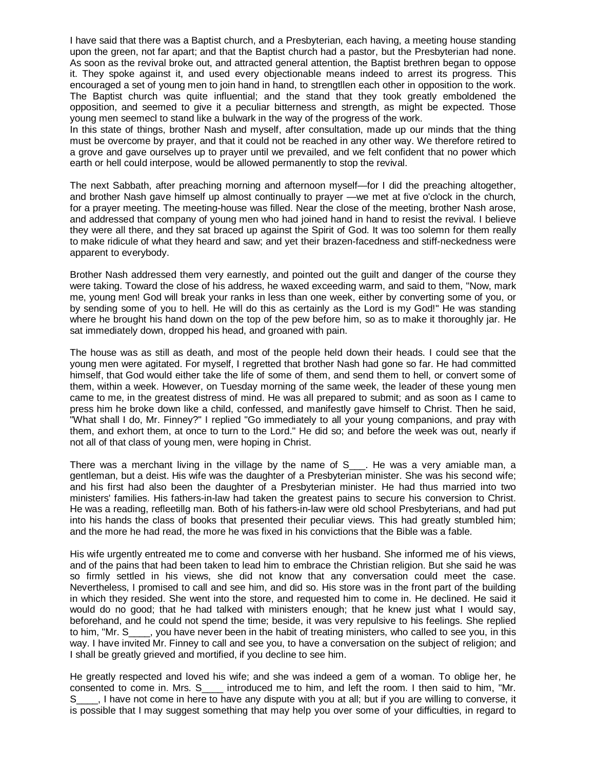I have said that there was a Baptist church, and a Presbyterian, each having, a meeting house standing upon the green, not far apart; and that the Baptist church had a pastor, but the Presbyterian had none. As soon as the revival broke out, and attracted general attention, the Baptist brethren began to oppose it. They spoke against it, and used every objectionable means indeed to arrest its progress. This encouraged a set of young men to join hand in hand, to strengtllen each other in opposition to the work. The Baptist church was quite influential; and the stand that they took greatly emboldened the opposition, and seemed to give it a peculiar bitterness and strength, as might be expected. Those young men seemecl to stand like a bulwark in the way of the progress of the work.

In this state of things, brother Nash and myself, after consultation, made up our minds that the thing must be overcome by prayer, and that it could not be reached in any other way. We therefore retired to a grove and gave ourselves up to prayer until we prevailed, and we felt confident that no power which earth or hell could interpose, would be allowed permanently to stop the revival.

The next Sabbath, after preaching morning and afternoon myself—for I did the preaching altogether, and brother Nash gave himself up almost continually to prayer —we met at five o'clock in the church, for a prayer meeting. The meeting-house was filled. Near the close of the meeting, brother Nash arose, and addressed that company of young men who had joined hand in hand to resist the revival. I believe they were all there, and they sat braced up against the Spirit of God. It was too solemn for them really to make ridicule of what they heard and saw; and yet their brazen-facedness and stiff-neckedness were apparent to everybody.

Brother Nash addressed them very earnestly, and pointed out the guilt and danger of the course they were taking. Toward the close of his address, he waxed exceeding warm, and said to them, "Now, mark me, young men! God will break your ranks in less than one week, either by converting some of you, or by sending some of you to hell. He will do this as certainly as the Lord is my God!" He was standing where he brought his hand down on the top of the pew before him, so as to make it thoroughly jar. He sat immediately down, dropped his head, and groaned with pain.

The house was as still as death, and most of the people held down their heads. I could see that the young men were agitated. For myself, I regretted that brother Nash had gone so far. He had committed himself, that God would either take the life of some of them, and send them to hell, or convert some of them, within a week. However, on Tuesday morning of the same week, the leader of these young men came to me, in the greatest distress of mind. He was all prepared to submit; and as soon as I came to press him he broke down like a child, confessed, and manifestly gave himself to Christ. Then he said, "What shall I do, Mr. Finney?" I replied "Go immediately to all your young companions, and pray with them, and exhort them, at once to turn to the Lord." He did so; and before the week was out, nearly if not all of that class of young men, were hoping in Christ.

There was a merchant living in the village by the name of  $S$ \_\_\_. He was a very amiable man, a gentleman, but a deist. His wife was the daughter of a Presbyterian minister. She was his second wife; and his first had also been the daughter of a Presbyterian minister. He had thus married into two ministers' families. His fathers-in-law had taken the greatest pains to secure his conversion to Christ. He was a reading, refleetillg man. Both of his fathers-in-law were old school Presbyterians, and had put into his hands the class of books that presented their peculiar views. This had greatly stumbled him; and the more he had read, the more he was fixed in his convictions that the Bible was a fable.

His wife urgently entreated me to come and converse with her husband. She informed me of his views, and of the pains that had been taken to lead him to embrace the Christian religion. But she said he was so firmly settled in his views, she did not know that any conversation could meet the case. Nevertheless, I promised to call and see him, and did so. His store was in the front part of the building in which they resided. She went into the store, and requested him to come in. He declined. He said it would do no good; that he had talked with ministers enough; that he knew just what I would say, beforehand, and he could not spend the time; beside, it was very repulsive to his feelings. She replied to him, "Mr. S\_\_\_\_, you have never been in the habit of treating ministers, who called to see you, in this way. I have invited Mr. Finney to call and see you, to have a conversation on the subject of religion; and I shall be greatly grieved and mortified, if you decline to see him.

He greatly respected and loved his wife; and she was indeed a gem of a woman. To oblige her, he consented to come in. Mrs. S\_\_\_\_ introduced me to him, and left the room. I then said to him, "Mr. S<sub>tab</sub> I have not come in here to have any dispute with you at all; but if you are willing to converse, it is possible that I may suggest something that may help you over some of your difficulties, in regard to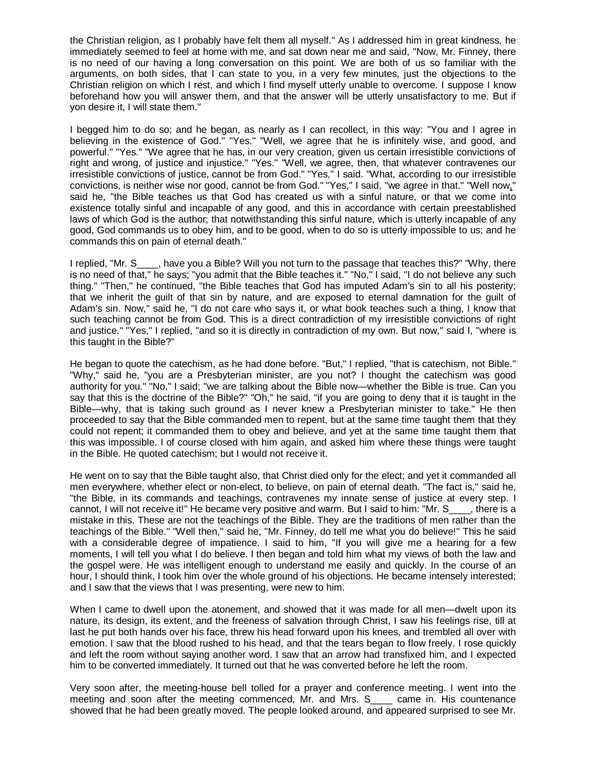the Christian religion, as I probably have felt them all myself." As I addressed him in great kindness, he immediately seemed to feel at home with me, and sat down near me and said, "Now, Mr. Finney, there is no need of our having a long conversation on this point. We are both of us so familiar with the arguments, on both sides, that I can state to you, in a very few minutes, just the objections to the Christian religion on which I rest, and which I find myself utterly unable to overcome. I suppose I know beforehand how you will answer them, and that the answer will be utterly unsatisfactory to me. But if yon desire it, I will state them."

I begged him to do so; and he began, as nearly as I can recollect, in this way: "You and I agree in believing in the existence of God." "Yes." "Well, we agree that he is infinitely wise, and good, and powerful." "Yes." "We agree that he has, in our very creation, given us certain irresistible convictions of right and wrong, of justice and injustice." "Yes." "Well, we agree, then, that whatever contravenes our irresistible convictions of justice, cannot be from God." "Yes," I said. "What, according to our irresistible convictions, is neither wise nor good, cannot be from God." "Yes," I said, "we agree in that." "Well now," said he, "the Bible teaches us that God has created us with a sinful nature, or that we come into existence totally sinful and incapable of any good, and this in accordance with certain preestablished laws of which God is the author; that notwithstanding this sinful nature, which is utterly incapable of any good, God commands us to obey him, and to be good, when to do so is utterly impossible to us; and he commands this on pain of eternal death."

I replied, "Mr. S\_\_\_\_, have you a Bible? Will you not turn to the passage that teaches this?" "Why, there is no need of that," he says; "you admit that the Bible teaches it." "No," I said, "I do not believe any such thing." "Then," he continued, "the Bible teaches that God has imputed Adam's sin to all his posterity; that we inherit the guilt of that sin by nature, and are exposed to eternal damnation for the guilt of Adam's sin. Now," said he, "I do not care who says it, or what book teaches such a thing, I know that such teaching cannot be from God. This is a direct contradiction of my irresistible convictions of right and justice." "Yes," I replied, "and so it is directly in contradiction of my own. But now," said I, "where is this taught in the Bible?"

He began to quote the catechism, as he had done before. "But," I replied, "that is catechism, not Bible." "Why," said he, "you are a Presbyterian minister, are you not? I thought the catechism was good authority for you." "No," I said; "we are talking about the Bible now—whether the Bible is true. Can you say that this is the doctrine of the Bible?" "Oh," he said, "if you are going to deny that it is taught in the Bible—why, that is taking such ground as I never knew a Presbyterian minister to take." He then proceeded to say that the Bible commanded men to repent, but at the same time taught them that they could not repent; it commanded them to obey and believe, and yet at the same time taught them that this was impossible. I of course closed with him again, and asked him where these things were taught in the Bible. He quoted catechism; but I would not receive it.

He went on to say that the Bible taught also, that Christ died only for the elect; and yet it commanded all men everywhere, whether elect or non-elect, to believe, on pain of eternal death. "The fact is," said he, "the Bible, in its commands and teachings, contravenes my innate sense of justice at every step. I cannot, I will not receive it!" He became very positive and warm. But I said to him: "Mr. S , there is a mistake in this. These are not the teachings of the Bible. They are the traditions of men rather than the teachings of the Bible." "Well then," said he, "Mr. Finney, do tell me what you do believe!" This he said with a considerable degree of impatience. I said to him, "If you will give me a hearing for a few moments, I will tell you what I do believe. I then began and told him what my views of both the law and the gospel were. He was intelligent enough to understand me easily and quickly. In the course of an hour, I should think, I took him over the whole ground of his objections. He became intensely interested; and I saw that the views that I was presenting, were new to him.

When I came to dwell upon the atonement, and showed that it was made for all men—dwelt upon its nature, its design, its extent, and the freeness of salvation through Christ, I saw his feelings rise, till at last he put both hands over his face, threw his head forward upon his knees, and trembled all over with emotion. I saw that the blood rushed to his head, and that the tears began to flow freely. I rose quickly and left the room without saying another word. I saw that an arrow had transfixed him, and I expected him to be converted immediately. It turned out that he was converted before he left the room.

Very soon after, the meeting-house bell tolled for a prayer and conference meeting. I went into the meeting and soon after the meeting commenced, Mr. and Mrs. S came in. His countenance showed that he had been greatly moved. The people looked around, and appeared surprised to see Mr.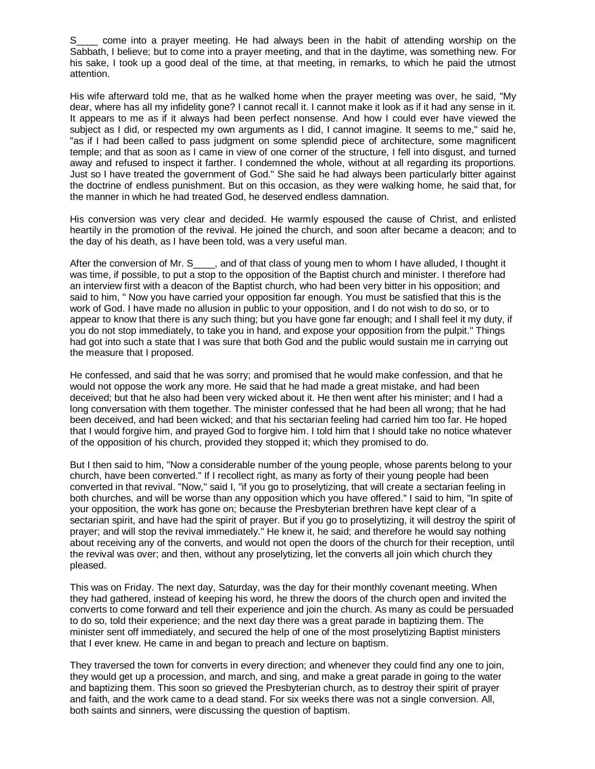come into a prayer meeting. He had always been in the habit of attending worship on the Sabbath, I believe; but to come into a prayer meeting, and that in the daytime, was something new. For his sake, I took up a good deal of the time, at that meeting, in remarks, to which he paid the utmost attention.

His wife afterward told me, that as he walked home when the prayer meeting was over, he said, "My dear, where has all my infidelity gone? I cannot recall it. I cannot make it look as if it had any sense in it. It appears to me as if it always had been perfect nonsense. And how I could ever have viewed the subject as I did, or respected my own arguments as I did, I cannot imagine. It seems to me," said he, "as if I had been called to pass judgment on some splendid piece of architecture, some magnificent temple; and that as soon as I came in view of one corner of the structure, I fell into disgust, and turned away and refused to inspect it farther. I condemned the whole, without at all regarding its proportions. Just so I have treated the government of God." She said he had always been particularly bitter against the doctrine of endless punishment. But on this occasion, as they were walking home, he said that, for the manner in which he had treated God, he deserved endless damnation.

His conversion was very clear and decided. He warmly espoused the cause of Christ, and enlisted heartily in the promotion of the revival. He joined the church, and soon after became a deacon; and to the day of his death, as I have been told, was a very useful man.

After the conversion of Mr. S\_\_\_\_, and of that class of young men to whom I have alluded, I thought it was time, if possible, to put a stop to the opposition of the Baptist church and minister. I therefore had an interview first with a deacon of the Baptist church, who had been very bitter in his opposition; and said to him, " Now you have carried your opposition far enough. You must be satisfied that this is the work of God. I have made no allusion in public to your opposition, and I do not wish to do so, or to appear to know that there is any such thing; but you have gone far enough; and I shall feel it my duty, if you do not stop immediately, to take you in hand, and expose your opposition from the pulpit." Things had got into such a state that I was sure that both God and the public would sustain me in carrying out the measure that I proposed.

He confessed, and said that he was sorry; and promised that he would make confession, and that he would not oppose the work any more. He said that he had made a great mistake, and had been deceived; but that he also had been very wicked about it. He then went after his minister; and I had a long conversation with them together. The minister confessed that he had been all wrong; that he had been deceived, and had been wicked; and that his sectarian feeling had carried him too far. He hoped that I would forgive him, and prayed God to forgive him. I told him that I should take no notice whatever of the opposition of his church, provided they stopped it; which they promised to do.

But I then said to him, "Now a considerable number of the young people, whose parents belong to your church, have been converted." If I recollect right, as many as forty of their young people had been converted in that revival. "Now," said I, "if you go to proselytizing, that will create a sectarian feeling in both churches, and will be worse than any opposition which you have offered." I said to him, "In spite of your opposition, the work has gone on; because the Presbyterian brethren have kept clear of a sectarian spirit, and have had the spirit of prayer. But if you go to proselytizing, it will destroy the spirit of prayer; and will stop the revival immediately." He knew it, he said; and therefore he would say nothing about receiving any of the converts, and would not open the doors of the church for their reception, until the revival was over; and then, without any proselytizing, let the converts all join which church they pleased.

This was on Friday. The next day, Saturday, was the day for their monthly covenant meeting. When they had gathered, instead of keeping his word, he threw the doors of the church open and invited the converts to come forward and tell their experience and join the church. As many as could be persuaded to do so, told their experience; and the next day there was a great parade in baptizing them. The minister sent off immediately, and secured the help of one of the most proselytizing Baptist ministers that I ever knew. He came in and began to preach and lecture on baptism.

They traversed the town for converts in every direction; and whenever they could find any one to join, they would get up a procession, and march, and sing, and make a great parade in going to the water and baptizing them. This soon so grieved the Presbyterian church, as to destroy their spirit of prayer and faith, and the work came to a dead stand. For six weeks there was not a single conversion. All, both saints and sinners, were discussing the question of baptism.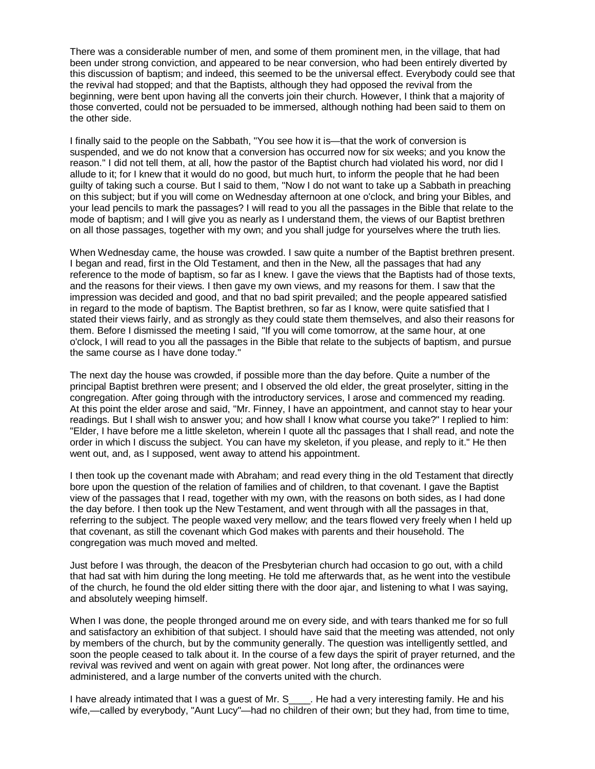There was a considerable number of men, and some of them prominent men, in the village, that had been under strong conviction, and appeared to be near conversion, who had been entirely diverted by this discussion of baptism; and indeed, this seemed to be the universal effect. Everybody could see that the revival had stopped; and that the Baptists, although they had opposed the revival from the beginning, were bent upon having all the converts join their church. However, I think that a majority of those converted, could not be persuaded to be immersed, although nothing had been said to them on the other side.

I finally said to the people on the Sabbath, "You see how it is—that the work of conversion is suspended, and we do not know that a conversion has occurred now for six weeks; and you know the reason." I did not tell them, at all, how the pastor of the Baptist church had violated his word, nor did I allude to it; for I knew that it would do no good, but much hurt, to inform the people that he had been guilty of taking such a course. But I said to them, "Now I do not want to take up a Sabbath in preaching on this subject; but if you will come on Wednesday afternoon at one o'clock, and bring your Bibles, and your lead pencils to mark the passages? I will read to you all the passages in the Bible that relate to the mode of baptism; and I will give you as nearly as I understand them, the views of our Baptist brethren on all those passages, together with my own; and you shall judge for yourselves where the truth lies.

When Wednesday came, the house was crowded. I saw quite a number of the Baptist brethren present. I began and read, first in the Old Testament, and then in the New, all the passages that had any reference to the mode of baptism, so far as I knew. I gave the views that the Baptists had of those texts, and the reasons for their views. I then gave my own views, and my reasons for them. I saw that the impression was decided and good, and that no bad spirit prevailed; and the people appeared satisfied in regard to the mode of baptism. The Baptist brethren, so far as I know, were quite satisfied that I stated their views fairly, and as strongly as they could state them themselves, and also their reasons for them. Before I dismissed the meeting I said, "If you will come tomorrow, at the same hour, at one o'clock, I will read to you all the passages in the Bible that relate to the subjects of baptism, and pursue the same course as I have done today."

The next day the house was crowded, if possible more than the day before. Quite a number of the principal Baptist brethren were present; and I observed the old elder, the great proselyter, sitting in the congregation. After going through with the introductory services, I arose and commenced my reading. At this point the elder arose and said, "Mr. Finney, I have an appointment, and cannot stay to hear your readings. But I shall wish to answer you; and how shall I know what course you take?" I replied to him: "Elder, I have before me a little skeleton, wherein I quote all thc passages that I shall read, and note the order in which I discuss the subject. You can have my skeleton, if you please, and reply to it." He then went out, and, as I supposed, went away to attend his appointment.

I then took up the covenant made with Abraham; and read every thing in the old Testament that directly bore upon the question of the relation of families and of children, to that covenant. I gave the Baptist view of the passages that I read, together with my own, with the reasons on both sides, as I had done the day before. I then took up the New Testament, and went through with all the passages in that, referring to the subject. The people waxed very mellow; and the tears flowed very freely when I held up that covenant, as still the covenant which God makes with parents and their household. The congregation was much moved and melted.

Just before I was through, the deacon of the Presbyterian church had occasion to go out, with a child that had sat with him during the long meeting. He told me afterwards that, as he went into the vestibule of the church, he found the old elder sitting there with the door ajar, and listening to what I was saying, and absolutely weeping himself.

When I was done, the people thronged around me on every side, and with tears thanked me for so full and satisfactory an exhibition of that subject. I should have said that the meeting was attended, not only by members of the church, but by the community generally. The question was intelligently settled, and soon the people ceased to talk about it. In the course of a few days the spirit of prayer returned, and the revival was revived and went on again with great power. Not long after, the ordinances were administered, and a large number of the converts united with the church.

I have already intimated that I was a guest of Mr. S He had a very interesting family. He and his wife,—called by everybody, "Aunt Lucy"—had no children of their own; but they had, from time to time,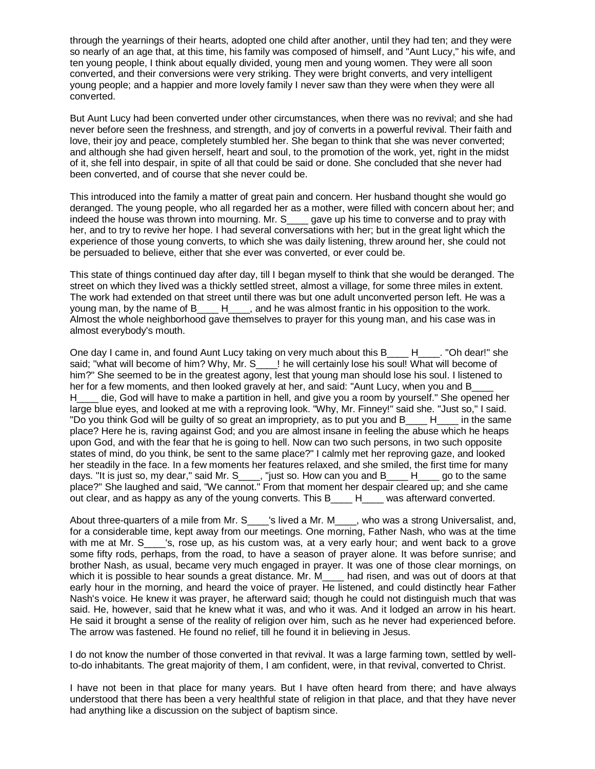through the yearnings of their hearts, adopted one child after another, until they had ten; and they were so nearly of an age that, at this time, his family was composed of himself, and "Aunt Lucy," his wife, and ten young people, I think about equally divided, young men and young women. They were all soon converted, and their conversions were very striking. They were bright converts, and very intelligent young people; and a happier and more lovely family I never saw than they were when they were all converted.

But Aunt Lucy had been converted under other circumstances, when there was no revival; and she had never before seen the freshness, and strength, and joy of converts in a powerful revival. Their faith and love, their joy and peace, completely stumbled her. She began to think that she was never converted; and although she had given herself, heart and soul, to the promotion of the work, yet, right in the midst of it, she fell into despair, in spite of all that could be said or done. She concluded that she never had been converted, and of course that she never could be.

This introduced into the family a matter of great pain and concern. Her husband thought she would go deranged. The young people, who all regarded her as a mother, were filled with concern about her; and indeed the house was thrown into mourning. Mr. S\_\_\_\_ gave up his time to converse and to pray with her, and to try to revive her hope. I had several conversations with her; but in the great light which the experience of those young converts, to which she was daily listening, threw around her, she could not be persuaded to believe, either that she ever was converted, or ever could be.

This state of things continued day after day, till I began myself to think that she would be deranged. The street on which they lived was a thickly settled street, almost a village, for some three miles in extent. The work had extended on that street until there was but one adult unconverted person left. He was a young man, by the name of B\_\_\_\_ H\_\_\_\_, and he was almost frantic in his opposition to the work. Almost the whole neighborhood gave themselves to prayer for this young man, and his case was in almost everybody's mouth.

One day I came in, and found Aunt Lucy taking on very much about this B\_\_\_\_ H\_\_\_\_. "Oh dear!" she said; "what will become of him? Why, Mr. S\_\_\_! he will certainly lose his soul! What will become of him?" She seemed to be in the greatest agony, lest that young man should lose his soul. I listened to her for a few moments, and then looked gravely at her, and said: "Aunt Lucy, when you and B H\_\_\_\_ die, God will have to make a partition in hell, and give you a room by yourself." She opened her large blue eyes, and looked at me with a reproving look. "Why, Mr. Finney!" said she. "Just so," I said. "Do you think God will be quilty of so great an impropriety, as to put you and  $\overline{B}$   $\overline{B}$   $\overline{B}$  in the same place? Here he is, raving against God; and you are almost insane in feeling the abuse which he heaps upon God, and with the fear that he is going to hell. Now can two such persons, in two such opposite states of mind, do you think, be sent to the same place?" I calmly met her reproving gaze, and looked her steadily in the face. In a few moments her features relaxed, and she smiled, the first time for many days. "It is just so, my dear," said Mr. S\_\_\_\_, "just so. How can you and B\_\_\_\_ H\_\_\_\_ go to the same place?" She laughed and said, "We cannot." From that moment her despair cleared up; and she came out clear, and as happy as any of the young converts. This B\_\_\_\_ H\_\_\_\_ was afterward converted.

About three-quarters of a mile from Mr. S\_\_\_\_'s lived a Mr. M\_\_\_\_, who was a strong Universalist, and, for a considerable time, kept away from our meetings. One morning, Father Nash, who was at the time with me at Mr. S <sup>s</sup>s, rose up, as his custom was, at a very early hour; and went back to a grove some fifty rods, perhaps, from the road, to have a season of prayer alone. It was before sunrise; and brother Nash, as usual, became very much engaged in prayer. It was one of those clear mornings, on which it is possible to hear sounds a great distance. Mr. M\_\_\_\_ had risen, and was out of doors at that early hour in the morning, and heard the voice of prayer. He listened, and could distinctly hear Father Nash's voice. He knew it was prayer, he afterward said; though he could not distinguish much that was said. He, however, said that he knew what it was, and who it was. And it lodged an arrow in his heart. He said it brought a sense of the reality of religion over him, such as he never had experienced before. The arrow was fastened. He found no relief, till he found it in believing in Jesus.

I do not know the number of those converted in that revival. It was a large farming town, settled by wellto-do inhabitants. The great majority of them, I am confident, were, in that revival, converted to Christ.

I have not been in that place for many years. But I have often heard from there; and have always understood that there has been a very healthful state of religion in that place, and that they have never had anything like a discussion on the subject of baptism since.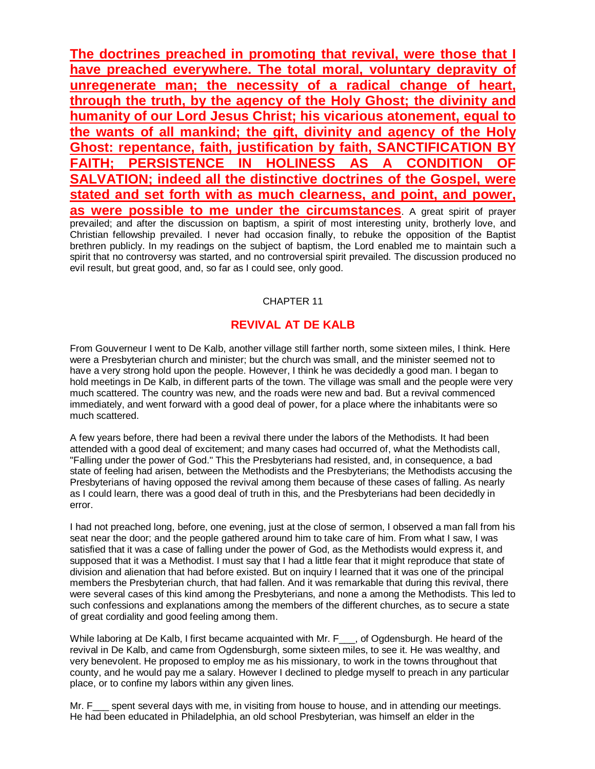**The doctrines preached in promoting that revival, were those that I have preached everywhere. The total moral, voluntary depravity of unregenerate man; the necessity of a radical change of heart, through the truth, by the agency of the Holy Ghost; the divinity and humanity of our Lord Jesus Christ; his vicarious atonement, equal to the wants of all mankind; the gift, divinity and agency of the Holy Ghost: repentance, faith, justification by faith, SANCTIFICATION BY FAITH; PERSISTENCE IN HOLINESS AS A CONDITION OF SALVATION; indeed all the distinctive doctrines of the Gospel, were stated and set forth with as much clearness, and point, and power, as were possible to me under the circumstances**. A great spirit of prayer prevailed; and after the discussion on baptism, a spirit of most interesting unity, brotherly love, and Christian fellowship prevailed. I never had occasion finally, to rebuke the opposition of the Baptist brethren publicly. In my readings on the subject of baptism, the Lord enabled me to maintain such a spirit that no controversy was started, and no controversial spirit prevailed. The discussion produced no evil result, but great good, and, so far as I could see, only good.

### CHAPTER 11

## **REVIVAL AT DE KALB**

From Gouverneur I went to De Kalb, another village still farther north, some sixteen miles, I think. Here were a Presbyterian church and minister; but the church was small, and the minister seemed not to have a very strong hold upon the people. However, I think he was decidedly a good man. I began to hold meetings in De Kalb, in different parts of the town. The village was small and the people were very much scattered. The country was new, and the roads were new and bad. But a revival commenced immediately, and went forward with a good deal of power, for a place where the inhabitants were so much scattered.

A few years before, there had been a revival there under the labors of the Methodists. It had been attended with a good deal of excitement; and many cases had occurred of, what the Methodists call, "Falling under the power of God." This the Presbyterians had resisted, and, in consequence, a bad state of feeling had arisen, between the Methodists and the Presbyterians; the Methodists accusing the Presbyterians of having opposed the revival among them because of these cases of falling. As nearly as I could learn, there was a good deal of truth in this, and the Presbyterians had been decidedly in error.

I had not preached long, before, one evening, just at the close of sermon, I observed a man fall from his seat near the door; and the people gathered around him to take care of him. From what I saw, I was satisfied that it was a case of falling under the power of God, as the Methodists would express it, and supposed that it was a Methodist. I must say that I had a little fear that it might reproduce that state of division and alienation that had before existed. But on inquiry I learned that it was one of the principal members the Presbyterian church, that had fallen. And it was remarkable that during this revival, there were several cases of this kind among the Presbyterians, and none a among the Methodists. This led to such confessions and explanations among the members of the different churches, as to secure a state of great cordiality and good feeling among them.

While laboring at De Kalb, I first became acquainted with Mr. F<sub>\_\_\_,</sub> of Ogdensburgh. He heard of the revival in De Kalb, and came from Ogdensburgh, some sixteen miles, to see it. He was wealthy, and very benevolent. He proposed to employ me as his missionary, to work in the towns throughout that county, and he would pay me a salary. However I declined to pledge myself to preach in any particular place, or to confine my labors within any given lines.

Mr. F\_\_\_ spent several days with me, in visiting from house to house, and in attending our meetings. He had been educated in Philadelphia, an old school Presbyterian, was himself an elder in the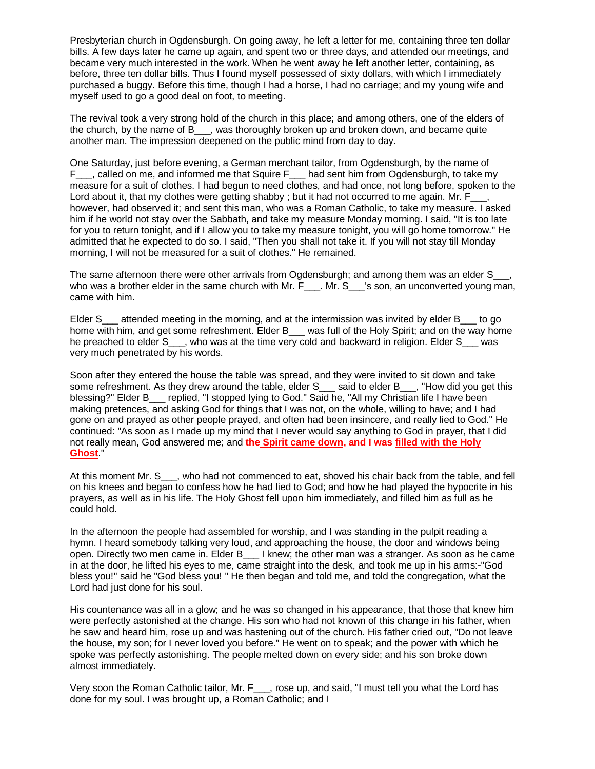Presbyterian church in Ogdensburgh. On going away, he left a letter for me, containing three ten dollar bills. A few days later he came up again, and spent two or three days, and attended our meetings, and became very much interested in the work. When he went away he left another letter, containing, as before, three ten dollar bills. Thus I found myself possessed of sixty dollars, with which I immediately purchased a buggy. Before this time, though I had a horse, I had no carriage; and my young wife and myself used to go a good deal on foot, to meeting.

The revival took a very strong hold of the church in this place; and among others, one of the elders of the church, by the name of  $\overline{B}$ , was thoroughly broken up and broken down, and became quite another man. The impression deepened on the public mind from day to day.

One Saturday, just before evening, a German merchant tailor, from Ogdensburgh, by the name of F\_\_\_, called on me, and informed me that Squire F\_\_\_ had sent him from Ogdensburgh, to take my measure for a suit of clothes. I had begun to need clothes, and had once, not long before, spoken to the Lord about it, that my clothes were getting shabby; but it had not occurred to me again. Mr. F however, had observed it; and sent this man, who was a Roman Catholic, to take my measure. I asked him if he world not stay over the Sabbath, and take my measure Monday morning. I said, "It is too late for you to return tonight, and if I allow you to take my measure tonight, you will go home tomorrow." He admitted that he expected to do so. I said, "Then you shall not take it. If you will not stay till Monday morning, I will not be measured for a suit of clothes." He remained.

The same afternoon there were other arrivals from Ogdensburgh; and among them was an elder S\_\_\_, who was a brother elder in the same church with Mr. F $\ldots$  Mr. S  $\ldots$  's son, an unconverted young man, came with him.

Elder S<sub>\_\_\_</sub> attended meeting in the morning, and at the intermission was invited by elder B<sub>\_\_\_</sub> to go home with him, and get some refreshment. Elder B\_\_\_ was full of the Holy Spirit; and on the way home he preached to elder S\_\_\_, who was at the time very cold and backward in religion. Elder S\_\_\_ was very much penetrated by his words.

Soon after they entered the house the table was spread, and they were invited to sit down and take some refreshment. As they drew around the table, elder S said to elder B . "How did you get this blessing?" Elder B replied, "I stopped lying to God." Said he, "All my Christian life I have been making pretences, and asking God for things that I was not, on the whole, willing to have; and I had gone on and prayed as other people prayed, and often had been insincere, and really lied to God." He continued: "As soon as I made up my mind that I never would say anything to God in prayer, that I did not really mean, God answered me; and **the Spirit came down, and I was filled with the Holy Ghost**."

At this moment Mr. S \_\_, who had not commenced to eat, shoved his chair back from the table, and fell on his knees and began to confess how he had lied to God; and how he had played the hypocrite in his prayers, as well as in his life. The Holy Ghost fell upon him immediately, and filled him as full as he could hold.

In the afternoon the people had assembled for worship, and I was standing in the pulpit reading a hymn. I heard somebody talking very loud, and approaching the house, the door and windows being open. Directly two men came in. Elder B\_\_\_ I knew; the other man was a stranger. As soon as he came in at the door, he lifted his eyes to me, came straight into the desk, and took me up in his arms:-"God bless you!" said he "God bless you! " He then began and told me, and told the congregation, what the Lord had just done for his soul.

His countenance was all in a glow; and he was so changed in his appearance, that those that knew him were perfectly astonished at the change. His son who had not known of this change in his father, when he saw and heard him, rose up and was hastening out of the church. His father cried out, "Do not leave the house, my son; for I never loved you before." He went on to speak; and the power with which he spoke was perfectly astonishing. The people melted down on every side; and his son broke down almost immediately.

Very soon the Roman Catholic tailor, Mr. F\_\_\_, rose up, and said, "I must tell you what the Lord has done for my soul. I was brought up, a Roman Catholic; and I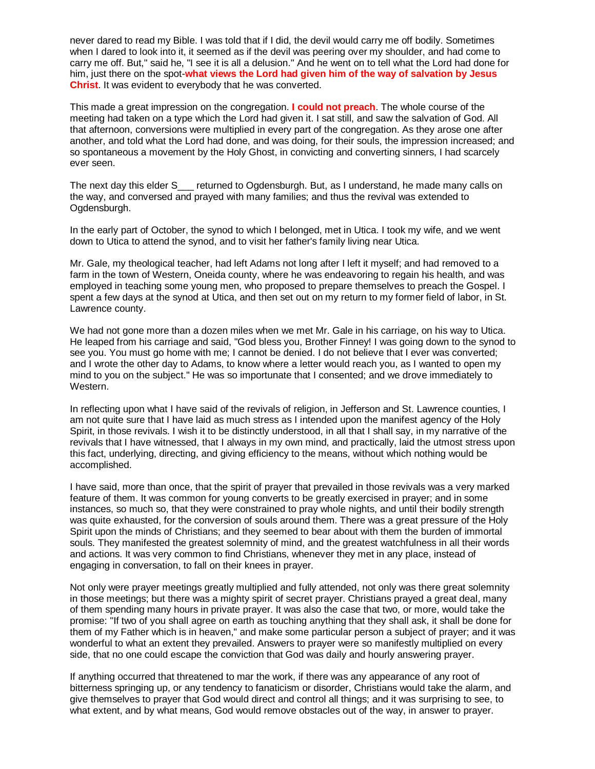never dared to read my Bible. I was told that if I did, the devil would carry me off bodily. Sometimes when I dared to look into it, it seemed as if the devil was peering over my shoulder, and had come to carry me off. But," said he, "I see it is all a delusion." And he went on to tell what the Lord had done for him, just there on the spot-**what views the Lord had given him of the way of salvation by Jesus Christ**. It was evident to everybody that he was converted.

This made a great impression on the congregation. **I could not preach**. The whole course of the meeting had taken on a type which the Lord had given it. I sat still, and saw the salvation of God. All that afternoon, conversions were multiplied in every part of the congregation. As they arose one after another, and told what the Lord had done, and was doing, for their souls, the impression increased; and so spontaneous a movement by the Holy Ghost, in convicting and converting sinners, I had scarcely ever seen.

The next day this elder S<sub>\_\_\_\_</sub> returned to Ogdensburgh. But, as I understand, he made many calls on the way, and conversed and prayed with many families; and thus the revival was extended to Ogdensburgh.

In the early part of October, the synod to which I belonged, met in Utica. I took my wife, and we went down to Utica to attend the synod, and to visit her father's family living near Utica.

Mr. Gale, my theological teacher, had left Adams not long after I left it myself; and had removed to a farm in the town of Western, Oneida county, where he was endeavoring to regain his health, and was employed in teaching some young men, who proposed to prepare themselves to preach the Gospel. I spent a few days at the synod at Utica, and then set out on my return to my former field of labor, in St. Lawrence county.

We had not gone more than a dozen miles when we met Mr. Gale in his carriage, on his way to Utica. He leaped from his carriage and said, "God bless you, Brother Finney! I was going down to the synod to see you. You must go home with me; I cannot be denied. I do not believe that I ever was converted; and I wrote the other day to Adams, to know where a letter would reach you, as I wanted to open my mind to you on the subject." He was so importunate that I consented; and we drove immediately to Western.

In reflecting upon what I have said of the revivals of religion, in Jefferson and St. Lawrence counties, I am not quite sure that I have laid as much stress as I intended upon the manifest agency of the Holy Spirit, in those revivals. I wish it to be distinctly understood, in all that I shall say, in my narrative of the revivals that I have witnessed, that I always in my own mind, and practically, laid the utmost stress upon this fact, underlying, directing, and giving efficiency to the means, without which nothing would be accomplished.

I have said, more than once, that the spirit of prayer that prevailed in those revivals was a very marked feature of them. It was common for young converts to be greatly exercised in prayer; and in some instances, so much so, that they were constrained to pray whole nights, and until their bodily strength was quite exhausted, for the conversion of souls around them. There was a great pressure of the Holy Spirit upon the minds of Christians; and they seemed to bear about with them the burden of immortal souls. They manifested the greatest solemnity of mind, and the greatest watchfulness in all their words and actions. It was very common to find Christians, whenever they met in any place, instead of engaging in conversation, to fall on their knees in prayer.

Not only were prayer meetings greatly multiplied and fully attended, not only was there great solemnity in those meetings; but there was a mighty spirit of secret prayer. Christians prayed a great deal, many of them spending many hours in private prayer. It was also the case that two, or more, would take the promise: "If two of you shall agree on earth as touching anything that they shall ask, it shall be done for them of my Father which is in heaven," and make some particular person a subject of prayer; and it was wonderful to what an extent they prevailed. Answers to prayer were so manifestly multiplied on every side, that no one could escape the conviction that God was daily and hourly answering prayer.

If anything occurred that threatened to mar the work, if there was any appearance of any root of bitterness springing up, or any tendency to fanaticism or disorder, Christians would take the alarm, and give themselves to prayer that God would direct and control all things; and it was surprising to see, to what extent, and by what means, God would remove obstacles out of the way, in answer to prayer.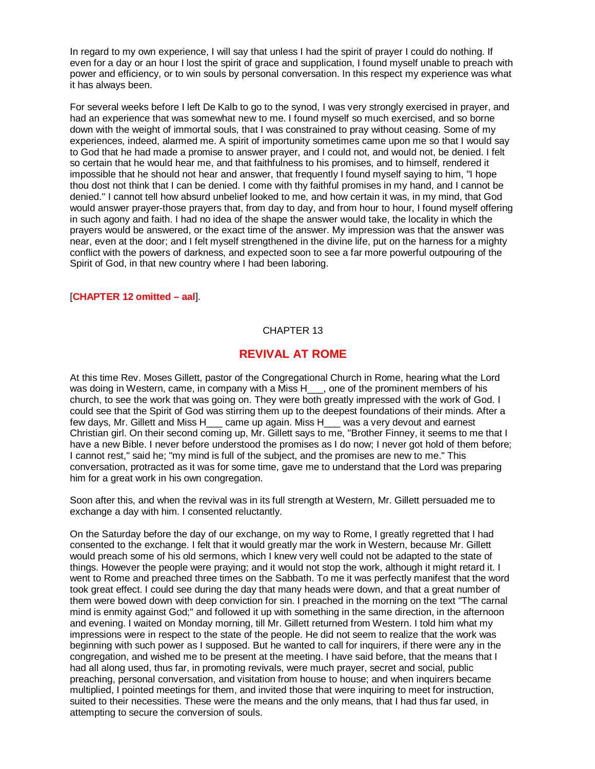In regard to my own experience, I will say that unless I had the spirit of prayer I could do nothing. If even for a day or an hour I lost the spirit of grace and supplication, I found myself unable to preach with power and efficiency, or to win souls by personal conversation. In this respect my experience was what it has always been.

For several weeks before I left De Kalb to go to the synod, I was very strongly exercised in prayer, and had an experience that was somewhat new to me. I found myself so much exercised, and so borne down with the weight of immortal souls, that I was constrained to pray without ceasing. Some of my experiences, indeed, alarmed me. A spirit of importunity sometimes came upon me so that I would say to God that he had made a promise to answer prayer, and I could not, and would not, be denied. I felt so certain that he would hear me, and that faithfulness to his promises, and to himself, rendered it impossible that he should not hear and answer, that frequently I found myself saying to him, "I hope thou dost not think that I can be denied. I come with thy faithful promises in my hand, and I cannot be denied." I cannot tell how absurd unbelief looked to me, and how certain it was, in my mind, that God would answer prayer-those prayers that, from day to day, and from hour to hour, I found myself offering in such agony and faith. I had no idea of the shape the answer would take, the locality in which the prayers would be answered, or the exact time of the answer. My impression was that the answer was near, even at the door; and I felt myself strengthened in the divine life, put on the harness for a mighty conflict with the powers of darkness, and expected soon to see a far more powerful outpouring of the Spirit of God, in that new country where I had been laboring.

### [**CHAPTER 12 omitted – aal**].

### CHAPTER 13

## **REVIVAL AT ROME**

At this time Rev. Moses Gillett, pastor of the Congregational Church in Rome, hearing what the Lord was doing in Western, came, in company with a Miss H<sub>\_\_\_</sub>, one of the prominent members of his church, to see the work that was going on. They were both greatly impressed with the work of God. I could see that the Spirit of God was stirring them up to the deepest foundations of their minds. After a few days, Mr. Gillett and Miss H\_\_\_ came up again. Miss H\_\_\_ was a very devout and earnest Christian girl. On their second coming up, Mr. Gillett says to me, "Brother Finney, it seems to me that I have a new Bible. I never before understood the promises as I do now; I never got hold of them before; I cannot rest," said he; "my mind is full of the subject, and the promises are new to me." This conversation, protracted as it was for some time, gave me to understand that the Lord was preparing him for a great work in his own congregation.

Soon after this, and when the revival was in its full strength at Western, Mr. Gillett persuaded me to exchange a day with him. I consented reluctantly.

On the Saturday before the day of our exchange, on my way to Rome, I greatly regretted that I had consented to the exchange. I felt that it would greatly mar the work in Western, because Mr. Gillett would preach some of his old sermons, which I knew very well could not be adapted to the state of things. However the people were praying; and it would not stop the work, although it might retard it. I went to Rome and preached three times on the Sabbath. To me it was perfectly manifest that the word took great effect. I could see during the day that many heads were down, and that a great number of them were bowed down with deep conviction for sin. I preached in the morning on the text "The carnal mind is enmity against God;" and followed it up with something in the same direction, in the afternoon and evening. I waited on Monday morning, till Mr. Gillett returned from Western. I told him what my impressions were in respect to the state of the people. He did not seem to realize that the work was beginning with such power as I supposed. But he wanted to call for inquirers, if there were any in the congregation, and wished me to be present at the meeting. I have said before, that the means that I had all along used, thus far, in promoting revivals, were much prayer, secret and social, public preaching, personal conversation, and visitation from house to house; and when inquirers became multiplied, I pointed meetings for them, and invited those that were inquiring to meet for instruction, suited to their necessities. These were the means and the only means, that I had thus far used, in attempting to secure the conversion of souls.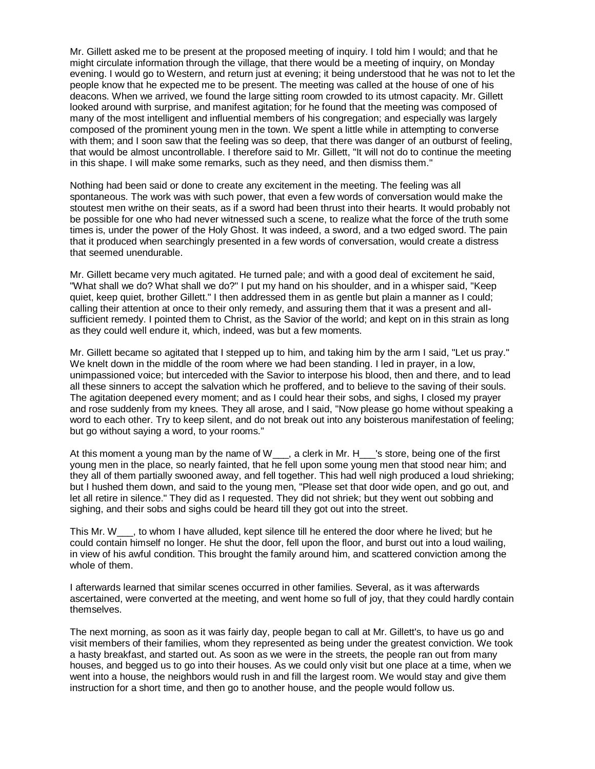Mr. Gillett asked me to be present at the proposed meeting of inquiry. I told him I would; and that he might circulate information through the village, that there would be a meeting of inquiry, on Monday evening. I would go to Western, and return just at evening; it being understood that he was not to let the people know that he expected me to be present. The meeting was called at the house of one of his deacons. When we arrived, we found the large sitting room crowded to its utmost capacity. Mr. Gillett looked around with surprise, and manifest agitation; for he found that the meeting was composed of many of the most intelligent and influential members of his congregation; and especially was largely composed of the prominent young men in the town. We spent a little while in attempting to converse with them; and I soon saw that the feeling was so deep, that there was danger of an outburst of feeling, that would be almost uncontrollable. I therefore said to Mr. Gillett, "It will not do to continue the meeting in this shape. I will make some remarks, such as they need, and then dismiss them."

Nothing had been said or done to create any excitement in the meeting. The feeling was all spontaneous. The work was with such power, that even a few words of conversation would make the stoutest men writhe on their seats, as if a sword had been thrust into their hearts. It would probably not be possible for one who had never witnessed such a scene, to realize what the force of the truth some times is, under the power of the Holy Ghost. It was indeed, a sword, and a two edged sword. The pain that it produced when searchingly presented in a few words of conversation, would create a distress that seemed unendurable.

Mr. Gillett became very much agitated. He turned pale; and with a good deal of excitement he said, "What shall we do? What shall we do?" I put my hand on his shoulder, and in a whisper said, "Keep quiet, keep quiet, brother Gillett." I then addressed them in as gentle but plain a manner as I could; calling their attention at once to their only remedy, and assuring them that it was a present and allsufficient remedy. I pointed them to Christ, as the Savior of the world; and kept on in this strain as long as they could well endure it, which, indeed, was but a few moments.

Mr. Gillett became so agitated that I stepped up to him, and taking him by the arm I said, "Let us pray." We knelt down in the middle of the room where we had been standing. I led in prayer, in a low, unimpassioned voice; but interceded with the Savior to interpose his blood, then and there, and to lead all these sinners to accept the salvation which he proffered, and to believe to the saving of their souls. The agitation deepened every moment; and as I could hear their sobs, and sighs, I closed my prayer and rose suddenly from my knees. They all arose, and I said, "Now please go home without speaking a word to each other. Try to keep silent, and do not break out into any boisterous manifestation of feeling; but go without saying a word, to your rooms."

At this moment a young man by the name of W<sub>\_\_\_</sub>, a clerk in Mr. H\_\_\_'s store, being one of the first young men in the place, so nearly fainted, that he fell upon some young men that stood near him; and they all of them partially swooned away, and fell together. This had well nigh produced a loud shrieking; but I hushed them down, and said to the young men, "Please set that door wide open, and go out, and let all retire in silence." They did as I requested. They did not shriek; but they went out sobbing and sighing, and their sobs and sighs could be heard till they got out into the street.

This Mr. W\_\_\_, to whom I have alluded, kept silence till he entered the door where he lived; but he could contain himself no longer. He shut the door, fell upon the floor, and burst out into a loud wailing, in view of his awful condition. This brought the family around him, and scattered conviction among the whole of them.

I afterwards learned that similar scenes occurred in other families. Several, as it was afterwards ascertained, were converted at the meeting, and went home so full of joy, that they could hardly contain themselves.

The next morning, as soon as it was fairly day, people began to call at Mr. Gillett's, to have us go and visit members of their families, whom they represented as being under the greatest conviction. We took a hasty breakfast, and started out. As soon as we were in the streets, the people ran out from many houses, and begged us to go into their houses. As we could only visit but one place at a time, when we went into a house, the neighbors would rush in and fill the largest room. We would stay and give them instruction for a short time, and then go to another house, and the people would follow us.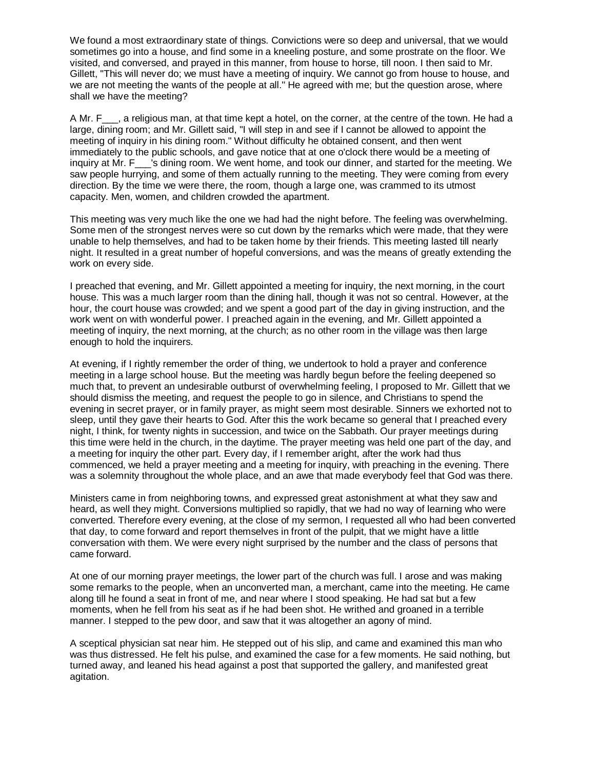We found a most extraordinary state of things. Convictions were so deep and universal, that we would sometimes go into a house, and find some in a kneeling posture, and some prostrate on the floor. We visited, and conversed, and prayed in this manner, from house to horse, till noon. I then said to Mr. Gillett, "This will never do; we must have a meeting of inquiry. We cannot go from house to house, and we are not meeting the wants of the people at all." He agreed with me; but the question arose, where shall we have the meeting?

A Mr. F\_\_\_, a religious man, at that time kept a hotel, on the corner, at the centre of the town. He had a large, dining room; and Mr. Gillett said, "I will step in and see if I cannot be allowed to appoint the meeting of inquiry in his dining room." Without difficulty he obtained consent, and then went immediately to the public schools, and gave notice that at one o'clock there would be a meeting of inquiry at Mr. F S dining room. We went home, and took our dinner, and started for the meeting. We saw people hurrying, and some of them actually running to the meeting. They were coming from every direction. By the time we were there, the room, though a large one, was crammed to its utmost capacity. Men, women, and children crowded the apartment.

This meeting was very much like the one we had had the night before. The feeling was overwhelming. Some men of the strongest nerves were so cut down by the remarks which were made, that they were unable to help themselves, and had to be taken home by their friends. This meeting lasted till nearly night. It resulted in a great number of hopeful conversions, and was the means of greatly extending the work on every side.

I preached that evening, and Mr. Gillett appointed a meeting for inquiry, the next morning, in the court house. This was a much larger room than the dining hall, though it was not so central. However, at the hour, the court house was crowded; and we spent a good part of the day in giving instruction, and the work went on with wonderful power. I preached again in the evening, and Mr. Gillett appointed a meeting of inquiry, the next morning, at the church; as no other room in the village was then large enough to hold the inquirers.

At evening, if I rightly remember the order of thing, we undertook to hold a prayer and conference meeting in a large school house. But the meeting was hardly begun before the feeling deepened so much that, to prevent an undesirable outburst of overwhelming feeling, I proposed to Mr. Gillett that we should dismiss the meeting, and request the people to go in silence, and Christians to spend the evening in secret prayer, or in family prayer, as might seem most desirable. Sinners we exhorted not to sleep, until they gave their hearts to God. After this the work became so general that I preached every night, I think, for twenty nights in succession, and twice on the Sabbath. Our prayer meetings during this time were held in the church, in the daytime. The prayer meeting was held one part of the day, and a meeting for inquiry the other part. Every day, if I remember aright, after the work had thus commenced, we held a prayer meeting and a meeting for inquiry, with preaching in the evening. There was a solemnity throughout the whole place, and an awe that made everybody feel that God was there.

Ministers came in from neighboring towns, and expressed great astonishment at what they saw and heard, as well they might. Conversions multiplied so rapidly, that we had no way of learning who were converted. Therefore every evening, at the close of my sermon, I requested all who had been converted that day, to come forward and report themselves in front of the pulpit, that we might have a little conversation with them. We were every night surprised by the number and the class of persons that came forward.

At one of our morning prayer meetings, the lower part of the church was full. I arose and was making some remarks to the people, when an unconverted man, a merchant, came into the meeting. He came along till he found a seat in front of me, and near where I stood speaking. He had sat but a few moments, when he fell from his seat as if he had been shot. He writhed and groaned in a terrible manner. I stepped to the pew door, and saw that it was altogether an agony of mind.

A sceptical physician sat near him. He stepped out of his slip, and came and examined this man who was thus distressed. He felt his pulse, and examined the case for a few moments. He said nothing, but turned away, and leaned his head against a post that supported the gallery, and manifested great agitation.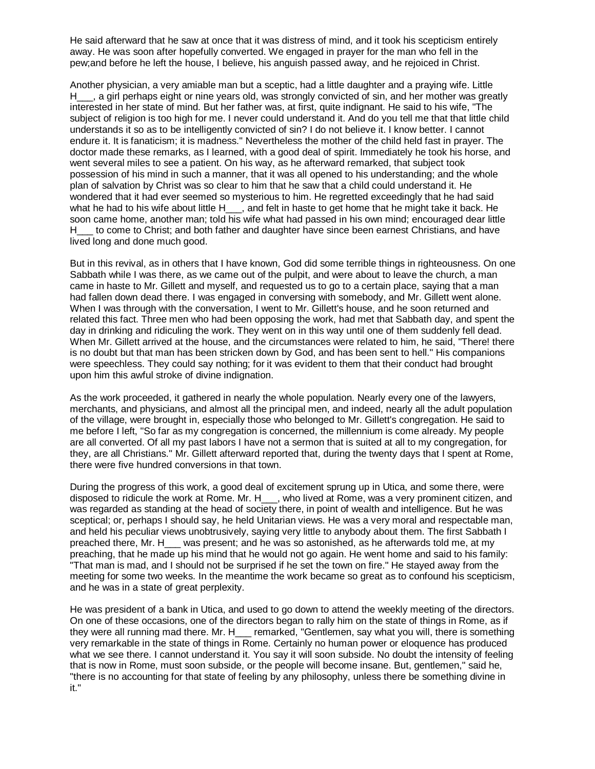He said afterward that he saw at once that it was distress of mind, and it took his scepticism entirely away. He was soon after hopefully converted. We engaged in prayer for the man who fell in the pew;and before he left the house, I believe, his anguish passed away, and he rejoiced in Christ.

Another physician, a very amiable man but a sceptic, had a little daughter and a praying wife. Little H\_\_\_, a girl perhaps eight or nine years old, was strongly convicted of sin, and her mother was greatly interested in her state of mind. But her father was, at first, quite indignant. He said to his wife, "The subject of religion is too high for me. I never could understand it. And do you tell me that that little child understands it so as to be intelligently convicted of sin? I do not believe it. I know better. I cannot endure it. It is fanaticism; it is madness." Nevertheless the mother of the child held fast in prayer. The doctor made these remarks, as I learned, with a good deal of spirit. Immediately he took his horse, and went several miles to see a patient. On his way, as he afterward remarked, that subject took possession of his mind in such a manner, that it was all opened to his understanding; and the whole plan of salvation by Christ was so clear to him that he saw that a child could understand it. He wondered that it had ever seemed so mysterious to him. He regretted exceedingly that he had said what he had to his wife about little H\_\_\_, and felt in haste to get home that he might take it back. He soon came home, another man; told his wife what had passed in his own mind; encouraged dear little H\_\_\_ to come to Christ; and both father and daughter have since been earnest Christians, and have lived long and done much good.

But in this revival, as in others that I have known, God did some terrible things in righteousness. On one Sabbath while I was there, as we came out of the pulpit, and were about to leave the church, a man came in haste to Mr. Gillett and myself, and requested us to go to a certain place, saying that a man had fallen down dead there. I was engaged in conversing with somebody, and Mr. Gillett went alone. When I was through with the conversation, I went to Mr. Gillett's house, and he soon returned and related this fact. Three men who had been opposing the work, had met that Sabbath day, and spent the day in drinking and ridiculing the work. They went on in this way until one of them suddenly fell dead. When Mr. Gillett arrived at the house, and the circumstances were related to him, he said, "There! there is no doubt but that man has been stricken down by God, and has been sent to hell." His companions were speechless. They could say nothing; for it was evident to them that their conduct had brought upon him this awful stroke of divine indignation.

As the work proceeded, it gathered in nearly the whole population. Nearly every one of the lawyers, merchants, and physicians, and almost all the principal men, and indeed, nearly all the adult population of the village, were brought in, especially those who belonged to Mr. Gillett's congregation. He said to me before I left, "So far as my congregation is concerned, the millennium is come already. My people are all converted. Of all my past labors I have not a sermon that is suited at all to my congregation, for they, are all Christians.'' Mr. Gillett afterward reported that, during the twenty days that I spent at Rome, there were five hundred conversions in that town.

During the progress of this work, a good deal of excitement sprung up in Utica, and some there, were disposed to ridicule the work at Rome. Mr. H\_\_\_, who lived at Rome, was a very prominent citizen, and was regarded as standing at the head of society there, in point of wealth and intelligence. But he was sceptical; or, perhaps I should say, he held Unitarian views. He was a very moral and respectable man, and held his peculiar views unobtrusively, saying very little to anybody about them. The first Sabbath I preached there, Mr. H\_\_\_ was present; and he was so astonished, as he afterwards told me, at my preaching, that he made up his mind that he would not go again. He went home and said to his family: "That man is mad, and I should not be surprised if he set the town on fire." He stayed away from the meeting for some two weeks. In the meantime the work became so great as to confound his scepticism, and he was in a state of great perplexity.

He was president of a bank in Utica, and used to go down to attend the weekly meeting of the directors. On one of these occasions, one of the directors began to rally him on the state of things in Rome, as if they were all running mad there. Mr. H\_\_\_ remarked, "Gentlemen, say what you will, there is something very remarkable in the state of things in Rome. Certainly no human power or eloquence has produced what we see there. I cannot understand it. You say it will soon subside. No doubt the intensity of feeling that is now in Rome, must soon subside, or the people will become insane. But, gentlemen," said he, "there is no accounting for that state of feeling by any philosophy, unless there be something divine in it."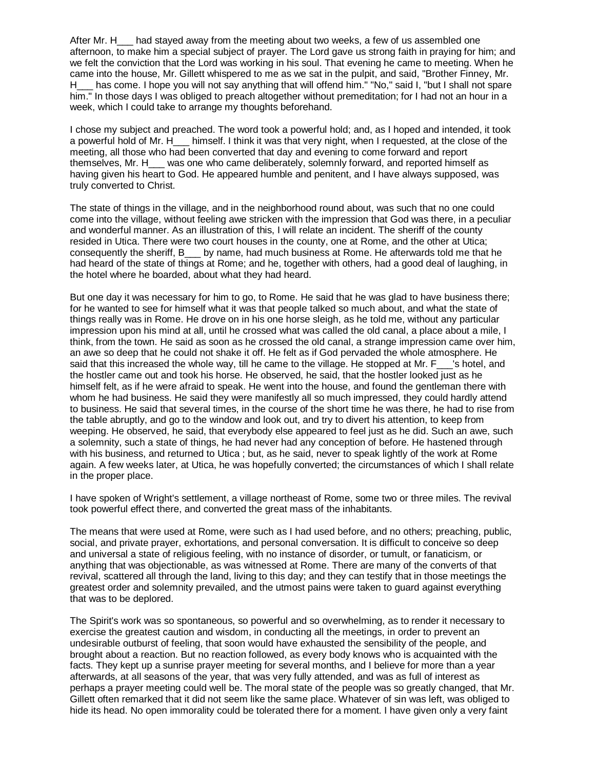After Mr. H had stayed away from the meeting about two weeks, a few of us assembled one afternoon, to make him a special subject of prayer. The Lord gave us strong faith in praying for him; and we felt the conviction that the Lord was working in his soul. That evening he came to meeting. When he came into the house, Mr. Gillett whispered to me as we sat in the pulpit, and said, "Brother Finney, Mr. H\_\_\_ has come. I hope you will not say anything that will offend him." "No," said I, "but I shall not spare him." In those days I was obliged to preach altogether without premeditation; for I had not an hour in a week, which I could take to arrange my thoughts beforehand.

I chose my subject and preached. The word took a powerful hold; and, as I hoped and intended, it took a powerful hold of Mr. H\_\_\_ himself. I think it was that very night, when I requested, at the close of the meeting, all those who had been converted that day and evening to come forward and report themselves, Mr. H\_\_\_ was one who came deliberately, solemnly forward, and reported himself as having given his heart to God. He appeared humble and penitent, and I have always supposed, was truly converted to Christ.

The state of things in the village, and in the neighborhood round about, was such that no one could come into the village, without feeling awe stricken with the impression that God was there, in a peculiar and wonderful manner. As an illustration of this, I will relate an incident. The sheriff of the county resided in Utica. There were two court houses in the county, one at Rome, and the other at Utica; consequently the sheriff, B\_\_\_ by name, had much business at Rome. He afterwards told me that he had heard of the state of things at Rome; and he, together with others, had a good deal of laughing, in the hotel where he boarded, about what they had heard.

But one day it was necessary for him to go, to Rome. He said that he was glad to have business there; for he wanted to see for himself what it was that people talked so much about, and what the state of things really was in Rome. He drove on in his one horse sleigh, as he told me, without any particular impression upon his mind at all, until he crossed what was called the old canal, a place about a mile, I think, from the town. He said as soon as he crossed the old canal, a strange impression came over him, an awe so deep that he could not shake it off. He felt as if God pervaded the whole atmosphere. He said that this increased the whole way, till he came to the village. He stopped at Mr. F<sub>T</sub>'s hotel, and the hostler came out and took his horse. He observed, he said, that the hostler looked just as he himself felt, as if he were afraid to speak. He went into the house, and found the gentleman there with whom he had business. He said they were manifestly all so much impressed, they could hardly attend to business. He said that several times, in the course of the short time he was there, he had to rise from the table abruptly, and go to the window and look out, and try to divert his attention, to keep from weeping. He observed, he said, that everybody else appeared to feel just as he did. Such an awe, such a solemnity, such a state of things, he had never had any conception of before. He hastened through with his business, and returned to Utica ; but, as he said, never to speak lightly of the work at Rome again. A few weeks later, at Utica, he was hopefully converted; the circumstances of which I shall relate in the proper place.

I have spoken of Wright's settlement, a village northeast of Rome, some two or three miles. The revival took powerful effect there, and converted the great mass of the inhabitants.

The means that were used at Rome, were such as I had used before, and no others; preaching, public, social, and private prayer, exhortations, and personal conversation. It is difficult to conceive so deep and universal a state of religious feeling, with no instance of disorder, or tumult, or fanaticism, or anything that was objectionable, as was witnessed at Rome. There are many of the converts of that revival, scattered all through the land, living to this day; and they can testify that in those meetings the greatest order and solemnity prevailed, and the utmost pains were taken to guard against everything that was to be deplored.

The Spirit's work was so spontaneous, so powerful and so overwhelming, as to render it necessary to exercise the greatest caution and wisdom, in conducting all the meetings, in order to prevent an undesirable outburst of feeling, that soon would have exhausted the sensibility of the people, and brought about a reaction. But no reaction followed, as every body knows who is acquainted with the facts. They kept up a sunrise prayer meeting for several months, and I believe for more than a year afterwards, at all seasons of the year, that was very fully attended, and was as full of interest as perhaps a prayer meeting could well be. The moral state of the people was so greatly changed, that Mr. Gillett often remarked that it did not seem like the same place. Whatever of sin was left, was obliged to hide its head. No open immorality could be tolerated there for a moment. I have given only a very faint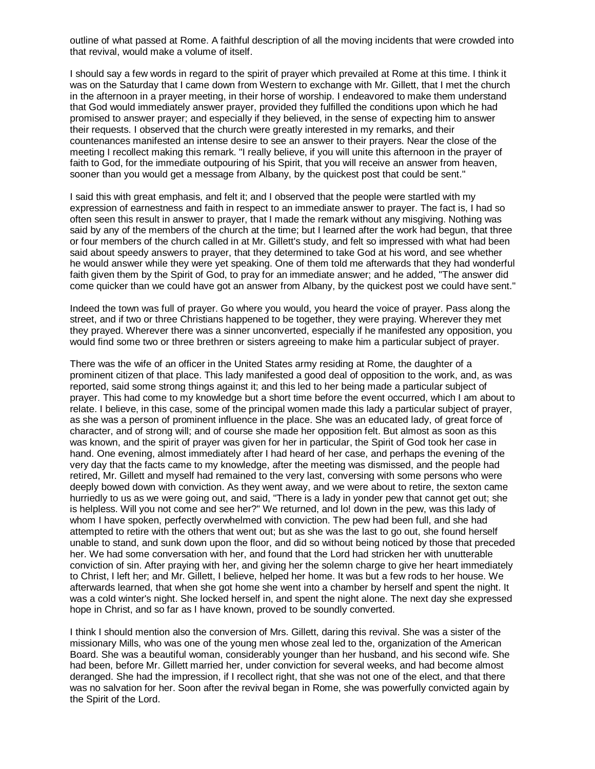outline of what passed at Rome. A faithful description of all the moving incidents that were crowded into that revival, would make a volume of itself.

I should say a few words in regard to the spirit of prayer which prevailed at Rome at this time. I think it was on the Saturday that I came down from Western to exchange with Mr. Gillett, that I met the church in the afternoon in a prayer meeting, in their horse of worship. I endeavored to make them understand that God would immediately answer prayer, provided they fulfilled the conditions upon which he had promised to answer prayer; and especially if they believed, in the sense of expecting him to answer their requests. I observed that the church were greatly interested in my remarks, and their countenances manifested an intense desire to see an answer to their prayers. Near the close of the meeting I recollect making this remark. "I really believe, if you will unite this afternoon in the prayer of faith to God, for the immediate outpouring of his Spirit, that you will receive an answer from heaven, sooner than you would get a message from Albany, by the quickest post that could be sent."

I said this with great emphasis, and felt it; and I observed that the people were startled with my expression of earnestness and faith in respect to an immediate answer to prayer. The fact is, I had so often seen this result in answer to prayer, that I made the remark without any misgiving. Nothing was said by any of the members of the church at the time; but I learned after the work had begun, that three or four members of the church called in at Mr. Gillett's study, and felt so impressed with what had been said about speedy answers to prayer, that they determined to take God at his word, and see whether he would answer while they were yet speaking. One of them told me afterwards that they had wonderful faith given them by the Spirit of God, to pray for an immediate answer; and he added, "The answer did come quicker than we could have got an answer from Albany, by the quickest post we could have sent."

Indeed the town was full of prayer. Go where you would, you heard the voice of prayer. Pass along the street, and if two or three Christians happened to be together, they were praying. Wherever they met they prayed. Wherever there was a sinner unconverted, especially if he manifested any opposition, you would find some two or three brethren or sisters agreeing to make him a particular subject of prayer.

There was the wife of an officer in the United States army residing at Rome, the daughter of a prominent citizen of that place. This lady manifested a good deal of opposition to the work, and, as was reported, said some strong things against it; and this led to her being made a particular subject of prayer. This had come to my knowledge but a short time before the event occurred, which I am about to relate. I believe, in this case, some of the principal women made this lady a particular subject of prayer, as she was a person of prominent influence in the place. She was an educated lady, of great force of character, and of strong will; and of course she made her opposition felt. But almost as soon as this was known, and the spirit of prayer was given for her in particular, the Spirit of God took her case in hand. One evening, almost immediately after I had heard of her case, and perhaps the evening of the very day that the facts came to my knowledge, after the meeting was dismissed, and the people had retired, Mr. Gillett and myself had remained to the very last, conversing with some persons who were deeply bowed down with conviction. As they went away, and we were about to retire, the sexton came hurriedly to us as we were going out, and said, "There is a lady in yonder pew that cannot get out; she is helpless. Will you not come and see her?" We returned, and lo! down in the pew, was this lady of whom I have spoken, perfectly overwhelmed with conviction. The pew had been full, and she had attempted to retire with the others that went out; but as she was the last to go out, she found herself unable to stand, and sunk down upon the floor, and did so without being noticed by those that preceded her. We had some conversation with her, and found that the Lord had stricken her with unutterable conviction of sin. After praying with her, and giving her the solemn charge to give her heart immediately to Christ, I left her; and Mr. Gillett, I believe, helped her home. It was but a few rods to her house. We afterwards learned, that when she got home she went into a chamber by herself and spent the night. It was a cold winter's night. She locked herself in, and spent the night alone. The next day she expressed hope in Christ, and so far as I have known, proved to be soundly converted.

I think I should mention also the conversion of Mrs. Gillett, daring this revival. She was a sister of the missionary Mills, who was one of the young men whose zeal led to the, organization of the American Board. She was a beautiful woman, considerably younger than her husband, and his second wife. She had been, before Mr. Gillett married her, under conviction for several weeks, and had become almost deranged. She had the impression, if I recollect right, that she was not one of the elect, and that there was no salvation for her. Soon after the revival began in Rome, she was powerfully convicted again by the Spirit of the Lord.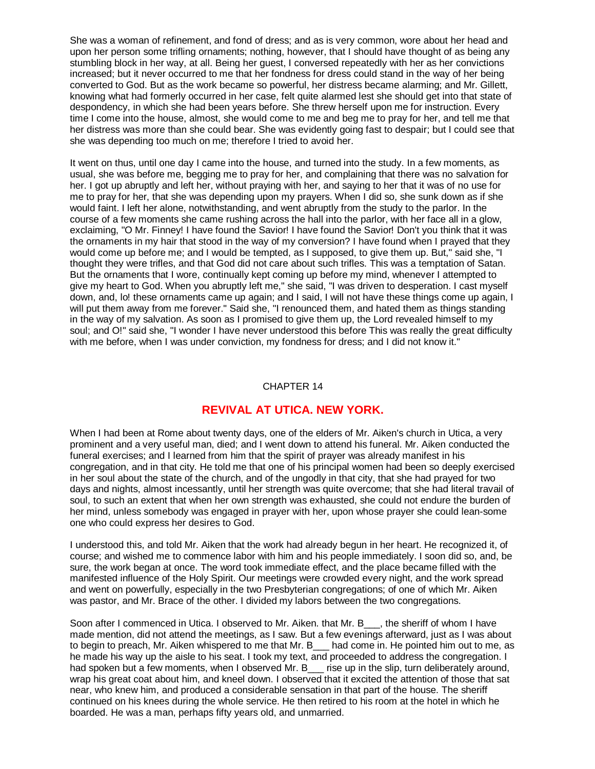She was a woman of refinement, and fond of dress; and as is very common, wore about her head and upon her person some trifling ornaments; nothing, however, that I should have thought of as being any stumbling block in her way, at all. Being her guest, I conversed repeatedly with her as her convictions increased; but it never occurred to me that her fondness for dress could stand in the way of her being converted to God. But as the work became so powerful, her distress became alarming; and Mr. Gillett, knowing what had formerly occurred in her case, felt quite alarmed lest she should get into that state of despondency, in which she had been years before. She threw herself upon me for instruction. Every time I come into the house, almost, she would come to me and beg me to pray for her, and tell me that her distress was more than she could bear. She was evidently going fast to despair; but I could see that she was depending too much on me; therefore I tried to avoid her.

It went on thus, until one day I came into the house, and turned into the study. In a few moments, as usual, she was before me, begging me to pray for her, and complaining that there was no salvation for her. I got up abruptly and left her, without praying with her, and saying to her that it was of no use for me to pray for her, that she was depending upon my prayers. When I did so, she sunk down as if she would faint. I left her alone, notwithstanding, and went abruptly from the study to the parlor. In the course of a few moments she came rushing across the hall into the parlor, with her face all in a glow, exclaiming, "O Mr. Finney! I have found the Savior! I have found the Savior! Don't you think that it was the ornaments in my hair that stood in the way of my conversion? I have found when I prayed that they would come up before me; and I would be tempted, as I supposed, to give them up. But," said she, "I thought they were trifles, and that God did not care about such trifles. This was a temptation of Satan. But the ornaments that I wore, continually kept coming up before my mind, whenever I attempted to give my heart to God. When you abruptly left me," she said, "I was driven to desperation. I cast myself down, and, lo! these ornaments came up again; and I said, I will not have these things come up again, I will put them away from me forever." Said she, "I renounced them, and hated them as things standing in the way of my salvation. As soon as I promised to give them up, the Lord revealed himself to my soul; and O!" said she, "I wonder I have never understood this before This was really the great difficulty with me before, when I was under conviction, my fondness for dress; and I did not know it."

### CHAPTER 14

## **REVIVAL AT UTICA. NEW YORK.**

When I had been at Rome about twenty days, one of the elders of Mr. Aiken's church in Utica, a very prominent and a very useful man, died; and I went down to attend his funeral. Mr. Aiken conducted the funeral exercises; and I learned from him that the spirit of prayer was already manifest in his congregation, and in that city. He told me that one of his principal women had been so deeply exercised in her soul about the state of the church, and of the ungodly in that city, that she had prayed for two days and nights, almost incessantly, until her strength was quite overcome; that she had literal travail of soul, to such an extent that when her own strength was exhausted, she could not endure the burden of her mind, unless somebody was engaged in prayer with her, upon whose prayer she could lean-some one who could express her desires to God.

I understood this, and told Mr. Aiken that the work had already begun in her heart. He recognized it, of course; and wished me to commence labor with him and his people immediately. I soon did so, and, be sure, the work began at once. The word took immediate effect, and the place became filled with the manifested influence of the Holy Spirit. Our meetings were crowded every night, and the work spread and went on powerfully, especially in the two Presbyterian congregations; of one of which Mr. Aiken was pastor, and Mr. Brace of the other. I divided my labors between the two congregations.

Soon after I commenced in Utica. I observed to Mr. Aiken. that Mr. B\_\_\_, the sheriff of whom I have made mention, did not attend the meetings, as I saw. But a few evenings afterward, just as I was about to begin to preach, Mr. Aiken whispered to me that Mr. B had come in. He pointed him out to me, as he made his way up the aisle to his seat. I took my text, and proceeded to address the congregation. I had spoken but a few moments, when I observed Mr. B rise up in the slip, turn deliberately around, wrap his great coat about him, and kneel down. I observed that it excited the attention of those that sat near, who knew him, and produced a considerable sensation in that part of the house. The sheriff continued on his knees during the whole service. He then retired to his room at the hotel in which he boarded. He was a man, perhaps fifty years old, and unmarried.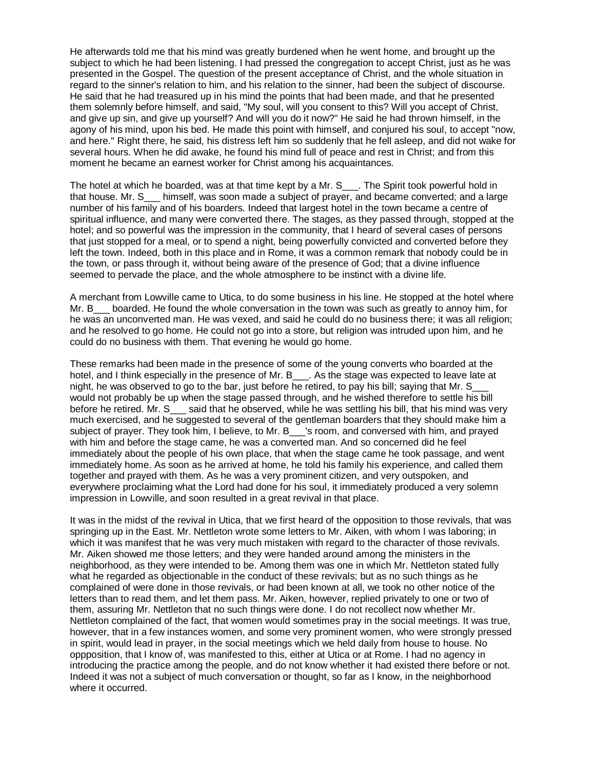He afterwards told me that his mind was greatly burdened when he went home, and brought up the subject to which he had been listening. I had pressed the congregation to accept Christ, just as he was presented in the Gospel. The question of the present acceptance of Christ, and the whole situation in regard to the sinner's relation to him, and his relation to the sinner, had been the subject of discourse. He said that he had treasured up in his mind the points that had been made, and that he presented them solemnly before himself, and said, "My soul, will you consent to this? Will you accept of Christ, and give up sin, and give up yourself? And will you do it now?" He said he had thrown himself, in the agony of his mind, upon his bed. He made this point with himself, and conjured his soul, to accept "now, and here." Right there, he said, his distress left him so suddenly that he fell asleep, and did not wake for several hours. When he did awake, he found his mind full of peace and rest in Christ; and from this moment he became an earnest worker for Christ among his acquaintances.

The hotel at which he boarded, was at that time kept by a Mr. S\_\_\_. The Spirit took powerful hold in that house. Mr. S\_\_\_ himself, was soon made a subject of prayer, and became converted; and a large number of his family and of his boarders. Indeed that largest hotel in the town became a centre of spiritual influence, and many were converted there. The stages, as they passed through, stopped at the hotel; and so powerful was the impression in the community, that I heard of several cases of persons that just stopped for a meal, or to spend a night, being powerfully convicted and converted before they left the town. Indeed, both in this place and in Rome, it was a common remark that nobody could be in the town, or pass through it, without being aware of the presence of God; that a divine influence seemed to pervade the place, and the whole atmosphere to be instinct with a divine life.

A merchant from Lowville came to Utica, to do some business in his line. He stopped at the hotel where Mr. B boarded. He found the whole conversation in the town was such as greatly to annoy him, for he was an unconverted man. He was vexed, and said he could do no business there; it was all religion; and he resolved to go home. He could not go into a store, but religion was intruded upon him, and he could do no business with them. That evening he would go home.

These remarks had been made in the presence of some of the young converts who boarded at the hotel, and I think especially in the presence of Mr. B\_\_\_. As the stage was expected to leave late at night, he was observed to go to the bar, just before he retired, to pay his bill; saying that Mr. S\_\_\_ would not probably be up when the stage passed through, and he wished therefore to settle his bill before he retired. Mr. S said that he observed, while he was settling his bill, that his mind was very much exercised, and he suggested to several of the gentleman boarders that they should make him a subject of prayer. They took him, I believe, to Mr. B\_\_\_'s room, and conversed with him, and prayed with him and before the stage came, he was a converted man. And so concerned did he feel immediately about the people of his own place, that when the stage came he took passage, and went immediately home. As soon as he arrived at home, he told his family his experience, and called them together and prayed with them. As he was a very prominent citizen, and very outspoken, and everywhere proclaiming what the Lord had done for his soul, it immediately produced a very solemn impression in Lowville, and soon resulted in a great revival in that place.

It was in the midst of the revival in Utica, that we first heard of the opposition to those revivals, that was springing up in the East. Mr. Nettleton wrote some letters to Mr. Aiken, with whom I was laboring; in which it was manifest that he was very much mistaken with regard to the character of those revivals. Mr. Aiken showed me those letters; and they were handed around among the ministers in the neighborhood, as they were intended to be. Among them was one in which Mr. Nettleton stated fully what he regarded as objectionable in the conduct of these revivals; but as no such things as he complained of were done in those revivals, or had been known at all, we took no other notice of the letters than to read them, and let them pass. Mr. Aiken, however, replied privately to one or two of them, assuring Mr. Nettleton that no such things were done. I do not recollect now whether Mr. Nettleton complained of the fact, that women would sometimes pray in the social meetings. It was true, however, that in a few instances women, and some very prominent women, who were strongly pressed in spirit, would lead in prayer, in the social meetings which we held daily from house to house. No oppposition, that I know of, was manifested to this, either at Utica or at Rome. I had no agency in introducing the practice among the people, and do not know whether it had existed there before or not. Indeed it was not a subject of much conversation or thought, so far as I know, in the neighborhood where it occurred.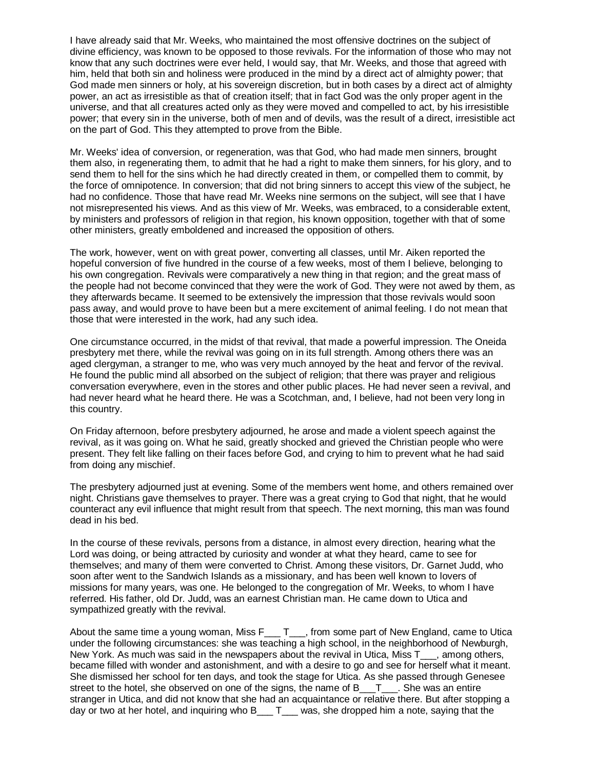I have already said that Mr. Weeks, who maintained the most offensive doctrines on the subject of divine efficiency, was known to be opposed to those revivals. For the information of those who may not know that any such doctrines were ever held, I would say, that Mr. Weeks, and those that agreed with him, held that both sin and holiness were produced in the mind by a direct act of almighty power; that God made men sinners or holy, at his sovereign discretion, but in both cases by a direct act of almighty power, an act as irresistible as that of creation itself; that in fact God was the only proper agent in the universe, and that all creatures acted only as they were moved and compelled to act, by his irresistible power; that every sin in the universe, both of men and of devils, was the result of a direct, irresistible act on the part of God. This they attempted to prove from the Bible.

Mr. Weeks' idea of conversion, or regeneration, was that God, who had made men sinners, brought them also, in regenerating them, to admit that he had a right to make them sinners, for his glory, and to send them to hell for the sins which he had directly created in them, or compelled them to commit, by the force of omnipotence. In conversion; that did not bring sinners to accept this view of the subject, he had no confidence. Those that have read Mr. Weeks nine sermons on the subject, will see that I have not misrepresented his views. And as this view of Mr. Weeks, was embraced, to a considerable extent, by ministers and professors of religion in that region, his known opposition, together with that of some other ministers, greatly emboldened and increased the opposition of others.

The work, however, went on with great power, converting all classes, until Mr. Aiken reported the hopeful conversion of five hundred in the course of a few weeks, most of them I believe, belonging to his own congregation. Revivals were comparatively a new thing in that region; and the great mass of the people had not become convinced that they were the work of God. They were not awed by them, as they afterwards became. It seemed to be extensively the impression that those revivals would soon pass away, and would prove to have been but a mere excitement of animal feeling. I do not mean that those that were interested in the work, had any such idea.

One circumstance occurred, in the midst of that revival, that made a powerful impression. The Oneida presbytery met there, while the revival was going on in its full strength. Among others there was an aged clergyman, a stranger to me, who was very much annoyed by the heat and fervor of the revival. He found the public mind all absorbed on the subject of religion; that there was prayer and religious conversation everywhere, even in the stores and other public places. He had never seen a revival, and had never heard what he heard there. He was a Scotchman, and, I believe, had not been very long in this country.

On Friday afternoon, before presbytery adjourned, he arose and made a violent speech against the revival, as it was going on. What he said, greatly shocked and grieved the Christian people who were present. They felt like falling on their faces before God, and crying to him to prevent what he had said from doing any mischief.

The presbytery adjourned just at evening. Some of the members went home, and others remained over night. Christians gave themselves to prayer. There was a great crying to God that night, that he would counteract any evil influence that might result from that speech. The next morning, this man was found dead in his bed.

In the course of these revivals, persons from a distance, in almost every direction, hearing what the Lord was doing, or being attracted by curiosity and wonder at what they heard, came to see for themselves; and many of them were converted to Christ. Among these visitors, Dr. Garnet Judd, who soon after went to the Sandwich Islands as a missionary, and has been well known to lovers of missions for many years, was one. He belonged to the congregation of Mr. Weeks, to whom I have referred. His father, old Dr. Judd, was an earnest Christian man. He came down to Utica and sympathized greatly with the revival.

About the same time a young woman, Miss F<sub>14</sub>, from some part of New England, came to Utica under the following circumstances: she was teaching a high school, in the neighborhood of Newburgh, New York. As much was said in the newspapers about the revival in Utica, Miss T<sub>\_\_\_</sub>, among others, became filled with wonder and astonishment, and with a desire to go and see for herself what it meant. She dismissed her school for ten days, and took the stage for Utica. As she passed through Genesee street to the hotel, she observed on one of the signs, the name of  $B_{\_T}$   $\_\_$ . She was an entire stranger in Utica, and did not know that she had an acquaintance or relative there. But after stopping a day or two at her hotel, and inquiring who B\_\_\_ T\_\_\_ was, she dropped him a note, saying that the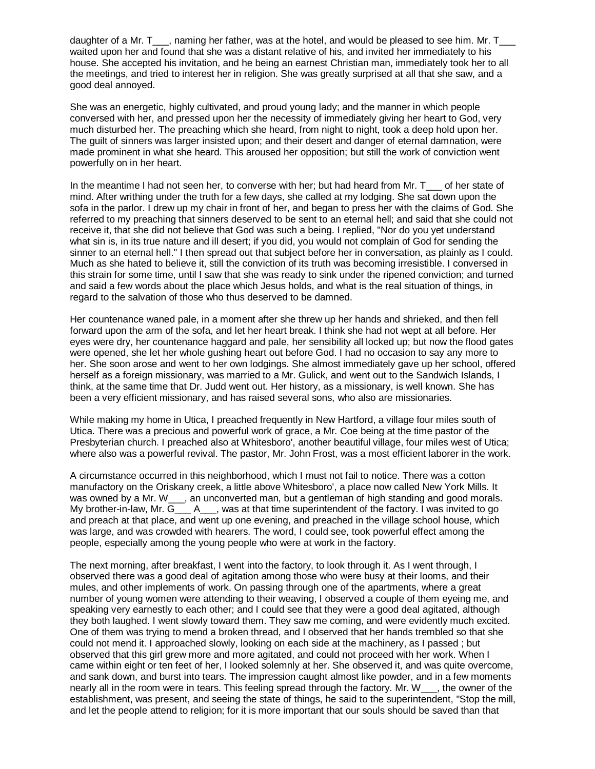daughter of a Mr. T<sub>u</sub>, naming her father, was at the hotel, and would be pleased to see him. Mr. T waited upon her and found that she was a distant relative of his, and invited her immediately to his house. She accepted his invitation, and he being an earnest Christian man, immediately took her to all the meetings, and tried to interest her in religion. She was greatly surprised at all that she saw, and a good deal annoyed.

She was an energetic, highly cultivated, and proud young lady; and the manner in which people conversed with her, and pressed upon her the necessity of immediately giving her heart to God, very much disturbed her. The preaching which she heard, from night to night, took a deep hold upon her. The guilt of sinners was larger insisted upon; and their desert and danger of eternal damnation, were made prominent in what she heard. This aroused her opposition; but still the work of conviction went powerfully on in her heart.

In the meantime I had not seen her, to converse with her; but had heard from Mr. T\_\_\_ of her state of mind. After writhing under the truth for a few days, she called at my lodging. She sat down upon the sofa in the parlor. I drew up my chair in front of her, and began to press her with the claims of God. She referred to my preaching that sinners deserved to be sent to an eternal hell; and said that she could not receive it, that she did not believe that God was such a being. I replied, "Nor do you yet understand what sin is, in its true nature and ill desert; if you did, you would not complain of God for sending the sinner to an eternal hell." I then spread out that subject before her in conversation, as plainly as I could. Much as she hated to believe it, still the conviction of its truth was becoming irresistible. I conversed in this strain for some time, until I saw that she was ready to sink under the ripened conviction; and turned and said a few words about the place which Jesus holds, and what is the real situation of things, in regard to the salvation of those who thus deserved to be damned.

Her countenance waned pale, in a moment after she threw up her hands and shrieked, and then fell forward upon the arm of the sofa, and let her heart break. I think she had not wept at all before. Her eyes were dry, her countenance haggard and pale, her sensibility all locked up; but now the flood gates were opened, she let her whole gushing heart out before God. I had no occasion to say any more to her. She soon arose and went to her own lodgings. She almost immediately gave up her school, offered herself as a foreign missionary, was married to a Mr. Gulick, and went out to the Sandwich Islands, I think, at the same time that Dr. Judd went out. Her history, as a missionary, is well known. She has been a very efficient missionary, and has raised several sons, who also are missionaries.

While making my home in Utica, I preached frequently in New Hartford, a village four miles south of Utica. There was a precious and powerful work of grace, a Mr. Coe being at the time pastor of the Presbyterian church. I preached also at Whitesboro', another beautiful village, four miles west of Utica; where also was a powerful revival. The pastor, Mr. John Frost, was a most efficient laborer in the work.

A circumstance occurred in this neighborhood, which I must not fail to notice. There was a cotton manufactory on the Oriskany creek, a little above Whitesboro', a place now called New York Mills. It was owned by a Mr. W<sub>\_\_\_</sub>, an unconverted man, but a gentleman of high standing and good morals. My brother-in-law, Mr. G  $\overline{a}$  A  $\overline{a}$ , was at that time superintendent of the factory. I was invited to go and preach at that place, and went up one evening, and preached in the village school house, which was large, and was crowded with hearers. The word, I could see, took powerful effect among the people, especially among the young people who were at work in the factory.

The next morning, after breakfast, I went into the factory, to look through it. As I went through, I observed there was a good deal of agitation among those who were busy at their looms, and their mules, and other implements of work. On passing through one of the apartments, where a great number of young women were attending to their weaving, I observed a couple of them eyeing me, and speaking very earnestly to each other; and I could see that they were a good deal agitated, although they both laughed. I went slowly toward them. They saw me coming, and were evidently much excited. One of them was trying to mend a broken thread, and I observed that her hands trembled so that she could not mend it. I approached slowly, looking on each side at the machinery, as I passed ; but observed that this girl grew more and more agitated, and could not proceed with her work. When I came within eight or ten feet of her, I looked solemnly at her. She observed it, and was quite overcome, and sank down, and burst into tears. The impression caught almost like powder, and in a few moments nearly all in the room were in tears. This feeling spread through the factory. Mr. W\_\_\_, the owner of the establishment, was present, and seeing the state of things, he said to the superintendent, "Stop the mill, and let the people attend to religion; for it is more important that our souls should be saved than that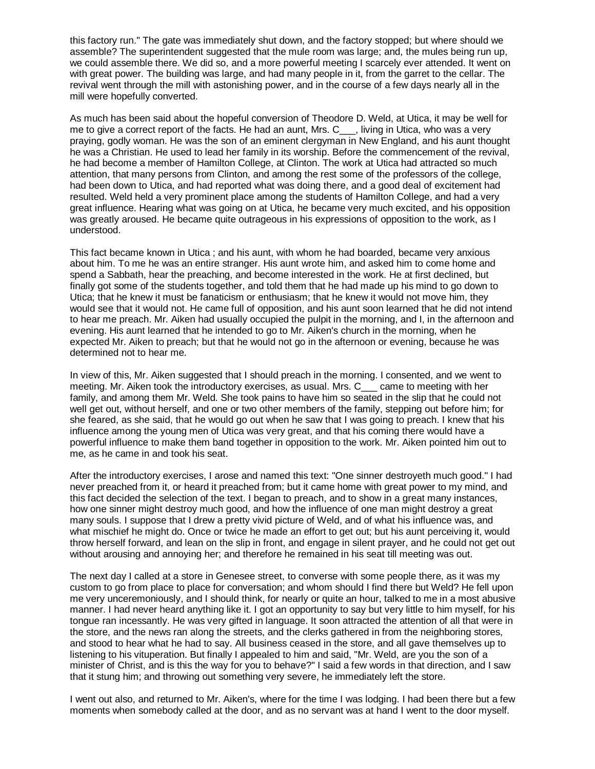this factory run." The gate was immediately shut down, and the factory stopped; but where should we assemble? The superintendent suggested that the mule room was large; and, the mules being run up, we could assemble there. We did so, and a more powerful meeting I scarcely ever attended. It went on with great power. The building was large, and had many people in it, from the garret to the cellar. The revival went through the mill with astonishing power, and in the course of a few days nearly all in the mill were hopefully converted.

As much has been said about the hopeful conversion of Theodore D. Weld, at Utica, it may be well for me to give a correct report of the facts. He had an aunt, Mrs. C<sub>\_\_\_,</sub> living in Utica, who was a very praying, godly woman. He was the son of an eminent clergyman in New England, and his aunt thought he was a Christian. He used to lead her family in its worship. Before the commencement of the revival, he had become a member of Hamilton College, at Clinton. The work at Utica had attracted so much attention, that many persons from Clinton, and among the rest some of the professors of the college, had been down to Utica, and had reported what was doing there, and a good deal of excitement had resulted. Weld held a very prominent place among the students of Hamilton College, and had a very great influence. Hearing what was going on at Utica, he became very much excited, and his opposition was greatly aroused. He became quite outrageous in his expressions of opposition to the work, as I understood.

This fact became known in Utica ; and his aunt, with whom he had boarded, became very anxious about him. To me he was an entire stranger. His aunt wrote him, and asked him to come home and spend a Sabbath, hear the preaching, and become interested in the work. He at first declined, but finally got some of the students together, and told them that he had made up his mind to go down to Utica; that he knew it must be fanaticism or enthusiasm; that he knew it would not move him, they would see that it would not. He came full of opposition, and his aunt soon learned that he did not intend to hear me preach. Mr. Aiken had usually occupied the pulpit in the morning, and I, in the afternoon and evening. His aunt learned that he intended to go to Mr. Aiken's church in the morning, when he expected Mr. Aiken to preach; but that he would not go in the afternoon or evening, because he was determined not to hear me.

In view of this, Mr. Aiken suggested that I should preach in the morning. I consented, and we went to meeting. Mr. Aiken took the introductory exercises, as usual. Mrs. C came to meeting with her family, and among them Mr. Weld. She took pains to have him so seated in the slip that he could not well get out, without herself, and one or two other members of the family, stepping out before him; for she feared, as she said, that he would go out when he saw that I was going to preach. I knew that his influence among the young men of Utica was very great, and that his coming there would have a powerful influence to make them band together in opposition to the work. Mr. Aiken pointed him out to me, as he came in and took his seat.

After the introductory exercises, I arose and named this text: "One sinner destroyeth much good." I had never preached from it, or heard it preached from; but it came home with great power to my mind, and this fact decided the selection of the text. I began to preach, and to show in a great many instances, how one sinner might destroy much good, and how the influence of one man might destroy a great many souls. I suppose that I drew a pretty vivid picture of Weld, and of what his influence was, and what mischief he might do. Once or twice he made an effort to get out; but his aunt perceiving it, would throw herself forward, and lean on the slip in front, and engage in silent prayer, and he could not get out without arousing and annoying her; and therefore he remained in his seat till meeting was out.

The next day I called at a store in Genesee street, to converse with some people there, as it was my custom to go from place to place for conversation; and whom should I find there but Weld? He fell upon me very unceremoniously, and I should think, for nearly or quite an hour, talked to me in a most abusive manner. I had never heard anything like it. I got an opportunity to say but very little to him myself, for his tongue ran incessantly. He was very gifted in language. It soon attracted the attention of all that were in the store, and the news ran along the streets, and the clerks gathered in from the neighboring stores, and stood to hear what he had to say. All business ceased in the store, and all gave themselves up to listening to his vituperation. But finally I appealed to him and said, "Mr. Weld, are you the son of a minister of Christ, and is this the way for you to behave?" I said a few words in that direction, and I saw that it stung him; and throwing out something very severe, he immediately left the store.

I went out also, and returned to Mr. Aiken's, where for the time I was lodging. I had been there but a few moments when somebody called at the door, and as no servant was at hand I went to the door myself.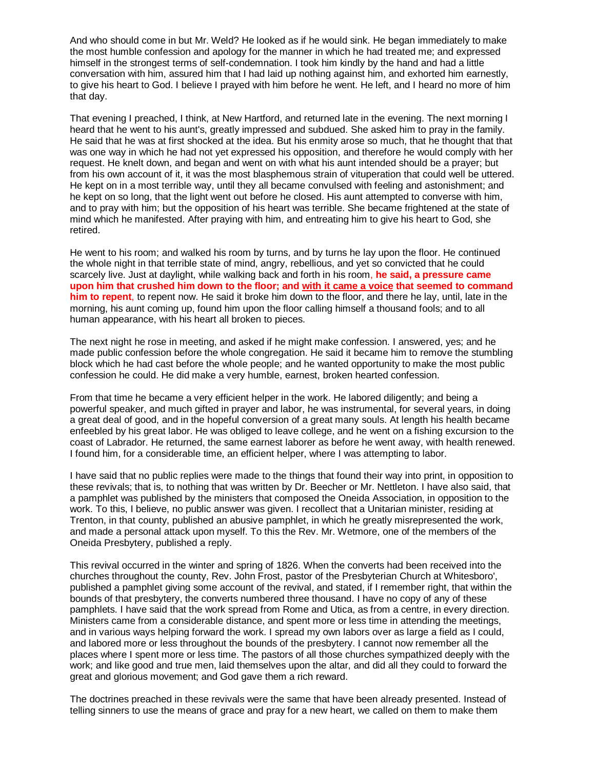And who should come in but Mr. Weld? He looked as if he would sink. He began immediately to make the most humble confession and apology for the manner in which he had treated me; and expressed himself in the strongest terms of self-condemnation. I took him kindly by the hand and had a little conversation with him, assured him that I had laid up nothing against him, and exhorted him earnestly, to give his heart to God. I believe I prayed with him before he went. He left, and I heard no more of him that day.

That evening I preached, I think, at New Hartford, and returned late in the evening. The next morning I heard that he went to his aunt's, greatly impressed and subdued. She asked him to pray in the family. He said that he was at first shocked at the idea. But his enmity arose so much, that he thought that that was one way in which he had not yet expressed his opposition, and therefore he would comply with her request. He knelt down, and began and went on with what his aunt intended should be a prayer; but from his own account of it, it was the most blasphemous strain of vituperation that could well be uttered. He kept on in a most terrible way, until they all became convulsed with feeling and astonishment; and he kept on so long, that the light went out before he closed. His aunt attempted to converse with him, and to pray with him; but the opposition of his heart was terrible. She became frightened at the state of mind which he manifested. After praying with him, and entreating him to give his heart to God, she retired.

He went to his room; and walked his room by turns, and by turns he lay upon the floor. He continued the whole night in that terrible state of mind, angry, rebellious, and yet so convicted that he could scarcely live. Just at daylight, while walking back and forth in his room, **he said, a pressure came upon him that crushed him down to the floor; and with it came a voice that seemed to command him to repent**, to repent now. He said it broke him down to the floor, and there he lay, until, late in the morning, his aunt coming up, found him upon the floor calling himself a thousand fools; and to all human appearance, with his heart all broken to pieces.

The next night he rose in meeting, and asked if he might make confession. I answered, yes; and he made public confession before the whole congregation. He said it became him to remove the stumbling block which he had cast before the whole people; and he wanted opportunity to make the most public confession he could. He did make a very humble, earnest, broken hearted confession.

From that time he became a very efficient helper in the work. He labored diligently; and being a powerful speaker, and much gifted in prayer and labor, he was instrumental, for several years, in doing a great deal of good, and in the hopeful conversion of a great many souls. At length his health became enfeebled by his great labor. He was obliged to leave college, and he went on a fishing excursion to the coast of Labrador. He returned, the same earnest laborer as before he went away, with health renewed. I found him, for a considerable time, an efficient helper, where I was attempting to labor.

I have said that no public replies were made to the things that found their way into print, in opposition to these revivals; that is, to nothing that was written by Dr. Beecher or Mr. Nettleton. I have also said, that a pamphlet was published by the ministers that composed the Oneida Association, in opposition to the work. To this, I believe, no public answer was given. I recollect that a Unitarian minister, residing at Trenton, in that county, published an abusive pamphlet, in which he greatly misrepresented the work, and made a personal attack upon myself. To this the Rev. Mr. Wetmore, one of the members of the Oneida Presbytery, published a reply.

This revival occurred in the winter and spring of 1826. When the converts had been received into the churches throughout the county, Rev. John Frost, pastor of the Presbyterian Church at Whitesboro', published a pamphlet giving some account of the revival, and stated, if I remember right, that within the bounds of that presbytery, the converts numbered three thousand. I have no copy of any of these pamphlets. I have said that the work spread from Rome and Utica, as from a centre, in every direction. Ministers came from a considerable distance, and spent more or less time in attending the meetings, and in various ways helping forward the work. I spread my own labors over as large a field as I could, and labored more or less throughout the bounds of the presbytery. I cannot now remember all the places where I spent more or less time. The pastors of all those churches sympathized deeply with the work; and like good and true men, laid themselves upon the altar, and did all they could to forward the great and glorious movement; and God gave them a rich reward.

The doctrines preached in these revivals were the same that have been already presented. Instead of telling sinners to use the means of grace and pray for a new heart, we called on them to make them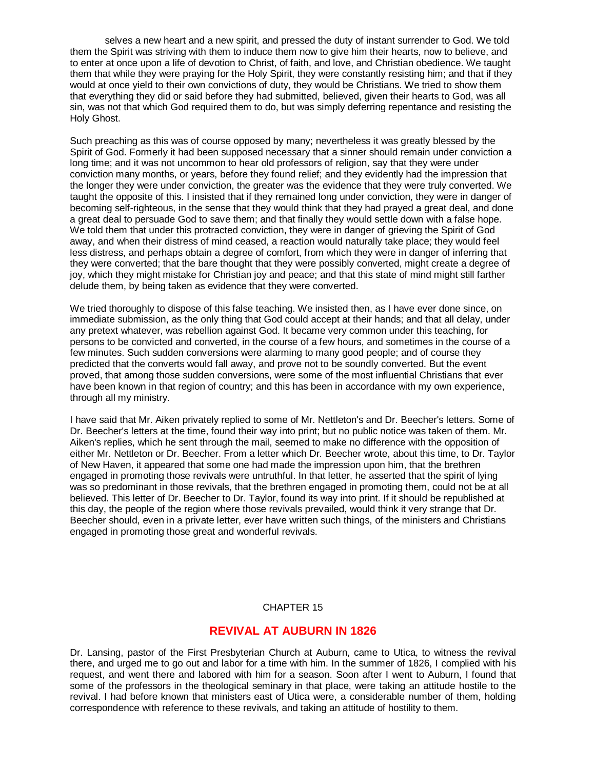selves a new heart and a new spirit, and pressed the duty of instant surrender to God. We told them the Spirit was striving with them to induce them now to give him their hearts, now to believe, and to enter at once upon a life of devotion to Christ, of faith, and love, and Christian obedience. We taught them that while they were praying for the Holy Spirit, they were constantly resisting him; and that if they would at once yield to their own convictions of duty, they would be Christians. We tried to show them that everything they did or said before they had submitted, believed, given their hearts to God, was all sin, was not that which God required them to do, but was simply deferring repentance and resisting the Holy Ghost.

Such preaching as this was of course opposed by many; nevertheless it was greatly blessed by the Spirit of God. Formerly it had been supposed necessary that a sinner should remain under conviction a long time; and it was not uncommon to hear old professors of religion, say that they were under conviction many months, or years, before they found relief; and they evidently had the impression that the longer they were under conviction, the greater was the evidence that they were truly converted. We taught the opposite of this. I insisted that if they remained long under conviction, they were in danger of becoming self-righteous, in the sense that they would think that they had prayed a great deal, and done a great deal to persuade God to save them; and that finally they would settle down with a false hope. We told them that under this protracted conviction, they were in danger of grieving the Spirit of God away, and when their distress of mind ceased, a reaction would naturally take place; they would feel less distress, and perhaps obtain a degree of comfort, from which they were in danger of inferring that they were converted; that the bare thought that they were possibly converted, might create a degree of joy, which they might mistake for Christian joy and peace; and that this state of mind might still farther delude them, by being taken as evidence that they were converted.

We tried thoroughly to dispose of this false teaching. We insisted then, as I have ever done since, on immediate submission, as the only thing that God could accept at their hands; and that all delay, under any pretext whatever, was rebellion against God. It became very common under this teaching, for persons to be convicted and converted, in the course of a few hours, and sometimes in the course of a few minutes. Such sudden conversions were alarming to many good people; and of course they predicted that the converts would fall away, and prove not to be soundly converted. But the event proved, that among those sudden conversions, were some of the most influential Christians that ever have been known in that region of country; and this has been in accordance with my own experience, through all my ministry.

I have said that Mr. Aiken privately replied to some of Mr. Nettleton's and Dr. Beecher's letters. Some of Dr. Beecher's letters at the time, found their way into print; but no public notice was taken of them. Mr. Aiken's replies, which he sent through the mail, seemed to make no difference with the opposition of either Mr. Nettleton or Dr. Beecher. From a letter which Dr. Beecher wrote, about this time, to Dr. Taylor of New Haven, it appeared that some one had made the impression upon him, that the brethren engaged in promoting those revivals were untruthful. In that letter, he asserted that the spirit of lying was so predominant in those revivals, that the brethren engaged in promoting them, could not be at all believed. This letter of Dr. Beecher to Dr. Taylor, found its way into print. If it should be republished at this day, the people of the region where those revivals prevailed, would think it very strange that Dr. Beecher should, even in a private letter, ever have written such things, of the ministers and Christians engaged in promoting those great and wonderful revivals.

### CHAPTER 15

## **REVIVAL AT AUBURN IN 1826**

Dr. Lansing, pastor of the First Presbyterian Church at Auburn, came to Utica, to witness the revival there, and urged me to go out and labor for a time with him. In the summer of 1826, I complied with his request, and went there and labored with him for a season. Soon after I went to Auburn, I found that some of the professors in the theological seminary in that place, were taking an attitude hostile to the revival. I had before known that ministers east of Utica were, a considerable number of them, holding correspondence with reference to these revivals, and taking an attitude of hostility to them.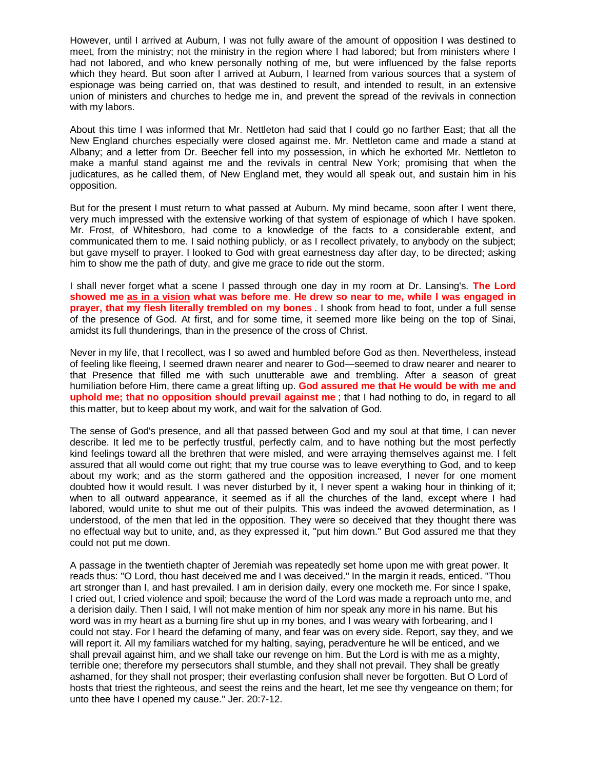However, until I arrived at Auburn, I was not fully aware of the amount of opposition I was destined to meet, from the ministry; not the ministry in the region where I had labored; but from ministers where I had not labored, and who knew personally nothing of me, but were influenced by the false reports which they heard. But soon after I arrived at Auburn, I learned from various sources that a system of espionage was being carried on, that was destined to result, and intended to result, in an extensive union of ministers and churches to hedge me in, and prevent the spread of the revivals in connection with my labors.

About this time I was informed that Mr. Nettleton had said that I could go no farther East; that all the New England churches especially were closed against me. Mr. Nettleton came and made a stand at Albany; and a letter from Dr. Beecher fell into my possession, in which he exhorted Mr. Nettleton to make a manful stand against me and the revivals in central New York; promising that when the judicatures, as he called them, of New England met, they would all speak out, and sustain him in his opposition.

But for the present I must return to what passed at Auburn. My mind became, soon after I went there, very much impressed with the extensive working of that system of espionage of which I have spoken. Mr. Frost, of Whitesboro, had come to a knowledge of the facts to a considerable extent, and communicated them to me. I said nothing publicly, or as I recollect privately, to anybody on the subject; but gave myself to prayer. I looked to God with great earnestness day after day, to be directed; asking him to show me the path of duty, and give me grace to ride out the storm.

I shall never forget what a scene I passed through one day in my room at Dr. Lansing's. **The Lord** showed me as in a vision what was before me. He drew so near to me, while I was engaged in **prayer, that my flesh literally trembled on my bones** . I shook from head to foot, under a full sense of the presence of God. At first, and for some time, it seemed more like being on the top of Sinai, amidst its full thunderings, than in the presence of the cross of Christ.

Never in my life, that I recollect, was I so awed and humbled before God as then. Nevertheless, instead of feeling like fleeing, I seemed drawn nearer and nearer to God—seemed to draw nearer and nearer to that Presence that filled me with such unutterable awe and trembling. After a season of great humiliation before Him, there came a great lifting up. **God assured me that He would be with me and uphold me; that no opposition should prevail against me** ; that I had nothing to do, in regard to all this matter, but to keep about my work, and wait for the salvation of God.

The sense of God's presence, and all that passed between God and my soul at that time, I can never describe. It led me to be perfectly trustful, perfectly calm, and to have nothing but the most perfectly kind feelings toward all the brethren that were misled, and were arraying themselves against me. I felt assured that all would come out right; that my true course was to leave everything to God, and to keep about my work; and as the storm gathered and the opposition increased, I never for one moment doubted how it would result. I was never disturbed by it, I never spent a waking hour in thinking of it; when to all outward appearance, it seemed as if all the churches of the land, except where I had labored, would unite to shut me out of their pulpits. This was indeed the avowed determination, as I understood, of the men that led in the opposition. They were so deceived that they thought there was no effectual way but to unite, and, as they expressed it, "put him down." But God assured me that they could not put me down.

A passage in the twentieth chapter of Jeremiah was repeatedly set home upon me with great power. It reads thus: "O Lord, thou hast deceived me and I was deceived." In the margin it reads, enticed. "Thou art stronger than I, and hast prevailed. I am in derision daily, every one mocketh me. For since I spake, I cried out, I cried violence and spoil; because the word of the Lord was made a reproach unto me, and a derision daily. Then I said, I will not make mention of him nor speak any more in his name. But his word was in my heart as a burning fire shut up in my bones, and I was weary with forbearing, and I could not stay. For I heard the defaming of many, and fear was on every side. Report, say they, and we will report it. All my familiars watched for my halting, saying, peradventure he will be enticed, and we shall prevail against him, and we shall take our revenge on him. But the Lord is with me as a mighty, terrible one; therefore my persecutors shall stumble, and they shall not prevail. They shall be greatly ashamed, for they shall not prosper; their everlasting confusion shall never be forgotten. But O Lord of hosts that triest the righteous, and seest the reins and the heart, let me see thy vengeance on them; for unto thee have I opened my cause." Jer. 20:7-12.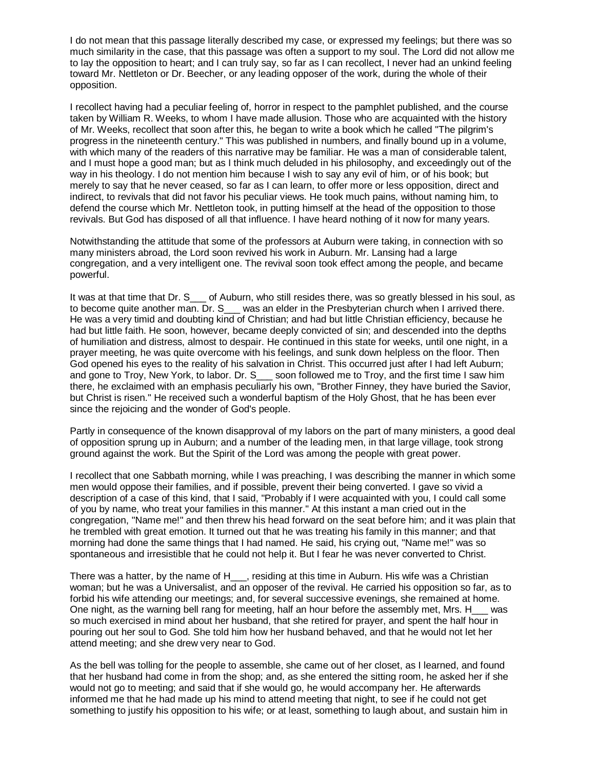I do not mean that this passage literally described my case, or expressed my feelings; but there was so much similarity in the case, that this passage was often a support to my soul. The Lord did not allow me to lay the opposition to heart; and I can truly say, so far as I can recollect, I never had an unkind feeling toward Mr. Nettleton or Dr. Beecher, or any leading opposer of the work, during the whole of their opposition.

I recollect having had a peculiar feeling of, horror in respect to the pamphlet published, and the course taken by William R. Weeks, to whom I have made allusion. Those who are acquainted with the history of Mr. Weeks, recollect that soon after this, he began to write a book which he called "The pilgrim's progress in the nineteenth century." This was published in numbers, and finally bound up in a volume, with which many of the readers of this narrative may be familiar. He was a man of considerable talent, and I must hope a good man; but as I think much deluded in his philosophy, and exceedingly out of the way in his theology. I do not mention him because I wish to say any evil of him, or of his book; but merely to say that he never ceased, so far as I can learn, to offer more or less opposition, direct and indirect, to revivals that did not favor his peculiar views. He took much pains, without naming him, to defend the course which Mr. Nettleton took, in putting himself at the head of the opposition to those revivals. But God has disposed of all that influence. I have heard nothing of it now for many years.

Notwithstanding the attitude that some of the professors at Auburn were taking, in connection with so many ministers abroad, the Lord soon revived his work in Auburn. Mr. Lansing had a large congregation, and a very intelligent one. The revival soon took effect among the people, and became powerful.

It was at that time that Dr. S \_\_\_ of Auburn, who still resides there, was so greatly blessed in his soul, as to become quite another man. Dr. S\_\_\_ was an elder in the Presbyterian church when I arrived there. He was a very timid and doubting kind of Christian; and had but little Christian efficiency, because he had but little faith. He soon, however, became deeply convicted of sin; and descended into the depths of humiliation and distress, almost to despair. He continued in this state for weeks, until one night, in a prayer meeting, he was quite overcome with his feelings, and sunk down helpless on the floor. Then God opened his eyes to the reality of his salvation in Christ. This occurred just after I had left Auburn; and gone to Troy, New York, to labor. Dr. S soon followed me to Troy, and the first time I saw him there, he exclaimed with an emphasis peculiarly his own, "Brother Finney, they have buried the Savior, but Christ is risen." He received such a wonderful baptism of the Holy Ghost, that he has been ever since the rejoicing and the wonder of God's people.

Partly in consequence of the known disapproval of my labors on the part of many ministers, a good deal of opposition sprung up in Auburn; and a number of the leading men, in that large village, took strong ground against the work. But the Spirit of the Lord was among the people with great power.

I recollect that one Sabbath morning, while I was preaching, I was describing the manner in which some men would oppose their families, and if possible, prevent their being converted. I gave so vivid a description of a case of this kind, that I said, "Probably if I were acquainted with you, I could call some of you by name, who treat your families in this manner." At this instant a man cried out in the congregation, "Name me!" and then threw his head forward on the seat before him; and it was plain that he trembled with great emotion. It turned out that he was treating his family in this manner; and that morning had done the same things that I had named. He said, his crying out, "Name me!" was so spontaneous and irresistible that he could not help it. But I fear he was never converted to Christ.

There was a hatter, by the name of H  $\blacksquare$ , residing at this time in Auburn. His wife was a Christian woman; but he was a Universalist, and an opposer of the revival. He carried his opposition so far, as to forbid his wife attending our meetings; and, for several successive evenings, she remained at home. One night, as the warning bell rang for meeting, half an hour before the assembly met, Mrs. H was so much exercised in mind about her husband, that she retired for prayer, and spent the half hour in pouring out her soul to God. She told him how her husband behaved, and that he would not let her attend meeting; and she drew very near to God.

As the bell was tolling for the people to assemble, she came out of her closet, as I learned, and found that her husband had come in from the shop; and, as she entered the sitting room, he asked her if she would not go to meeting; and said that if she would go, he would accompany her. He afterwards informed me that he had made up his mind to attend meeting that night, to see if he could not get something to justify his opposition to his wife; or at least, something to laugh about, and sustain him in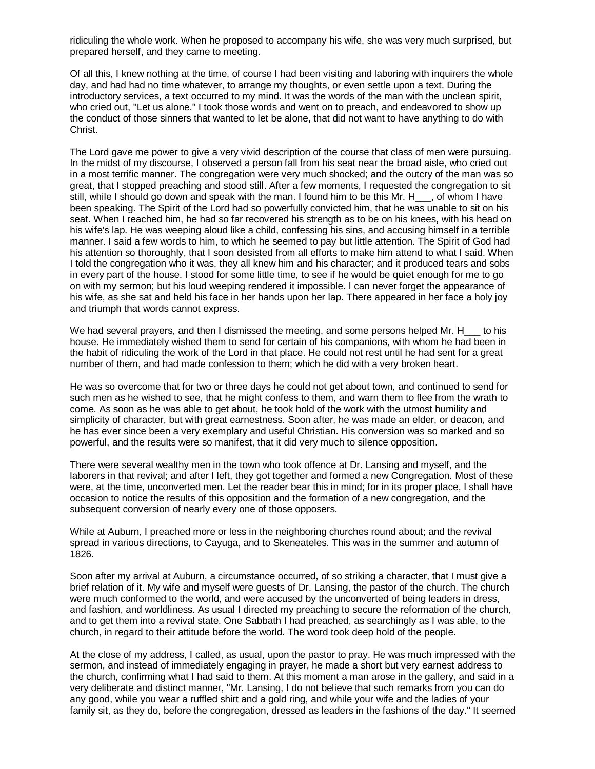ridiculing the whole work. When he proposed to accompany his wife, she was very much surprised, but prepared herself, and they came to meeting.

Of all this, I knew nothing at the time, of course I had been visiting and laboring with inquirers the whole day, and had had no time whatever, to arrange my thoughts, or even settle upon a text. During the introductory services, a text occurred to my mind. It was the words of the man with the unclean spirit, who cried out, "Let us alone." I took those words and went on to preach, and endeavored to show up the conduct of those sinners that wanted to let be alone, that did not want to have anything to do with Christ.

The Lord gave me power to give a very vivid description of the course that class of men were pursuing. In the midst of my discourse, I observed a person fall from his seat near the broad aisle, who cried out in a most terrific manner. The congregation were very much shocked; and the outcry of the man was so great, that I stopped preaching and stood still. After a few moments, I requested the congregation to sit still, while I should go down and speak with the man. I found him to be this Mr. H<sub>n</sub>of whom I have been speaking. The Spirit of the Lord had so powerfully convicted him, that he was unable to sit on his seat. When I reached him, he had so far recovered his strength as to be on his knees, with his head on his wife's lap. He was weeping aloud like a child, confessing his sins, and accusing himself in a terrible manner. I said a few words to him, to which he seemed to pay but little attention. The Spirit of God had his attention so thoroughly, that I soon desisted from all efforts to make him attend to what I said. When I told the congregation who it was, they all knew him and his character; and it produced tears and sobs in every part of the house. I stood for some little time, to see if he would be quiet enough for me to go on with my sermon; but his loud weeping rendered it impossible. I can never forget the appearance of his wife, as she sat and held his face in her hands upon her lap. There appeared in her face a holy joy and triumph that words cannot express.

We had several prayers, and then I dismissed the meeting, and some persons helped Mr. H to his house. He immediately wished them to send for certain of his companions, with whom he had been in the habit of ridiculing the work of the Lord in that place. He could not rest until he had sent for a great number of them, and had made confession to them; which he did with a very broken heart.

He was so overcome that for two or three days he could not get about town, and continued to send for such men as he wished to see, that he might confess to them, and warn them to flee from the wrath to come. As soon as he was able to get about, he took hold of the work with the utmost humility and simplicity of character, but with great earnestness. Soon after, he was made an elder, or deacon, and he has ever since been a very exemplary and useful Christian. His conversion was so marked and so powerful, and the results were so manifest, that it did very much to silence opposition.

There were several wealthy men in the town who took offence at Dr. Lansing and myself, and the laborers in that revival; and after I left, they got together and formed a new Congregation. Most of these were, at the time, unconverted men. Let the reader bear this in mind; for in its proper place, I shall have occasion to notice the results of this opposition and the formation of a new congregation, and the subsequent conversion of nearly every one of those opposers.

While at Auburn, I preached more or less in the neighboring churches round about; and the revival spread in various directions, to Cayuga, and to Skeneateles. This was in the summer and autumn of 1826.

Soon after my arrival at Auburn, a circumstance occurred, of so striking a character, that I must give a brief relation of it. My wife and myself were guests of Dr. Lansing, the pastor of the church. The church were much conformed to the world, and were accused by the unconverted of being leaders in dress, and fashion, and worldliness. As usual I directed my preaching to secure the reformation of the church, and to get them into a revival state. One Sabbath I had preached, as searchingly as I was able, to the church, in regard to their attitude before the world. The word took deep hold of the people.

At the close of my address, I called, as usual, upon the pastor to pray. He was much impressed with the sermon, and instead of immediately engaging in prayer, he made a short but very earnest address to the church, confirming what I had said to them. At this moment a man arose in the gallery, and said in a very deliberate and distinct manner, "Mr. Lansing, I do not believe that such remarks from you can do any good, while you wear a ruffled shirt and a gold ring, and while your wife and the ladies of your family sit, as they do, before the congregation, dressed as leaders in the fashions of the day." It seemed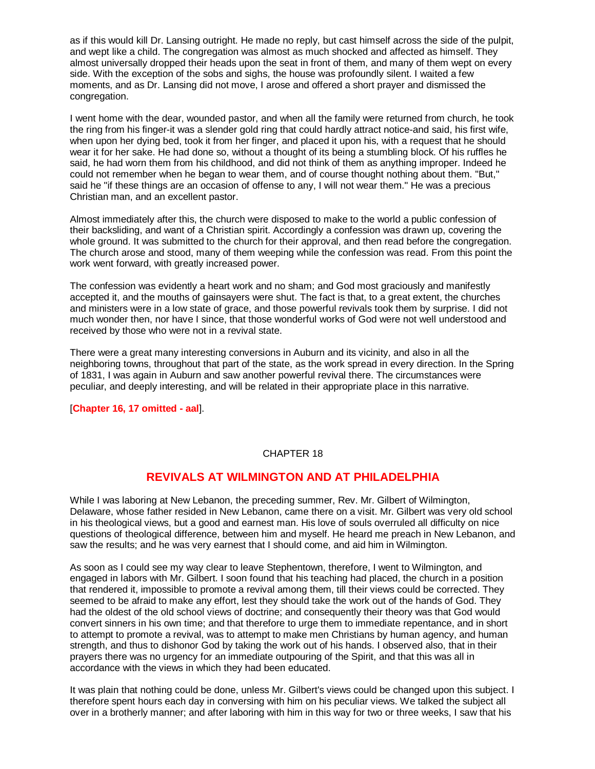as if this would kill Dr. Lansing outright. He made no reply, but cast himself across the side of the pulpit, and wept like a child. The congregation was almost as much shocked and affected as himself. They almost universally dropped their heads upon the seat in front of them, and many of them wept on every side. With the exception of the sobs and sighs, the house was profoundly silent. I waited a few moments, and as Dr. Lansing did not move, I arose and offered a short prayer and dismissed the congregation.

I went home with the dear, wounded pastor, and when all the family were returned from church, he took the ring from his finger-it was a slender gold ring that could hardly attract notice-and said, his first wife, when upon her dying bed, took it from her finger, and placed it upon his, with a request that he should wear it for her sake. He had done so, without a thought of its being a stumbling block. Of his ruffles he said, he had worn them from his childhood, and did not think of them as anything improper. Indeed he could not remember when he began to wear them, and of course thought nothing about them. "But," said he "if these things are an occasion of offense to any, I will not wear them." He was a precious Christian man, and an excellent pastor.

Almost immediately after this, the church were disposed to make to the world a public confession of their backsliding, and want of a Christian spirit. Accordingly a confession was drawn up, covering the whole ground. It was submitted to the church for their approval, and then read before the congregation. The church arose and stood, many of them weeping while the confession was read. From this point the work went forward, with greatly increased power.

The confession was evidently a heart work and no sham; and God most graciously and manifestly accepted it, and the mouths of gainsayers were shut. The fact is that, to a great extent, the churches and ministers were in a low state of grace, and those powerful revivals took them by surprise. I did not much wonder then, nor have I since, that those wonderful works of God were not well understood and received by those who were not in a revival state.

There were a great many interesting conversions in Auburn and its vicinity, and also in all the neighboring towns, throughout that part of the state, as the work spread in every direction. In the Spring of 1831, I was again in Auburn and saw another powerful revival there. The circumstances were peculiar, and deeply interesting, and will be related in their appropriate place in this narrative.

[**Chapter 16, 17 omitted - aal**].

### CHAPTER 18

## **REVIVALS AT WILMINGTON AND AT PHILADELPHIA**

While I was laboring at New Lebanon, the preceding summer, Rev. Mr. Gilbert of Wilmington, Delaware, whose father resided in New Lebanon, came there on a visit. Mr. Gilbert was very old school in his theological views, but a good and earnest man. His love of souls overruled all difficulty on nice questions of theological difference, between him and myself. He heard me preach in New Lebanon, and saw the results; and he was very earnest that I should come, and aid him in Wilmington.

As soon as I could see my way clear to leave Stephentown, therefore, I went to Wilmington, and engaged in labors with Mr. Gilbert. I soon found that his teaching had placed, the church in a position that rendered it, impossible to promote a revival among them, till their views could be corrected. They seemed to be afraid to make any effort, lest they should take the work out of the hands of God. They had the oldest of the old school views of doctrine; and consequently their theory was that God would convert sinners in his own time; and that therefore to urge them to immediate repentance, and in short to attempt to promote a revival, was to attempt to make men Christians by human agency, and human strength, and thus to dishonor God by taking the work out of his hands. I observed also, that in their prayers there was no urgency for an immediate outpouring of the Spirit, and that this was all in accordance with the views in which they had been educated.

It was plain that nothing could be done, unless Mr. Gilbert's views could be changed upon this subject. I therefore spent hours each day in conversing with him on his peculiar views. We talked the subject all over in a brotherly manner; and after laboring with him in this way for two or three weeks, I saw that his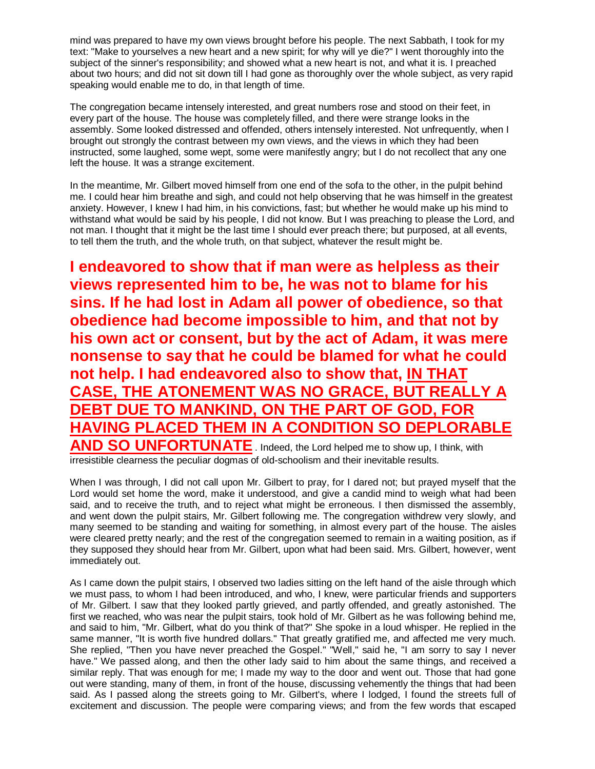mind was prepared to have my own views brought before his people. The next Sabbath, I took for my text: "Make to yourselves a new heart and a new spirit; for why will ye die?" I went thoroughly into the subject of the sinner's responsibility; and showed what a new heart is not, and what it is. I preached about two hours; and did not sit down till I had gone as thoroughly over the whole subject, as very rapid speaking would enable me to do, in that length of time.

The congregation became intensely interested, and great numbers rose and stood on their feet, in every part of the house. The house was completely filled, and there were strange looks in the assembly. Some looked distressed and offended, others intensely interested. Not unfrequently, when I brought out strongly the contrast between my own views, and the views in which they had been instructed, some laughed, some wept, some were manifestly angry; but I do not recollect that any one left the house. It was a strange excitement.

In the meantime, Mr. Gilbert moved himself from one end of the sofa to the other, in the pulpit behind me. I could hear him breathe and sigh, and could not help observing that he was himself in the greatest anxiety. However, I knew I had him, in his convictions, fast; but whether he would make up his mind to withstand what would be said by his people, I did not know. But I was preaching to please the Lord, and not man. I thought that it might be the last time I should ever preach there; but purposed, at all events, to tell them the truth, and the whole truth, on that subject, whatever the result might be.

**I endeavored to show that if man were as helpless as their views represented him to be, he was not to blame for his sins. If he had lost in Adam all power of obedience, so that obedience had become impossible to him, and that not by his own act or consent, but by the act of Adam, it was mere nonsense to say that he could be blamed for what he could not help. I had endeavored also to show that, IN THAT CASE, THE ATONEMENT WAS NO GRACE, BUT REALLY A DEBT DUE TO MANKIND, ON THE PART OF GOD, FOR HAVING PLACED THEM IN A CONDITION SO DEPLORABLE AND SO UNFORTUNATE**. Indeed, the Lord helped me to show up, I think, with

irresistible clearness the peculiar dogmas of old-schoolism and their inevitable results.

When I was through, I did not call upon Mr. Gilbert to pray, for I dared not; but prayed myself that the Lord would set home the word, make it understood, and give a candid mind to weigh what had been said, and to receive the truth, and to reject what might be erroneous. I then dismissed the assembly, and went down the pulpit stairs, Mr. Gilbert following me. The congregation withdrew very slowly, and many seemed to be standing and waiting for something, in almost every part of the house. The aisles were cleared pretty nearly; and the rest of the congregation seemed to remain in a waiting position, as if they supposed they should hear from Mr. Gilbert, upon what had been said. Mrs. Gilbert, however, went immediately out.

As I came down the pulpit stairs, I observed two ladies sitting on the left hand of the aisle through which we must pass, to whom I had been introduced, and who, I knew, were particular friends and supporters of Mr. Gilbert. I saw that they looked partly grieved, and partly offended, and greatly astonished. The first we reached, who was near the pulpit stairs, took hold of Mr. Gilbert as he was following behind me, and said to him, "Mr. Gilbert, what do you think of that?" She spoke in a loud whisper. He replied in the same manner, "It is worth five hundred dollars." That greatly gratified me, and affected me very much. She replied, "Then you have never preached the Gospel." "Well," said he, "I am sorry to say I never have." We passed along, and then the other lady said to him about the same things, and received a similar reply. That was enough for me; I made my way to the door and went out. Those that had gone out were standing, many of them, in front of the house, discussing vehemently the things that had been said. As I passed along the streets going to Mr. Gilbert's, where I lodged, I found the streets full of excitement and discussion. The people were comparing views; and from the few words that escaped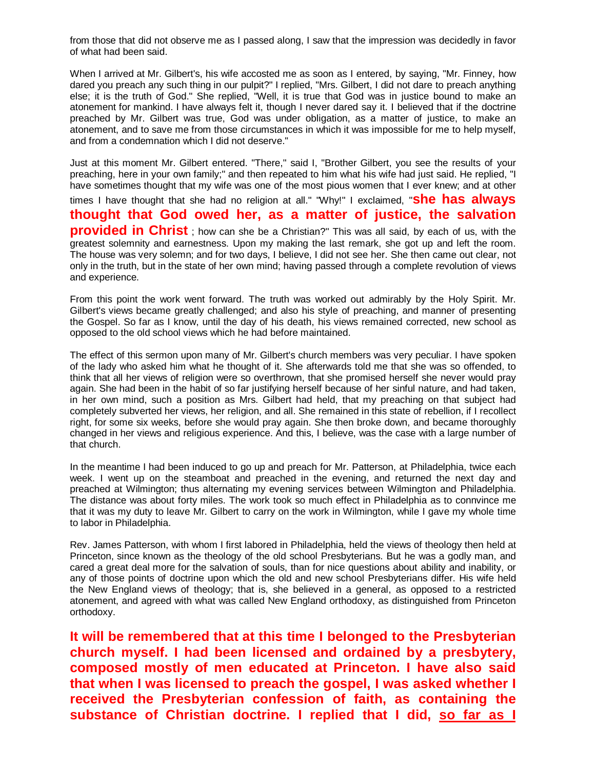from those that did not observe me as I passed along, I saw that the impression was decidedly in favor of what had been said.

When I arrived at Mr. Gilbert's, his wife accosted me as soon as I entered, by saying, "Mr. Finney, how dared you preach any such thing in our pulpit?" I replied, "Mrs. Gilbert, I did not dare to preach anything else; it is the truth of God." She replied, "Well, it is true that God was in justice bound to make an atonement for mankind. I have always felt it, though I never dared say it. I believed that if the doctrine preached by Mr. Gilbert was true, God was under obligation, as a matter of justice, to make an atonement, and to save me from those circumstances in which it was impossible for me to help myself, and from a condemnation which I did not deserve."

Just at this moment Mr. Gilbert entered. "There," said I, "Brother Gilbert, you see the results of your preaching, here in your own family;" and then repeated to him what his wife had just said. He replied, "I have sometimes thought that my wife was one of the most pious women that I ever knew; and at other

times I have thought that she had no religion at all." "Why!" I exclaimed, "**she has always thought that God owed her, as a matter of justice, the salvation provided in Christ** ; how can she be a Christian?'' This was all said, by each of us, with the greatest solemnity and earnestness. Upon my making the last remark, she got up and left the room. The house was very solemn; and for two days, I believe, I did not see her. She then came out clear, not only in the truth, but in the state of her own mind; having passed through a complete revolution of views and experience.

From this point the work went forward. The truth was worked out admirably by the Holy Spirit. Mr. Gilbert's views became greatly challenged; and also his style of preaching, and manner of presenting the Gospel. So far as I know, until the day of his death, his views remained corrected, new school as opposed to the old school views which he had before maintained.

The effect of this sermon upon many of Mr. Gilbert's church members was very peculiar. I have spoken of the lady who asked him what he thought of it. She afterwards told me that she was so offended, to think that all her views of religion were so overthrown, that she promised herself she never would pray again. She had been in the habit of so far justifying herself because of her sinful nature, and had taken, in her own mind, such a position as Mrs. Gilbert had held, that my preaching on that subject had completely subverted her views, her religion, and all. She remained in this state of rebellion, if I recollect right, for some six weeks, before she would pray again. She then broke down, and became thoroughly changed in her views and religious experience. And this, I believe, was the case with a large number of that church.

In the meantime I had been induced to go up and preach for Mr. Patterson, at Philadelphia, twice each week. I went up on the steamboat and preached in the evening, and returned the next day and preached at Wilmington; thus alternating my evening services between Wilmington and Philadelphia. The distance was about forty miles. The work took so much effect in Philadelphia as to connvince me that it was my duty to leave Mr. Gilbert to carry on the work in Wilmington, while I gave my whole time to labor in Philadelphia.

Rev. James Patterson, with whom I first labored in Philadelphia, held the views of theology then held at Princeton, since known as the theology of the old school Presbyterians. But he was a godly man, and cared a great deal more for the salvation of souls, than for nice questions about ability and inability, or any of those points of doctrine upon which the old and new school Presbyterians differ. His wife held the New England views of theology; that is, she believed in a general, as opposed to a restricted atonement, and agreed with what was called New England orthodoxy, as distinguished from Princeton orthodoxy.

**It will be remembered that at this time I belonged to the Presbyterian church myself. I had been licensed and ordained by a presbytery, composed mostly of men educated at Princeton. I have also said that when I was licensed to preach the gospel, I was asked whether I received the Presbyterian confession of faith, as containing the substance of Christian doctrine. I replied that I did, so far as I**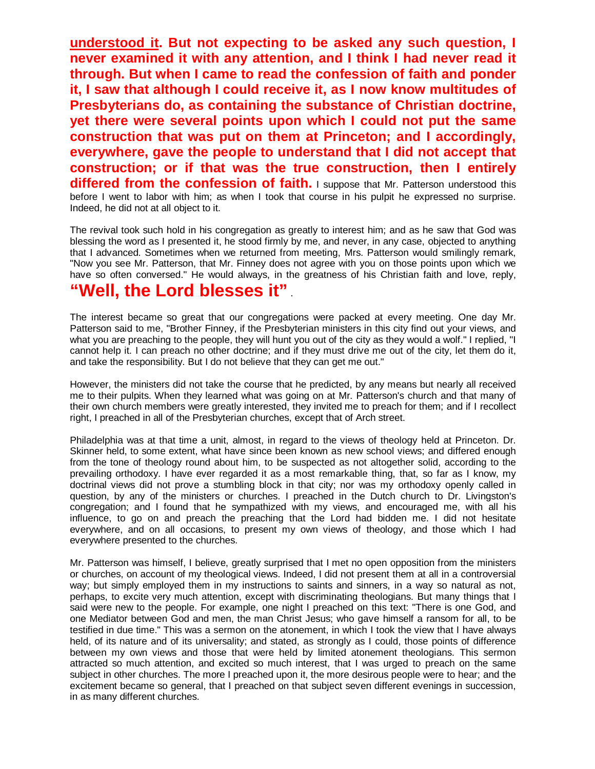**understood it. But not expecting to be asked any such question, I never examined it with any attention, and I think I had never read it through. But when I came to read the confession of faith and ponder it, I saw that although I could receive it, as I now know multitudes of Presbyterians do, as containing the substance of Christian doctrine, yet there were several points upon which I could not put the same construction that was put on them at Princeton; and I accordingly, everywhere, gave the people to understand that I did not accept that construction; or if that was the true construction, then I entirely differed from the confession of faith.** I suppose that Mr. Patterson understood this before I went to labor with him; as when I took that course in his pulpit he expressed no surprise. Indeed, he did not at all object to it.

The revival took such hold in his congregation as greatly to interest him; and as he saw that God was blessing the word as I presented it, he stood firmly by me, and never, in any case, objected to anything that I advanced. Sometimes when we returned from meeting, Mrs. Patterson would smilingly remark, "Now you see Mr. Patterson, that Mr. Finney does not agree with you on those points upon which we have so often conversed." He would always, in the greatness of his Christian faith and love, reply,

# **"Well, the Lord blesses it"** .

The interest became so great that our congregations were packed at every meeting. One day Mr. Patterson said to me, "Brother Finney, if the Presbyterian ministers in this city find out your views, and what you are preaching to the people, they will hunt you out of the city as they would a wolf." I replied, "I cannot help it. I can preach no other doctrine; and if they must drive me out of the city, let them do it, and take the responsibility. But I do not believe that they can get me out."

However, the ministers did not take the course that he predicted, by any means but nearly all received me to their pulpits. When they learned what was going on at Mr. Patterson's church and that many of their own church members were greatly interested, they invited me to preach for them; and if I recollect right, I preached in all of the Presbyterian churches, except that of Arch street.

Philadelphia was at that time a unit, almost, in regard to the views of theology held at Princeton. Dr. Skinner held, to some extent, what have since been known as new school views; and differed enough from the tone of theology round about him, to be suspected as not altogether solid, according to the prevailing orthodoxy. I have ever regarded it as a most remarkable thing, that, so far as I know, my doctrinal views did not prove a stumbling block in that city; nor was my orthodoxy openly called in question, by any of the ministers or churches. I preached in the Dutch church to Dr. Livingston's congregation; and I found that he sympathized with my views, and encouraged me, with all his influence, to go on and preach the preaching that the Lord had bidden me. I did not hesitate everywhere, and on all occasions, to present my own views of theology, and those which I had everywhere presented to the churches.

Mr. Patterson was himself, I believe, greatly surprised that I met no open opposition from the ministers or churches, on account of my theological views. Indeed, I did not present them at all in a controversial way; but simply employed them in my instructions to saints and sinners, in a way so natural as not, perhaps, to excite very much attention, except with discriminating theologians. But many things that I said were new to the people. For example, one night I preached on this text: "There is one God, and one Mediator between God and men, the man Christ Jesus; who gave himself a ransom for all, to be testified in due time." This was a sermon on the atonement, in which I took the view that I have always held, of its nature and of its universality; and stated, as strongly as I could, those points of difference between my own views and those that were held by limited atonement theologians. This sermon attracted so much attention, and excited so much interest, that I was urged to preach on the same subject in other churches. The more I preached upon it, the more desirous people were to hear; and the excitement became so general, that I preached on that subject seven different evenings in succession, in as many different churches.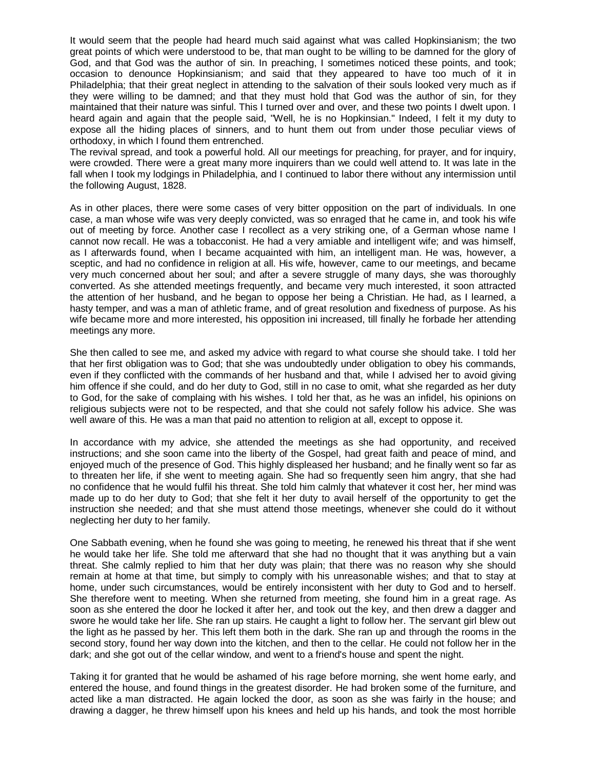It would seem that the people had heard much said against what was called Hopkinsianism; the two great points of which were understood to be, that man ought to be willing to be damned for the glory of God, and that God was the author of sin. In preaching, I sometimes noticed these points, and took; occasion to denounce Hopkinsianism; and said that they appeared to have too much of it in Philadelphia; that their great neglect in attending to the salvation of their souls looked very much as if they were willing to be damned; and that they must hold that God was the author of sin, for they maintained that their nature was sinful. This I turned over and over, and these two points I dwelt upon. I heard again and again that the people said, "Well, he is no Hopkinsian." Indeed, I felt it my duty to expose all the hiding places of sinners, and to hunt them out from under those peculiar views of orthodoxy, in which I found them entrenched.

The revival spread, and took a powerful hold. All our meetings for preaching, for prayer, and for inquiry, were crowded. There were a great many more inquirers than we could well attend to. It was late in the fall when I took my lodgings in Philadelphia, and I continued to labor there without any intermission until the following August, 1828.

As in other places, there were some cases of very bitter opposition on the part of individuals. In one case, a man whose wife was very deeply convicted, was so enraged that he came in, and took his wife out of meeting by force. Another case I recollect as a very striking one, of a German whose name I cannot now recall. He was a tobacconist. He had a very amiable and intelligent wife; and was himself, as I afterwards found, when I became acquainted with him, an intelligent man. He was, however, a sceptic, and had no confidence in religion at all. His wife, however, came to our meetings, and became very much concerned about her soul; and after a severe struggle of many days, she was thoroughly converted. As she attended meetings frequently, and became very much interested, it soon attracted the attention of her husband, and he began to oppose her being a Christian. He had, as I learned, a hasty temper, and was a man of athletic frame, and of great resolution and fixedness of purpose. As his wife became more and more interested, his opposition ini increased, till finally he forbade her attending meetings any more.

She then called to see me, and asked my advice with regard to what course she should take. I told her that her first obligation was to God; that she was undoubtedly under obligation to obey his commands, even if they conflicted with the commands of her husband and that, while I advised her to avoid giving him offence if she could, and do her duty to God, still in no case to omit, what she regarded as her duty to God, for the sake of complaing with his wishes. I told her that, as he was an infidel, his opinions on religious subjects were not to be respected, and that she could not safely follow his advice. She was well aware of this. He was a man that paid no attention to religion at all, except to oppose it.

In accordance with my advice, she attended the meetings as she had opportunity, and received instructions; and she soon came into the liberty of the Gospel, had great faith and peace of mind, and enjoyed much of the presence of God. This highly displeased her husband; and he finally went so far as to threaten her life, if she went to meeting again. She had so frequently seen him angry, that she had no confidence that he would fulfil his threat. She told him calmly that whatever it cost her, her mind was made up to do her duty to God; that she felt it her duty to avail herself of the opportunity to get the instruction she needed; and that she must attend those meetings, whenever she could do it without neglecting her duty to her family.

One Sabbath evening, when he found she was going to meeting, he renewed his threat that if she went he would take her life. She told me afterward that she had no thought that it was anything but a vain threat. She calmly replied to him that her duty was plain; that there was no reason why she should remain at home at that time, but simply to comply with his unreasonable wishes; and that to stay at home, under such circumstances, would be entirely inconsistent with her duty to God and to herself. She therefore went to meeting. When she returned from meeting, she found him in a great rage. As soon as she entered the door he locked it after her, and took out the key, and then drew a dagger and swore he would take her life. She ran up stairs. He caught a light to follow her. The servant girl blew out the light as he passed by her. This left them both in the dark. She ran up and through the rooms in the second story, found her way down into the kitchen, and then to the cellar. He could not follow her in the dark; and she got out of the cellar window, and went to a friend's house and spent the night.

Taking it for granted that he would be ashamed of his rage before morning, she went home early, and entered the house, and found things in the greatest disorder. He had broken some of the furniture, and acted like a man distracted. He again locked the door, as soon as she was fairly in the house; and drawing a dagger, he threw himself upon his knees and held up his hands, and took the most horrible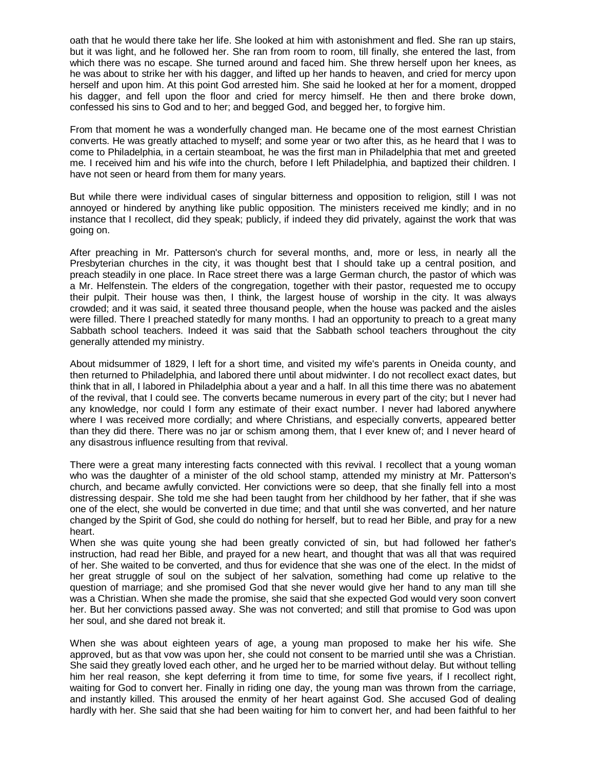oath that he would there take her life. She looked at him with astonishment and fled. She ran up stairs, but it was light, and he followed her. She ran from room to room, till finally, she entered the last, from which there was no escape. She turned around and faced him. She threw herself upon her knees, as he was about to strike her with his dagger, and lifted up her hands to heaven, and cried for mercy upon herself and upon him. At this point God arrested him. She said he looked at her for a moment, dropped his dagger, and fell upon the floor and cried for mercy himself. He then and there broke down, confessed his sins to God and to her; and begged God, and begged her, to forgive him.

From that moment he was a wonderfully changed man. He became one of the most earnest Christian converts. He was greatly attached to myself; and some year or two after this, as he heard that I was to come to Philadelphia, in a certain steamboat, he was the first man in Philadelphia that met and greeted me. I received him and his wife into the church, before I left Philadelphia, and baptized their children. I have not seen or heard from them for many years.

But while there were individual cases of singular bitterness and opposition to religion, still I was not annoyed or hindered by anything like public opposition. The ministers received me kindly; and in no instance that I recollect, did they speak; publicly, if indeed they did privately, against the work that was going on.

After preaching in Mr. Patterson's church for several months, and, more or less, in nearly all the Presbyterian churches in the city, it was thought best that I should take up a central position, and preach steadily in one place. In Race street there was a large German church, the pastor of which was a Mr. Helfenstein. The elders of the congregation, together with their pastor, requested me to occupy their pulpit. Their house was then, I think, the largest house of worship in the city. It was always crowded; and it was said, it seated three thousand people, when the house was packed and the aisles were filled. There I preached statedly for many months. I had an opportunity to preach to a great many Sabbath school teachers. Indeed it was said that the Sabbath school teachers throughout the city generally attended my ministry.

About midsummer of 1829, I left for a short time, and visited my wife's parents in Oneida county, and then returned to Philadelphia, and labored there until about midwinter. I do not recollect exact dates, but think that in all, I labored in Philadelphia about a year and a half. In all this time there was no abatement of the revival, that I could see. The converts became numerous in every part of the city; but I never had any knowledge, nor could I form any estimate of their exact number. I never had labored anywhere where I was received more cordially; and where Christians, and especially converts, appeared better than they did there. There was no jar or schism among them, that I ever knew of; and I never heard of any disastrous influence resulting from that revival.

There were a great many interesting facts connected with this revival. I recollect that a young woman who was the daughter of a minister of the old school stamp, attended my ministry at Mr. Patterson's church, and became awfully convicted. Her convictions were so deep, that she finally fell into a most distressing despair. She told me she had been taught from her childhood by her father, that if she was one of the elect, she would be converted in due time; and that until she was converted, and her nature changed by the Spirit of God, she could do nothing for herself, but to read her Bible, and pray for a new heart.

When she was quite young she had been greatly convicted of sin, but had followed her father's instruction, had read her Bible, and prayed for a new heart, and thought that was all that was required of her. She waited to be converted, and thus for evidence that she was one of the elect. In the midst of her great struggle of soul on the subject of her salvation, something had come up relative to the question of marriage; and she promised God that she never would give her hand to any man till she was a Christian. When she made the promise, she said that she expected God would very soon convert her. But her convictions passed away. She was not converted; and still that promise to God was upon her soul, and she dared not break it.

When she was about eighteen years of age, a young man proposed to make her his wife. She approved, but as that vow was upon her, she could not consent to be married until she was a Christian. She said they greatly loved each other, and he urged her to be married without delay. But without telling him her real reason, she kept deferring it from time to time, for some five years, if I recollect right, waiting for God to convert her. Finally in riding one day, the young man was thrown from the carriage, and instantly killed. This aroused the enmity of her heart against God. She accused God of dealing hardly with her. She said that she had been waiting for him to convert her, and had been faithful to her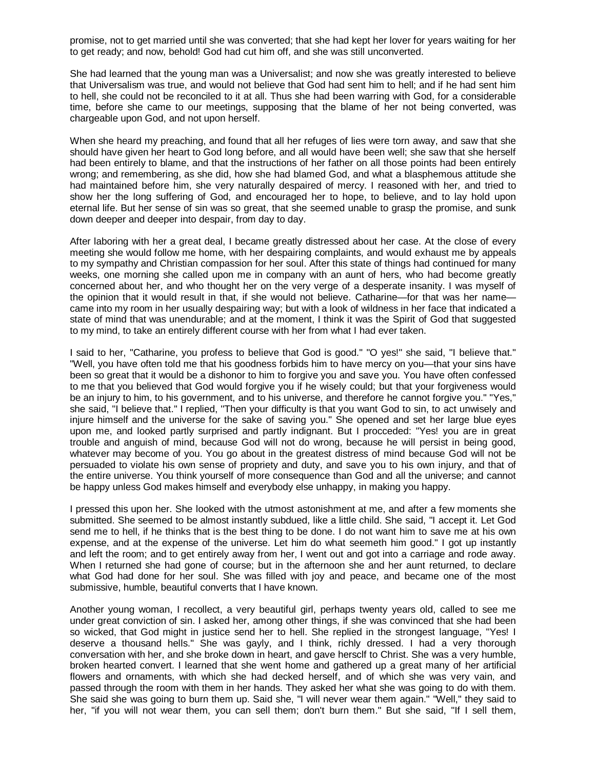promise, not to get married until she was converted; that she had kept her lover for years waiting for her to get ready; and now, behold! God had cut him off, and she was still unconverted.

She had learned that the young man was a Universalist; and now she was greatly interested to believe that Universalism was true, and would not believe that God had sent him to hell; and if he had sent him to hell, she could not be reconciled to it at all. Thus she had been warring with God, for a considerable time, before she came to our meetings, supposing that the blame of her not being converted, was chargeable upon God, and not upon herself.

When she heard my preaching, and found that all her refuges of lies were torn away, and saw that she should have given her heart to God long before, and all would have been well; she saw that she herself had been entirely to blame, and that the instructions of her father on all those points had been entirely wrong; and remembering, as she did, how she had blamed God, and what a blasphemous attitude she had maintained before him, she very naturally despaired of mercy. I reasoned with her, and tried to show her the long suffering of God, and encouraged her to hope, to believe, and to lay hold upon eternal life. But her sense of sin was so great, that she seemed unable to grasp the promise, and sunk down deeper and deeper into despair, from day to day.

After laboring with her a great deal, I became greatly distressed about her case. At the close of every meeting she would follow me home, with her despairing complaints, and would exhaust me by appeals to my sympathy and Christian compassion for her soul. After this state of things had continued for many weeks, one morning she called upon me in company with an aunt of hers, who had become greatly concerned about her, and who thought her on the very verge of a desperate insanity. I was myself of the opinion that it would result in that, if she would not believe. Catharine—for that was her name came into my room in her usually despairing way; but with a look of wildness in her face that indicated a state of mind that was unendurable; and at the moment, I think it was the Spirit of God that suggested to my mind, to take an entirely different course with her from what I had ever taken.

I said to her, "Catharine, you profess to believe that God is good." "O yes!" she said, "I believe that." "Well, you have often told me that his goodness forbids him to have mercy on you—that your sins have been so great that it would be a dishonor to him to forgive you and save you. You have often confessed to me that you believed that God would forgive you if he wisely could; but that your forgiveness would be an injury to him, to his government, and to his universe, and therefore he cannot forgive you." "Yes," she said, "I believe that." I replied, ''Then your difficulty is that you want God to sin, to act unwisely and injure himself and the universe for the sake of saving you." She opened and set her large blue eyes upon me, and looked partly surprised and partly indignant. But I procceded: "Yes! you are in great trouble and anguish of mind, because God will not do wrong, because he will persist in being good, whatever may become of you. You go about in the greatest distress of mind because God will not be persuaded to violate his own sense of propriety and duty, and save you to his own injury, and that of the entire universe. You think yourself of more consequence than God and all the universe; and cannot be happy unless God makes himself and everybody else unhappy, in making you happy.

I pressed this upon her. She looked with the utmost astonishment at me, and after a few moments she submitted. She seemed to be almost instantly subdued, like a little child. She said, "I accept it. Let God send me to hell, if he thinks that is the best thing to be done. I do not want him to save me at his own expense, and at the expense of the universe. Let him do what seemeth him good." I got up instantly and left the room; and to get entirely away from her, I went out and got into a carriage and rode away. When I returned she had gone of course; but in the afternoon she and her aunt returned, to declare what God had done for her soul. She was filled with joy and peace, and became one of the most submissive, humble, beautiful converts that I have known.

Another young woman, I recollect, a very beautiful girl, perhaps twenty years old, called to see me under great conviction of sin. I asked her, among other things, if she was convinced that she had been so wicked, that God might in justice send her to hell. She replied in the strongest language, "Yes! I deserve a thousand hells." She was gayly, and I think, richly dressed. I had a very thorough conversation with her, and she broke down in heart, and gave hersclf to Christ. She was a very humble, broken hearted convert. I learned that she went home and gathered up a great many of her artificial flowers and ornaments, with which she had decked herself, and of which she was very vain, and passed through the room with them in her hands. They asked her what she was going to do with them. She said she was going to burn them up. Said she, "I will never wear them again." "Well," they said to her, "if you will not wear them, you can sell them; don't burn them." But she said, "If I sell them,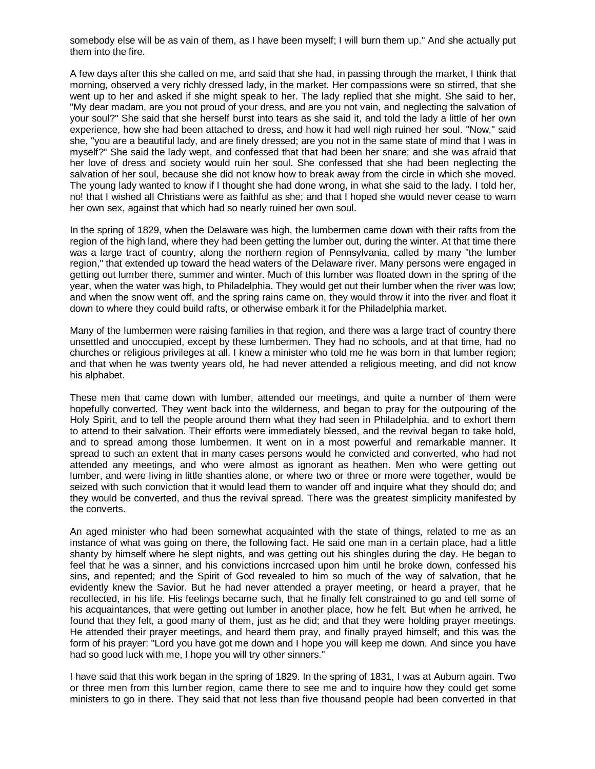somebody else will be as vain of them, as I have been myself; I will burn them up." And she actually put them into the fire.

A few days after this she called on me, and said that she had, in passing through the market, I think that morning, observed a very richly dressed lady, in the market. Her compassions were so stirred, that she went up to her and asked if she might speak to her. The lady replied that she might. She said to her, "My dear madam, are you not proud of your dress, and are you not vain, and neglecting the salvation of your soul?" She said that she herself burst into tears as she said it, and told the lady a little of her own experience, how she had been attached to dress, and how it had well nigh ruined her soul. "Now," said she, "you are a beautiful lady, and are finely dressed; are you not in the same state of mind that I was in myself?" She said the lady wept, and confessed that that had been her snare; and she was afraid that her love of dress and society would ruin her soul. She confessed that she had been neglecting the salvation of her soul, because she did not know how to break away from the circle in which she moved. The young lady wanted to know if I thought she had done wrong, in what she said to the lady. I told her, no! that I wished all Christians were as faithful as she; and that I hoped she would never cease to warn her own sex, against that which had so nearly ruined her own soul.

In the spring of 1829, when the Delaware was high, the lumbermen came down with their rafts from the region of the high land, where they had been getting the lumber out, during the winter. At that time there was a large tract of country, along the northern region of Pennsylvania, called by many "the lumber region," that extended up toward the head waters of the Delaware river. Many persons were engaged in getting out lumber there, summer and winter. Much of this lumber was floated down in the spring of the year, when the water was high, to Philadelphia. They would get out their lumber when the river was low; and when the snow went off, and the spring rains came on, they would throw it into the river and float it down to where they could build rafts, or otherwise embark it for the Philadelphia market.

Many of the lumbermen were raising families in that region, and there was a large tract of country there unsettled and unoccupied, except by these lumbermen. They had no schools, and at that time, had no churches or religious privileges at all. I knew a minister who told me he was born in that lumber region; and that when he was twenty years old, he had never attended a religious meeting, and did not know his alphabet.

These men that came down with lumber, attended our meetings, and quite a number of them were hopefully converted. They went back into the wilderness, and began to pray for the outpouring of the Holy Spirit, and to tell the people around them what they had seen in Philadelphia, and to exhort them to attend to their salvation. Their efforts were immediately blessed, and the revival began to take hold, and to spread among those lumbermen. It went on in a most powerful and remarkable manner. It spread to such an extent that in many cases persons would he convicted and converted, who had not attended any meetings, and who were almost as ignorant as heathen. Men who were getting out lumber, and were living in little shanties alone, or where two or three or more were together, would be seized with such conviction that it would lead them to wander off and inquire what they should do; and they would be converted, and thus the revival spread. There was the greatest simplicity manifested by the converts.

An aged minister who had been somewhat acquainted with the state of things, related to me as an instance of what was going on there, the following fact. He said one man in a certain place, had a little shanty by himself where he slept nights, and was getting out his shingles during the day. He began to feel that he was a sinner, and his convictions incrcased upon him until he broke down, confessed his sins, and repented; and the Spirit of God revealed to him so much of the way of salvation, that he evidently knew the Savior. But he had never attended a prayer meeting, or heard a prayer, that he recollected, in his life. His feelings became such, that he finally felt constrained to go and tell some of his acquaintances, that were getting out lumber in another place, how he felt. But when he arrived, he found that they felt, a good many of them, just as he did; and that they were holding prayer meetings. He attended their prayer meetings, and heard them pray, and finally prayed himself; and this was the form of his prayer: "Lord you have got me down and I hope you will keep me down. And since you have had so good luck with me, I hope you will try other sinners."

I have said that this work began in the spring of 1829. In the spring of 1831, I was at Auburn again. Two or three men from this lumber region, came there to see me and to inquire how they could get some ministers to go in there. They said that not less than five thousand people had been converted in that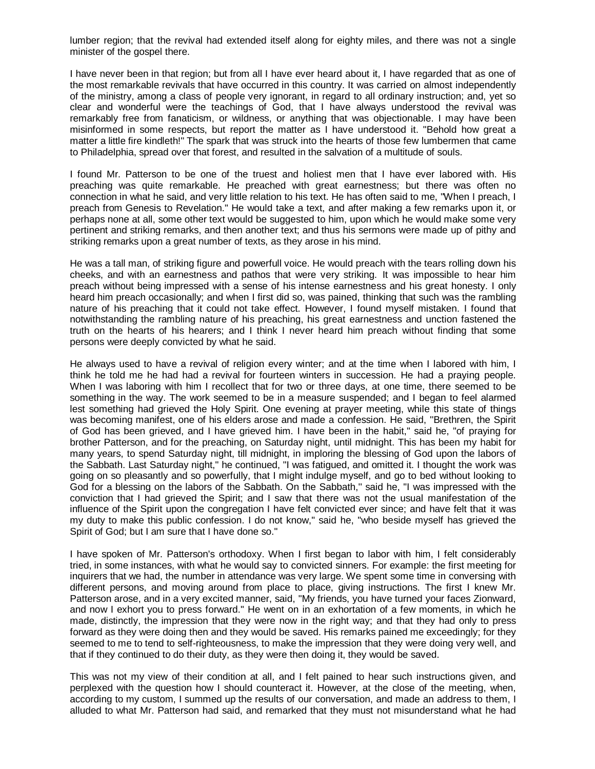lumber region; that the revival had extended itself along for eighty miles, and there was not a single minister of the gospel there.

I have never been in that region; but from all I have ever heard about it, I have regarded that as one of the most remarkable revivals that have occurred in this country. It was carried on almost independently of the ministry, among a class of people very ignorant, in regard to all ordinary instruction; and, yet so clear and wonderful were the teachings of God, that I have always understood the revival was remarkably free from fanaticism, or wildness, or anything that was objectionable. I may have been misinformed in some respects, but report the matter as I have understood it. "Behold how great a matter a little fire kindleth!" The spark that was struck into the hearts of those few lumbermen that came to Philadelphia, spread over that forest, and resulted in the salvation of a multitude of souls.

I found Mr. Patterson to be one of the truest and holiest men that I have ever labored with. His preaching was quite remarkable. He preached with great earnestness; but there was often no connection in what he said, and very little relation to his text. He has often said to me, "When I preach, I preach from Genesis to Revelation." He would take a text, and after making a few remarks upon it, or perhaps none at all, some other text would be suggested to him, upon which he would make some very pertinent and striking remarks, and then another text; and thus his sermons were made up of pithy and striking remarks upon a great number of texts, as they arose in his mind.

He was a tall man, of striking figure and powerfull voice. He would preach with the tears rolling down his cheeks, and with an earnestness and pathos that were very striking. It was impossible to hear him preach without being impressed with a sense of his intense earnestness and his great honesty. I only heard him preach occasionally; and when I first did so, was pained, thinking that such was the rambling nature of his preaching that it could not take effect. However, I found myself mistaken. I found that notwithstanding the rambling nature of his preaching, his great earnestness and unction fastened the truth on the hearts of his hearers; and I think I never heard him preach without finding that some persons were deeply convicted by what he said.

He always used to have a revival of religion every winter; and at the time when I labored with him, I think he told me he had had a revival for fourteen winters in succession. He had a praying people. When I was laboring with him I recollect that for two or three days, at one time, there seemed to be something in the way. The work seemed to be in a measure suspended; and I began to feel alarmed lest something had grieved the Holy Spirit. One evening at prayer meeting, while this state of things was becoming manifest, one of his elders arose and made a confession. He said, ''Brethren, the Spirit of God has been grieved, and I have grieved him. I have been in the habit," said he, "of praying for brother Patterson, and for the preaching, on Saturday night, until midnight. This has been my habit for many years, to spend Saturday night, till midnight, in imploring the blessing of God upon the labors of the Sabbath. Last Saturday night," he continued, "I was fatigued, and omitted it. I thought the work was going on so pleasantly and so powerfully, that I might indulge myself, and go to bed without looking to God for a blessing on the labors of the Sabbath. On the Sabbath,'' said he, "I was impressed with the conviction that I had grieved the Spirit; and I saw that there was not the usual manifestation of the influence of the Spirit upon the congregation I have felt convicted ever since; and have felt that it was my duty to make this public confession. I do not know," said he, "who beside myself has grieved the Spirit of God; but I am sure that I have done so."

I have spoken of Mr. Patterson's orthodoxy. When I first began to labor with him, I felt considerably tried, in some instances, with what he would say to convicted sinners. For example: the first meeting for inquirers that we had, the number in attendance was very large. We spent some time in conversing with different persons, and moving around from place to place, giving instructions. The first I knew Mr. Patterson arose, and in a very excited manner, said, "My friends, you have turned your faces Zionward, and now I exhort you to press forward." He went on in an exhortation of a few moments, in which he made, distinctly, the impression that they were now in the right way; and that they had only to press forward as they were doing then and they would be saved. His remarks pained me exceedingly; for they seemed to me to tend to self-righteousness, to make the impression that they were doing very well, and that if they continued to do their duty, as they were then doing it, they would be saved.

This was not my view of their condition at all, and I felt pained to hear such instructions given, and perplexed with the question how I should counteract it. However, at the close of the meeting, when, according to my custom, I summed up the results of our conversation, and made an address to them, I alluded to what Mr. Patterson had said, and remarked that they must not misunderstand what he had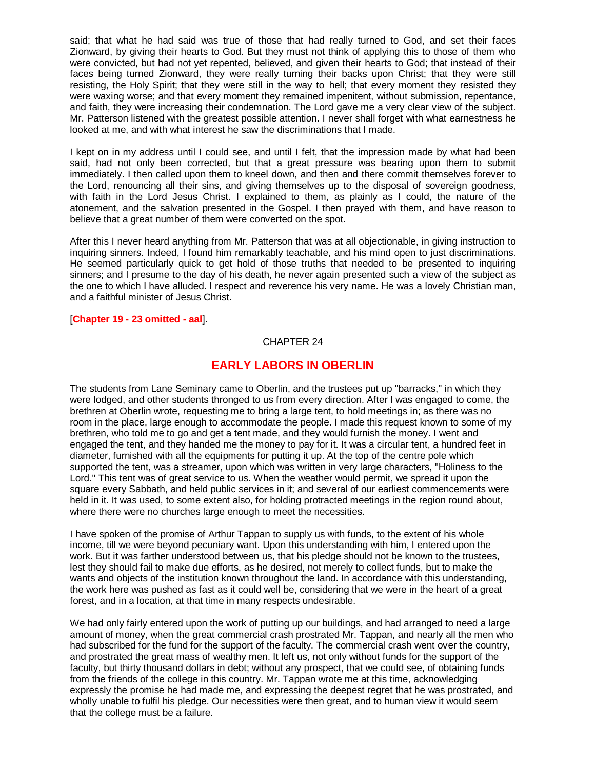said; that what he had said was true of those that had really turned to God, and set their faces Zionward, by giving their hearts to God. But they must not think of applying this to those of them who were convicted, but had not yet repented, believed, and given their hearts to God; that instead of their faces being turned Zionward, they were really turning their backs upon Christ; that they were still resisting, the Holy Spirit; that they were still in the way to hell; that every moment they resisted they were waxing worse; and that every moment they remained impenitent, without submission, repentance, and faith, they were increasing their condemnation. The Lord gave me a very clear view of the subject. Mr. Patterson listened with the greatest possible attention. I never shall forget with what earnestness he looked at me, and with what interest he saw the discriminations that I made.

I kept on in my address until I could see, and until I felt, that the impression made by what had been said, had not only been corrected, but that a great pressure was bearing upon them to submit immediately. I then called upon them to kneel down, and then and there commit themselves forever to the Lord, renouncing all their sins, and giving themselves up to the disposal of sovereign goodness, with faith in the Lord Jesus Christ. I explained to them, as plainly as I could, the nature of the atonement, and the salvation presented in the Gospel. I then prayed with them, and have reason to believe that a great number of them were converted on the spot.

After this I never heard anything from Mr. Patterson that was at all objectionable, in giving instruction to inquiring sinners. Indeed, I found him remarkably teachable, and his mind open to just discriminations. He seemed particularly quick to get hold of those truths that needed to be presented to inquiring sinners; and I presume to the day of his death, he never again presented such a view of the subject as the one to which I have alluded. I respect and reverence his very name. He was a lovely Christian man, and a faithful minister of Jesus Christ.

### [**Chapter 19 - 23 omitted - aal**].

### CHAPTER 24

## **EARLY LABORS IN OBERLIN**

The students from Lane Seminary came to Oberlin, and the trustees put up "barracks," in which they were lodged, and other students thronged to us from every direction. After I was engaged to come, the brethren at Oberlin wrote, requesting me to bring a large tent, to hold meetings in; as there was no room in the place, large enough to accommodate the people. I made this request known to some of my brethren, who told me to go and get a tent made, and they would furnish the money. I went and engaged the tent, and they handed me the money to pay for it. It was a circular tent, a hundred feet in diameter, furnished with all the equipments for putting it up. At the top of the centre pole which supported the tent, was a streamer, upon which was written in very large characters, "Holiness to the Lord." This tent was of great service to us. When the weather would permit, we spread it upon the square every Sabbath, and held public services in it; and several of our earliest commencements were held in it. It was used, to some extent also, for holding protracted meetings in the region round about, where there were no churches large enough to meet the necessities.

I have spoken of the promise of Arthur Tappan to supply us with funds, to the extent of his whole income, till we were beyond pecuniary want. Upon this understanding with him, I entered upon the work. But it was farther understood between us, that his pledge should not be known to the trustees, lest they should fail to make due efforts, as he desired, not merely to collect funds, but to make the wants and objects of the institution known throughout the land. In accordance with this understanding, the work here was pushed as fast as it could well be, considering that we were in the heart of a great forest, and in a location, at that time in many respects undesirable.

We had only fairly entered upon the work of putting up our buildings, and had arranged to need a large amount of money, when the great commercial crash prostrated Mr. Tappan, and nearly all the men who had subscribed for the fund for the support of the faculty. The commercial crash went over the country, and prostrated the great mass of wealthy men. It left us, not only without funds for the support of the faculty, but thirty thousand dollars in debt; without any prospect, that we could see, of obtaining funds from the friends of the college in this country. Mr. Tappan wrote me at this time, acknowledging expressly the promise he had made me, and expressing the deepest regret that he was prostrated, and wholly unable to fulfil his pledge. Our necessities were then great, and to human view it would seem that the college must be a failure.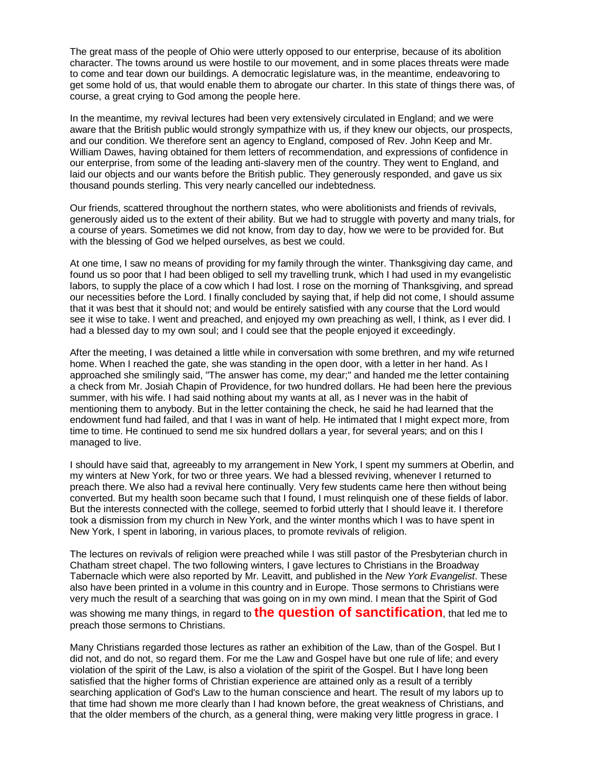The great mass of the people of Ohio were utterly opposed to our enterprise, because of its abolition character. The towns around us were hostile to our movement, and in some places threats were made to come and tear down our buildings. A democratic legislature was, in the meantime, endeavoring to get some hold of us, that would enable them to abrogate our charter. In this state of things there was, of course, a great crying to God among the people here.

In the meantime, my revival lectures had been very extensively circulated in England; and we were aware that the British public would strongly sympathize with us, if they knew our objects, our prospects, and our condition. We therefore sent an agency to England, composed of Rev. John Keep and Mr. William Dawes, having obtained for them letters of recommendation, and expressions of confidence in our enterprise, from some of the leading anti-slavery men of the country. They went to England, and laid our objects and our wants before the British public. They generously responded, and gave us six thousand pounds sterling. This very nearly cancelled our indebtedness.

Our friends, scattered throughout the northern states, who were abolitionists and friends of revivals, generously aided us to the extent of their ability. But we had to struggle with poverty and many trials, for a course of years. Sometimes we did not know, from day to day, how we were to be provided for. But with the blessing of God we helped ourselves, as best we could.

At one time, I saw no means of providing for my family through the winter. Thanksgiving day came, and found us so poor that I had been obliged to sell my travelling trunk, which I had used in my evangelistic labors, to supply the place of a cow which I had lost. I rose on the morning of Thanksgiving, and spread our necessities before the Lord. I finally concluded by saying that, if help did not come, I should assume that it was best that it should not; and would be entirely satisfied with any course that the Lord would see it wise to take. I went and preached, and enjoyed my own preaching as well, I think, as I ever did. I had a blessed day to my own soul; and I could see that the people enjoyed it exceedingly.

After the meeting, I was detained a little while in conversation with some brethren, and my wife returned home. When I reached the gate, she was standing in the open door, with a letter in her hand. As I approached she smilingly said, "The answer has come, my dear;" and handed me the letter containing a check from Mr. Josiah Chapin of Providence, for two hundred dollars. He had been here the previous summer, with his wife. I had said nothing about my wants at all, as I never was in the habit of mentioning them to anybody. But in the letter containing the check, he said he had learned that the endowment fund had failed, and that I was in want of help. He intimated that I might expect more, from time to time. He continued to send me six hundred dollars a year, for several years; and on this I managed to live.

I should have said that, agreeably to my arrangement in New York, I spent my summers at Oberlin, and my winters at New York, for two or three years. We had a blessed reviving, whenever I returned to preach there. We also had a revival here continually. Very few students came here then without being converted. But my health soon became such that I found, I must relinquish one of these fields of labor. But the interests connected with the college, seemed to forbid utterly that I should leave it. I therefore took a dismission from my church in New York, and the winter months which I was to have spent in New York, I spent in laboring, in various places, to promote revivals of religion.

The lectures on revivals of religion were preached while I was still pastor of the Presbyterian church in Chatham street chapel. The two following winters, I gave lectures to Christians in the Broadway Tabernacle which were also reported by Mr. Leavitt, and published in the *New York Evangelist*. These also have been printed in a volume in this country and in Europe. Those sermons to Christians were very much the result of a searching that was going on in my own mind. I mean that the Spirit of God was showing me many things, in regard to **the question of sanctification**, that led me to preach those sermons to Christians.

Many Christians regarded those lectures as rather an exhibition of the Law, than of the Gospel. But I did not, and do not, so regard them. For me the Law and Gospel have but one rule of life; and every violation of the spirit of the Law, is also a violation of the spirit of the Gospel. But I have long been satisfied that the higher forms of Christian experience are attained only as a result of a terribly searching application of God's Law to the human conscience and heart. The result of my labors up to that time had shown me more clearly than I had known before, the great weakness of Christians, and that the older members of the church, as a general thing, were making very little progress in grace. I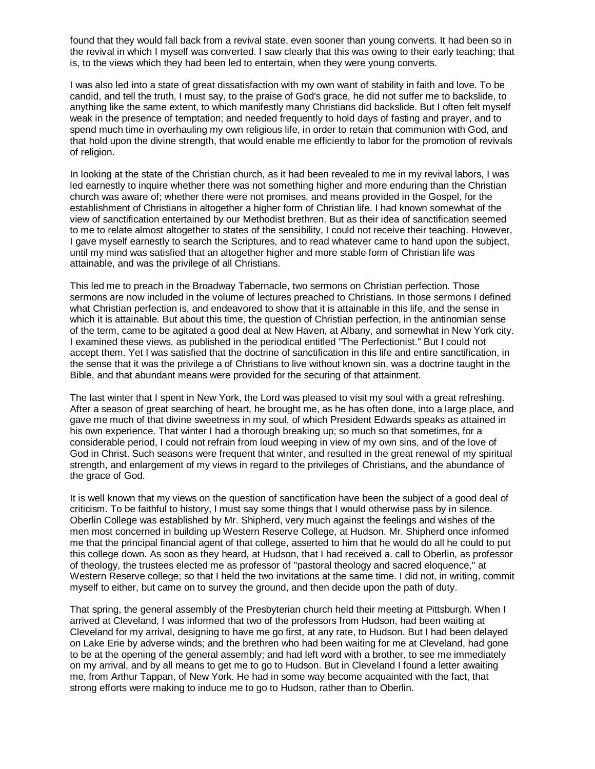found that they would fall back from a revival state, even sooner than young converts. It had been so in the revival in which I myself was converted. I saw clearly that this was owing to their early teaching; that is, to the views which they had been led to entertain, when they were young converts.

I was also led into a state of great dissatisfaction with my own want of stability in faith and love. To be candid, and tell the truth, I must say, to the praise of God's grace, he did not suffer me to backslide, to anything like the same extent, to which manifestly many Christians did backslide. But I often felt myself weak in the presence of temptation; and needed frequently to hold days of fasting and prayer, and to spend much time in overhauling my own religious life, in order to retain that communion with God, and that hold upon the divine strength, that would enable me efficiently to labor for the promotion of revivals of religion.

In looking at the state of the Christian church, as it had been revealed to me in my revival labors, I was led earnestly to inquire whether there was not something higher and more enduring than the Christian church was aware of; whether there were not promises, and means provided in the Gospel, for the establishment of Christians in altogether a higher form of Christian life. I had known somewhat of the view of sanctification entertained by our Methodist brethren. But as their idea of sanctification seemed to me to relate almost altogether to states of the sensibility, I could not receive their teaching. However, I gave myself earnestly to search the Scriptures, and to read whatever came to hand upon the subject, until my mind was satisfied that an altogether higher and more stable form of Christian life was attainable, and was the privilege of all Christians.

This led me to preach in the Broadway Tabernacle, two sermons on Christian perfection. Those sermons are now included in the volume of lectures preached to Christians. In those sermons I defined what Christian perfection is, and endeavored to show that it is attainable in this life, and the sense in which it is attainable. But about this time, the question of Christian perfection, in the antinomian sense of the term, came to be agitated a good deal at New Haven, at Albany, and somewhat in New York city. I examined these views, as published in the periodical entitled "The Perfectionist." But I could not accept them. Yet I was satisfied that the doctrine of sanctification in this life and entire sanctification, in the sense that it was the privilege a of Christians to live without known sin, was a doctrine taught in the Bible, and that abundant means were provided for the securing of that attainment.

The last winter that I spent in New York, the Lord was pleased to visit my soul with a great refreshing. After a season of great searching of heart, he brought me, as he has often done, into a large place, and gave me much of that divine sweetness in my soul, of which President Edwards speaks as attained in his own experience. That winter I had a thorough breaking up; so much so that sometimes, for a considerable period, I could not refrain from loud weeping in view of my own sins, and of the love of God in Christ. Such seasons were frequent that winter, and resulted in the great renewal of my spiritual strength, and enlargement of my views in regard to the privileges of Christians, and the abundance of the grace of God.

It is well known that my views on the question of sanctification have been the subject of a good deal of criticism. To be faithful to history, I must say some things that I would otherwise pass by in silence. Oberlin College was established by Mr. Shipherd, very much against the feelings and wishes of the men most concerned in building up Western Reserve College, at Hudson. Mr. Shipherd once informed me that the principal financial agent of that college, asserted to him that he would do all he could to put this college down. As soon as they heard, at Hudson, that I had received a. call to Oberlin, as professor of theology, the trustees elected me as professor of "pastoral theology and sacred eloquence," at Western Reserve college; so that I held the two invitations at the same time. I did not, in writing, commit myself to either, but came on to survey the ground, and then decide upon the path of duty.

That spring, the general assembly of the Presbyterian church held their meeting at Pittsburgh. When I arrived at Cleveland, I was informed that two of the professors from Hudson, had been waiting at Cleveland for my arrival, designing to have me go first, at any rate, to Hudson. But I had been delayed on Lake Erie by adverse winds; and the brethren who had been waiting for me at Cleveland, had gone to be at the opening of the general assembly; and had left word with a brother, to see me immediately on my arrival, and by all means to get me to go to Hudson. But in Cleveland I found a letter awaiting me, from Arthur Tappan, of New York. He had in some way become acquainted with the fact, that strong efforts were making to induce me to go to Hudson, rather than to Oberlin.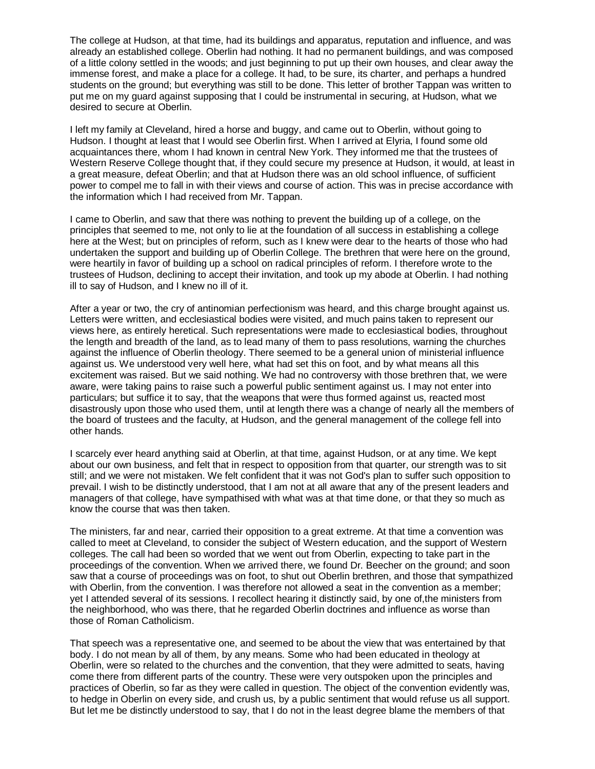The college at Hudson, at that time, had its buildings and apparatus, reputation and influence, and was already an established college. Oberlin had nothing. It had no permanent buildings, and was composed of a little colony settled in the woods; and just beginning to put up their own houses, and clear away the immense forest, and make a place for a college. It had, to be sure, its charter, and perhaps a hundred students on the ground; but everything was still to be done. This letter of brother Tappan was written to put me on my guard against supposing that I could be instrumental in securing, at Hudson, what we desired to secure at Oberlin.

I left my family at Cleveland, hired a horse and buggy, and came out to Oberlin, without going to Hudson. I thought at least that I would see Oberlin first. When I arrived at Elyria, I found some old acquaintances there, whom I had known in central New York. They informed me that the trustees of Western Reserve College thought that, if they could secure my presence at Hudson, it would, at least in a great measure, defeat Oberlin; and that at Hudson there was an old school influence, of sufficient power to compel me to fall in with their views and course of action. This was in precise accordance with the information which I had received from Mr. Tappan.

I came to Oberlin, and saw that there was nothing to prevent the building up of a college, on the principles that seemed to me, not only to lie at the foundation of all success in establishing a college here at the West; but on principles of reform, such as I knew were dear to the hearts of those who had undertaken the support and building up of Oberlin College. The brethren that were here on the ground, were heartily in favor of building up a school on radical principles of reform. I therefore wrote to the trustees of Hudson, declining to accept their invitation, and took up my abode at Oberlin. I had nothing ill to say of Hudson, and I knew no ill of it.

After a year or two, the cry of antinomian perfectionism was heard, and this charge brought against us. Letters were written, and ecclesiastical bodies were visited, and much pains taken to represent our views here, as entirely heretical. Such representations were made to ecclesiastical bodies, throughout the length and breadth of the land, as to lead many of them to pass resolutions, warning the churches against the influence of Oberlin theology. There seemed to be a general union of ministerial influence against us. We understood very well here, what had set this on foot, and by what means all this excitement was raised. But we said nothing. We had no controversy with those brethren that, we were aware, were taking pains to raise such a powerful public sentiment against us. I may not enter into particulars; but suffice it to say, that the weapons that were thus formed against us, reacted most disastrously upon those who used them, until at length there was a change of nearly all the members of the board of trustees and the faculty, at Hudson, and the general management of the college fell into other hands.

I scarcely ever heard anything said at Oberlin, at that time, against Hudson, or at any time. We kept about our own business, and felt that in respect to opposition from that quarter, our strength was to sit still; and we were not mistaken. We felt confident that it was not God's plan to suffer such opposition to prevail. I wish to be distinctly understood, that I am not at all aware that any of the present leaders and managers of that college, have sympathised with what was at that time done, or that they so much as know the course that was then taken.

The ministers, far and near, carried their opposition to a great extreme. At that time a convention was called to meet at Cleveland, to consider the subject of Western education, and the support of Western colleges. The call had been so worded that we went out from Oberlin, expecting to take part in the proceedings of the convention. When we arrived there, we found Dr. Beecher on the ground; and soon saw that a course of proceedings was on foot, to shut out Oberlin brethren, and those that sympathized with Oberlin, from the convention. I was therefore not allowed a seat in the convention as a member; yet I attended several of its sessions. I recollect hearing it distinctly said, by one of,the ministers from the neighborhood, who was there, that he regarded Oberlin doctrines and influence as worse than those of Roman Catholicism.

That speech was a representative one, and seemed to be about the view that was entertained by that body. I do not mean by all of them, by any means. Some who had been educated in theology at Oberlin, were so related to the churches and the convention, that they were admitted to seats, having come there from different parts of the country. These were very outspoken upon the principles and practices of Oberlin, so far as they were called in question. The object of the convention evidently was, to hedge in Oberlin on every side, and crush us, by a public sentiment that would refuse us all support. But let me be distinctly understood to say, that I do not in the least degree blame the members of that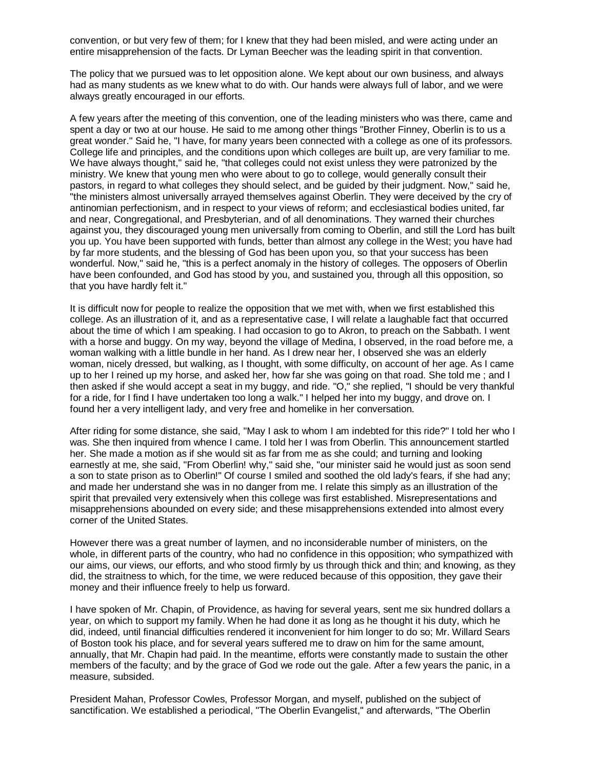convention, or but very few of them; for I knew that they had been misled, and were acting under an entire misapprehension of the facts. Dr Lyman Beecher was the leading spirit in that convention.

The policy that we pursued was to let opposition alone. We kept about our own business, and always had as many students as we knew what to do with. Our hands were always full of labor, and we were always greatly encouraged in our efforts.

A few years after the meeting of this convention, one of the leading ministers who was there, came and spent a day or two at our house. He said to me among other things "Brother Finney, Oberlin is to us a great wonder." Said he, "I have, for many years been connected with a college as one of its professors. College life and principles, and the conditions upon which colleges are built up, are very familiar to me. We have always thought," said he, "that colleges could not exist unless they were patronized by the ministry. We knew that young men who were about to go to college, would generally consult their pastors, in regard to what colleges they should select, and be guided by their judgment. Now," said he, "the ministers almost universally arrayed themselves against Oberlin. They were deceived by the cry of antinomian perfectionism, and in respect to your views of reform; and ecclesiastical bodies united, far and near, Congregational, and Presbyterian, and of all denominations. They warned their churches against you, they discouraged young men universally from coming to Oberlin, and still the Lord has built you up. You have been supported with funds, better than almost any college in the West; you have had by far more students, and the blessing of God has been upon you, so that your success has been wonderful. Now," said he, "this is a perfect anomaly in the history of colleges. The opposers of Oberlin have been confounded, and God has stood by you, and sustained you, through all this opposition, so that you have hardly felt it."

It is difficult now for people to realize the opposition that we met with, when we first established this college. As an illustration of it, and as a representative case, I will relate a laughable fact that occurred about the time of which I am speaking. I had occasion to go to Akron, to preach on the Sabbath. I went with a horse and buggy. On my way, beyond the village of Medina, I observed, in the road before me, a woman walking with a little bundle in her hand. As I drew near her, I observed she was an elderly woman, nicely dressed, but walking, as I thought, with some difficulty, on account of her age. As I came up to her I reined up my horse, and asked her, how far she was going on that road. She told me ; and I then asked if she would accept a seat in my buggy, and ride. "O," she replied, "I should be very thankful for a ride, for I find I have undertaken too long a walk." I helped her into my buggy, and drove on. I found her a very intelligent lady, and very free and homelike in her conversation.

After riding for some distance, she said, "May I ask to whom I am indebted for this ride?" I told her who I was. She then inquired from whence I came. I told her I was from Oberlin. This announcement startled her. She made a motion as if she would sit as far from me as she could; and turning and looking earnestly at me, she said, "From Oberlin! why," said she, "our minister said he would just as soon send a son to state prison as to Oberlin!" Of course I smiled and soothed the old lady's fears, if she had any; and made her understand she was in no danger from me. I relate this simply as an illustration of the spirit that prevailed very extensively when this college was first established. Misrepresentations and misapprehensions abounded on every side; and these misapprehensions extended into almost every corner of the United States.

However there was a great number of laymen, and no inconsiderable number of ministers, on the whole, in different parts of the country, who had no confidence in this opposition; who sympathized with our aims, our views, our efforts, and who stood firmly by us through thick and thin; and knowing, as they did, the straitness to which, for the time, we were reduced because of this opposition, they gave their money and their influence freely to help us forward.

I have spoken of Mr. Chapin, of Providence, as having for several years, sent me six hundred dollars a year, on which to support my family. When he had done it as long as he thought it his duty, which he did, indeed, until financial difficulties rendered it inconvenient for him longer to do so; Mr. Willard Sears of Boston took his place, and for several years suffered me to draw on him for the same amount, annually, that Mr. Chapin had paid. In the meantime, efforts were constantly made to sustain the other members of the faculty; and by the grace of God we rode out the gale. After a few years the panic, in a measure, subsided.

President Mahan, Professor Cowles, Professor Morgan, and myself, published on the subject of sanctification. We established a periodical, "The Oberlin Evangelist," and afterwards, "The Oberlin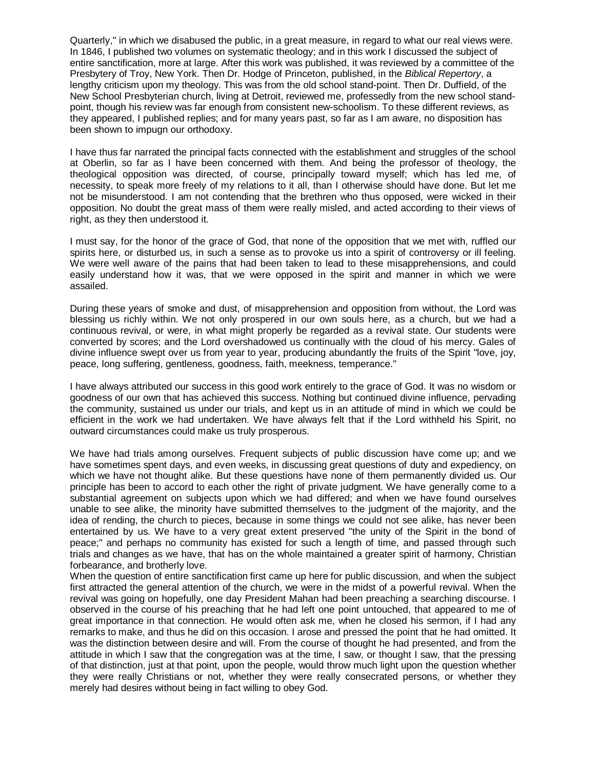Quarterly," in which we disabused the public, in a great measure, in regard to what our real views were. In 1846, I published two volumes on systematic theology; and in this work I discussed the subject of entire sanctification, more at large. After this work was published, it was reviewed by a committee of the Presbytery of Troy, New York. Then Dr. Hodge of Princeton, published, in the *Biblical Repertory*, a lengthy criticism upon my theology. This was from the old school stand-point. Then Dr. Duffield, of the New School Presbyterian church, living at Detroit, reviewed me, professedly from the new school standpoint, though his review was far enough from consistent new-schoolism. To these different reviews, as they appeared, I published replies; and for many years past, so far as I am aware, no disposition has been shown to impugn our orthodoxy.

I have thus far narrated the principal facts connected with the establishment and struggles of the school at Oberlin, so far as I have been concerned with them. And being the professor of theology, the theological opposition was directed, of course, principally toward myself; which has led me, of necessity, to speak more freely of my relations to it all, than I otherwise should have done. But let me not be misunderstood. I am not contending that the brethren who thus opposed, were wicked in their opposition. No doubt the great mass of them were really misled, and acted according to their views of right, as they then understood it.

I must say, for the honor of the grace of God, that none of the opposition that we met with, ruffled our spirits here, or disturbed us, in such a sense as to provoke us into a spirit of controversy or ill feeling. We were well aware of the pains that had been taken to lead to these misapprehensions, and could easily understand how it was, that we were opposed in the spirit and manner in which we were assailed.

During these years of smoke and dust, of misapprehension and opposition from without, the Lord was blessing us richly within. We not only prospered in our own souls here, as a church, but we had a continuous revival, or were, in what might properly be regarded as a revival state. Our students were converted by scores; and the Lord overshadowed us continually with the cloud of his mercy. Gales of divine influence swept over us from year to year, producing abundantly the fruits of the Spirit "love, joy, peace, long suffering, gentleness, goodness, faith, meekness, temperance."

I have always attributed our success in this good work entirely to the grace of God. It was no wisdom or goodness of our own that has achieved this success. Nothing but continued divine influence, pervading the community, sustained us under our trials, and kept us in an attitude of mind in which we could be efficient in the work we had undertaken. We have always felt that if the Lord withheld his Spirit, no outward circumstances could make us truly prosperous.

We have had trials among ourselves. Frequent subjects of public discussion have come up; and we have sometimes spent days, and even weeks, in discussing great questions of duty and expediency, on which we have not thought alike. But these questions have none of them permanently divided us. Our principle has been to accord to each other the right of private judgment. We have generally come to a substantial agreement on subjects upon which we had differed; and when we have found ourselves unable to see alike, the minority have submitted themselves to the judgment of the majority, and the idea of rending, the church to pieces, because in some things we could not see alike, has never been entertained by us. We have to a very great extent preserved "the unity of the Spirit in the bond of peace;" and perhaps no community has existed for such a length of time, and passed through such trials and changes as we have, that has on the whole maintained a greater spirit of harmony, Christian forbearance, and brotherly love.

When the question of entire sanctification first came up here for public discussion, and when the subject first attracted the general attention of the church, we were in the midst of a powerful revival. When the revival was going on hopefully, one day President Mahan had been preaching a searching discourse. I observed in the course of his preaching that he had left one point untouched, that appeared to me of great importance in that connection. He would often ask me, when he closed his sermon, if I had any remarks to make, and thus he did on this occasion. I arose and pressed the point that he had omitted. It was the distinction between desire and will. From the course of thought he had presented, and from the attitude in which I saw that the congregation was at the time, I saw, or thought I saw, that the pressing of that distinction, just at that point, upon the people, would throw much light upon the question whether they were really Christians or not, whether they were really consecrated persons, or whether they merely had desires without being in fact willing to obey God.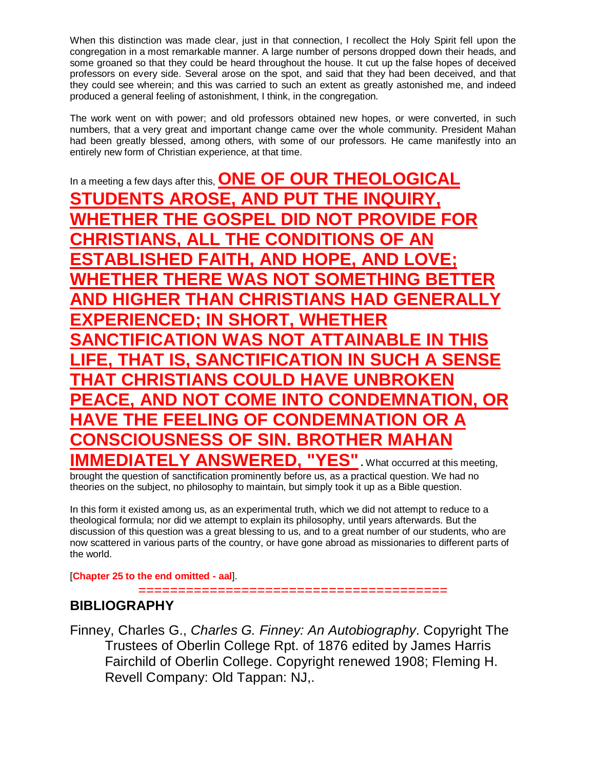When this distinction was made clear, just in that connection, I recollect the Holy Spirit fell upon the congregation in a most remarkable manner. A large number of persons dropped down their heads, and some groaned so that they could be heard throughout the house. It cut up the false hopes of deceived professors on every side. Several arose on the spot, and said that they had been deceived, and that they could see wherein; and this was carried to such an extent as greatly astonished me, and indeed produced a general feeling of astonishment, I think, in the congregation.

The work went on with power; and old professors obtained new hopes, or were converted, in such numbers, that a very great and important change came over the whole community. President Mahan had been greatly blessed, among others, with some of our professors. He came manifestly into an entirely new form of Christian experience, at that time.

In <sup>a</sup> meeting <sup>a</sup> few days after this, **ONE OF OUR THEOLOGICAL STUDENTS AROSE, AND PUT THE INQUIRY, WHETHER THE GOSPEL DID NOT PROVIDE FOR CHRISTIANS, ALL THE CONDITIONS OF AN ESTABLISHED FAITH, AND HOPE, AND LOVE; WHETHER THERE WAS NOT SOMETHING BETTER AND HIGHER THAN CHRISTIANS HAD GENERALLY EXPERIENCED; IN SHORT, WHETHER SANCTIFICATION WAS NOT ATTAINABLE IN THIS LIFE, THAT IS, SANCTIFICATION IN SUCH A SENSE THAT CHRISTIANS COULD HAVE UNBROKEN PEACE, AND NOT COME INTO CONDEMNATION, OR HAVE THE FEELING OF CONDEMNATION OR A CONSCIOUSNESS OF SIN. BROTHER MAHAN IMMEDIATELY ANSWERED, What occurred at this meeting,** 

brought the question of sanctification prominently before us, as a practical question. We had no theories on the subject, no philosophy to maintain, but simply took it up as a Bible question.

In this form it existed among us, as an experimental truth, which we did not attempt to reduce to a theological formula; nor did we attempt to explain its philosophy, until years afterwards. But the discussion of this question was a great blessing to us, and to a great number of our students, who are now scattered in various parts of the country, or have gone abroad as missionaries to different parts of the world.

[**Chapter 25 to the end omitted - aal**].

=======================================

## **BIBLIOGRAPHY**

Finney, Charles G., *Charles G. Finney: An Autobiography*. Copyright The Trustees of Oberlin College Rpt. of 1876 edited by James Harris Fairchild of Oberlin College. Copyright renewed 1908; Fleming H. Revell Company: Old Tappan: NJ,.